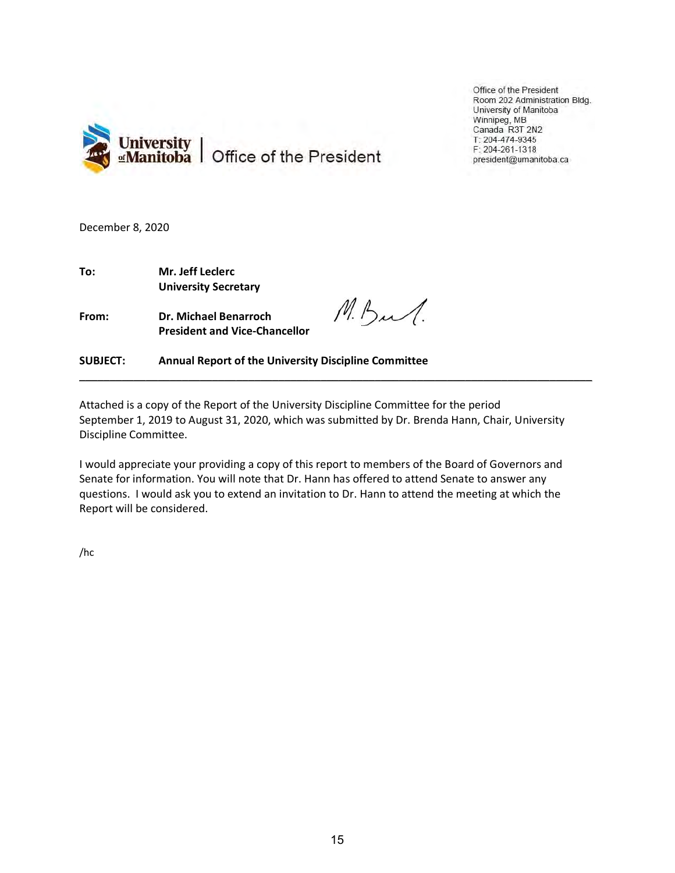

Office of the President Room 202 Administration Bldg. University of Manitoba Winnipeg, MB Canada R3T 2N2 T: 204-474-9345 F: 204-261-1318 president@umanitoba.ca

December 8, 2020

To: Mr. Jeff Leclerc University Secretary

From: Dr. Michael Benarroch President and Vice-Chancellor

M.Bul.

SUBJECT: Annual Report of the University Discipline Committee

Attached is a copy of the Report of the University Discipline Committee for the period September 1, 2019 to August 31, 2020, which was submitted by Dr. Brenda Hann, Chair, University Discipline Committee.

\_\_\_\_\_\_\_\_\_\_\_\_\_\_\_\_\_\_\_\_\_\_\_\_\_\_\_\_\_\_\_\_\_\_\_\_\_\_\_\_\_\_\_\_\_\_\_\_\_\_\_\_\_\_\_\_\_\_\_\_\_\_\_\_\_\_\_\_\_\_\_\_\_\_\_\_\_\_\_\_\_\_\_\_\_

I would appreciate your providing a copy of this report to members of the Board of Governors and Senate for information. You will note that Dr. Hann has offered to attend Senate to answer any questions. I would ask you to extend an invitation to Dr. Hann to attend the meeting at which the Report will be considered.

/hc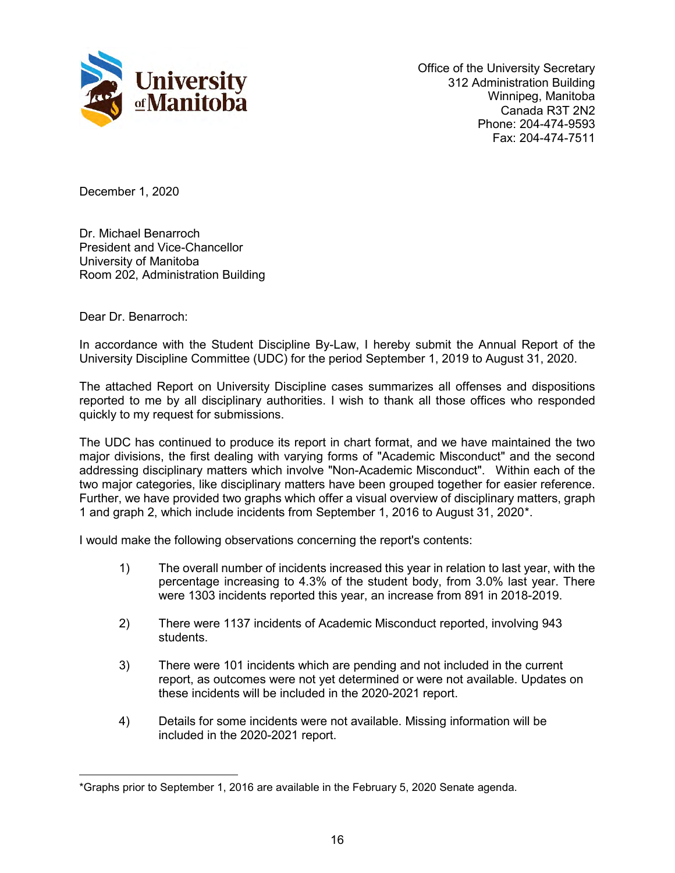

Office of the University Secretary 312 Administration Building Winnipeg, Manitoba Canada R3T 2N2 Phone: 204-474-9593 Fax: 204-474-7511

December 1, 2020

Dr. Michael Benarroch President and Vice-Chancellor University of Manitoba Room 202, Administration Building

Dear Dr. Benarroch:

In accordance with the Student Discipline By-Law, I hereby submit the Annual Report of the University Discipline Committee (UDC) for the period September 1, 2019 to August 31, 2020.

The attached Report on University Discipline cases summarizes all offenses and dispositions reported to me by all disciplinary authorities. I wish to thank all those offices who responded quickly to my request for submissions.

The UDC has continued to produce its report in chart format, and we have maintained the two major divisions, the first dealing with varying forms of "Academic Misconduct" and the second addressing disciplinary matters which involve "Non-Academic Misconduct". Within each of the two major categories, like disciplinary matters have been grouped together for easier reference. Further, we have provided two graphs which offer a visual overview of disciplinary matters, graph 1 and graph 2, which include incidents from September 1, 2016 to August 31, 2020[\\*](#page-1-0).

I would make the following observations concerning the report's contents:

- 1) The overall number of incidents increased this year in relation to last year, with the percentage increasing to 4.3% of the student body, from 3.0% last year. There were 1303 incidents reported this year, an increase from 891 in 2018-2019.
- 2) There were 1137 incidents of Academic Misconduct reported, involving 943 students.
- 3) There were 101 incidents which are pending and not included in the current report, as outcomes were not yet determined or were not available. Updates on these incidents will be included in the 2020-2021 report.
- 4) Details for some incidents were not available. Missing information will be included in the 2020-2021 report.

<span id="page-1-0"></span> $\overline{a}$ \*Graphs prior to September 1, 2016 are available in the February 5, 2020 Senate agenda.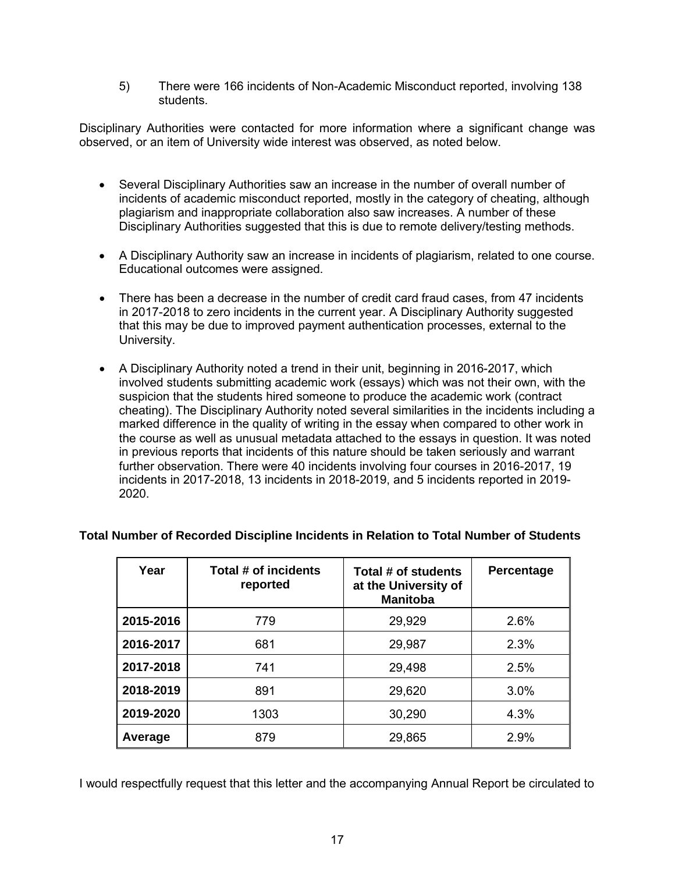5) There were 166 incidents of Non-Academic Misconduct reported, involving 138 students.

Disciplinary Authorities were contacted for more information where a significant change was observed, or an item of University wide interest was observed, as noted below.

- Several Disciplinary Authorities saw an increase in the number of overall number of incidents of academic misconduct reported, mostly in the category of cheating, although plagiarism and inappropriate collaboration also saw increases. A number of these Disciplinary Authorities suggested that this is due to remote delivery/testing methods.
- A Disciplinary Authority saw an increase in incidents of plagiarism, related to one course. Educational outcomes were assigned.
- There has been a decrease in the number of credit card fraud cases, from 47 incidents in 2017-2018 to zero incidents in the current year. A Disciplinary Authority suggested that this may be due to improved payment authentication processes, external to the University.
- A Disciplinary Authority noted a trend in their unit, beginning in 2016-2017, which involved students submitting academic work (essays) which was not their own, with the suspicion that the students hired someone to produce the academic work (contract cheating). The Disciplinary Authority noted several similarities in the incidents including a marked difference in the quality of writing in the essay when compared to other work in the course as well as unusual metadata attached to the essays in question. It was noted in previous reports that incidents of this nature should be taken seriously and warrant further observation. There were 40 incidents involving four courses in 2016-2017, 19 incidents in 2017-2018, 13 incidents in 2018-2019, and 5 incidents reported in 2019- 2020.

| Year      | Total # of incidents<br>reported | Total # of students<br>at the University of<br><b>Manitoba</b> | Percentage |
|-----------|----------------------------------|----------------------------------------------------------------|------------|
| 2015-2016 | 779                              | 29,929                                                         | 2.6%       |
| 2016-2017 | 681                              | 29,987                                                         | 2.3%       |
| 2017-2018 | 741                              | 29,498                                                         | 2.5%       |
| 2018-2019 | 891                              | 29,620                                                         | 3.0%       |
| 2019-2020 | 1303                             | 30,290                                                         | 4.3%       |
| Average   | 879                              | 29,865                                                         | 2.9%       |

# **Total Number of Recorded Discipline Incidents in Relation to Total Number of Students**

I would respectfully request that this letter and the accompanying Annual Report be circulated to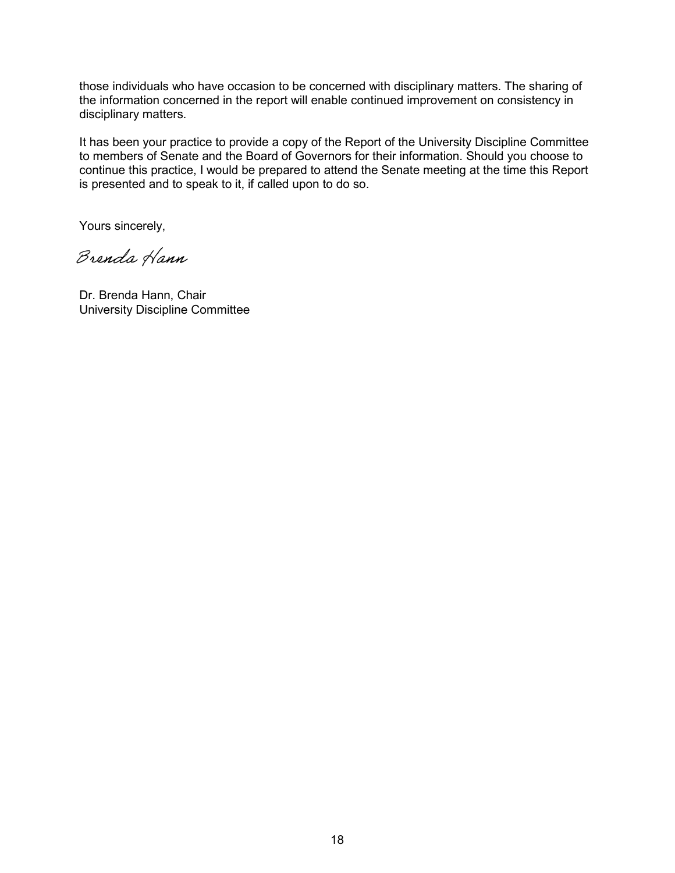those individuals who have occasion to be concerned with disciplinary matters. The sharing of the information concerned in the report will enable continued improvement on consistency in disciplinary matters.

It has been your practice to provide a copy of the Report of the University Discipline Committee to members of Senate and the Board of Governors for their information. Should you choose to continue this practice, I would be prepared to attend the Senate meeting at the time this Report is presented and to speak to it, if called upon to do so.

Yours sincerely,

Dr. Brenda Hann, Chair University Discipline Committee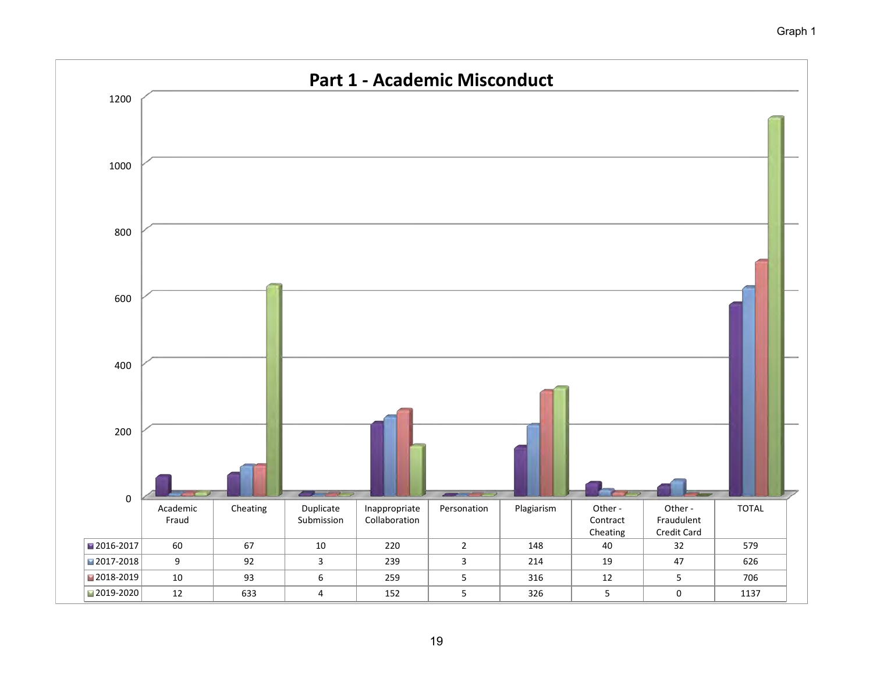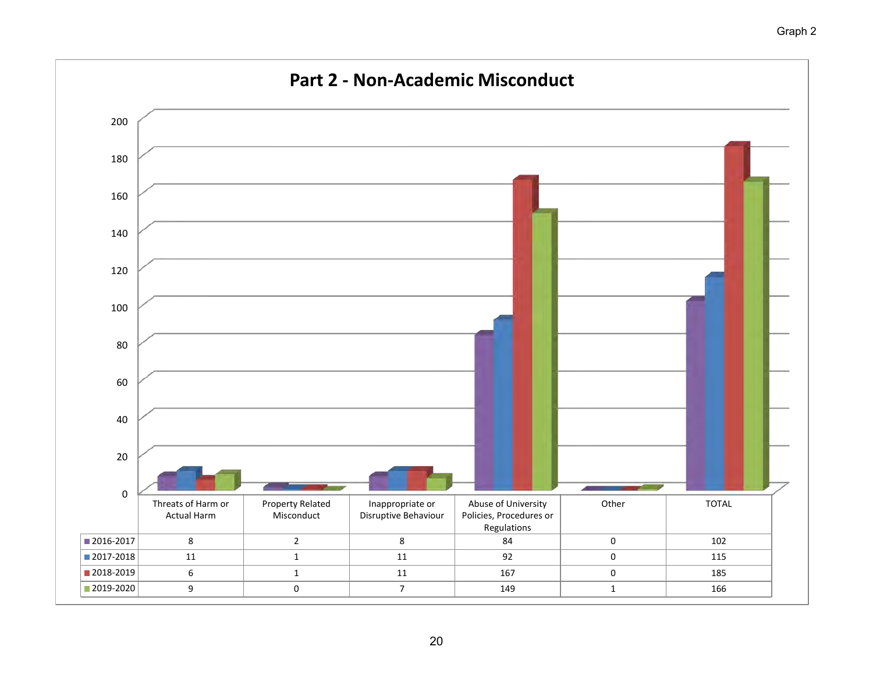

# Graph 2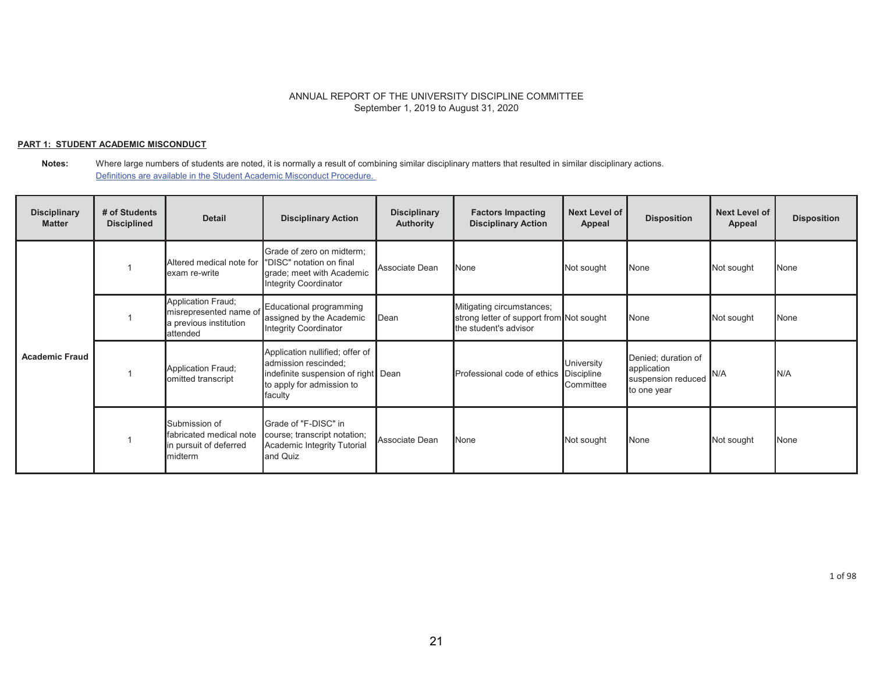### **PART 1: STUDENT ACADEMIC MISCONDUCT**

| <b>Disciplinary</b><br><b>Matter</b> | # of Students<br><b>Disciplined</b> | <b>Detail</b>                                                                      | <b>Disciplinary Action</b>                                                                                                             | <b>Disciplinary</b><br><b>Authority</b> | <b>Factors Impacting</b><br><b>Disciplinary Action</b>                                         | <b>Next Level of</b><br>Appeal   | <b>Disposition</b>                                                      | <b>Next Level of</b><br><b>Appeal</b> | <b>Disposition</b> |
|--------------------------------------|-------------------------------------|------------------------------------------------------------------------------------|----------------------------------------------------------------------------------------------------------------------------------------|-----------------------------------------|------------------------------------------------------------------------------------------------|----------------------------------|-------------------------------------------------------------------------|---------------------------------------|--------------------|
| <b>Academic Fraud</b>                |                                     | Altered medical note for<br>exam re-write                                          | Grade of zero on midterm;<br>"DISC" notation on final<br>grade; meet with Academic<br><b>Integrity Coordinator</b>                     | Associate Dean                          | None                                                                                           | Not sought                       | None                                                                    | Not sought                            | None               |
|                                      |                                     | Application Fraud;<br>misrepresented name of<br>a previous institution<br>attended | Educational programming<br>assigned by the Academic<br>Integrity Coordinator                                                           | Dean                                    | Mitigating circumstances;<br>strong letter of support from Not sought<br>the student's advisor |                                  | None                                                                    | Not sought                            | None               |
|                                      |                                     | Application Fraud;<br>omitted transcript                                           | Application nullified; offer of<br>admission rescinded;<br>indefinite suspension of right Dean<br>to apply for admission to<br>faculty |                                         | Professional code of ethics Discipline                                                         | University<br><b>I</b> Committee | Denied; duration of<br>application<br>suspension reduced<br>to one year | N/A                                   | N/A                |
|                                      |                                     | Submission of<br>fabricated medical note<br>in pursuit of deferred<br>midterm      | Grade of "F-DISC" in<br>course; transcript notation;<br>Academic Integrity Tutorial<br>and Quiz                                        | Associate Dean                          | <b>N</b> one                                                                                   | Not sought                       | None                                                                    | Not sought                            | None               |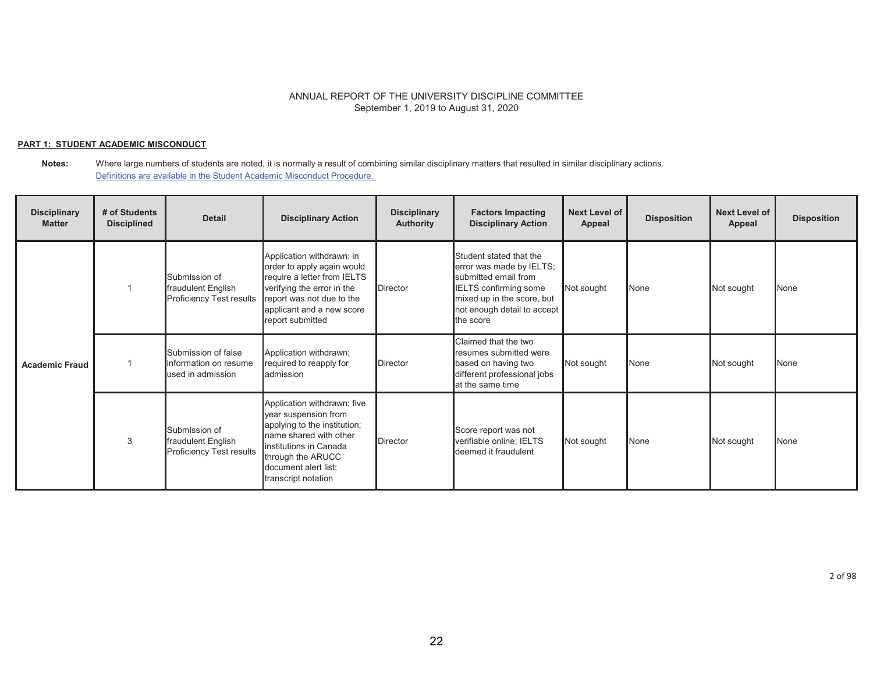### **PART 1: STUDENT ACADEMIC MISCONDUCT**

| <b>Disciplinary</b><br><b>Matter</b> | # of Students<br><b>Disciplined</b> | <b>Detail</b>                                                          | <b>Disciplinary Action</b>                                                                                                                                                                                  | <b>Disciplinary</b><br><b>Authority</b> | <b>Factors Impacting</b><br><b>Disciplinary Action</b>                                                                                                                         | <b>Next Level of</b><br>Appeal | <b>Disposition</b> | <b>Next Level of</b><br>Appeal | <b>Disposition</b> |
|--------------------------------------|-------------------------------------|------------------------------------------------------------------------|-------------------------------------------------------------------------------------------------------------------------------------------------------------------------------------------------------------|-----------------------------------------|--------------------------------------------------------------------------------------------------------------------------------------------------------------------------------|--------------------------------|--------------------|--------------------------------|--------------------|
| <b>Academic Fraud</b>                |                                     | Submission of<br>fraudulent English<br><b>Proficiency Test results</b> | Application withdrawn; in<br>order to apply again would<br>require a letter from IELTS<br>verifying the error in the<br>report was not due to the<br>applicant and a new score<br>report submitted          | <b>Director</b>                         | Student stated that the<br>error was made by IELTS;<br>submitted email from<br>IELTS confirming some<br>mixed up in the score, but<br>not enough detail to accept<br>the score | Not sought                     | None               | Not sought                     | <b>None</b>        |
|                                      |                                     | Submission of false<br>information on resume<br>used in admission      | Application withdrawn;<br>required to reapply for<br>admission                                                                                                                                              | <b>Director</b>                         | Claimed that the two<br>resumes submitted were<br>based on having two<br>different professional jobs<br>at the same time                                                       | Not sought                     | None               | Not sought                     | <b>None</b>        |
|                                      | 3                                   | Submission of<br>fraudulent English<br><b>Proficiency Test results</b> | Application withdrawn; five<br>year suspension from<br>applying to the institution;<br>name shared with other<br>institutions in Canada<br>through the ARUCC<br>document alert list;<br>transcript notation | Director                                | Score report was not<br>verifiable online; IELTS<br>deemed it fraudulent                                                                                                       | Not sought                     | None               | Not sought                     | None               |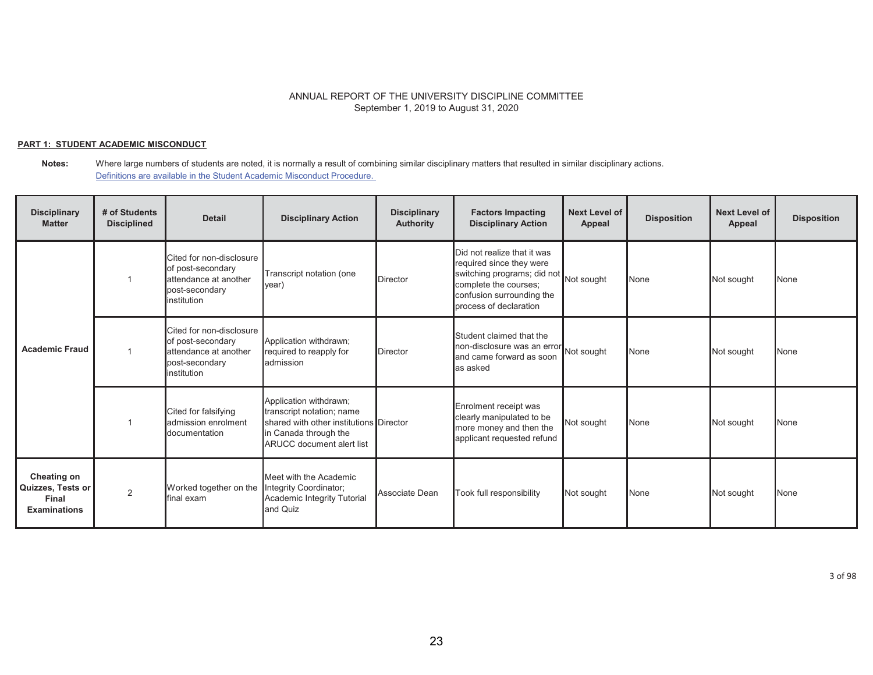### **PART 1: STUDENT ACADEMIC MISCONDUCT**

**Notes:** Where large numbers of students are noted, it is normally a result of combining similar disciplinary matters that resulted in similar disciplinary actions. Definitions are available in the Student Academic Misconduct Procedure.

| <b>Disciplinary</b><br><b>Matter</b>                             | # of Students<br><b>Disciplined</b> | <b>Detail</b>                                                                                           | <b>Disciplinary Action</b>                                                                                                                                  | <b>Disciplinary</b><br><b>Authority</b> | <b>Factors Impacting</b><br><b>Disciplinary Action</b>                                                                                                                 | <b>Next Level of</b><br>Appeal | <b>Disposition</b> | <b>Next Level of</b><br>Appeal | <b>Disposition</b> |
|------------------------------------------------------------------|-------------------------------------|---------------------------------------------------------------------------------------------------------|-------------------------------------------------------------------------------------------------------------------------------------------------------------|-----------------------------------------|------------------------------------------------------------------------------------------------------------------------------------------------------------------------|--------------------------------|--------------------|--------------------------------|--------------------|
| <b>Academic Fraud</b>                                            |                                     | Cited for non-disclosure<br>of post-secondary<br>attendance at another<br>post-secondary<br>institution | Transcript notation (one<br>$ year\rangle$                                                                                                                  | <b>Director</b>                         | Did not realize that it was<br>required since they were<br>switching programs; did not<br>complete the courses;<br>confusion surrounding the<br>process of declaration | Not sought                     | None               | Not sought                     | <b>None</b>        |
|                                                                  |                                     | Cited for non-disclosure<br>of post-secondary<br>attendance at another<br>post-secondary<br>institution | Application withdrawn:<br>required to reapply for<br>admission                                                                                              | <b>Director</b>                         | Student claimed that the<br>non-disclosure was an error Not sought<br>and came forward as soon<br>as asked                                                             |                                | None               | Not sought                     | None               |
|                                                                  |                                     | Cited for falsifying<br>admission enrolment<br>documentation                                            | Application withdrawn;<br>transcript notation; name<br>shared with other institutions Director<br>in Canada through the<br><b>ARUCC</b> document alert list |                                         | Enrolment receipt was<br>clearly manipulated to be<br>more money and then the<br>applicant requested refund                                                            | Not sought                     | None               | Not sought                     | None               |
| Cheating on<br>Quizzes, Tests or<br>Final<br><b>Examinations</b> | $\overline{2}$                      | Worked together on the<br>final exam.                                                                   | Meet with the Academic<br>Integrity Coordinator;<br>Academic Integrity Tutorial<br>and Quiz                                                                 | Associate Dean                          | Took full responsibility                                                                                                                                               | Not sought                     | None               | Not sought                     | None               |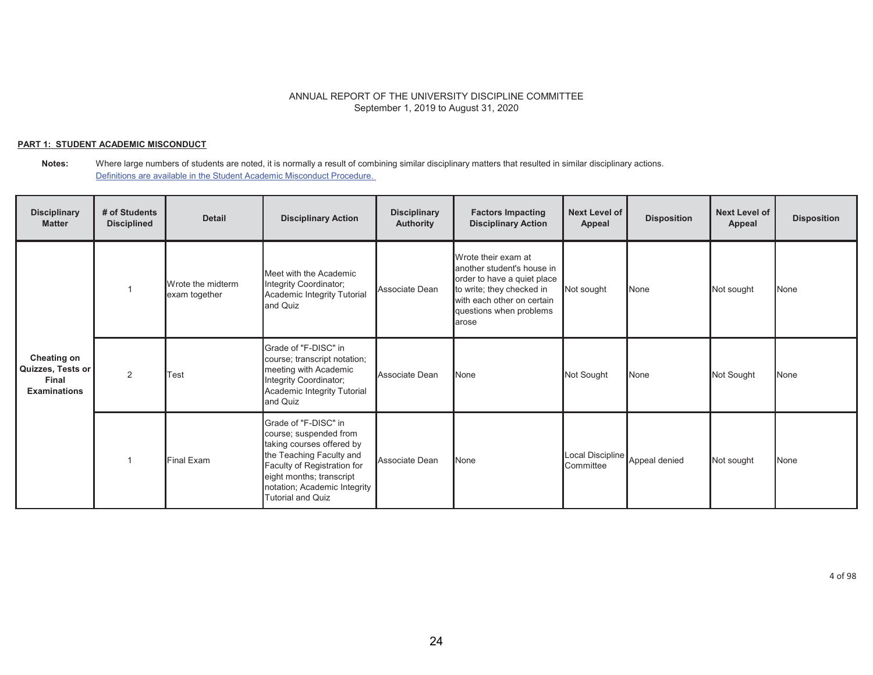### **PART 1: STUDENT ACADEMIC MISCONDUCT**

| <b>Disciplinary</b><br><b>Matter</b>                                    | # of Students<br><b>Disciplined</b> | <b>Detail</b>                      | <b>Disciplinary Action</b>                                                                                                                                                                                                     | <b>Disciplinary</b><br>Authority | <b>Factors Impacting</b><br><b>Disciplinary Action</b>                                                                                                                           | Next Level of<br>Appeal       | <b>Disposition</b> | Next Level of<br>Appeal | <b>Disposition</b> |
|-------------------------------------------------------------------------|-------------------------------------|------------------------------------|--------------------------------------------------------------------------------------------------------------------------------------------------------------------------------------------------------------------------------|----------------------------------|----------------------------------------------------------------------------------------------------------------------------------------------------------------------------------|-------------------------------|--------------------|-------------------------|--------------------|
| <b>Cheating on</b><br>Quizzes, Tests or<br>Final<br><b>Examinations</b> |                                     | Wrote the midterm<br>exam together | Meet with the Academic<br>Integrity Coordinator;<br>Academic Integrity Tutorial<br>and Quiz                                                                                                                                    | Associate Dean                   | Wrote their exam at<br>another student's house in<br>order to have a quiet place<br>to write; they checked in<br>with each other on certain<br>questions when problems<br>larose | Not sought                    | None               | Not sought              | None               |
|                                                                         | 2                                   | Test                               | Grade of "F-DISC" in<br>course; transcript notation;<br>meeting with Academic<br>Integrity Coordinator;<br>Academic Integrity Tutorial<br>and Quiz                                                                             | Associate Dean                   | None                                                                                                                                                                             | Not Sought                    | None               | Not Sought              | None               |
|                                                                         |                                     | Final Exam                         | Grade of "F-DISC" in<br>course; suspended from<br>taking courses offered by<br>the Teaching Faculty and<br>Faculty of Registration for<br>eight months; transcript<br>notation; Academic Integrity<br><b>Tutorial and Quiz</b> | Associate Dean                   | None                                                                                                                                                                             | Local Discipline<br>Committee | Appeal denied      | Not sought              | None               |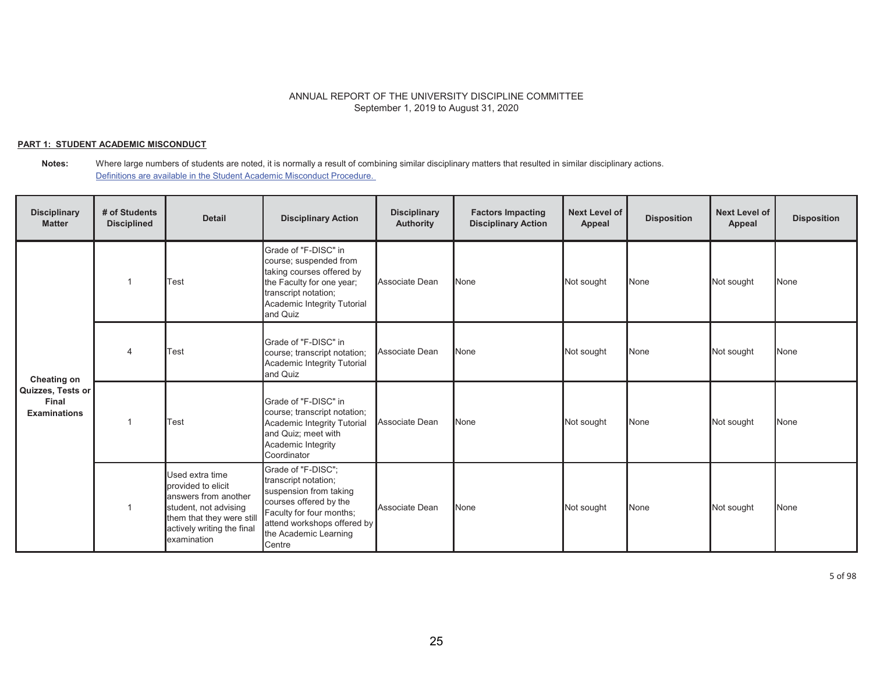### **PART 1: STUDENT ACADEMIC MISCONDUCT**

| <b>Disciplinary</b><br><b>Matter</b>                                    | # of Students<br><b>Disciplined</b> | <b>Detail</b>                                                                                                                                                    | <b>Disciplinary Action</b>                                                                                                                                                                   | <b>Disciplinary</b><br><b>Authority</b> | <b>Factors Impacting</b><br><b>Disciplinary Action</b> | <b>Next Level of</b><br>Appeal | <b>Disposition</b> | <b>Next Level of</b><br>Appeal | <b>Disposition</b> |
|-------------------------------------------------------------------------|-------------------------------------|------------------------------------------------------------------------------------------------------------------------------------------------------------------|----------------------------------------------------------------------------------------------------------------------------------------------------------------------------------------------|-----------------------------------------|--------------------------------------------------------|--------------------------------|--------------------|--------------------------------|--------------------|
| <b>Cheating on</b><br>Quizzes, Tests or<br>Final<br><b>Examinations</b> |                                     | Test                                                                                                                                                             | Grade of "F-DISC" in<br>course; suspended from<br>taking courses offered by<br>the Faculty for one year;<br>transcript notation;<br>Academic Integrity Tutorial<br>and Quiz                  | Associate Dean                          | None                                                   | Not sought                     | None               | Not sought                     | None               |
|                                                                         |                                     | Test                                                                                                                                                             | Grade of "F-DISC" in<br>course; transcript notation;<br>Academic Integrity Tutorial<br>and Quiz                                                                                              | Associate Dean                          | None                                                   | Not sought                     | None               | Not sought                     | None               |
|                                                                         | 1                                   | Test                                                                                                                                                             | Grade of "F-DISC" in<br>course; transcript notation;<br>Academic Integrity Tutorial<br>and Quiz; meet with<br>Academic Integrity<br>Coordinator                                              | Associate Dean                          | None                                                   | Not sought                     | None               | Not sought                     | None               |
|                                                                         |                                     | Used extra time<br>provided to elicit<br>answers from another<br>student, not advising<br>them that they were still<br>actively writing the final<br>examination | Grade of "F-DISC";<br>transcript notation;<br>suspension from taking<br>courses offered by the<br>Faculty for four months;<br>attend workshops offered by<br>the Academic Learning<br>Centre | Associate Dean                          | None                                                   | Not sought                     | None               | Not sought                     | <b>None</b>        |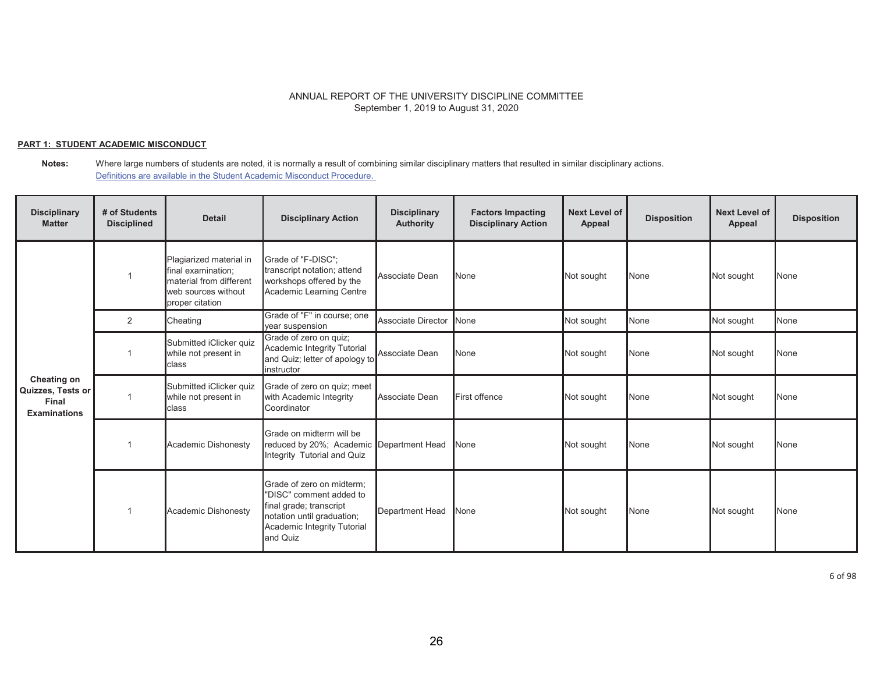### **PART 1: STUDENT ACADEMIC MISCONDUCT**

**Notes:** Where large numbers of students are noted, it is normally a result of combining similar disciplinary matters that resulted in similar disciplinary actions. Definitions are available in the Student Academic Misconduct Procedure.

| <b>Disciplinary</b><br><b>Matter</b>                                    | # of Students<br><b>Disciplined</b> | <b>Detail</b>                                                                                                      | <b>Disciplinary Action</b>                                                                                                                               | <b>Disciplinary</b><br><b>Authority</b> | <b>Factors Impacting</b><br><b>Disciplinary Action</b> | <b>Next Level of</b><br>Appeal | <b>Disposition</b> | <b>Next Level of</b><br>Appeal | <b>Disposition</b> |
|-------------------------------------------------------------------------|-------------------------------------|--------------------------------------------------------------------------------------------------------------------|----------------------------------------------------------------------------------------------------------------------------------------------------------|-----------------------------------------|--------------------------------------------------------|--------------------------------|--------------------|--------------------------------|--------------------|
|                                                                         |                                     | Plagiarized material in<br>final examination;<br>material from different<br>web sources without<br>proper citation | Grade of "F-DISC":<br>transcript notation; attend<br>workshops offered by the<br>Academic Learning Centre                                                | Associate Dean                          | None                                                   | Not sought                     | None               | Not sought                     | None               |
|                                                                         | 2                                   | Cheating                                                                                                           | Grade of "F" in course; one<br>year suspension                                                                                                           | <b>Associate Director</b>               | None                                                   | Not sought                     | None               | Not sought                     | None               |
|                                                                         |                                     | Submitted iClicker quiz<br>while not present in<br><b>class</b>                                                    | Grade of zero on quiz;<br>Academic Integrity Tutorial<br>and Quiz; letter of apology to<br>instructor                                                    | Associate Dean                          | None                                                   | Not sought                     | None               | Not sought                     | None               |
| <b>Cheating on</b><br>Quizzes, Tests or<br>Final<br><b>Examinations</b> |                                     | Submitted iClicker quiz<br>while not present in<br><b>class</b>                                                    | Grade of zero on quiz; meet<br>with Academic Integrity<br>Coordinator                                                                                    | Associate Dean                          | First offence                                          | Not sought                     | None               | Not sought                     | None               |
|                                                                         |                                     | Academic Dishonesty                                                                                                | Grade on midterm will be<br>reduced by 20%; Academic Department Head<br>Integrity Tutorial and Quiz                                                      |                                         | <b>None</b>                                            | Not sought                     | None               | Not sought                     | None               |
|                                                                         |                                     | Academic Dishonesty                                                                                                | Grade of zero on midterm:<br>"DISC" comment added to<br>final grade; transcript<br>notation until graduation;<br>Academic Integrity Tutorial<br>and Quiz | <b>Department Head</b>                  | <b>None</b>                                            | Not sought                     | None               | Not sought                     | None               |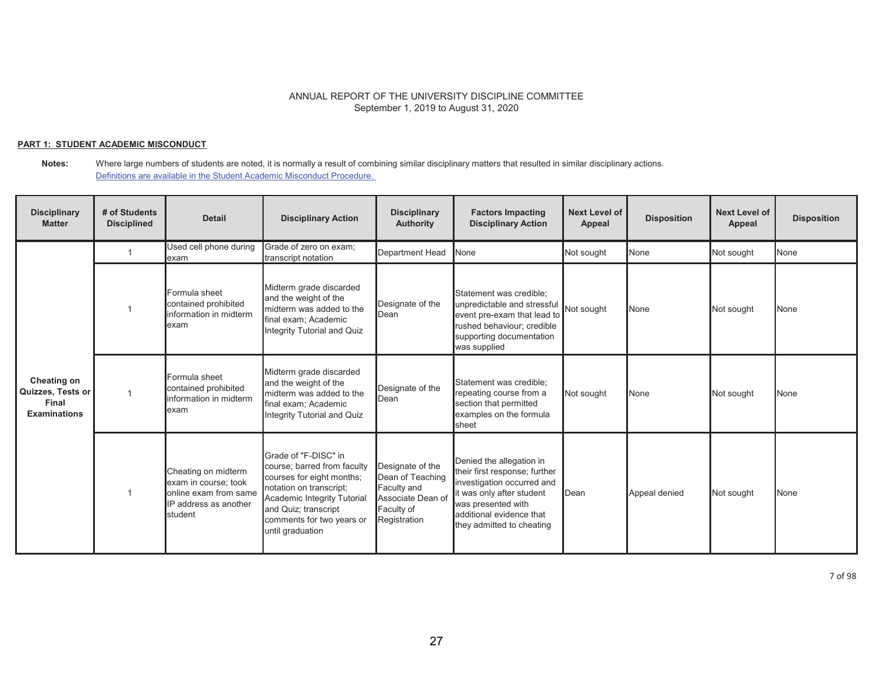### **PART 1: STUDENT ACADEMIC MISCONDUCT**

| <b>Disciplinary</b><br><b>Matter</b>                             | # of Students<br><b>Disciplined</b> | <b>Detail</b>                                                                                            | <b>Disciplinary Action</b>                                                                                                                                                                                          | <b>Disciplinary</b><br><b>Authority</b>                                                                | <b>Factors Impacting</b><br><b>Disciplinary Action</b>                                                                                                                                              | Next Level of<br>Appeal | <b>Disposition</b> | <b>Next Level of</b><br>Appeal | <b>Disposition</b> |
|------------------------------------------------------------------|-------------------------------------|----------------------------------------------------------------------------------------------------------|---------------------------------------------------------------------------------------------------------------------------------------------------------------------------------------------------------------------|--------------------------------------------------------------------------------------------------------|-----------------------------------------------------------------------------------------------------------------------------------------------------------------------------------------------------|-------------------------|--------------------|--------------------------------|--------------------|
|                                                                  |                                     | Used cell phone during<br>exam                                                                           | Grade of zero on exam;<br>transcript notation                                                                                                                                                                       | <b>Department Head</b>                                                                                 | None                                                                                                                                                                                                | Not sought              | None               | Not sought                     | None               |
| Cheating on<br>Quizzes, Tests or<br>Final<br><b>Examinations</b> |                                     | Formula sheet<br>contained prohibited<br>information in midterm<br>exam                                  | Midterm grade discarded<br>and the weight of the<br>midterm was added to the<br>final exam; Academic<br>Integrity Tutorial and Quiz                                                                                 | Designate of the<br>Dean                                                                               | Statement was credible;<br>unpredictable and stressful<br>event pre-exam that lead to<br>rushed behaviour; credible<br>supporting documentation<br>was supplied                                     | Not sought              | None               | Not sought                     | None               |
|                                                                  | 1                                   | Formula sheet<br>contained prohibited<br>information in midterm<br>exam                                  | Midterm grade discarded<br>and the weight of the<br>midterm was added to the<br>final exam; Academic<br>Integrity Tutorial and Quiz                                                                                 | Designate of the<br><b>D</b> ean                                                                       | Statement was credible;<br>repeating course from a<br>section that permitted<br>examples on the formula<br>sheet                                                                                    | Not sought              | None               | Not sought                     | None               |
|                                                                  |                                     | Cheating on midterm<br>exam in course; took<br>online exam from same<br>IP address as another<br>student | Grade of "F-DISC" in<br>course; barred from faculty<br>courses for eight months;<br>notation on transcript:<br>Academic Integrity Tutorial<br>and Quiz; transcript<br>comments for two years or<br>until graduation | Designate of the<br>Dean of Teaching<br>Faculty and<br>Associate Dean of<br>Faculty of<br>Registration | Denied the allegation in<br>their first response; further<br>investigation occurred and<br>it was only after student<br>was presented with<br>additional evidence that<br>they admitted to cheating | Dean                    | Appeal denied      | Not sought                     | None               |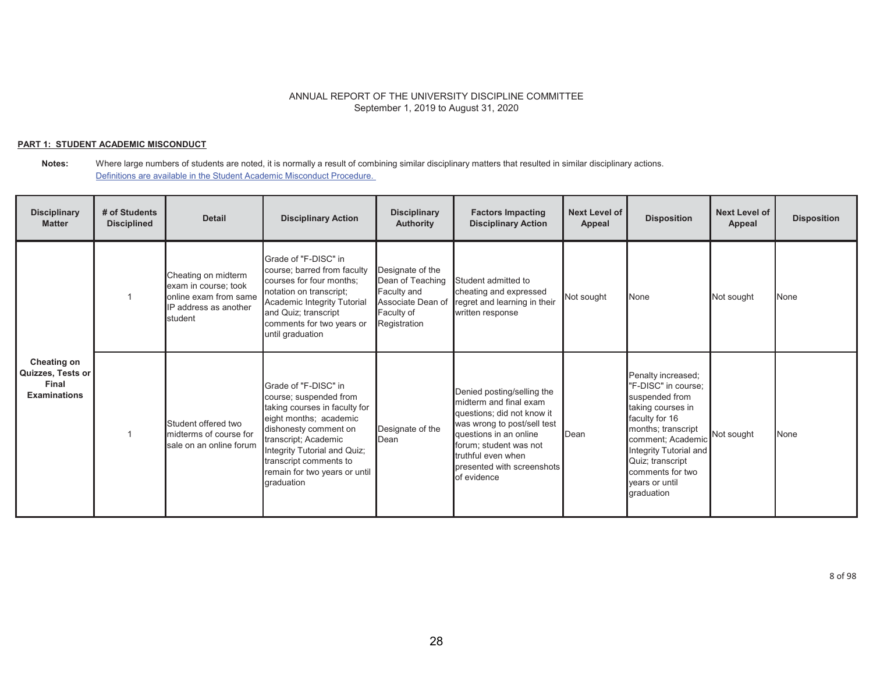### **PART 1: STUDENT ACADEMIC MISCONDUCT**

| <b>Disciplinary</b><br><b>Matter</b>                                    | # of Students<br><b>Disciplined</b> | <b>Detail</b>                                                                                            | <b>Disciplinary Action</b>                                                                                                                                                                                                                                          | <b>Disciplinary</b><br><b>Authority</b>                                                                | <b>Factors Impacting</b><br><b>Disciplinary Action</b>                                                                                                                                                                                   | <b>Next Level of</b><br>Appeal | <b>Disposition</b>                                                                                                                                                                                                                              | <b>Next Level of</b><br>Appeal | <b>Disposition</b> |
|-------------------------------------------------------------------------|-------------------------------------|----------------------------------------------------------------------------------------------------------|---------------------------------------------------------------------------------------------------------------------------------------------------------------------------------------------------------------------------------------------------------------------|--------------------------------------------------------------------------------------------------------|------------------------------------------------------------------------------------------------------------------------------------------------------------------------------------------------------------------------------------------|--------------------------------|-------------------------------------------------------------------------------------------------------------------------------------------------------------------------------------------------------------------------------------------------|--------------------------------|--------------------|
| <b>Cheating on</b><br>Quizzes, Tests or<br>Final<br><b>Examinations</b> |                                     | Cheating on midterm<br>exam in course; took<br>online exam from same<br>IP address as another<br>student | Grade of "F-DISC" in<br>course; barred from faculty<br>courses for four months;<br>notation on transcript;<br>Academic Integrity Tutorial<br>and Quiz; transcript<br>comments for two years or<br>until graduation                                                  | Designate of the<br>Dean of Teaching<br>Faculty and<br>Associate Dean of<br>Faculty of<br>Registration | Student admitted to<br>cheating and expressed<br>regret and learning in their<br>written response                                                                                                                                        | Not sought                     | None                                                                                                                                                                                                                                            | Not sought                     | None               |
|                                                                         |                                     | Student offered two<br>midterms of course for<br>sale on an online forum                                 | Grade of "F-DISC" in<br>course; suspended from<br>taking courses in faculty for<br>eight months; academic<br>dishonesty comment on<br>transcript; Academic<br>Integrity Tutorial and Quiz;<br>transcript comments to<br>remain for two years or until<br>graduation | Designate of the<br><b>I</b> Dean                                                                      | Denied posting/selling the<br>midterm and final exam<br>questions; did not know it<br>was wrong to post/sell test<br>questions in an online<br>forum; student was not<br>truthful even when<br>presented with screenshots<br>of evidence | Dean                           | Penalty increased;<br>"F-DISC" in course;<br>suspended from<br>taking courses in<br>faculty for 16<br>months; transcript<br>comment; Academic<br>Integrity Tutorial and<br>Quiz; transcript<br>comments for two<br>vears or until<br>graduation | Not sought                     | <b>None</b>        |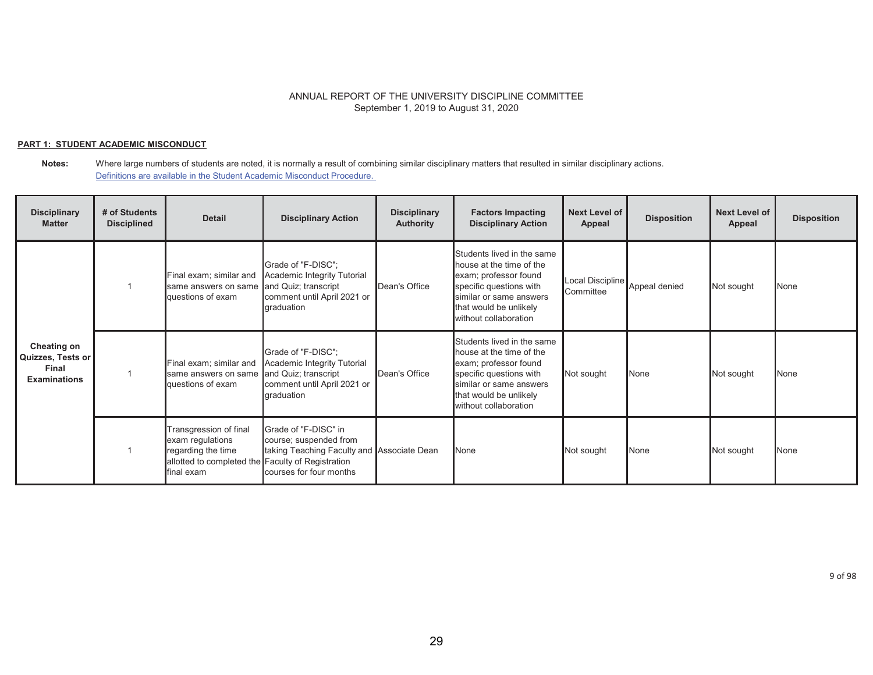### **PART 1: STUDENT ACADEMIC MISCONDUCT**

| <b>Disciplinary</b><br><b>Matter</b>                             | # of Students<br><b>Disciplined</b> | <b>Detail</b>                                                                                                                        | <b>Disciplinary Action</b>                                                                                              | <b>Disciplinary</b><br><b>Authority</b> | <b>Factors Impacting</b><br><b>Disciplinary Action</b>                                                                                                                                   | <b>Next Level of</b><br>Appeal | <b>Disposition</b> | <b>Next Level of</b><br>Appeal | <b>Disposition</b> |
|------------------------------------------------------------------|-------------------------------------|--------------------------------------------------------------------------------------------------------------------------------------|-------------------------------------------------------------------------------------------------------------------------|-----------------------------------------|------------------------------------------------------------------------------------------------------------------------------------------------------------------------------------------|--------------------------------|--------------------|--------------------------------|--------------------|
| Cheating on<br>Quizzes, Tests or<br>Final<br><b>Examinations</b> |                                     | Final exam; similar and<br>same answers on same and Quiz; transcript<br>questions of exam                                            | Grade of "F-DISC";<br><b>Academic Integrity Tutorial</b><br>comment until April 2021 or<br>graduation                   | Dean's Office                           | Students lived in the same<br>house at the time of the<br>exam; professor found<br>specific questions with<br>similar or same answers<br>that would be unlikely<br>without collaboration | Local Discipline<br>Committee  | Appeal denied      | Not sought                     | None               |
|                                                                  |                                     | Final exam; similar and<br>same answers on same and Quiz; transcript<br>questions of exam                                            | Grade of "F-DISC":<br>Academic Integrity Tutorial<br>comment until April 2021 or<br>graduation                          | Dean's Office                           | Students lived in the same<br>house at the time of the<br>exam; professor found<br>specific questions with<br>similar or same answers<br>that would be unlikely<br>without collaboration | Not sought                     | None               | Not sought                     | <b>None</b>        |
|                                                                  |                                     | Transgression of final<br>exam regulations<br>regarding the time<br>allotted to completed the Faculty of Registration<br>lfinal exam | Grade of "F-DISC" in<br>course; suspended from<br>taking Teaching Faculty and Associate Dean<br>courses for four months |                                         | None                                                                                                                                                                                     | Not sought                     | None               | Not sought                     | None               |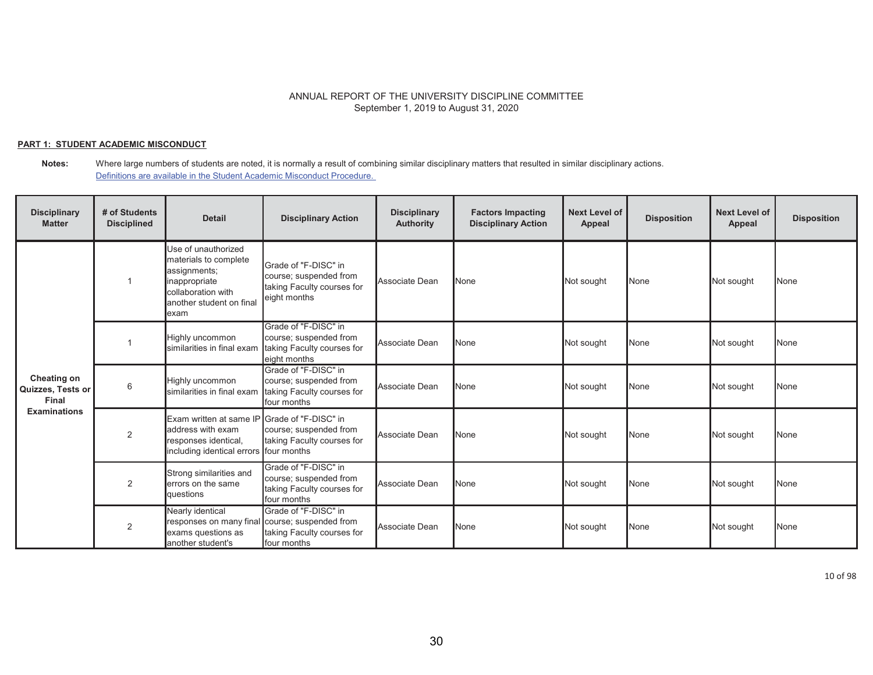### **PART 1: STUDENT ACADEMIC MISCONDUCT**

**Notes:** Where large numbers of students are noted, it is normally a result of combining similar disciplinary matters that resulted in similar disciplinary actions. Definitions are available in the Student Academic Misconduct Procedure.

| <b>Disciplinary</b><br><b>Matter</b>                             | # of Students<br><b>Disciplined</b> | <b>Detail</b>                                                                                                                           | <b>Disciplinary Action</b>                                                                                          | <b>Disciplinary</b><br><b>Authority</b> | <b>Factors Impacting</b><br><b>Disciplinary Action</b> | <b>Next Level of</b><br>Appeal | <b>Disposition</b> | <b>Next Level of</b><br>Appeal | <b>Disposition</b> |
|------------------------------------------------------------------|-------------------------------------|-----------------------------------------------------------------------------------------------------------------------------------------|---------------------------------------------------------------------------------------------------------------------|-----------------------------------------|--------------------------------------------------------|--------------------------------|--------------------|--------------------------------|--------------------|
| Cheating on<br>Quizzes, Tests or<br>Final<br><b>Examinations</b> |                                     | Use of unauthorized<br>materials to complete<br>assignments;<br>inappropriate<br>collaboration with<br>another student on final<br>exam | Grade of "F-DISC" in<br>course; suspended from<br>taking Faculty courses for<br>eight months                        | Associate Dean                          | None                                                   | Not sought                     | None               | Not sought                     | None               |
|                                                                  |                                     | Highly uncommon<br>similarities in final exam                                                                                           | Grade of "F-DISC" in<br>course; suspended from<br>taking Faculty courses for<br>eight months                        | Associate Dean                          | None                                                   | Not sought                     | None               | Not sought                     | None               |
|                                                                  | 6                                   | Highly uncommon<br>similarities in final exam                                                                                           | Grade of "F-DISC" in<br>course; suspended from<br>taking Faculty courses for<br>four months                         | Associate Dean                          | None                                                   | Not sought                     | None               | Not sought                     | None               |
|                                                                  | $\overline{2}$                      | Exam written at same IF<br>address with exam<br>responses identical,<br>including identical errors                                      | Grade of "F-DISC" in<br>course; suspended from<br>taking Faculty courses for<br>four months                         | Associate Dean                          | None                                                   | Not sought                     | None               | Not sought                     | <b>None</b>        |
|                                                                  | 2                                   | Strong similarities and<br>errors on the same<br>questions                                                                              | Grade of "F-DISC" in<br>course; suspended from<br>taking Faculty courses for<br>four months                         | Associate Dean                          | None                                                   | Not sought                     | None               | Not sought                     | None               |
|                                                                  | 2                                   | Nearly identical<br>exams questions as<br>another student's                                                                             | Grade of "F-DISC" in<br>responses on many final course; suspended from<br>taking Faculty courses for<br>four months | Associate Dean                          | None                                                   | Not sought                     | None               | Not sought                     | None               |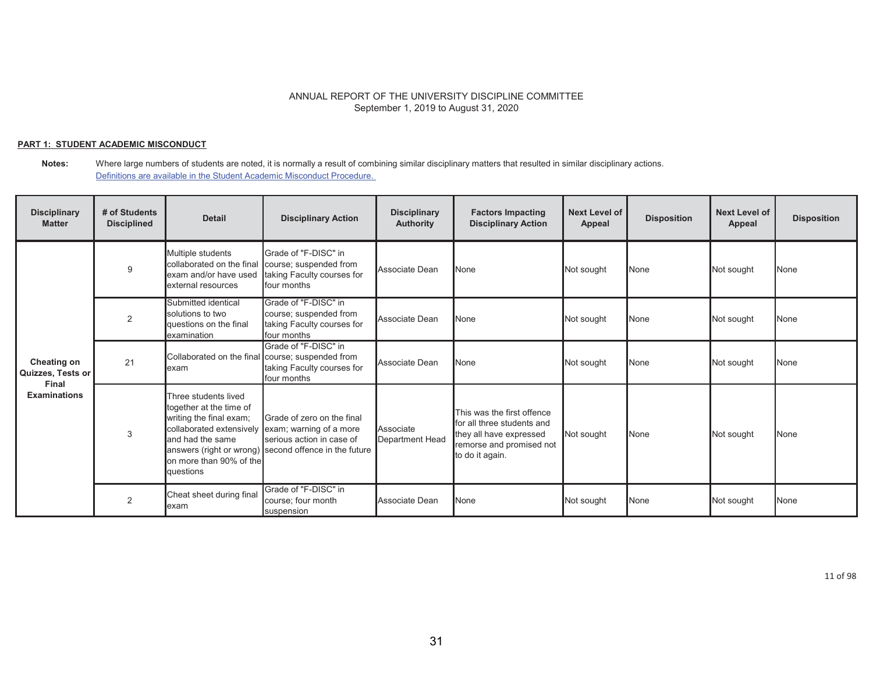### **PART 1: STUDENT ACADEMIC MISCONDUCT**

#### **Notes:** Where large numbers of students are noted, it is normally a result of combining similar disciplinary matters that resulted in similar disciplinary actions. Definitions are available in the Student Academic Misconduct Procedure.

| <b>Disciplinary</b><br><b>Matter</b>                             | # of Students<br><b>Disciplined</b> | <b>Detail</b>                                                                                                                          | <b>Disciplinary Action</b>                                                                                                                                           | <b>Disciplinary</b><br><b>Authority</b> | <b>Factors Impacting</b><br><b>Disciplinary Action</b>                                                                             | <b>Next Level of</b><br><b>Appeal</b> | <b>Disposition</b> | <b>Next Level of</b><br><b>Appeal</b> | <b>Disposition</b> |
|------------------------------------------------------------------|-------------------------------------|----------------------------------------------------------------------------------------------------------------------------------------|----------------------------------------------------------------------------------------------------------------------------------------------------------------------|-----------------------------------------|------------------------------------------------------------------------------------------------------------------------------------|---------------------------------------|--------------------|---------------------------------------|--------------------|
| Cheating on<br>Quizzes, Tests or<br>Final<br><b>Examinations</b> | 9                                   | Multiple students<br>collaborated on the final<br>exam and/or have used<br>external resources                                          | Grade of "F-DISC" in<br>course; suspended from<br>taking Faculty courses for<br>four months                                                                          | Associate Dean                          | None                                                                                                                               | Not sought                            | None               | Not sought                            | <b>None</b>        |
|                                                                  | 2                                   | Submitted identical<br>solutions to two<br>questions on the final<br>examination                                                       | Grade of "F-DISC" in<br>course; suspended from<br>taking Faculty courses for<br>four months                                                                          | Associate Dean                          | None                                                                                                                               | Not sought                            | None               | Not sought                            | <b>None</b>        |
|                                                                  | 21                                  | exam                                                                                                                                   | Grade of "F-DISC" in<br>Collaborated on the final course; suspended from<br>taking Faculty courses for<br>four months                                                | Associate Dean                          | None                                                                                                                               | Not sought                            | None               | Not sought                            | <b>None</b>        |
|                                                                  | 3                                   | Three students lived<br>together at the time of<br>writing the final exam;<br>and had the same<br>on more than 90% of the<br>questions | Grade of zero on the final<br>collaborated extensively exam; warning of a more<br>serious action in case of<br>answers (right or wrong) second offence in the future | Associate<br>Department Head            | This was the first offence<br>for all three students and<br>they all have expressed<br>remorse and promised not<br>to do it again. | Not sought                            | None               | Not sought                            | <b>None</b>        |
|                                                                  | 2                                   | Cheat sheet during final<br>lexam                                                                                                      | Grade of "F-DISC" in<br>course; four month<br>suspension                                                                                                             | Associate Dean                          | None                                                                                                                               | Not sought                            | None               | Not sought                            | <b>None</b>        |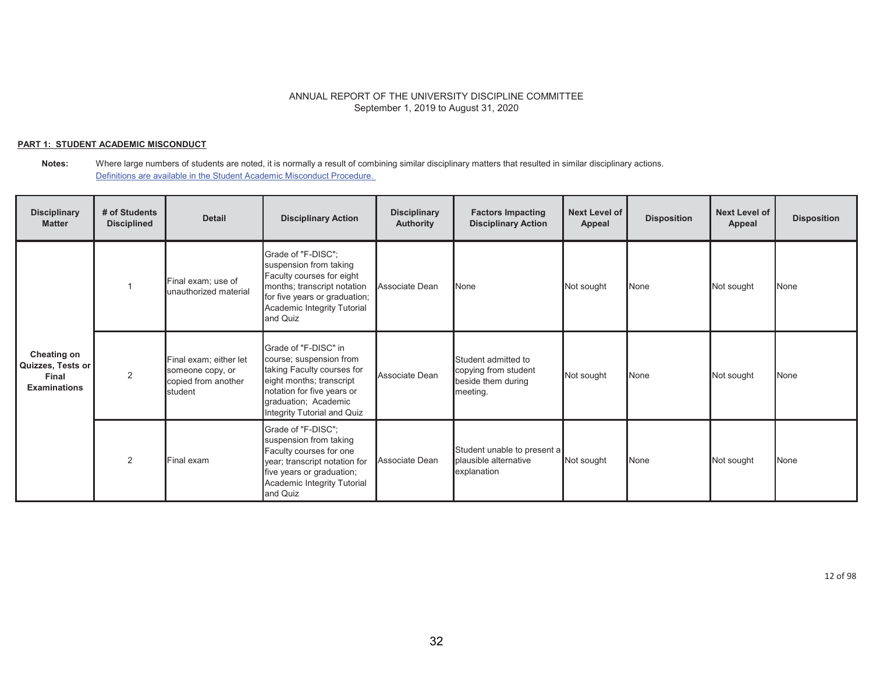### **PART 1: STUDENT ACADEMIC MISCONDUCT**

#### **Notes:** Where large numbers of students are noted, it is normally a result of combining similar disciplinary matters that resulted in similar disciplinary actions. Definitions are available in the Student Academic Misconduct Procedure.

| <b>Disciplinary</b><br><b>Matter</b>                                    | # of Students<br><b>Disciplined</b> | <b>Detail</b>                                                                | <b>Disciplinary Action</b>                                                                                                                                                                     | <b>Disciplinary</b><br><b>Authority</b> | <b>Factors Impacting</b><br><b>Disciplinary Action</b>                        | Next Level of<br>Appeal | <b>Disposition</b> | <b>Next Level of</b><br>Appeal | <b>Disposition</b> |
|-------------------------------------------------------------------------|-------------------------------------|------------------------------------------------------------------------------|------------------------------------------------------------------------------------------------------------------------------------------------------------------------------------------------|-----------------------------------------|-------------------------------------------------------------------------------|-------------------------|--------------------|--------------------------------|--------------------|
|                                                                         |                                     | Final exam; use of<br>unauthorized material                                  | Grade of "F-DISC";<br>suspension from taking<br>Faculty courses for eight<br>months; transcript notation<br>for five years or graduation;<br>Academic Integrity Tutorial<br>and Quiz           | Associate Dean                          | None                                                                          | Not sought              | None               | Not sought                     | None               |
| <b>Cheating on</b><br>Quizzes, Tests or<br>Final<br><b>Examinations</b> | 2                                   | Final exam; either let<br>someone copy, or<br>copied from another<br>student | Grade of "F-DISC" in<br>course; suspension from<br>taking Faculty courses for<br>eight months; transcript<br>notation for five years or<br>graduation; Academic<br>Integrity Tutorial and Quiz | Associate Dean                          | Student admitted to<br>copying from student<br>beside them during<br>meeting. | Not sought              | None               | Not sought                     | None               |
|                                                                         | 2                                   | Final exam                                                                   | Grade of "F-DISC";<br>suspension from taking<br>Faculty courses for one<br>year; transcript notation for<br>five years or graduation;<br>Academic Integrity Tutorial<br>and Quiz               | Associate Dean                          | Student unable to present a<br>plausible alternative<br>explanation           | Not sought              | None               | Not sought                     | None               |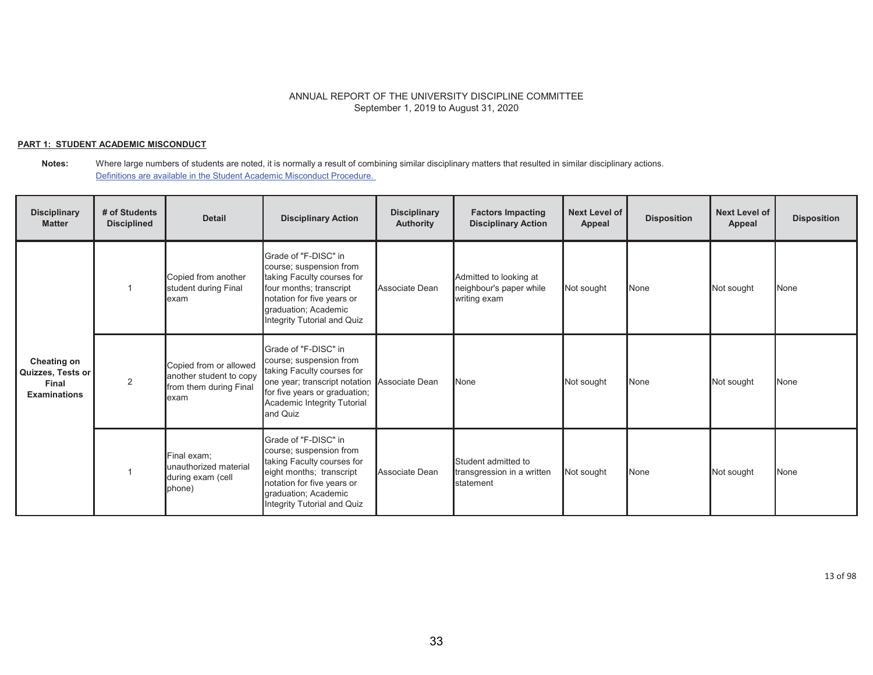### **PART 1: STUDENT ACADEMIC MISCONDUCT**

| <b>Disciplinary</b><br><b>Matter</b>                             | # of Students<br><b>Disciplined</b> | <b>Detail</b>                                                                       | <b>Disciplinary Action</b>                                                                                                                                                                                | <b>Disciplinary</b><br><b>Authority</b> | <b>Factors Impacting</b><br><b>Disciplinary Action</b>            | <b>Next Level of</b><br>Appeal | <b>Disposition</b> | <b>Next Level of</b><br>Appeal | <b>Disposition</b> |
|------------------------------------------------------------------|-------------------------------------|-------------------------------------------------------------------------------------|-----------------------------------------------------------------------------------------------------------------------------------------------------------------------------------------------------------|-----------------------------------------|-------------------------------------------------------------------|--------------------------------|--------------------|--------------------------------|--------------------|
| Cheating on<br>Quizzes, Tests or<br>Final<br><b>Examinations</b> |                                     | Copied from another<br>student during Final<br>lexam                                | Grade of "F-DISC" in<br>course; suspension from<br>taking Faculty courses for<br>four months; transcript<br>notation for five years or<br>graduation; Academic<br>Integrity Tutorial and Quiz             | Associate Dean                          | Admitted to looking at<br>neighbour's paper while<br>writing exam | Not sought                     | None               | Not sought                     | None               |
|                                                                  | 2                                   | Copied from or allowed<br>another student to copy<br>from them during Final<br>exam | Grade of "F-DISC" in<br>course; suspension from<br>taking Faculty courses for<br>one year; transcript notation Associate Dean<br>for five years or graduation;<br>Academic Integrity Tutorial<br>and Quiz |                                         | None                                                              | Not sought                     | None               | Not sought                     | None               |
|                                                                  |                                     | Final exam;<br>unauthorized material<br>during exam (cell<br>phone)                 | Grade of "F-DISC" in<br>course; suspension from<br>taking Faculty courses for<br>eight months; transcript<br>notation for five years or<br>graduation; Academic<br>Integrity Tutorial and Quiz            | Associate Dean                          | Student admitted to<br>transgression in a written<br>statement    | Not sought                     | None               | Not sought                     | None               |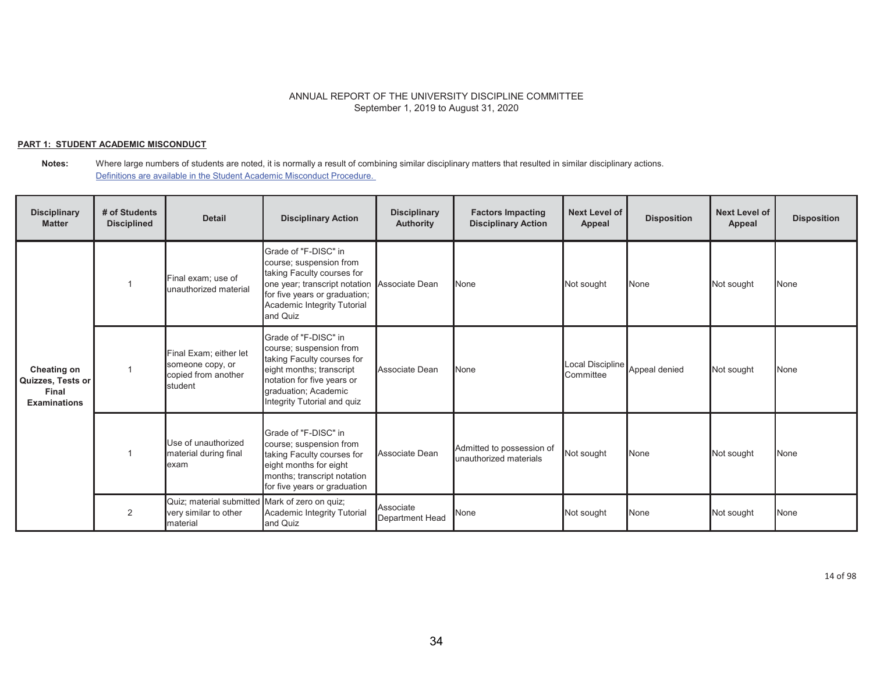### **PART 1: STUDENT ACADEMIC MISCONDUCT**

#### **Notes:** Where large numbers of students are noted, it is normally a result of combining similar disciplinary matters that resulted in similar disciplinary actions. Definitions are available in the Student Academic Misconduct Procedure.

| <b>Disciplinary</b><br><b>Matter</b>                             | # of Students<br><b>Disciplined</b> | <b>Detail</b>                                                                       | <b>Disciplinary Action</b>                                                                                                                                                                                | <b>Disciplinary</b><br><b>Authority</b> | <b>Factors Impacting</b><br><b>Disciplinary Action</b> | <b>Next Level of</b><br>Appeal | <b>Disposition</b> | <b>Next Level of</b><br>Appeal | <b>Disposition</b> |
|------------------------------------------------------------------|-------------------------------------|-------------------------------------------------------------------------------------|-----------------------------------------------------------------------------------------------------------------------------------------------------------------------------------------------------------|-----------------------------------------|--------------------------------------------------------|--------------------------------|--------------------|--------------------------------|--------------------|
| Cheating on<br>Quizzes, Tests or<br>Final<br><b>Examinations</b> |                                     | Final exam; use of<br>unauthorized material                                         | Grade of "F-DISC" in<br>course; suspension from<br>taking Faculty courses for<br>one year; transcript notation Associate Dean<br>for five years or graduation;<br>Academic Integrity Tutorial<br>and Quiz |                                         | None                                                   | Not sought                     | None               | Not sought                     | <b>None</b>        |
|                                                                  |                                     | Final Exam; either let<br>someone copy, or<br>copied from another<br>student        | Grade of "F-DISC" in<br>course; suspension from<br>taking Faculty courses for<br>eight months; transcript<br>notation for five years or<br>graduation; Academic<br>Integrity Tutorial and quiz            | Associate Dean                          | None                                                   | Local Discipline<br>Committee  | Appeal denied      | Not sought                     | None               |
|                                                                  |                                     | Use of unauthorized<br>material during final<br>lexam                               | Grade of "F-DISC" in<br>course; suspension from<br>taking Faculty courses for<br>eight months for eight<br>months; transcript notation<br>for five years or graduation                                    | Associate Dean                          | Admitted to possession of<br>unauthorized materials    | Not sought                     | None               | Not sought                     | None               |
|                                                                  | 2                                   | Quiz; material submitted Mark of zero on quiz;<br>very similar to other<br>material | Academic Integrity Tutorial<br>and Quiz                                                                                                                                                                   | Associate<br><b>Department Head</b>     | None                                                   | Not sought                     | None               | Not sought                     | None               |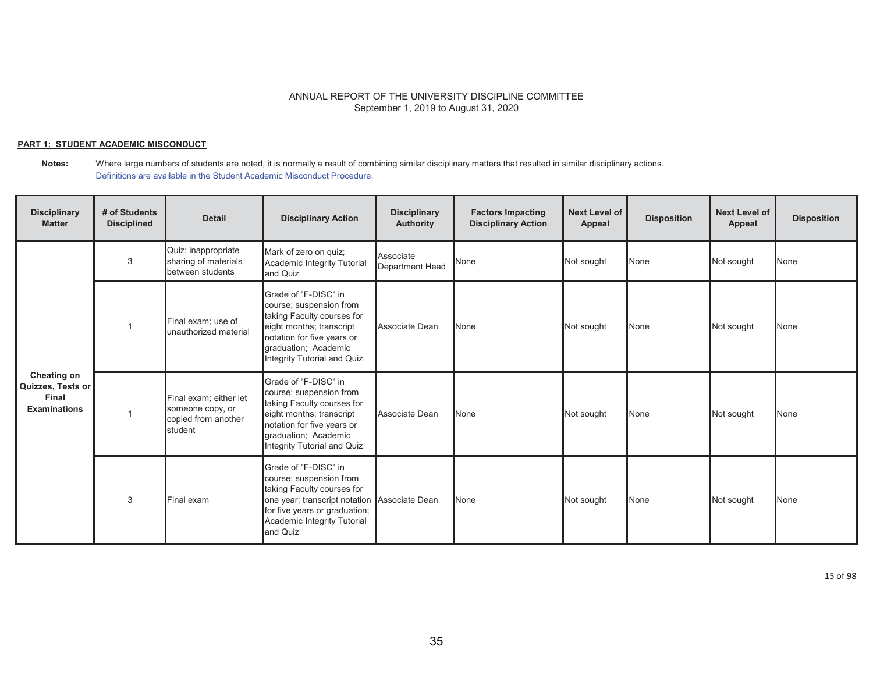### **PART 1: STUDENT ACADEMIC MISCONDUCT**

#### **Notes:** Where large numbers of students are noted, it is normally a result of combining similar disciplinary matters that resulted in similar disciplinary actions. Definitions are available in the Student Academic Misconduct Procedure.

| <b>Disciplinary</b><br><b>Matter</b>                             | # of Students<br><b>Disciplined</b> | <b>Detail</b>                                                                | <b>Disciplinary Action</b>                                                                                                                                                                                | <b>Disciplinary</b><br><b>Authority</b> | <b>Factors Impacting</b><br><b>Disciplinary Action</b> | <b>Next Level of</b><br>Appeal | <b>Disposition</b> | <b>Next Level of</b><br>Appeal | <b>Disposition</b> |
|------------------------------------------------------------------|-------------------------------------|------------------------------------------------------------------------------|-----------------------------------------------------------------------------------------------------------------------------------------------------------------------------------------------------------|-----------------------------------------|--------------------------------------------------------|--------------------------------|--------------------|--------------------------------|--------------------|
|                                                                  | 3                                   | Quiz; inappropriate<br>sharing of materials<br>between students              | Mark of zero on quiz;<br>Academic Integrity Tutorial<br>and Quiz                                                                                                                                          | Associate<br>Department Head            | None                                                   | Not sought                     | None               | Not sought                     | None               |
| Cheating on<br>Quizzes, Tests or<br>Final<br><b>Examinations</b> |                                     | Final exam; use of<br>unauthorized material                                  | Grade of "F-DISC" in<br>course; suspension from<br>taking Faculty courses for<br>eight months; transcript<br>notation for five years or<br>graduation; Academic<br>Integrity Tutorial and Quiz            | Associate Dean                          | None                                                   | Not sought                     | None               | Not sought                     | None               |
|                                                                  |                                     | Final exam; either let<br>someone copy, or<br>copied from another<br>student | Grade of "F-DISC" in<br>course; suspension from<br>taking Faculty courses for<br>eight months; transcript<br>notation for five years or<br>graduation; Academic<br>Integrity Tutorial and Quiz            | Associate Dean                          | None                                                   | Not sought                     | None               | Not sought                     | None               |
|                                                                  | 3                                   | Final exam                                                                   | Grade of "F-DISC" in<br>course; suspension from<br>taking Faculty courses for<br>one year; transcript notation Associate Dean<br>for five years or graduation;<br>Academic Integrity Tutorial<br>and Quiz |                                         | None                                                   | Not sought                     | None               | Not sought                     | None               |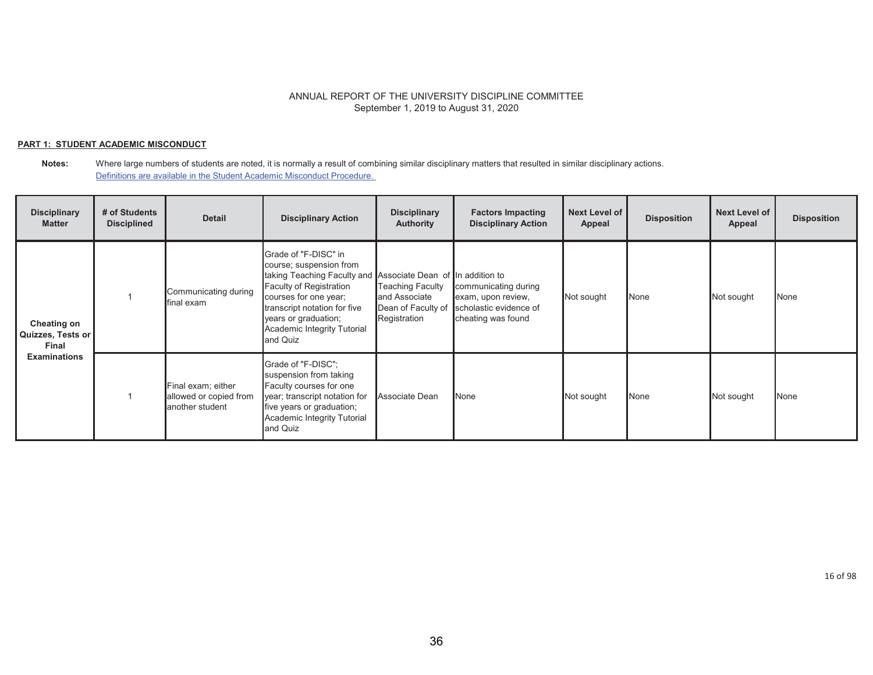### **PART 1: STUDENT ACADEMIC MISCONDUCT**

#### **Notes:** Where large numbers of students are noted, it is normally a result of combining similar disciplinary matters that resulted in similar disciplinary actions. Definitions are available in the Student Academic Misconduct Procedure.

| <b>Disciplinary</b><br><b>Matter</b>             | # of Students<br><b>Disciplined</b> | <b>Detail</b>                                                   | <b>Disciplinary Action</b>                                                                                                                                                                                                                                                    | <b>Disciplinary</b><br>Authority                                               | <b>Factors Impacting</b><br><b>Disciplinary Action</b>                                     | <b>Next Level of</b><br>Appeal | <b>Disposition</b> | <b>Next Level of</b><br>Appeal | <b>Disposition</b> |
|--------------------------------------------------|-------------------------------------|-----------------------------------------------------------------|-------------------------------------------------------------------------------------------------------------------------------------------------------------------------------------------------------------------------------------------------------------------------------|--------------------------------------------------------------------------------|--------------------------------------------------------------------------------------------|--------------------------------|--------------------|--------------------------------|--------------------|
| <b>Cheating on</b><br>Quizzes, Tests or<br>Final |                                     | Communicating during<br>final exam                              | Grade of "F-DISC" in<br>course; suspension from<br>taking Teaching Faculty and Associate Dean of In addition to<br><b>Faculty of Registration</b><br>courses for one year;<br>transcript notation for five<br>years or graduation;<br>Academic Integrity Tutorial<br>and Quiz | <b>Teaching Faculty</b><br>and Associate<br>Dean of Faculty of<br>Registration | communicating during<br>exam, upon review,<br>scholastic evidence of<br>cheating was found | Not sought                     | None               | Not sought                     | None               |
| <b>Examinations</b>                              |                                     | Final exam; either<br>allowed or copied from<br>another student | Grade of "F-DISC":<br>suspension from taking<br>Faculty courses for one<br>year; transcript notation for<br>five years or graduation;<br>Academic Integrity Tutorial<br>and Quiz                                                                                              | Associate Dean                                                                 | None                                                                                       | Not sought                     | None               | Not sought                     | None               |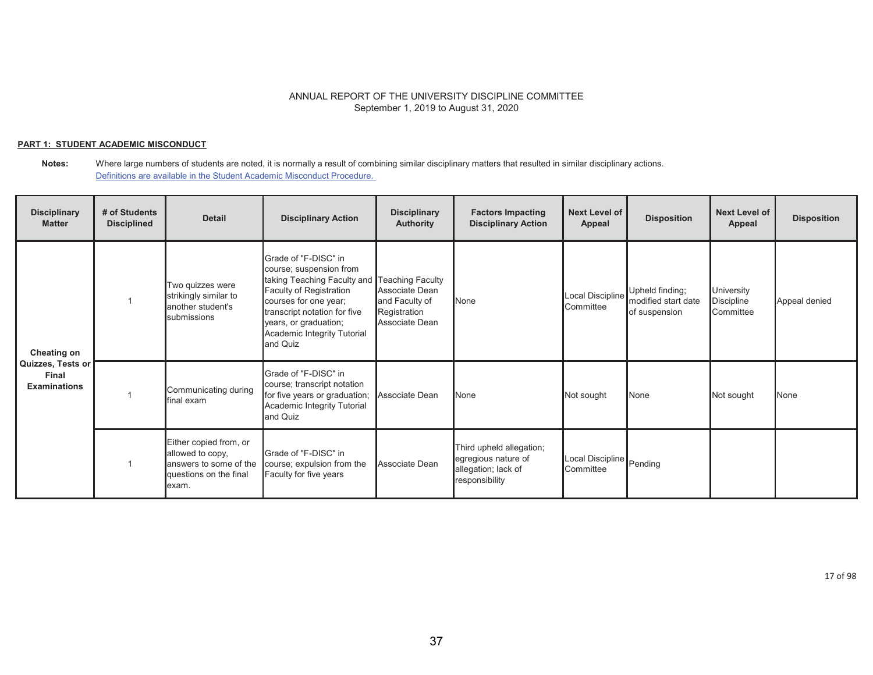### **PART 1: STUDENT ACADEMIC MISCONDUCT**

| <b>Disciplinary</b><br><b>Matter</b>                             | # of Students<br><b>Disciplined</b> | <b>Detail</b>                                                                                            | <b>Disciplinary Action</b>                                                                                                                                                                                                                              | <b>Disciplinary</b><br><b>Authority</b>                            | <b>Factors Impacting</b><br><b>Disciplinary Action</b>                                   | Next Level of<br>Appeal               | <b>Disposition</b>                                      | <b>Next Level of</b><br>Appeal               | <b>Disposition</b> |
|------------------------------------------------------------------|-------------------------------------|----------------------------------------------------------------------------------------------------------|---------------------------------------------------------------------------------------------------------------------------------------------------------------------------------------------------------------------------------------------------------|--------------------------------------------------------------------|------------------------------------------------------------------------------------------|---------------------------------------|---------------------------------------------------------|----------------------------------------------|--------------------|
| Cheating on<br>Quizzes, Tests or<br>Final<br><b>Examinations</b> |                                     | Two quizzes were<br>strikingly similar to<br>another student's<br>submissions                            | Grade of "F-DISC" in<br>course; suspension from<br>taking Teaching Faculty and Teaching Faculty<br>Faculty of Registration<br>courses for one year;<br>transcript notation for five<br>years, or graduation;<br>Academic Integrity Tutorial<br>and Quiz | Associate Dean<br>and Faculty of<br>Registration<br>Associate Dean | None                                                                                     | Local Discipline<br>Committee         | Upheld finding;<br>modified start date<br>of suspension | University<br><b>Discipline</b><br>Committee | Appeal denied      |
|                                                                  |                                     | Communicating during<br>final exam                                                                       | Grade of "F-DISC" in<br>course; transcript notation<br>for five years or graduation;<br>Academic Integrity Tutorial<br>and Quiz                                                                                                                         | Associate Dean                                                     | <b>None</b>                                                                              | Not sought                            | None                                                    | Not sought                                   | None               |
|                                                                  |                                     | Either copied from, or<br>allowed to copy,<br>answers to some of the<br>questions on the final<br>lexam. | Grade of "F-DISC" in<br>course; expulsion from the<br>Faculty for five years                                                                                                                                                                            | Associate Dean                                                     | Third upheld allegation;<br>egregious nature of<br>allegation; lack of<br>responsibility | Local Discipline Pending<br>Committee |                                                         |                                              |                    |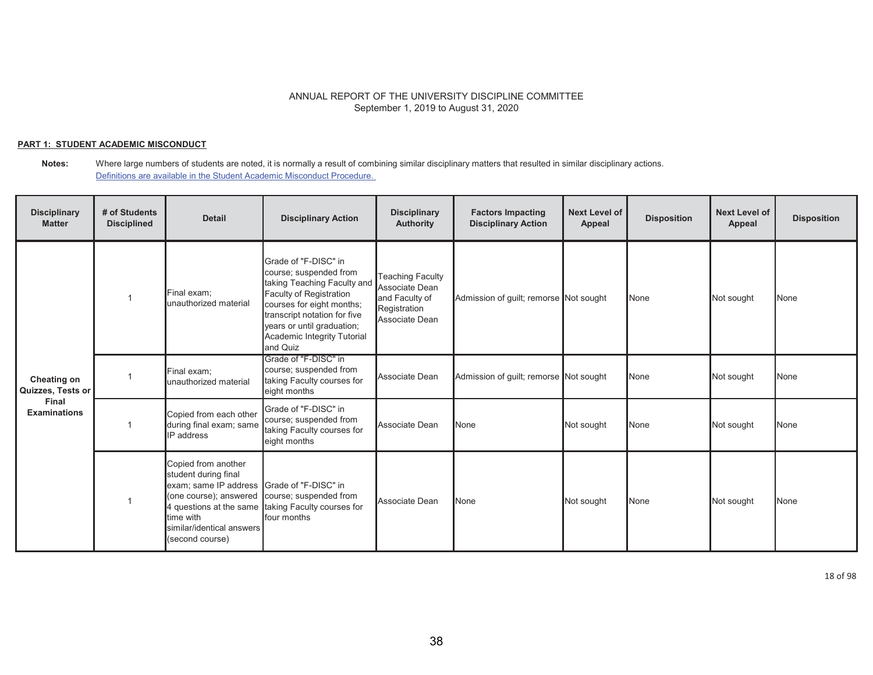### **PART 1: STUDENT ACADEMIC MISCONDUCT**

#### **Notes:** Where large numbers of students are noted, it is normally a result of combining similar disciplinary matters that resulted in similar disciplinary actions. Definitions are available in the Student Academic Misconduct Procedure.

| <b>Disciplinary</b><br><b>Matter</b> | # of Students<br><b>Disciplined</b> | <b>Detail</b>                                                                                                                                                                                           | <b>Disciplinary Action</b>                                                                                                                                                                                                                     | <b>Disciplinary</b><br><b>Authority</b>                                                       | <b>Factors Impacting</b><br><b>Disciplinary Action</b> | <b>Next Level of</b><br>Appeal | <b>Disposition</b> | <b>Next Level of</b><br>Appeal | <b>Disposition</b> |
|--------------------------------------|-------------------------------------|---------------------------------------------------------------------------------------------------------------------------------------------------------------------------------------------------------|------------------------------------------------------------------------------------------------------------------------------------------------------------------------------------------------------------------------------------------------|-----------------------------------------------------------------------------------------------|--------------------------------------------------------|--------------------------------|--------------------|--------------------------------|--------------------|
|                                      |                                     | Final exam;<br>unauthorized material                                                                                                                                                                    | Grade of "F-DISC" in<br>course; suspended from<br>taking Teaching Faculty and<br>Faculty of Registration<br>courses for eight months;<br>transcript notation for five<br>years or until graduation;<br>Academic Integrity Tutorial<br>and Quiz | <b>Teaching Faculty</b><br>Associate Dean<br>and Faculty of<br>Registration<br>Associate Dean | Admission of guilt; remorse Not sought                 |                                | None               | Not sought                     | None               |
| Cheating on<br>Quizzes, Tests or     |                                     | Final exam;<br>unauthorized material                                                                                                                                                                    | Grade of "F-DISC" in<br>course; suspended from<br>taking Faculty courses for<br>eight months                                                                                                                                                   | Associate Dean                                                                                | Admission of guilt; remorse Not sought                 |                                | None               | Not sought                     | None               |
| Final<br><b>Examinations</b>         |                                     | Copied from each other<br>during final exam; same<br><b>IP</b> address                                                                                                                                  | Grade of "F-DISC" in<br>course; suspended from<br>taking Faculty courses for<br>eight months                                                                                                                                                   | Associate Dean                                                                                | None                                                   | Not sought                     | None               | Not sought                     | None               |
|                                      |                                     | Copied from another<br>student during final<br>exam; same IP address Grade of "F-DISC" in<br>(one course); answered course; suspended from<br>time with<br>similar/identical answers<br>(second course) | 4 questions at the same taking Faculty courses for<br>four months                                                                                                                                                                              | Associate Dean                                                                                | None                                                   | Not sought                     | None               | Not sought                     | None               |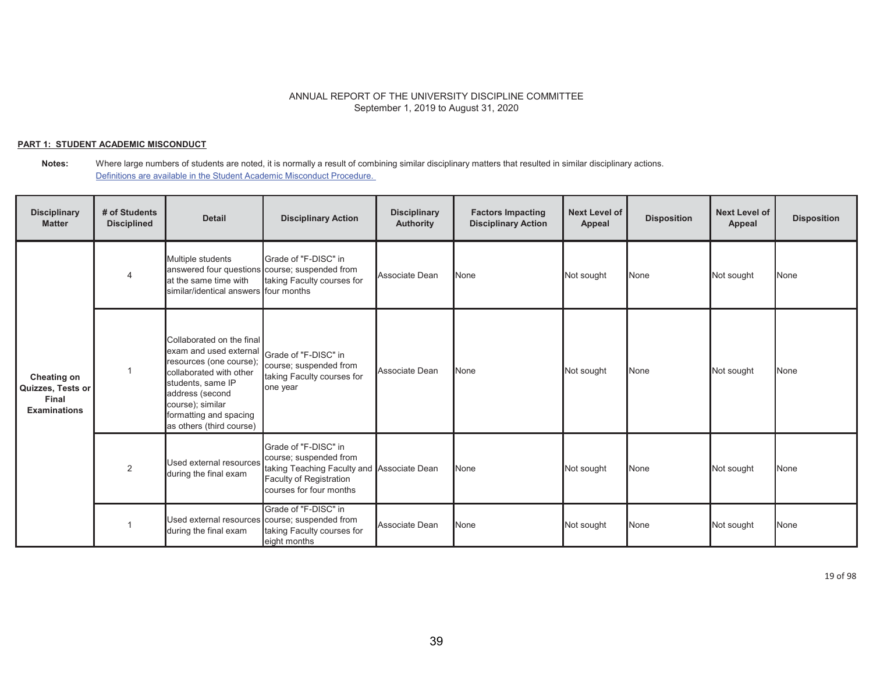### **PART 1: STUDENT ACADEMIC MISCONDUCT**

**Notes:** Where large numbers of students are noted, it is normally a result of combining similar disciplinary matters that resulted in similar disciplinary actions. Definitions are available in the Student Academic Misconduct Procedure.

| <b>Disciplinary</b><br><b>Matter</b>                             | # of Students<br><b>Disciplined</b> | <b>Detail</b>                                                                                                                                                                                                              | <b>Disciplinary Action</b>                                                                                                                         | <b>Disciplinary</b><br><b>Authority</b> | <b>Factors Impacting</b><br><b>Disciplinary Action</b> | <b>Next Level of</b><br>Appeal | <b>Disposition</b> | <b>Next Level of</b><br>Appeal | <b>Disposition</b> |
|------------------------------------------------------------------|-------------------------------------|----------------------------------------------------------------------------------------------------------------------------------------------------------------------------------------------------------------------------|----------------------------------------------------------------------------------------------------------------------------------------------------|-----------------------------------------|--------------------------------------------------------|--------------------------------|--------------------|--------------------------------|--------------------|
|                                                                  |                                     | Multiple students<br>at the same time with<br>similar/identical answers four months                                                                                                                                        | Grade of "F-DISC" in<br>answered four questions course; suspended from<br>taking Faculty courses for                                               | Associate Dean                          | None                                                   | Not sought                     | None               | Not sought                     | None               |
| Cheating on<br>Quizzes, Tests or<br>Final<br><b>Examinations</b> |                                     | Collaborated on the final<br>exam and used external<br>resources (one course)<br>collaborated with other<br>students, same IP<br>address (second<br>course); similar<br>formatting and spacing<br>as others (third course) | Grade of "F-DISC" in<br>course; suspended from<br>taking Faculty courses for<br>one year                                                           | Associate Dean                          | None                                                   | Not sought                     | None               | Not sought                     | None               |
|                                                                  | 2                                   | Used external resources<br>during the final exam                                                                                                                                                                           | Grade of "F-DISC" in<br>course; suspended from<br>taking Teaching Faculty and Associate Dean<br>Faculty of Registration<br>courses for four months |                                         | None                                                   | Not sought                     | None               | Not sought                     | None               |
|                                                                  |                                     | during the final exam                                                                                                                                                                                                      | Grade of "F-DISC" in<br>Used external resources course; suspended from<br>taking Faculty courses for<br>eight months                               | Associate Dean                          | None                                                   | Not sought                     | None               | Not sought                     | None               |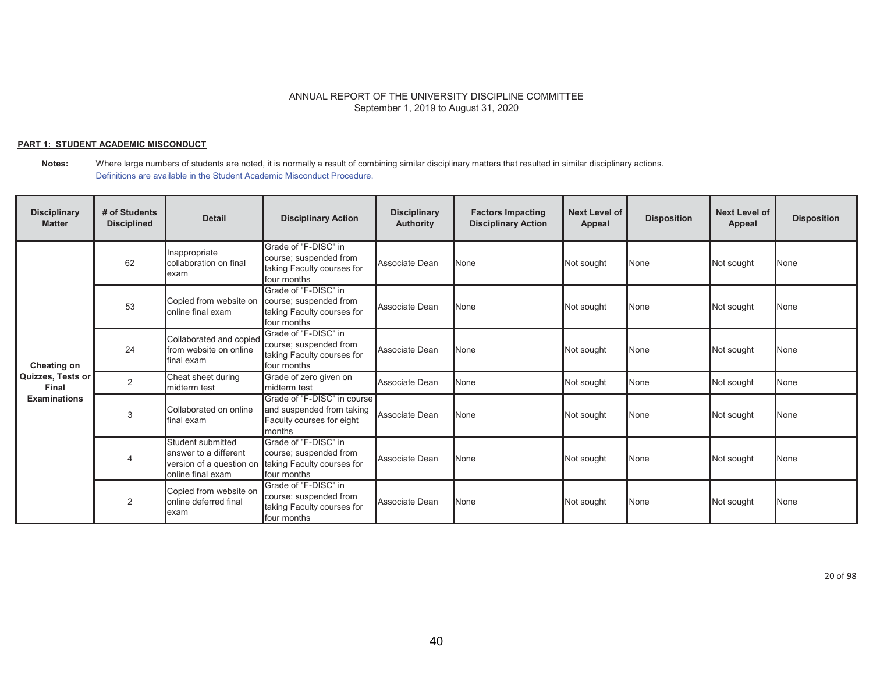### **PART 1: STUDENT ACADEMIC MISCONDUCT**

**Notes:** Where large numbers of students are noted, it is normally a result of combining similar disciplinary matters that resulted in similar disciplinary actions. Definitions are available in the Student Academic Misconduct Procedure.

| <b>Disciplinary</b><br><b>Matter</b> | # of Students<br><b>Disciplined</b> | <b>Detail</b>                                                                               | <b>Disciplinary Action</b>                                                                      | <b>Disciplinary</b><br><b>Authority</b> | <b>Factors Impacting</b><br><b>Disciplinary Action</b> | Next Level of<br>Appeal | <b>Disposition</b> | <b>Next Level of</b><br><b>Appeal</b> | <b>Disposition</b> |
|--------------------------------------|-------------------------------------|---------------------------------------------------------------------------------------------|-------------------------------------------------------------------------------------------------|-----------------------------------------|--------------------------------------------------------|-------------------------|--------------------|---------------------------------------|--------------------|
|                                      | 62                                  | Inappropriate<br>collaboration on final<br>exam                                             | Grade of "F-DISC" in<br>course; suspended from<br>taking Faculty courses for<br>four months     | Associate Dean                          | <b>N</b> one                                           | Not sought              | None               | Not sought                            | <b>None</b>        |
| <b>Cheating on</b>                   | 53                                  | Copied from website on<br>online final exam                                                 | Grade of "F-DISC" in<br>course; suspended from<br>taking Faculty courses for<br>four months     | Associate Dean                          | <b>None</b>                                            | Not sought              | None               | Not sought                            | <b>None</b>        |
|                                      | 24                                  | Collaborated and copied<br>from website on online<br>final exam                             | Grade of "F-DISC" in<br>course; suspended from<br>taking Faculty courses for<br>four months     | Associate Dean                          | <b>None</b>                                            | Not sought              | None               | Not sought                            | <b>None</b>        |
| Quizzes, Tests or<br>Final           | $\overline{2}$                      | Cheat sheet during<br>midterm test                                                          | Grade of zero given on<br>midterm test                                                          | Associate Dean                          | <b>N</b> one                                           | Not sought              | None               | Not sought                            | <b>None</b>        |
| <b>Examinations</b>                  | 3                                   | Collaborated on online<br>final exam                                                        | Grade of "F-DISC" in course<br>and suspended from taking<br>Faculty courses for eight<br>months | Associate Dean                          | <b>None</b>                                            | Not sought              | None               | Not sought                            | <b>None</b>        |
|                                      |                                     | Student submitted<br>answer to a different<br>version of a question on<br>online final exam | Grade of "F-DISC" in<br>course; suspended from<br>taking Faculty courses for<br>four months     | Associate Dean                          | <b>None</b>                                            | Not sought              | None               | Not sought                            | <b>None</b>        |
|                                      | 2                                   | Copied from website on<br>online deferred final<br>lexam                                    | Grade of "F-DISC" in<br>course; suspended from<br>taking Faculty courses for<br>four months     | Associate Dean                          | <b>None</b>                                            | Not sought              | None               | Not sought                            | None               |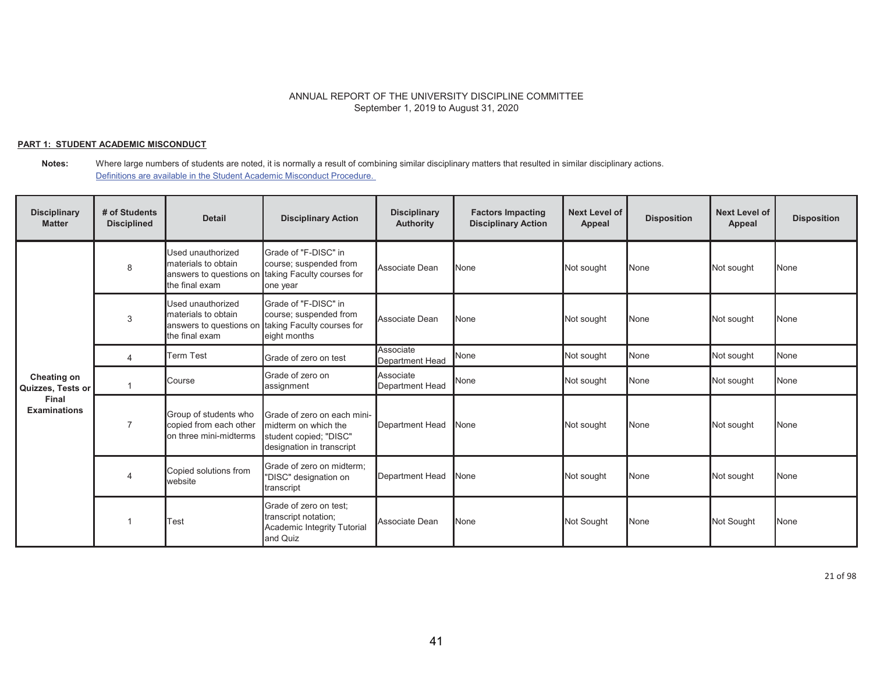### **PART 1: STUDENT ACADEMIC MISCONDUCT**

**Notes:** Where large numbers of students are noted, it is normally a result of combining similar disciplinary matters that resulted in similar disciplinary actions. Definitions are available in the Student Academic Misconduct Procedure.

| <b>Disciplinary</b><br><b>Matter</b> | # of Students<br><b>Disciplined</b> | <b>Detail</b>                                                                         | <b>Disciplinary Action</b>                                                                                 | <b>Disciplinary</b><br><b>Authority</b> | <b>Factors Impacting</b><br><b>Disciplinary Action</b> | Next Level of<br>Appeal | <b>Disposition</b> | <b>Next Level of</b><br>Appeal | <b>Disposition</b> |
|--------------------------------------|-------------------------------------|---------------------------------------------------------------------------------------|------------------------------------------------------------------------------------------------------------|-----------------------------------------|--------------------------------------------------------|-------------------------|--------------------|--------------------------------|--------------------|
|                                      | 8                                   | Used unauthorized<br>materials to obtain<br>answers to questions on<br>the final exam | Grade of "F-DISC" in<br>course; suspended from<br>taking Faculty courses for<br>one year                   | Associate Dean                          | <b>None</b>                                            | Not sought              | None               | Not sought                     | <b>None</b>        |
|                                      | 3                                   | Used unauthorized<br>materials to obtain<br>answers to questions on<br>the final exam | Grade of "F-DISC" in<br>course; suspended from<br>taking Faculty courses for<br>eight months               | Associate Dean                          | <b>N</b> one                                           | Not sought              | None               | Not sought                     | <b>None</b>        |
|                                      | 4                                   | <b>Term Test</b>                                                                      | Grade of zero on test                                                                                      | Associate<br><b>Department Head</b>     | None                                                   | Not sought              | None               | Not sought                     | None               |
| Cheating on<br>Quizzes, Tests or     |                                     | Course                                                                                | Grade of zero on<br>assignment                                                                             | Associate<br>Department Head            | None                                                   | Not sought              | None               | Not sought                     | None               |
| Final<br><b>Examinations</b>         |                                     | Group of students who<br>copied from each other<br>on three mini-midterms             | Grade of zero on each mini-<br>midterm on which the<br>student copied; "DISC"<br>designation in transcript | <b>Department Head</b>                  | None                                                   | Not sought              | None               | Not sought                     | None               |
|                                      | $\overline{4}$                      | Copied solutions from<br>website                                                      | Grade of zero on midterm:<br>"DISC" designation on<br>transcript                                           | Department Head                         | None                                                   | Not sought              | None               | Not sought                     | None               |
|                                      |                                     | Test                                                                                  | Grade of zero on test;<br>transcript notation;<br>Academic Integrity Tutorial<br>and Quiz                  | Associate Dean                          | <b>None</b>                                            | Not Sought              | None               | Not Sought                     | <b>None</b>        |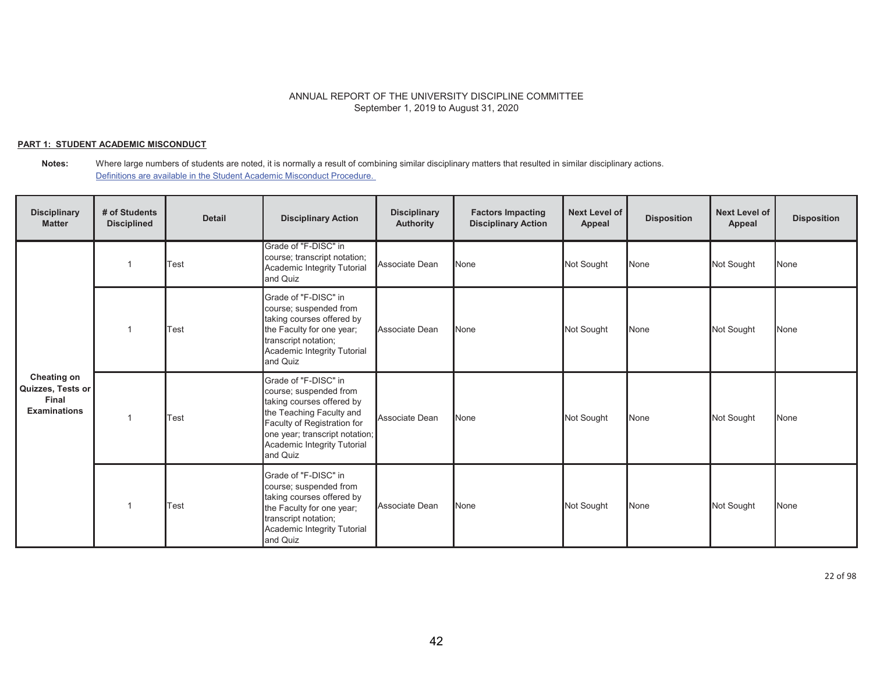### **PART 1: STUDENT ACADEMIC MISCONDUCT**

**Notes:** Where large numbers of students are noted, it is normally a result of combining similar disciplinary matters that resulted in similar disciplinary actions. Definitions are available in the Student Academic Misconduct Procedure.

| <b>Disciplinary</b><br><b>Matter</b>                                    | # of Students<br><b>Disciplined</b> | <b>Detail</b> | <b>Disciplinary Action</b>                                                                                                                                                                                          | <b>Disciplinary</b><br><b>Authority</b> | <b>Factors Impacting</b><br><b>Disciplinary Action</b> | Next Level of<br>Appeal | <b>Disposition</b> | <b>Next Level of</b><br>Appeal | <b>Disposition</b> |
|-------------------------------------------------------------------------|-------------------------------------|---------------|---------------------------------------------------------------------------------------------------------------------------------------------------------------------------------------------------------------------|-----------------------------------------|--------------------------------------------------------|-------------------------|--------------------|--------------------------------|--------------------|
|                                                                         |                                     | Test          | Grade of "F-DISC" in<br>course; transcript notation;<br>Academic Integrity Tutorial<br>and Quiz                                                                                                                     | Associate Dean                          | None                                                   | Not Sought              | None               | Not Sought                     | None               |
| Cheating on<br>Quizzes, Tests or<br><b>Final</b><br><b>Examinations</b> |                                     | Test          | Grade of "F-DISC" in<br>course; suspended from<br>taking courses offered by<br>the Faculty for one year;<br>transcript notation;<br>Academic Integrity Tutorial<br>and Quiz                                         | Associate Dean                          | None                                                   | Not Sought              | None               | Not Sought                     | None               |
|                                                                         |                                     | Test          | Grade of "F-DISC" in<br>course; suspended from<br>taking courses offered by<br>the Teaching Faculty and<br>Faculty of Registration for<br>one year; transcript notation;<br>Academic Integrity Tutorial<br>and Quiz | Associate Dean                          | None                                                   | Not Sought              | None               | Not Sought                     | None               |
|                                                                         |                                     | Test          | Grade of "F-DISC" in<br>course; suspended from<br>taking courses offered by<br>the Faculty for one year;<br>transcript notation;<br>Academic Integrity Tutorial<br>and Quiz                                         | Associate Dean                          | None                                                   | Not Sought              | None               | Not Sought                     | None               |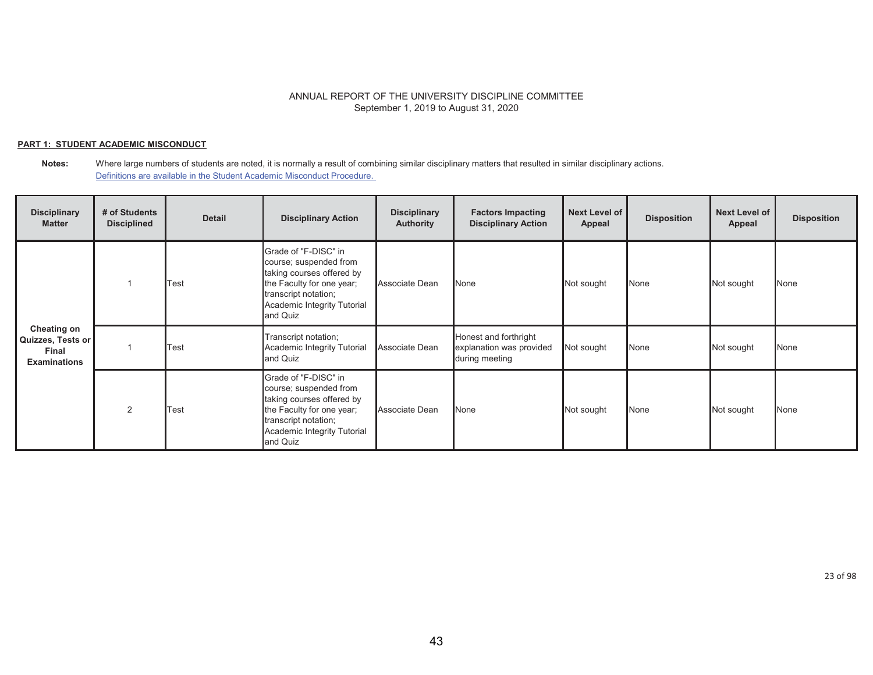### **PART 1: STUDENT ACADEMIC MISCONDUCT**

#### **Notes:** Where large numbers of students are noted, it is normally a result of combining similar disciplinary matters that resulted in similar disciplinary actions. Definitions are available in the Student Academic Misconduct Procedure.

| <b>Disciplinary</b><br><b>Matter</b>                             | # of Students<br><b>Disciplined</b> | <b>Detail</b> | <b>Disciplinary Action</b>                                                                                                                                                  | <b>Disciplinary</b><br><b>Authority</b> | <b>Factors Impacting</b><br><b>Disciplinary Action</b>              | Next Level of<br>Appeal | <b>Disposition</b> | <b>Next Level of</b><br>Appeal | <b>Disposition</b> |
|------------------------------------------------------------------|-------------------------------------|---------------|-----------------------------------------------------------------------------------------------------------------------------------------------------------------------------|-----------------------------------------|---------------------------------------------------------------------|-------------------------|--------------------|--------------------------------|--------------------|
| Cheating on<br>Quizzes, Tests or<br>Final<br><b>Examinations</b> |                                     | Test          | Grade of "F-DISC" in<br>course; suspended from<br>taking courses offered by<br>the Faculty for one year;<br>transcript notation;<br>Academic Integrity Tutorial<br>and Quiz | Associate Dean                          | None                                                                | Not sought              | None               | Not sought                     | None               |
|                                                                  |                                     | Test          | Transcript notation;<br>Academic Integrity Tutorial<br>and Quiz                                                                                                             | Associate Dean                          | Honest and forthright<br>explanation was provided<br>during meeting | Not sought              | None               | Not sought                     | None               |
|                                                                  | 2                                   | Test          | Grade of "F-DISC" in<br>course; suspended from<br>taking courses offered by<br>the Faculty for one year;<br>transcript notation;<br>Academic Integrity Tutorial<br>and Quiz | Associate Dean                          | None                                                                | Not sought              | None               | Not sought                     | None               |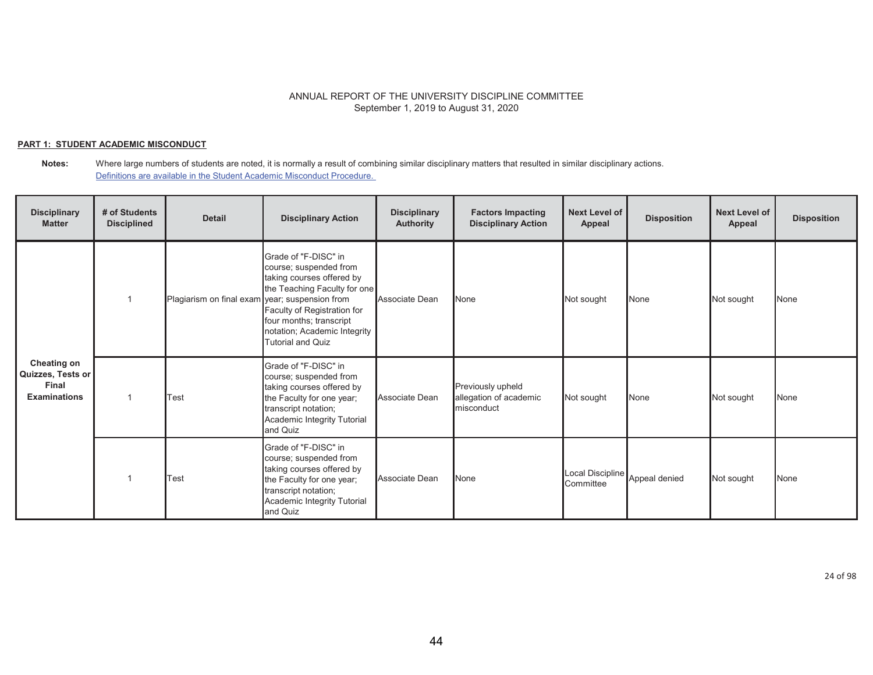### **PART 1: STUDENT ACADEMIC MISCONDUCT**

#### **Notes:** Where large numbers of students are noted, it is normally a result of combining similar disciplinary matters that resulted in similar disciplinary actions. Definitions are available in the Student Academic Misconduct Procedure.

| <b>Disciplinary</b><br><b>Matter</b>                                    | # of Students<br><b>Disciplined</b> | <b>Detail</b>                                  | <b>Disciplinary Action</b>                                                                                                                                                                                                        | <b>Disciplinary</b><br><b>Authority</b> | <b>Factors Impacting</b><br><b>Disciplinary Action</b>    | Next Level of<br>Appeal       | <b>Disposition</b> | <b>Next Level of</b><br><b>Appeal</b> | <b>Disposition</b> |
|-------------------------------------------------------------------------|-------------------------------------|------------------------------------------------|-----------------------------------------------------------------------------------------------------------------------------------------------------------------------------------------------------------------------------------|-----------------------------------------|-----------------------------------------------------------|-------------------------------|--------------------|---------------------------------------|--------------------|
| <b>Cheating on</b><br>Quizzes, Tests or<br>Final<br><b>Examinations</b> |                                     | Plagiarism on final exam year; suspension from | Grade of "F-DISC" in<br>course; suspended from<br>taking courses offered by<br>the Teaching Faculty for one<br>Faculty of Registration for<br>four months; transcript<br>notation; Academic Integrity<br><b>Tutorial and Quiz</b> | Associate Dean                          | <b>None</b>                                               | Not sought                    | None               | Not sought                            | None               |
|                                                                         |                                     | Test                                           | Grade of "F-DISC" in<br>course; suspended from<br>taking courses offered by<br>the Faculty for one year;<br>transcript notation;<br>Academic Integrity Tutorial<br>and Quiz                                                       | Associate Dean                          | Previously upheld<br>allegation of academic<br>misconduct | Not sought                    | None               | Not sought                            | None               |
|                                                                         |                                     | Test                                           | Grade of "F-DISC" in<br>course; suspended from<br>taking courses offered by<br>the Faculty for one year;<br>transcript notation;<br>Academic Integrity Tutorial<br>and Quiz                                                       | Associate Dean                          | None                                                      | Local Discipline<br>Committee | Appeal denied      | Not sought                            | None               |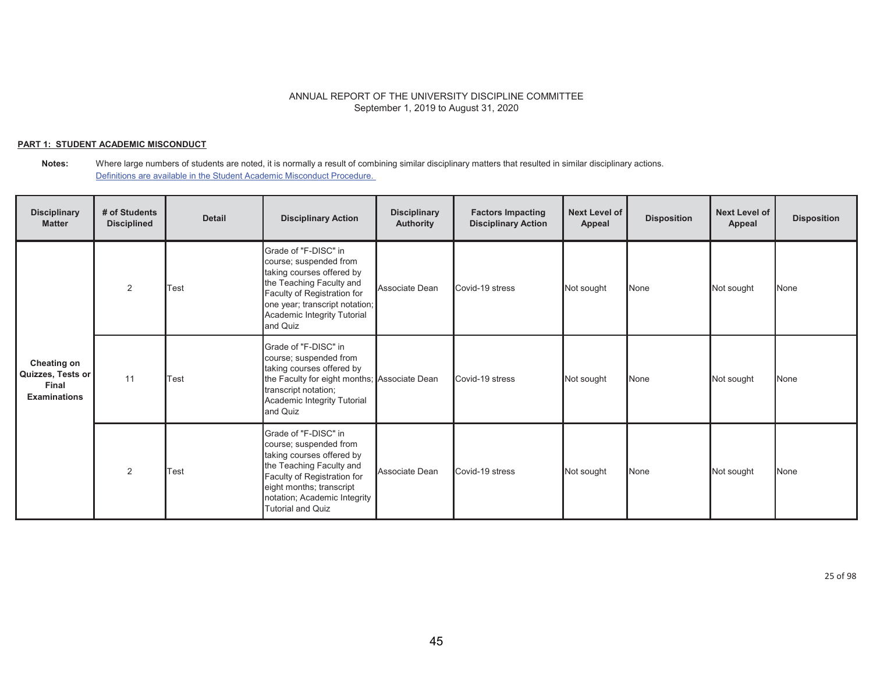### **PART 1: STUDENT ACADEMIC MISCONDUCT**

#### **Notes:** Where large numbers of students are noted, it is normally a result of combining similar disciplinary matters that resulted in similar disciplinary actions. Definitions are available in the Student Academic Misconduct Procedure.

| <b>Disciplinary</b><br><b>Matter</b>                                    | # of Students<br><b>Disciplined</b> | <b>Detail</b> | <b>Disciplinary Action</b>                                                                                                                                                                                                     | <b>Disciplinary</b><br><b>Authority</b> | <b>Factors Impacting</b><br><b>Disciplinary Action</b> | Next Level of<br>Appeal | <b>Disposition</b> | <b>Next Level of</b><br>Appeal | <b>Disposition</b> |
|-------------------------------------------------------------------------|-------------------------------------|---------------|--------------------------------------------------------------------------------------------------------------------------------------------------------------------------------------------------------------------------------|-----------------------------------------|--------------------------------------------------------|-------------------------|--------------------|--------------------------------|--------------------|
| <b>Cheating on</b><br>Quizzes, Tests or<br>Final<br><b>Examinations</b> | 2                                   | Test          | Grade of "F-DISC" in<br>course; suspended from<br>taking courses offered by<br>the Teaching Faculty and<br>Faculty of Registration for<br>one year; transcript notation;<br>Academic Integrity Tutorial<br>and Quiz            | Associate Dean                          | Covid-19 stress                                        | Not sought              | None               | Not sought                     | None               |
|                                                                         | 11                                  | Test          | Grade of "F-DISC" in<br>course; suspended from<br>taking courses offered by<br>the Faculty for eight months; Associate Dean<br>transcript notation;<br>Academic Integrity Tutorial<br>and Quiz                                 |                                         | Covid-19 stress                                        | Not sought              | None               | Not sought                     | None               |
|                                                                         | $\overline{2}$                      | Test          | Grade of "F-DISC" in<br>course; suspended from<br>taking courses offered by<br>the Teaching Faculty and<br>Faculty of Registration for<br>eight months; transcript<br>notation; Academic Integrity<br><b>Tutorial and Quiz</b> | Associate Dean                          | Covid-19 stress                                        | Not sought              | None               | Not sought                     | None               |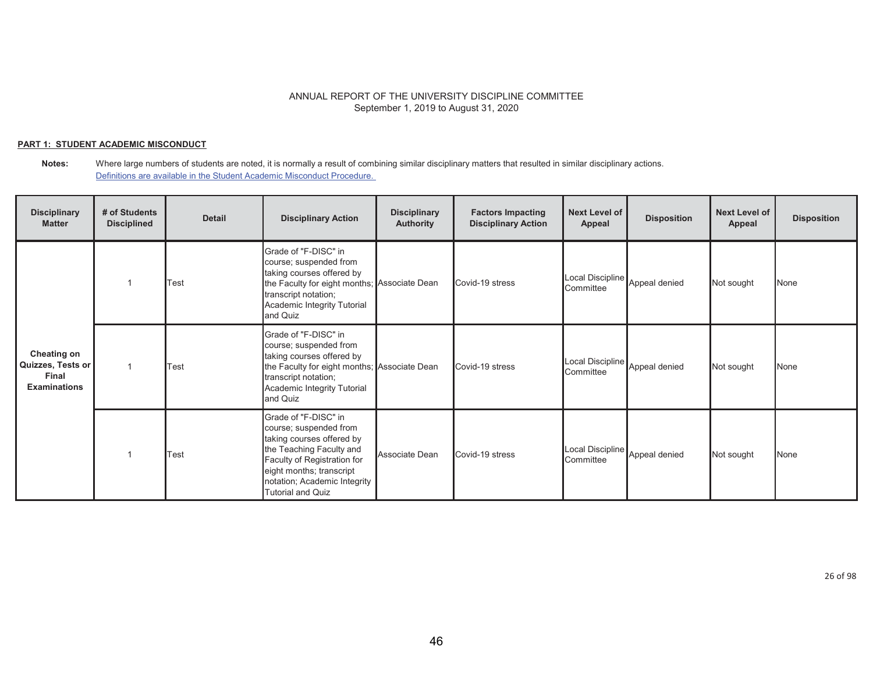### **PART 1: STUDENT ACADEMIC MISCONDUCT**

| <b>Disciplinary</b><br><b>Matter</b>                             | # of Students<br><b>Disciplined</b> | <b>Detail</b> | <b>Disciplinary Action</b>                                                                                                                                                                                                     | <b>Disciplinary</b><br><b>Authority</b> | <b>Factors Impacting</b><br><b>Disciplinary Action</b> | Next Level of<br>Appeal                     | <b>Disposition</b> | <b>Next Level of</b><br>Appeal | <b>Disposition</b> |
|------------------------------------------------------------------|-------------------------------------|---------------|--------------------------------------------------------------------------------------------------------------------------------------------------------------------------------------------------------------------------------|-----------------------------------------|--------------------------------------------------------|---------------------------------------------|--------------------|--------------------------------|--------------------|
| Cheating on<br>Quizzes, Tests or<br>Final<br><b>Examinations</b> |                                     | Test          | Grade of "F-DISC" in<br>course; suspended from<br>taking courses offered by<br>the Faculty for eight months; Associate Dean<br>transcript notation;<br>Academic Integrity Tutorial<br>and Quiz                                 |                                         | Covid-19 stress                                        | Local Discipline<br>Committee               | Appeal denied      | Not sought                     | None               |
|                                                                  |                                     | Test          | Grade of "F-DISC" in<br>course; suspended from<br>taking courses offered by<br>the Faculty for eight months; Associate Dean<br>transcript notation;<br>Academic Integrity Tutorial<br>and Quiz                                 |                                         | Covid-19 stress                                        | Local Discipline<br>Committee               | Appeal denied      | Not sought                     | <b>None</b>        |
|                                                                  |                                     | Test          | Grade of "F-DISC" in<br>course; suspended from<br>taking courses offered by<br>the Teaching Faculty and<br>Faculty of Registration for<br>eight months; transcript<br>notation; Academic Integrity<br><b>Tutorial and Quiz</b> | Associate Dean                          | Covid-19 stress                                        | Local Discipline Appeal denied<br>Committee |                    | Not sought                     | None               |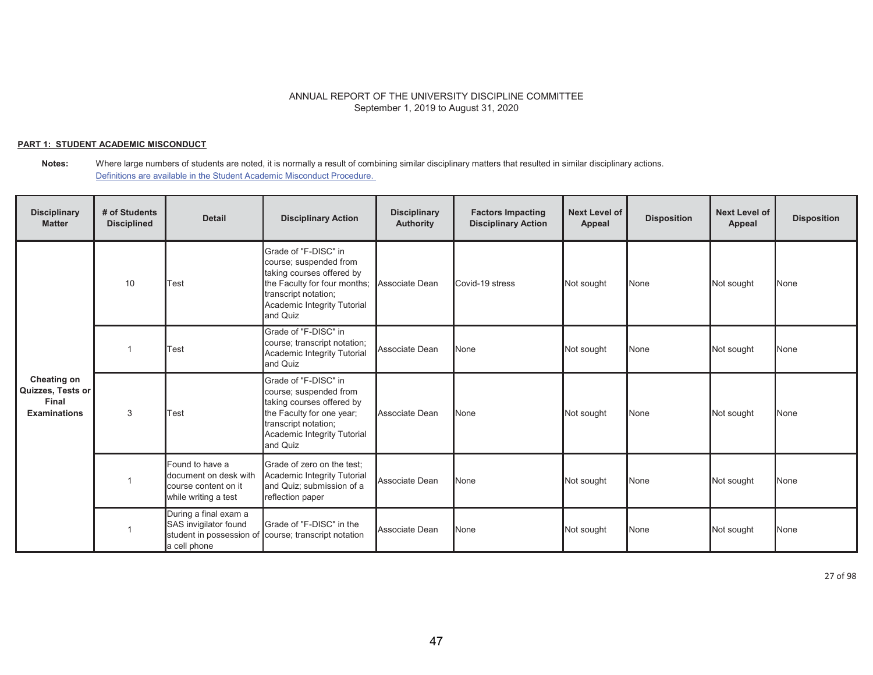### **PART 1: STUDENT ACADEMIC MISCONDUCT**

**Notes:** Where large numbers of students are noted, it is normally a result of combining similar disciplinary matters that resulted in similar disciplinary actions. Definitions are available in the Student Academic Misconduct Procedure.

| <b>Disciplinary</b><br><b>Matter</b>                             | # of Students<br><b>Disciplined</b> | <b>Detail</b>                                                                              | <b>Disciplinary Action</b>                                                                                                                                                                    | <b>Disciplinary</b><br><b>Authority</b> | <b>Factors Impacting</b><br><b>Disciplinary Action</b> | <b>Next Level of</b><br>Appeal | <b>Disposition</b> | <b>Next Level of</b><br>Appeal | <b>Disposition</b> |
|------------------------------------------------------------------|-------------------------------------|--------------------------------------------------------------------------------------------|-----------------------------------------------------------------------------------------------------------------------------------------------------------------------------------------------|-----------------------------------------|--------------------------------------------------------|--------------------------------|--------------------|--------------------------------|--------------------|
| Cheating on<br>Quizzes, Tests or<br>Final<br><b>Examinations</b> | 10                                  | Test                                                                                       | Grade of "F-DISC" in<br>course; suspended from<br>taking courses offered by<br>the Faculty for four months; Associate Dean<br>transcript notation;<br>Academic Integrity Tutorial<br>and Quiz |                                         | Covid-19 stress                                        | Not sought                     | None               | Not sought                     | None               |
|                                                                  |                                     | Test                                                                                       | Grade of "F-DISC" in<br>course; transcript notation;<br>Academic Integrity Tutorial<br>and Quiz                                                                                               | Associate Dean                          | None                                                   | Not sought                     | None               | Not sought                     | None               |
|                                                                  | 3                                   | Test                                                                                       | Grade of "F-DISC" in<br>course; suspended from<br>taking courses offered by<br>the Faculty for one year;<br>transcript notation;<br>Academic Integrity Tutorial<br>and Quiz                   | Associate Dean                          | <b>None</b>                                            | Not sought                     | None               | Not sought                     | None               |
|                                                                  |                                     | Found to have a<br>document on desk with<br>course content on it<br>while writing a test   | Grade of zero on the test;<br>Academic Integrity Tutorial<br>and Quiz; submission of a<br>reflection paper                                                                                    | Associate Dean                          | None                                                   | Not sought                     | None               | Not sought                     | None               |
|                                                                  |                                     | During a final exam a<br>SAS invigilator found<br>student in possession of<br>a cell phone | Grade of "F-DISC" in the<br>course; transcript notation                                                                                                                                       | Associate Dean                          | None                                                   | Not sought                     | None               | Not sought                     | None               |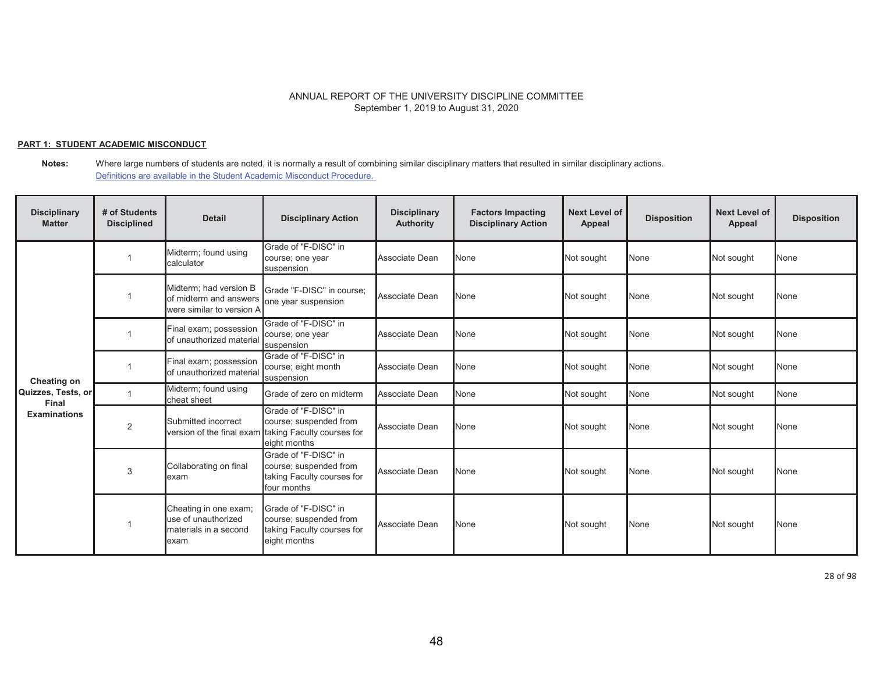### **PART 1: STUDENT ACADEMIC MISCONDUCT**

**Notes:** Where large numbers of students are noted, it is normally a result of combining similar disciplinary matters that resulted in similar disciplinary actions. Definitions are available in the Student Academic Misconduct Procedure.

| <b>Disciplinary</b><br><b>Matter</b> | # of Students<br><b>Disciplined</b> | <b>Detail</b>                                                                  | <b>Disciplinary Action</b>                                                                   | <b>Disciplinary</b><br><b>Authority</b> | <b>Factors Impacting</b><br><b>Disciplinary Action</b> | <b>Next Level of</b><br>Appeal | <b>Disposition</b> | <b>Next Level of</b><br>Appeal | <b>Disposition</b> |
|--------------------------------------|-------------------------------------|--------------------------------------------------------------------------------|----------------------------------------------------------------------------------------------|-----------------------------------------|--------------------------------------------------------|--------------------------------|--------------------|--------------------------------|--------------------|
| Cheating on                          |                                     | Midterm; found using<br>calculator                                             | Grade of "F-DISC" in<br>course; one year<br>suspension                                       | Associate Dean                          | None                                                   | Not sought                     | None               | Not sought                     | None               |
|                                      |                                     | Midterm; had version B<br>of midterm and answers<br>were similar to version A  | Grade "F-DISC" in course:<br>one year suspension                                             | Associate Dean                          | None                                                   | Not sought                     | None               | Not sought                     | None               |
|                                      |                                     | Final exam; possession<br>of unauthorized material                             | Grade of "F-DISC" in<br>course; one year<br>suspension                                       | Associate Dean                          | None                                                   | Not sought                     | None               | Not sought                     | None               |
|                                      |                                     | Final exam; possession<br>of unauthorized material                             | Grade of "F-DISC" in<br>course; eight month<br>suspension                                    | Associate Dean                          | None                                                   | Not sought                     | None               | Not sought                     | None               |
| Quizzes, Tests, or<br>Final          |                                     | Midterm; found using<br>cheat sheet                                            | Grade of zero on midterm                                                                     | Associate Dean                          | None                                                   | Not sought                     | None               | Not sought                     | None               |
| <b>Examinations</b>                  | $\overline{2}$                      | Submitted incorrect<br>version of the final exam                               | Grade of "F-DISC" in<br>course; suspended from<br>taking Faculty courses for<br>eight months | Associate Dean                          | None                                                   | Not sought                     | None               | Not sought                     | None               |
|                                      | 3                                   | Collaborating on final<br>lexam                                                | Grade of "F-DISC" in<br>course; suspended from<br>taking Faculty courses for<br>four months  | Associate Dean                          | None                                                   | Not sought                     | None               | Not sought                     | None               |
|                                      |                                     | Cheating in one exam;<br>use of unauthorized<br>materials in a second<br>lexam | Grade of "F-DISC" in<br>course; suspended from<br>taking Faculty courses for<br>eight months | Associate Dean                          | None                                                   | Not sought                     | None               | Not sought                     | None               |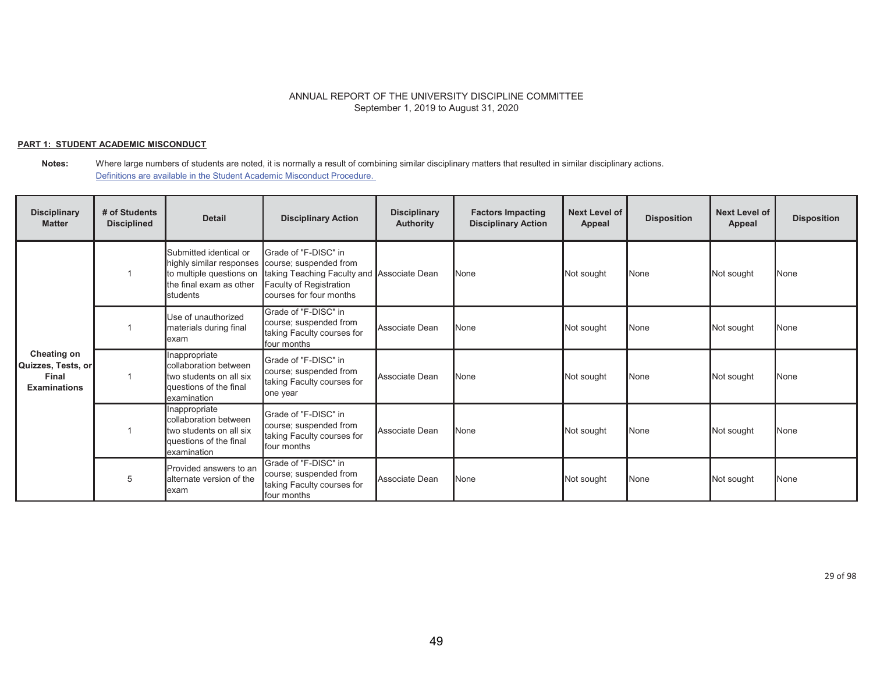### **PART 1: STUDENT ACADEMIC MISCONDUCT**

**Notes:** Where large numbers of students are noted, it is normally a result of combining similar disciplinary matters that resulted in similar disciplinary actions. Definitions are available in the Student Academic Misconduct Procedure.

| <b>Disciplinary</b><br><b>Matter</b>                                     | # of Students<br><b>Disciplined</b> | <b>Detail</b>                                                                                              | <b>Disciplinary Action</b>                                                                                                                                                  | <b>Disciplinary</b><br><b>Authority</b> | <b>Factors Impacting</b><br><b>Disciplinary Action</b> | Next Level of<br>Appeal | <b>Disposition</b> | <b>Next Level of</b><br>Appeal | <b>Disposition</b> |
|--------------------------------------------------------------------------|-------------------------------------|------------------------------------------------------------------------------------------------------------|-----------------------------------------------------------------------------------------------------------------------------------------------------------------------------|-----------------------------------------|--------------------------------------------------------|-------------------------|--------------------|--------------------------------|--------------------|
| <b>Cheating on</b><br>Quizzes, Tests, or<br>Final<br><b>Examinations</b> |                                     | Submitted identical or<br>to multiple questions on<br>the final exam as other<br><b>I</b> students         | Grade of "F-DISC" in<br>highly similar responses course; suspended from<br>taking Teaching Faculty and Associate Dean<br>Faculty of Registration<br>courses for four months |                                         | None                                                   | Not sought              | None               | Not sought                     | None               |
|                                                                          |                                     | Use of unauthorized<br>materials during final<br>lexam                                                     | Grade of "F-DISC" in<br>course; suspended from<br>taking Faculty courses for<br>four months                                                                                 | Associate Dean                          | None                                                   | Not sought              | None               | Not sought                     | None               |
|                                                                          |                                     | Inappropriate<br>collaboration between<br>two students on all six<br>questions of the final<br>examination | Grade of "F-DISC" in<br>course; suspended from<br>taking Faculty courses for<br>one year                                                                                    | Associate Dean                          | None                                                   | Not sought              | None               | Not sought                     | <b>None</b>        |
|                                                                          |                                     | Inappropriate<br>collaboration between<br>two students on all six<br>questions of the final<br>examination | Grade of "F-DISC" in<br>course; suspended from<br>taking Faculty courses for<br>four months                                                                                 | Associate Dean                          | None                                                   | Not sought              | None               | Not sought                     | None               |
|                                                                          | 5                                   | Provided answers to an<br>alternate version of the<br>exam                                                 | Grade of "F-DISC" in<br>course; suspended from<br>taking Faculty courses for<br>four months                                                                                 | Associate Dean                          | None                                                   | Not sought              | None               | Not sought                     | <b>None</b>        |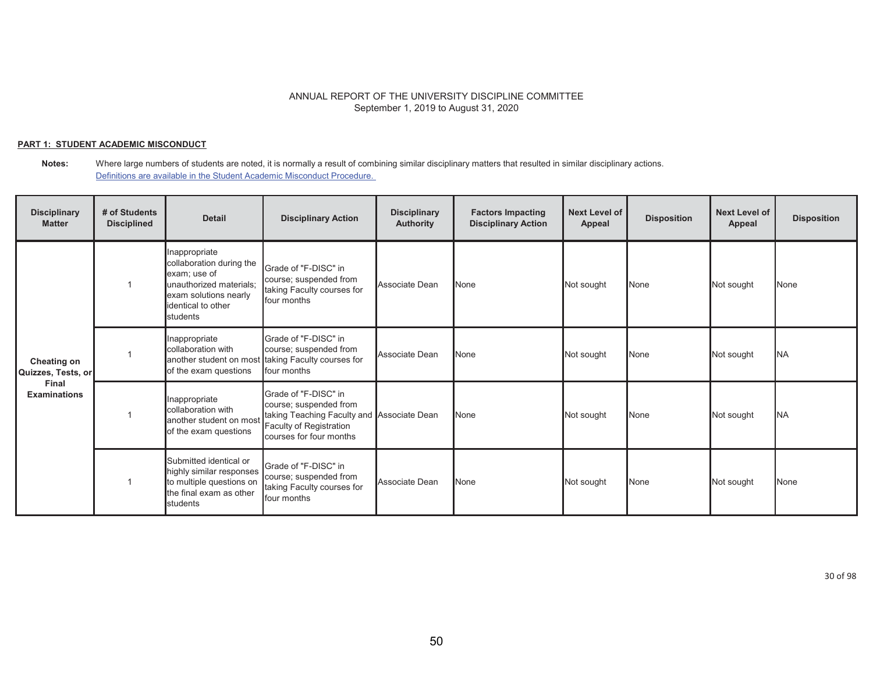### **PART 1: STUDENT ACADEMIC MISCONDUCT**

| <b>Disciplinary</b><br><b>Matter</b>                              | # of Students<br><b>Disciplined</b> | <b>Detail</b>                                                                                                                                  | <b>Disciplinary Action</b>                                                                                                                         | <b>Disciplinary</b><br><b>Authority</b> | <b>Factors Impacting</b><br><b>Disciplinary Action</b> | <b>Next Level of</b><br>Appeal | <b>Disposition</b> | <b>Next Level of</b><br>Appeal | <b>Disposition</b> |
|-------------------------------------------------------------------|-------------------------------------|------------------------------------------------------------------------------------------------------------------------------------------------|----------------------------------------------------------------------------------------------------------------------------------------------------|-----------------------------------------|--------------------------------------------------------|--------------------------------|--------------------|--------------------------------|--------------------|
| Cheating on<br>Quizzes, Tests, or<br>Final<br><b>Examinations</b> |                                     | nappropriate<br>collaboration during the<br>exam; use of<br>unauthorized materials;<br>exam solutions nearly<br>identical to other<br>students | Grade of "F-DISC" in<br>course; suspended from<br>taking Faculty courses for<br>four months                                                        | Associate Dean                          | None                                                   | Not sought                     | None               | Not sought                     | None               |
|                                                                   |                                     | nappropriate<br>collaboration with<br>of the exam questions                                                                                    | Grade of "F-DISC" in<br>course; suspended from<br>another student on most taking Faculty courses for<br>four months                                | Associate Dean                          | None                                                   | Not sought                     | None               | Not sought                     | <b>INA</b>         |
|                                                                   |                                     | Inappropriate<br>collaboration with<br>another student on most<br>of the exam questions                                                        | Grade of "F-DISC" in<br>course; suspended from<br>taking Teaching Faculty and Associate Dean<br>Faculty of Registration<br>courses for four months |                                         | None                                                   | Not sought                     | None               | Not sought                     | <b>NA</b>          |
|                                                                   |                                     | Submitted identical or<br>highly similar responses<br>to multiple questions on<br>the final exam as other<br>students                          | Grade of "F-DISC" in<br>course; suspended from<br>taking Faculty courses for<br>four months                                                        | Associate Dean                          | None                                                   | Not sought                     | None               | Not sought                     | <b>None</b>        |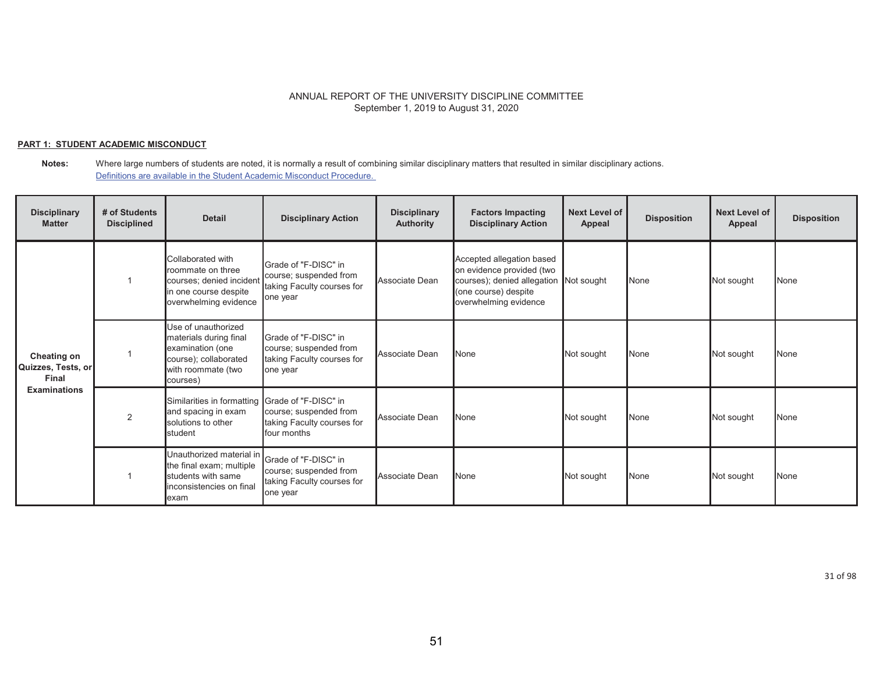### **PART 1: STUDENT ACADEMIC MISCONDUCT**

**Notes:** Where large numbers of students are noted, it is normally a result of combining similar disciplinary matters that resulted in similar disciplinary actions. Definitions are available in the Student Academic Misconduct Procedure.

| <b>Disciplinary</b><br><b>Matter</b>                              | # of Students<br><b>Disciplined</b> | <b>Detail</b>                                                                                                                       | <b>Disciplinary Action</b>                                                               | <b>Disciplinary</b><br><b>Authority</b> | <b>Factors Impacting</b><br><b>Disciplinary Action</b>                                                                                            | <b>Next Level of</b><br>Appeal | <b>Disposition</b> | <b>Next Level of</b><br><b>Appeal</b> | <b>Disposition</b> |
|-------------------------------------------------------------------|-------------------------------------|-------------------------------------------------------------------------------------------------------------------------------------|------------------------------------------------------------------------------------------|-----------------------------------------|---------------------------------------------------------------------------------------------------------------------------------------------------|--------------------------------|--------------------|---------------------------------------|--------------------|
| Cheating on<br>Quizzes, Tests, or<br>Final<br><b>Examinations</b> |                                     | Collaborated with<br>roommate on three<br>courses; denied inciden<br>in one course despite<br>overwhelming evidence                 | Grade of "F-DISC" in<br>course; suspended from<br>taking Faculty courses for<br>one year | Associate Dean                          | Accepted allegation based<br>on evidence provided (two<br>courses); denied allegation Not sought<br>(one course) despite<br>overwhelming evidence |                                | None               | Not sought                            | <b>None</b>        |
|                                                                   |                                     | Use of unauthorized<br>materials during final<br>examination (one<br>course); collaborated<br>with roommate (two<br>courses)        | Grade of "F-DISC" in<br>course; suspended from<br>taking Faculty courses for<br>one year | Associate Dean                          | <b>None</b>                                                                                                                                       | Not sought                     | None               | Not sought                            | None               |
|                                                                   | 2                                   | Similarities in formatting Grade of "F-DISC" in<br>and spacing in exam<br>solutions to other<br>student                             | course; suspended from<br>taking Faculty courses for<br>four months                      | Associate Dean                          | None                                                                                                                                              | Not sought                     | None               | Not sought                            | <b>None</b>        |
|                                                                   |                                     | Unauthorized material in Grade of "F-DISC" in<br>the final exam; multiple<br>students with same<br>inconsistencies on final<br>exam | course; suspended from<br>taking Faculty courses for<br>one year                         | Associate Dean                          | None                                                                                                                                              | Not sought                     | None               | Not sought                            | <b>None</b>        |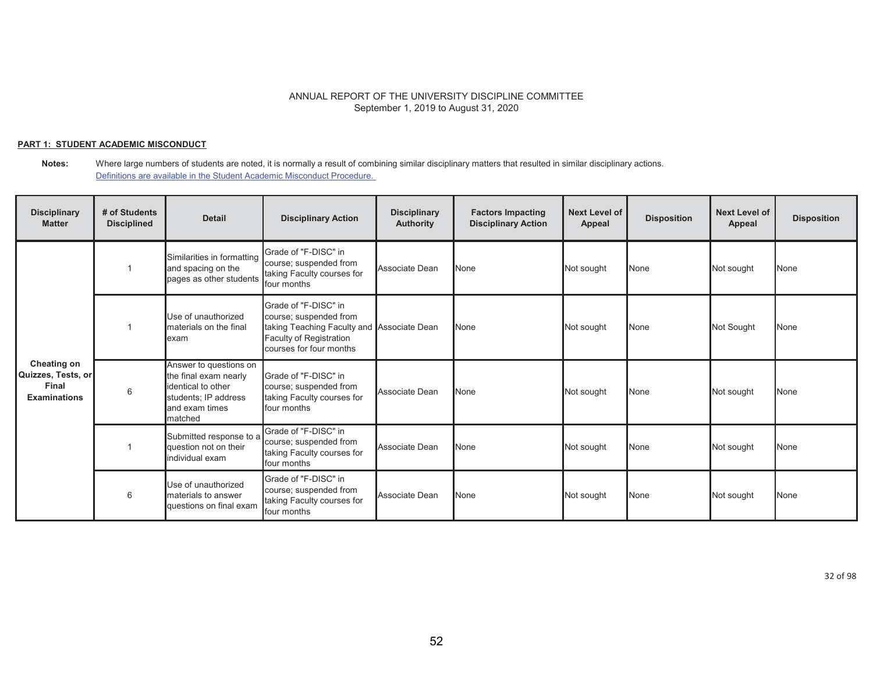## **PART 1: STUDENT ACADEMIC MISCONDUCT**

#### **Notes:** Where large numbers of students are noted, it is normally a result of combining similar disciplinary matters that resulted in similar disciplinary actions. Definitions are available in the Student Academic Misconduct Procedure.

| <b>Disciplinary</b><br><b>Matter</b>                              | # of Students<br><b>Disciplined</b> | <b>Detail</b>                                                                                                              | <b>Disciplinary Action</b>                                                                                                                         | <b>Disciplinary</b><br>Authority | <b>Factors Impacting</b><br><b>Disciplinary Action</b> | Next Level of<br>Appeal | <b>Disposition</b> | Next Level of<br>Appeal | <b>Disposition</b> |
|-------------------------------------------------------------------|-------------------------------------|----------------------------------------------------------------------------------------------------------------------------|----------------------------------------------------------------------------------------------------------------------------------------------------|----------------------------------|--------------------------------------------------------|-------------------------|--------------------|-------------------------|--------------------|
|                                                                   |                                     | Similarities in formatting<br>and spacing on the<br>pages as other students                                                | Grade of "F-DISC" in<br>course; suspended from<br>taking Faculty courses for<br>four months                                                        | Associate Dean                   | <b>None</b>                                            | Not sought              | None               | Not sought              | None               |
| Cheating on<br>Quizzes, Tests, or<br>Final<br><b>Examinations</b> |                                     | Use of unauthorized<br>materials on the final<br>lexam                                                                     | Grade of "F-DISC" in<br>course; suspended from<br>taking Teaching Faculty and Associate Dean<br>Faculty of Registration<br>courses for four months |                                  | None                                                   | Not sought              | None               | Not Sought              | None               |
|                                                                   | 6                                   | Answer to questions on<br>the final exam nearly<br>identical to other<br>students; IP address<br>and exam times<br>matched | Grade of "F-DISC" in<br>course; suspended from<br>taking Faculty courses for<br>four months                                                        | Associate Dean                   | None                                                   | Not sought              | None               | Not sought              | None               |
|                                                                   |                                     | Submitted response to a<br>question not on their<br>individual exam                                                        | Grade of "F-DISC" in<br>course; suspended from<br>taking Faculty courses for<br>four months                                                        | Associate Dean                   | None                                                   | Not sought              | None               | Not sought              | None               |
|                                                                   | 6                                   | Use of unauthorized<br>materials to answer<br>questions on final exam                                                      | Grade of "F-DISC" in<br>course; suspended from<br>taking Faculty courses for<br>four months                                                        | Associate Dean                   | None                                                   | Not sought              | None               | Not sought              | None               |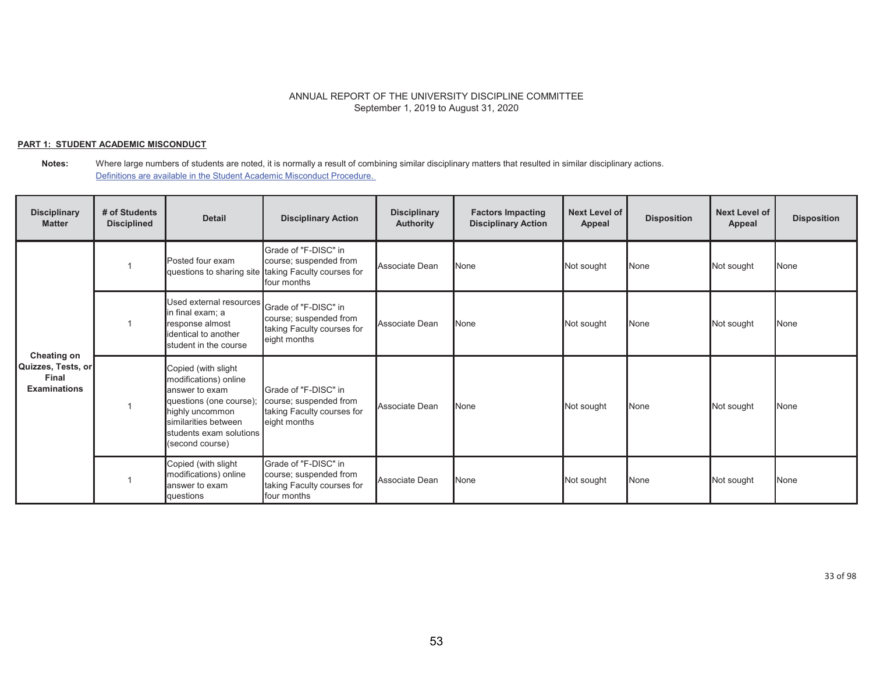## **PART 1: STUDENT ACADEMIC MISCONDUCT**

| <b>Disciplinary</b><br><b>Matter</b>                              | # of Students<br><b>Disciplined</b> | <b>Detail</b>                                                                                                                                                                      | <b>Disciplinary Action</b>                                                                                            | <b>Disciplinary</b><br><b>Authority</b> | <b>Factors Impacting</b><br><b>Disciplinary Action</b> | <b>Next Level of</b><br>Appeal | <b>Disposition</b> | <b>Next Level of</b><br>Appeal | <b>Disposition</b> |
|-------------------------------------------------------------------|-------------------------------------|------------------------------------------------------------------------------------------------------------------------------------------------------------------------------------|-----------------------------------------------------------------------------------------------------------------------|-----------------------------------------|--------------------------------------------------------|--------------------------------|--------------------|--------------------------------|--------------------|
|                                                                   |                                     | Posted four exam                                                                                                                                                                   | Grade of "F-DISC" in<br>course; suspended from<br>questions to sharing site taking Faculty courses for<br>four months | Associate Dean                          | None                                                   | Not sought                     | None               | Not sought                     | None               |
| Cheating on<br>Quizzes, Tests, or<br>Final<br><b>Examinations</b> |                                     | Used external resources Grade of "F-DISC" in<br>in final exam; a<br>response almost<br>identical to another<br>student in the course                                               | course; suspended from<br>taking Faculty courses for<br>eight months                                                  | Associate Dean                          | None                                                   | Not sought                     | None               | Not sought                     | None               |
|                                                                   |                                     | Copied (with slight<br>modifications) online<br>answer to exam<br>questions (one course);<br>highly uncommon<br>similarities between<br>students exam solutions<br>(second course) | Grade of "F-DISC" in<br>course; suspended from<br>taking Faculty courses for<br>eight months                          | Associate Dean                          | None                                                   | Not sought                     | None               | Not sought                     | None               |
|                                                                   |                                     | Copied (with slight<br>modifications) online<br>answer to exam<br>questions                                                                                                        | Grade of "F-DISC" in<br>course; suspended from<br>taking Faculty courses for<br>four months                           | Associate Dean                          | None                                                   | Not sought                     | None               | Not sought                     | None               |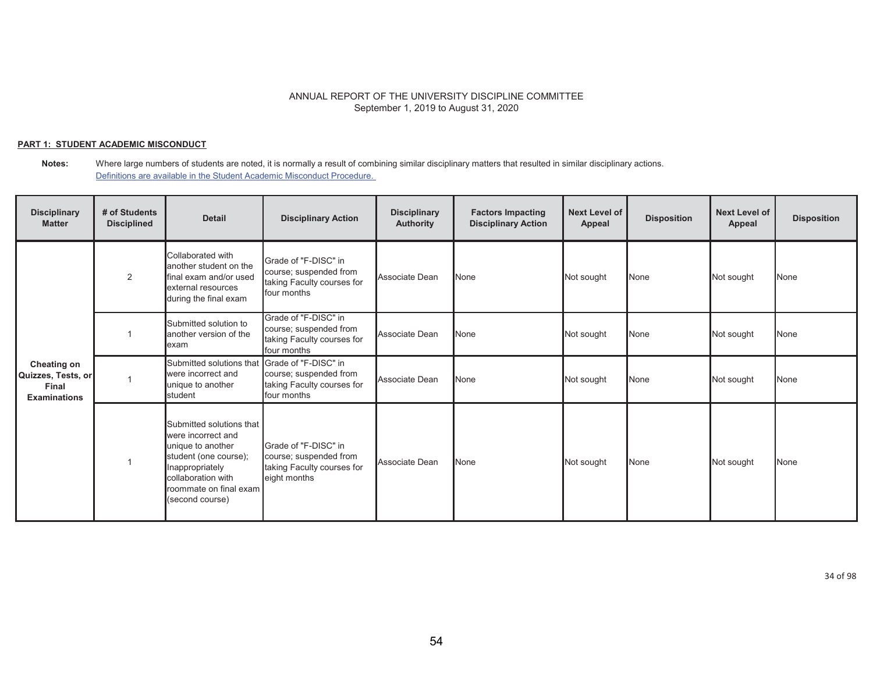## **PART 1: STUDENT ACADEMIC MISCONDUCT**

**Notes:** Where large numbers of students are noted, it is normally a result of combining similar disciplinary matters that resulted in similar disciplinary actions. Definitions are available in the Student Academic Misconduct Procedure.

| <b>Disciplinary</b><br><b>Matter</b>                              | # of Students<br><b>Disciplined</b> | <b>Detail</b>                                                                                                                                                                      | <b>Disciplinary Action</b>                                                                   | <b>Disciplinary</b><br><b>Authority</b> | <b>Factors Impacting</b><br><b>Disciplinary Action</b> | <b>Next Level of</b><br>Appeal | <b>Disposition</b> | <b>Next Level of</b><br>Appeal | <b>Disposition</b> |
|-------------------------------------------------------------------|-------------------------------------|------------------------------------------------------------------------------------------------------------------------------------------------------------------------------------|----------------------------------------------------------------------------------------------|-----------------------------------------|--------------------------------------------------------|--------------------------------|--------------------|--------------------------------|--------------------|
|                                                                   | 2                                   | Collaborated with<br>another student on the<br>final exam and/or used<br>external resources<br>during the final exam                                                               | Grade of "F-DISC" in<br>course; suspended from<br>taking Faculty courses for<br>four months  | Associate Dean                          | None                                                   | Not sought                     | None               | Not sought                     | <b>None</b>        |
|                                                                   |                                     | Submitted solution to<br>another version of the<br>lexam                                                                                                                           | Grade of "F-DISC" in<br>course; suspended from<br>taking Faculty courses for<br>four months  | Associate Dean                          | None                                                   | Not sought                     | None               | Not sought                     | <b>None</b>        |
| Cheating on<br>Quizzes, Tests, or<br>Final<br><b>Examinations</b> |                                     | Submitted solutions that<br>were incorrect and<br>unique to another<br><b>I</b> student                                                                                            | Grade of "F-DISC" in<br>course; suspended from<br>taking Faculty courses for<br>four months  | Associate Dean                          | None                                                   | Not sought                     | None               | Not sought                     | None               |
|                                                                   |                                     | Submitted solutions that<br>were incorrect and<br>unique to another<br>student (one course);<br>Inappropriately<br>collaboration with<br>roommate on final exam<br>(second course) | Grade of "F-DISC" in<br>course; suspended from<br>taking Faculty courses for<br>eight months | Associate Dean                          | None                                                   | Not sought                     | None               | Not sought                     | None               |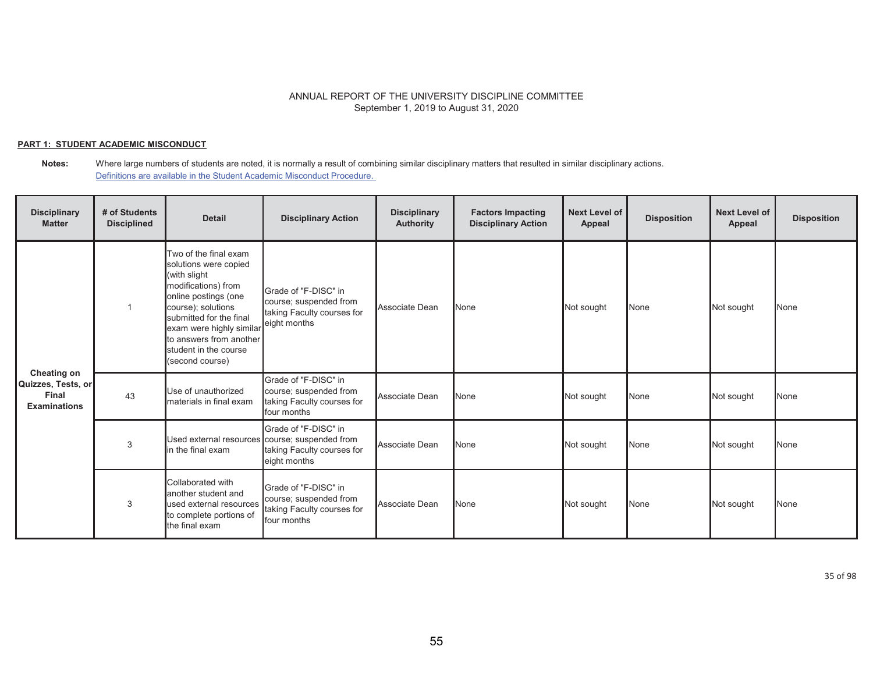## **PART 1: STUDENT ACADEMIC MISCONDUCT**

**Notes:** Where large numbers of students are noted, it is normally a result of combining similar disciplinary matters that resulted in similar disciplinary actions. Definitions are available in the Student Academic Misconduct Procedure.

| <b>Disciplinary</b><br><b>Matter</b>                              | # of Students<br><b>Disciplined</b> | <b>Detail</b>                                                                                                                                                                                                                                                                  | <b>Disciplinary Action</b>                                                                                           | <b>Disciplinary</b><br><b>Authority</b> | <b>Factors Impacting</b><br><b>Disciplinary Action</b> | Next Level of<br>Appeal | <b>Disposition</b> | <b>Next Level of</b><br>Appeal | <b>Disposition</b> |
|-------------------------------------------------------------------|-------------------------------------|--------------------------------------------------------------------------------------------------------------------------------------------------------------------------------------------------------------------------------------------------------------------------------|----------------------------------------------------------------------------------------------------------------------|-----------------------------------------|--------------------------------------------------------|-------------------------|--------------------|--------------------------------|--------------------|
| Cheating on<br>Quizzes, Tests, or<br>Final<br><b>Examinations</b> |                                     | Two of the final exam<br>solutions were copied<br>(with slight<br>modifications) from<br>online postings (one<br>course); solutions<br>submitted for the final<br>exam were highly similar eight months<br>to answers from another<br>student in the course<br>(second course) | Grade of "F-DISC" in<br>course; suspended from<br>taking Faculty courses for                                         | Associate Dean                          | None                                                   | Not sought              | None               | Not sought                     | None               |
|                                                                   | 43                                  | Use of unauthorized<br>materials in final exam                                                                                                                                                                                                                                 | Grade of "F-DISC" in<br>course; suspended from<br>taking Faculty courses for<br>four months                          | Associate Dean                          | None                                                   | Not sought              | None               | Not sought                     | None               |
|                                                                   | 3                                   | in the final exam                                                                                                                                                                                                                                                              | Grade of "F-DISC" in<br>Used external resources course; suspended from<br>taking Faculty courses for<br>eight months | Associate Dean                          | None                                                   | Not sought              | None               | Not sought                     | None               |
|                                                                   | 3                                   | Collaborated with<br>another student and<br>used external resources<br>to complete portions of<br>the final exam                                                                                                                                                               | Grade of "F-DISC" in<br>course; suspended from<br>taking Faculty courses for<br>four months                          | Associate Dean                          | None                                                   | Not sought              | None               | Not sought                     | None               |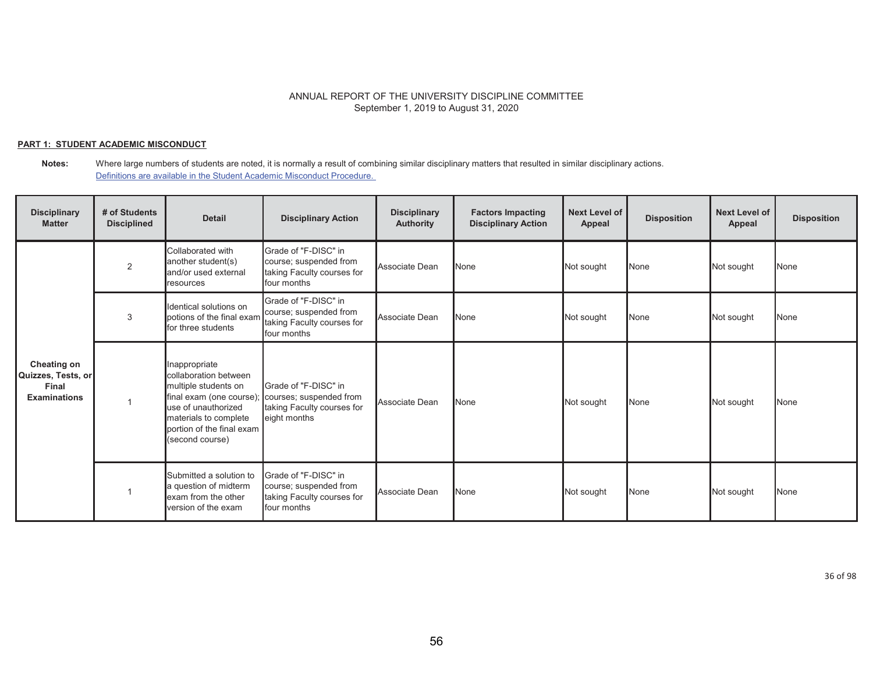## **PART 1: STUDENT ACADEMIC MISCONDUCT**

| <b>Disciplinary</b><br><b>Matter</b>                              | # of Students<br><b>Disciplined</b> | <b>Detail</b>                                                                                                                                                                              | <b>Disciplinary Action</b>                                                                    | <b>Disciplinary</b><br>Authority | <b>Factors Impacting</b><br><b>Disciplinary Action</b> | <b>Next Level of</b><br>Appeal | <b>Disposition</b> | <b>Next Level of</b><br>Appeal | <b>Disposition</b> |
|-------------------------------------------------------------------|-------------------------------------|--------------------------------------------------------------------------------------------------------------------------------------------------------------------------------------------|-----------------------------------------------------------------------------------------------|----------------------------------|--------------------------------------------------------|--------------------------------|--------------------|--------------------------------|--------------------|
|                                                                   | 2                                   | Collaborated with<br>another student(s)<br>and/or used external<br>resources                                                                                                               | Grade of "F-DISC" in<br>course; suspended from<br>taking Faculty courses for<br>four months   | Associate Dean                   | None                                                   | Not sought                     | None               | Not sought                     | None               |
|                                                                   | 3                                   | Identical solutions on<br>potions of the final exam<br>for three students                                                                                                                  | Grade of "F-DISC" in<br>course; suspended from<br>taking Faculty courses for<br>four months   | Associate Dean                   | None                                                   | Not sought                     | None               | Not sought                     | None               |
| Cheating on<br>Quizzes, Tests, or<br>Final<br><b>Examinations</b> |                                     | Inappropriate<br>collaboration between<br>multiple students on<br>final exam (one course);<br>use of unauthorized<br>materials to complete<br>portion of the final exam<br>(second course) | Grade of "F-DISC" in<br>courses; suspended from<br>taking Faculty courses for<br>eight months | Associate Dean                   | None                                                   | Not sought                     | None               | Not sought                     | None               |
|                                                                   |                                     | Submitted a solution to<br>a question of midterm<br>exam from the other<br>version of the exam                                                                                             | Grade of "F-DISC" in<br>course; suspended from<br>taking Faculty courses for<br>four months   | Associate Dean                   | None                                                   | Not sought                     | None               | Not sought                     | <b>None</b>        |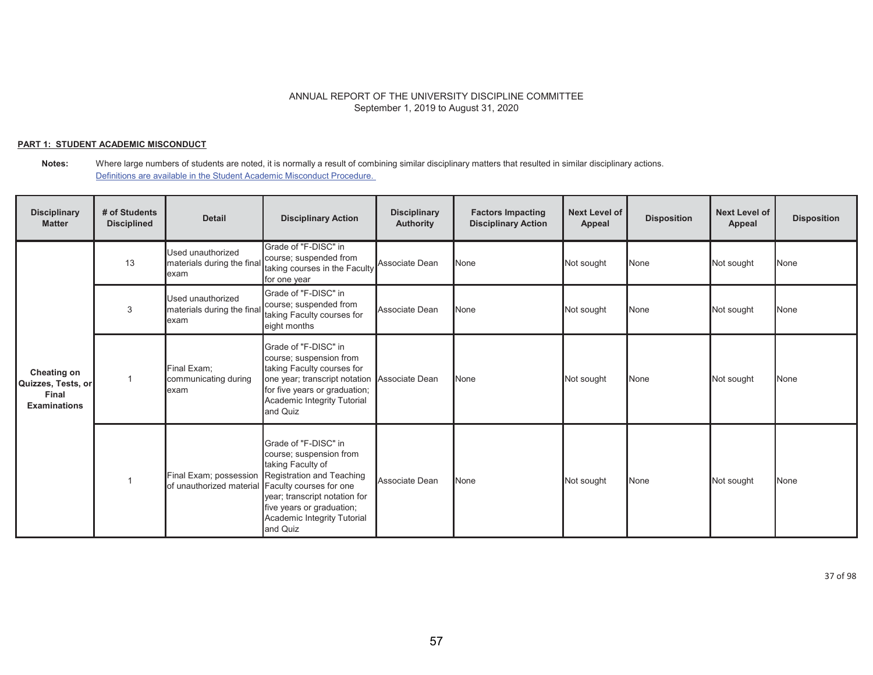## **PART 1: STUDENT ACADEMIC MISCONDUCT**

**Notes:** Where large numbers of students are noted, it is normally a result of combining similar disciplinary matters that resulted in similar disciplinary actions. Definitions are available in the Student Academic Misconduct Procedure.

| <b>Disciplinary</b><br><b>Matter</b>                              | # of Students<br><b>Disciplined</b> | <b>Detail</b>                                           | <b>Disciplinary Action</b>                                                                                                                                                                                                        | <b>Disciplinary</b><br><b>Authority</b> | <b>Factors Impacting</b><br><b>Disciplinary Action</b> | Next Level of<br>Appeal | <b>Disposition</b> | <b>Next Level of</b><br>Appeal | <b>Disposition</b> |
|-------------------------------------------------------------------|-------------------------------------|---------------------------------------------------------|-----------------------------------------------------------------------------------------------------------------------------------------------------------------------------------------------------------------------------------|-----------------------------------------|--------------------------------------------------------|-------------------------|--------------------|--------------------------------|--------------------|
|                                                                   | 13                                  | Used unauthorized<br>materials during the final<br>exam | Grade of "F-DISC" in<br>course; suspended from<br>taking courses in the Faculty<br>for one year                                                                                                                                   | Associate Dean                          | None                                                   | Not sought              | <b>None</b>        | Not sought                     | <b>None</b>        |
| Cheating on<br>Quizzes, Tests, or<br>Final<br><b>Examinations</b> | 3                                   | Used unauthorized<br>materials during the fina<br>exam  | Grade of "F-DISC" in<br>course; suspended from<br>taking Faculty courses for<br>eight months                                                                                                                                      | Associate Dean                          | None                                                   | Not sought              | None               | Not sought                     | None               |
|                                                                   |                                     | Final Exam;<br>communicating during<br>exam             | Grade of "F-DISC" in<br>course; suspension from<br>taking Faculty courses for<br>one year; transcript notation Associate Dean<br>for five years or graduation;<br>Academic Integrity Tutorial<br>and Quiz                         |                                         | None                                                   | Not sought              | None               | Not sought                     | None               |
|                                                                   |                                     | of unauthorized material Faculty courses for one        | Grade of "F-DISC" in<br>course; suspension from<br>taking Faculty of<br>Final Exam; possession Registration and Teaching<br>year; transcript notation for<br>five years or graduation;<br>Academic Integrity Tutorial<br>and Quiz | Associate Dean                          | None                                                   | Not sought              | None               | Not sought                     | None               |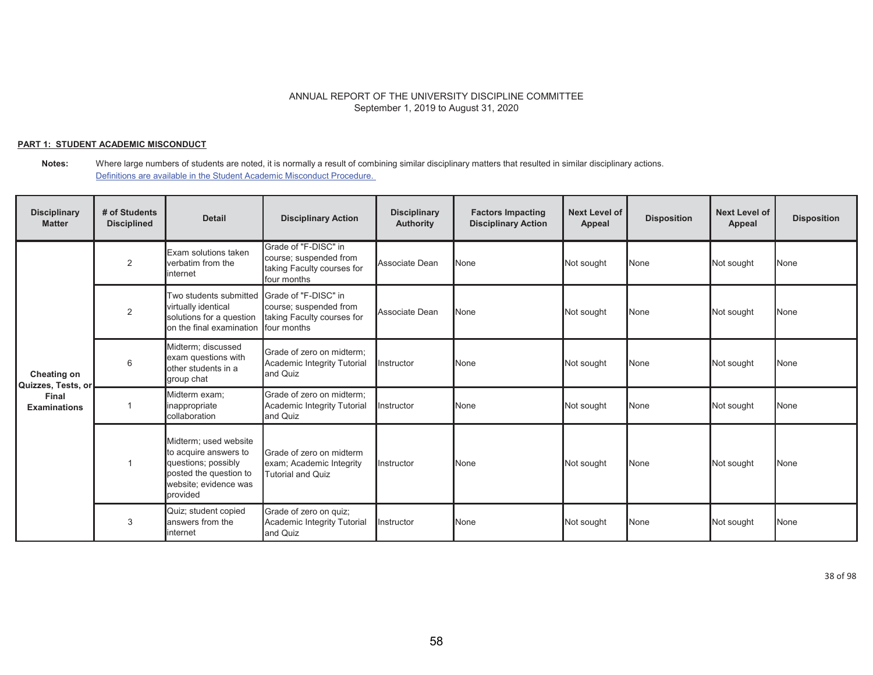## **PART 1: STUDENT ACADEMIC MISCONDUCT**

**Notes:** Where large numbers of students are noted, it is normally a result of combining similar disciplinary matters that resulted in similar disciplinary actions. Definitions are available in the Student Academic Misconduct Procedure.

| <b>Disciplinary</b><br><b>Matter</b> | # of Students<br><b>Disciplined</b> | <b>Detail</b>                                                                                                                        | <b>Disciplinary Action</b>                                                                  | <b>Disciplinary</b><br><b>Authority</b> | <b>Factors Impacting</b><br><b>Disciplinary Action</b> | Next Level of<br>Appeal | <b>Disposition</b> | <b>Next Level of</b><br>Appeal | <b>Disposition</b> |
|--------------------------------------|-------------------------------------|--------------------------------------------------------------------------------------------------------------------------------------|---------------------------------------------------------------------------------------------|-----------------------------------------|--------------------------------------------------------|-------------------------|--------------------|--------------------------------|--------------------|
|                                      | 2                                   | Exam solutions taken<br>verbatim from the<br>internet                                                                                | Grade of "F-DISC" in<br>course; suspended from<br>taking Faculty courses for<br>four months | Associate Dean                          | None                                                   | Not sought              | None               | Not sought                     | None               |
| Cheating on<br>Quizzes, Tests, or    | 2                                   | Two students submitted Grade of "F-DISC" in<br>virtually identical<br>solutions for a question<br>on the final examination           | course; suspended from<br>taking Faculty courses for<br>four months                         | Associate Dean                          | None                                                   | Not sought              | None               | Not sought                     | None               |
|                                      | 6                                   | Midterm; discussed<br>exam questions with<br>other students in a<br>group chat                                                       | Grade of zero on midterm:<br>Academic Integrity Tutorial<br>and Quiz                        | <b>Instructor</b>                       | None                                                   | Not sought              | None               | Not sought                     | None               |
| Final<br><b>Examinations</b>         |                                     | Midterm exam;<br>inappropriate<br>collaboration                                                                                      | Grade of zero on midterm:<br>Academic Integrity Tutorial<br>and Quiz                        | <b>Instructor</b>                       | None                                                   | Not sought              | None               | Not sought                     | None               |
|                                      |                                     | Midterm; used website<br>to acquire answers to<br>questions; possibly<br>posted the question to<br>website; evidence was<br>provided | Grade of zero on midterm<br>exam; Academic Integrity<br><b>Tutorial and Quiz</b>            | Instructor                              | None                                                   | Not sought              | None               | Not sought                     | None               |
|                                      | 3                                   | Quiz; student copied<br>answers from the<br>internet                                                                                 | Grade of zero on quiz;<br>Academic Integrity Tutorial<br>and Quiz                           | <b>Instructor</b>                       | None                                                   | Not sought              | None               | Not sought                     | None               |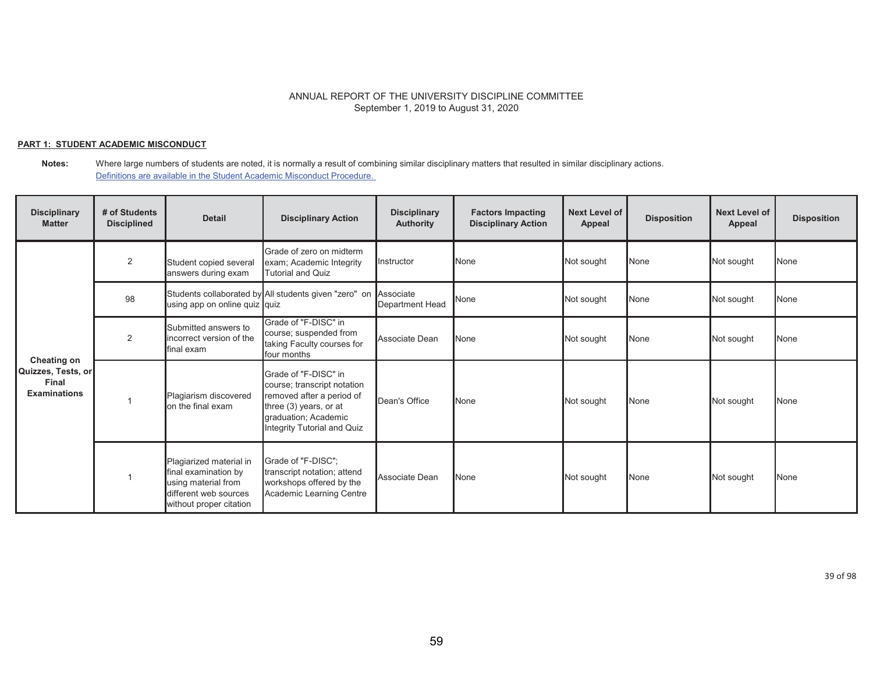## **PART 1: STUDENT ACADEMIC MISCONDUCT**

**Notes:** Where large numbers of students are noted, it is normally a result of combining similar disciplinary matters that resulted in similar disciplinary actions. Definitions are available in the Student Academic Misconduct Procedure.

| <b>Disciplinary</b><br><b>Matter</b>                              | # of Students<br><b>Disciplined</b> | <b>Detail</b>                                                                                                              | <b>Disciplinary Action</b>                                                                                                                                        | <b>Disciplinary</b><br>Authority | <b>Factors Impacting</b><br><b>Disciplinary Action</b> | Next Level of<br>Appeal | <b>Disposition</b> | <b>Next Level of</b><br>Appeal | <b>Disposition</b> |
|-------------------------------------------------------------------|-------------------------------------|----------------------------------------------------------------------------------------------------------------------------|-------------------------------------------------------------------------------------------------------------------------------------------------------------------|----------------------------------|--------------------------------------------------------|-------------------------|--------------------|--------------------------------|--------------------|
|                                                                   | 2                                   | Student copied several<br>answers during exam                                                                              | Grade of zero on midterm<br>exam; Academic Integrity<br><b>Tutorial and Quiz</b>                                                                                  | Instructor                       | None                                                   | Not sought              | <b>None</b>        | Not sought                     | None               |
|                                                                   | 98                                  | using app on online quiz quiz                                                                                              | Students collaborated by All students given "zero" on                                                                                                             | Associate<br>Department Head     | None                                                   | Not sought              | None               | Not sought                     | None               |
|                                                                   | 2                                   | Submitted answers to<br>incorrect version of the<br>final exam                                                             | Grade of "F-DISC" in<br>course; suspended from<br>taking Faculty courses for<br>four months                                                                       | Associate Dean                   | None                                                   | Not sought              | None               | Not sought                     | None               |
| Cheating on<br>Quizzes, Tests, or<br>Final<br><b>Examinations</b> |                                     | Plagiarism discovered<br>on the final exam                                                                                 | Grade of "F-DISC" in<br>course; transcript notation<br>removed after a period of<br>three (3) years, or at<br>graduation; Academic<br>Integrity Tutorial and Quiz | Dean's Office                    | None                                                   | Not sought              | <b>None</b>        | Not sought                     | None               |
|                                                                   |                                     | Plagiarized material in<br>final examination by<br>using material from<br>different web sources<br>without proper citation | Grade of "F-DISC";<br>transcript notation; attend<br>workshops offered by the<br>Academic Learning Centre                                                         | Associate Dean                   | None                                                   | Not sought              | None               | Not sought                     | None               |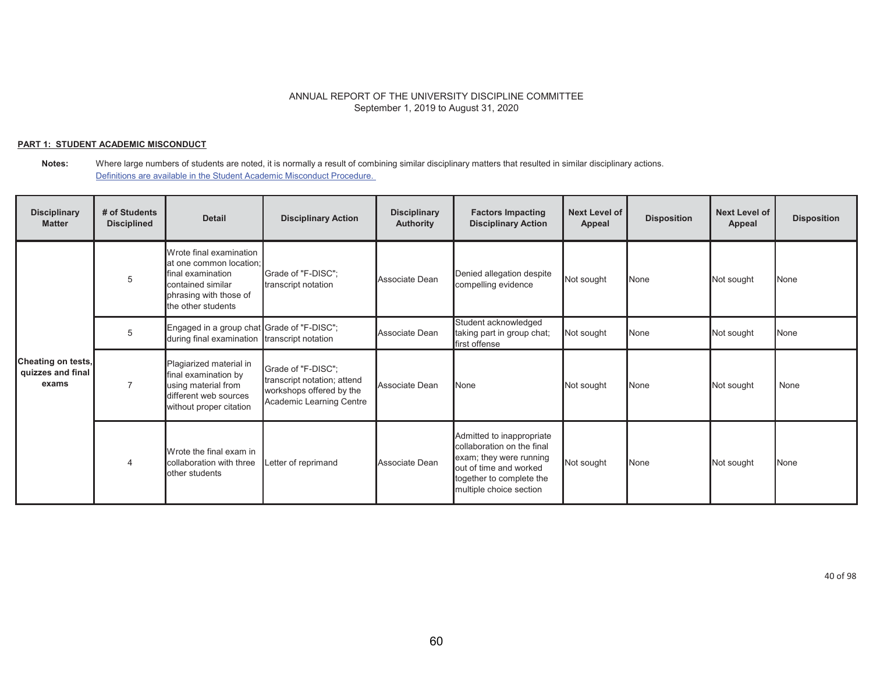## **PART 1: STUDENT ACADEMIC MISCONDUCT**

| <b>Disciplinary</b><br><b>Matter</b>             | # of Students<br><b>Disciplined</b> | <b>Detail</b>                                                                                                                                | <b>Disciplinary Action</b>                                                                                | <b>Disciplinary</b><br><b>Authority</b> | <b>Factors Impacting</b><br><b>Disciplinary Action</b>                                                                                                              | Next Level of<br><b>Appeal</b> | <b>Disposition</b> | Next Level of<br>Appeal | <b>Disposition</b> |
|--------------------------------------------------|-------------------------------------|----------------------------------------------------------------------------------------------------------------------------------------------|-----------------------------------------------------------------------------------------------------------|-----------------------------------------|---------------------------------------------------------------------------------------------------------------------------------------------------------------------|--------------------------------|--------------------|-------------------------|--------------------|
|                                                  | 5                                   | Wrote final examination<br>at one common location:<br>final examination<br>contained similar<br>phrasing with those of<br>the other students | Grade of "F-DISC";<br>transcript notation                                                                 | Associate Dean                          | Denied allegation despite<br>compelling evidence                                                                                                                    | Not sought                     | None               | Not sought              | None               |
|                                                  | 5                                   | Engaged in a group chat Grade of "F-DISC";<br>during final examination transcript notation                                                   |                                                                                                           | Associate Dean                          | Student acknowledged<br>taking part in group chat;<br>first offense                                                                                                 | Not sought                     | None               | Not sought              | None               |
| Cheating on tests,<br>quizzes and final<br>exams |                                     | Plagiarized material in<br>final examination by<br>using material from<br>different web sources<br>without proper citation                   | Grade of "F-DISC":<br>transcript notation; attend<br>workshops offered by the<br>Academic Learning Centre | Associate Dean                          | None                                                                                                                                                                | Not sought                     | None               | Not sought              | None               |
|                                                  |                                     | Wrote the final exam in<br>collaboration with three<br>other students                                                                        | Letter of reprimand                                                                                       | Associate Dean                          | Admitted to inappropriate<br>collaboration on the final<br>exam; they were running<br>out of time and worked<br>together to complete the<br>multiple choice section | Not sought                     | None               | Not sought              | None               |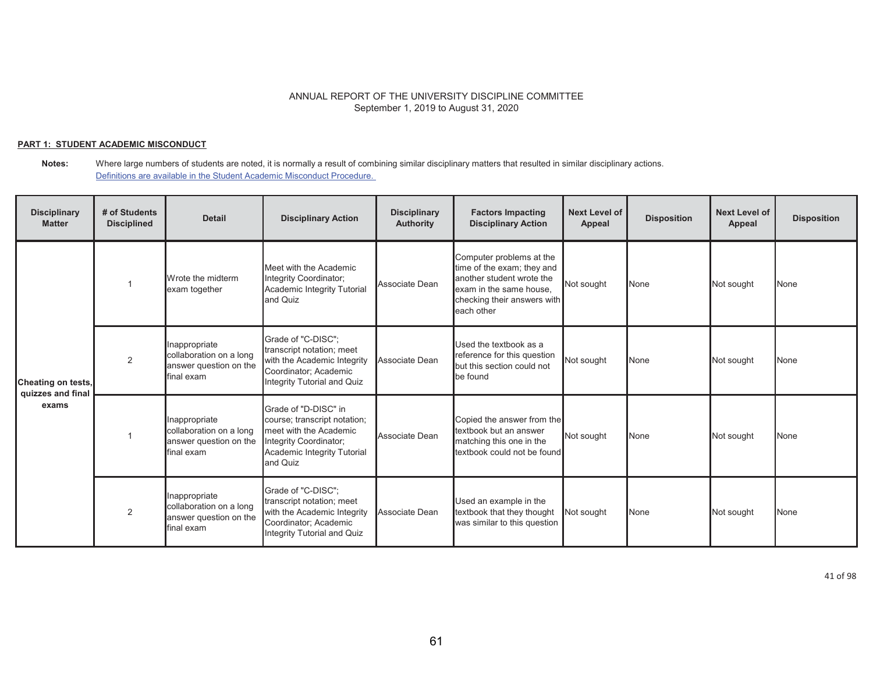## **PART 1: STUDENT ACADEMIC MISCONDUCT**

**Notes:** Where large numbers of students are noted, it is normally a result of combining similar disciplinary matters that resulted in similar disciplinary actions. Definitions are available in the Student Academic Misconduct Procedure.

| <b>Disciplinary</b><br><b>Matter</b>             | # of Students<br><b>Disciplined</b> | <b>Detail</b>                                                                    | <b>Disciplinary Action</b>                                                                                                                          | <b>Disciplinary</b><br><b>Authority</b> | <b>Factors Impacting</b><br><b>Disciplinary Action</b>                                                                                                      | <b>Next Level of</b><br>Appeal | <b>Disposition</b> | <b>Next Level of</b><br>Appeal | <b>Disposition</b> |
|--------------------------------------------------|-------------------------------------|----------------------------------------------------------------------------------|-----------------------------------------------------------------------------------------------------------------------------------------------------|-----------------------------------------|-------------------------------------------------------------------------------------------------------------------------------------------------------------|--------------------------------|--------------------|--------------------------------|--------------------|
| Cheating on tests,<br>quizzes and final<br>exams |                                     | Wrote the midterm<br>exam together                                               | Meet with the Academic<br>Integrity Coordinator;<br>Academic Integrity Tutorial<br>and Quiz                                                         | Associate Dean                          | Computer problems at the<br>time of the exam; they and<br>another student wrote the<br>exam in the same house.<br>checking their answers with<br>each other | Not sought                     | None               | Not sought                     | <b>None</b>        |
|                                                  | 2                                   | Inappropriate<br>collaboration on a long<br>answer question on the<br>final exam | Grade of "C-DISC":<br>transcript notation; meet<br>with the Academic Integrity<br>Coordinator; Academic<br>Integrity Tutorial and Quiz              | Associate Dean                          | Used the textbook as a<br>reference for this question<br>but this section could not<br>be found                                                             | Not sought                     | None               | Not sought                     | None               |
|                                                  |                                     | Inappropriate<br>collaboration on a long<br>answer question on the<br>final exam | Grade of "D-DISC" in<br>course; transcript notation;<br>meet with the Academic<br>Integrity Coordinator;<br>Academic Integrity Tutorial<br>and Quiz | Associate Dean                          | Copied the answer from the<br>textbook but an answer<br>matching this one in the<br>textbook could not be found                                             | Not sought                     | None               | Not sought                     | None               |
|                                                  | 2                                   | Inappropriate<br>collaboration on a long<br>answer question on the<br>final exam | Grade of "C-DISC":<br>transcript notation; meet<br>with the Academic Integrity<br>Coordinator; Academic<br>Integrity Tutorial and Quiz              | Associate Dean                          | Used an example in the<br>textbook that they thought<br>was similar to this question                                                                        | Not sought                     | None               | Not sought                     | <b>None</b>        |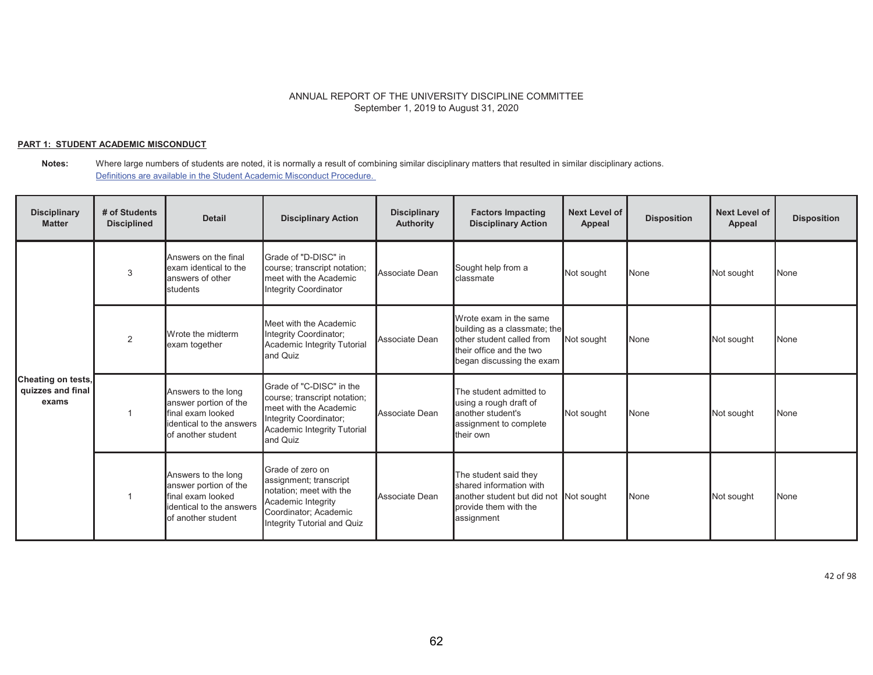## **PART 1: STUDENT ACADEMIC MISCONDUCT**

| <b>Disciplinary</b><br><b>Matter</b>             | # of Students<br><b>Disciplined</b> | <b>Detail</b>                                                                                                       | <b>Disciplinary Action</b>                                                                                                                              | <b>Disciplinary</b><br><b>Authority</b> | <b>Factors Impacting</b><br><b>Disciplinary Action</b>                                                                                       | Next Level of<br>Appeal | <b>Disposition</b> | <b>Next Level of</b><br>Appeal | <b>Disposition</b> |
|--------------------------------------------------|-------------------------------------|---------------------------------------------------------------------------------------------------------------------|---------------------------------------------------------------------------------------------------------------------------------------------------------|-----------------------------------------|----------------------------------------------------------------------------------------------------------------------------------------------|-------------------------|--------------------|--------------------------------|--------------------|
|                                                  | 3                                   | Answers on the final<br>exam identical to the<br>answers of other<br>students                                       | Grade of "D-DISC" in<br>course; transcript notation;<br>meet with the Academic<br>Integrity Coordinator                                                 | Associate Dean                          | Sought help from a<br>classmate                                                                                                              | Not sought              | None               | Not sought                     | None               |
| Cheating on tests,<br>quizzes and final<br>exams | 2                                   | Wrote the midterm<br>exam together                                                                                  | Meet with the Academic<br>Integrity Coordinator;<br>Academic Integrity Tutorial<br>and Quiz                                                             | Associate Dean                          | Wrote exam in the same<br>building as a classmate; the<br>other student called from<br>their office and the two<br>began discussing the exam | Not sought              | None               | Not sought                     | None               |
|                                                  |                                     | Answers to the long<br>answer portion of the<br>final exam looked<br>identical to the answers<br>of another student | Grade of "C-DISC" in the<br>course; transcript notation;<br>meet with the Academic<br>Integrity Coordinator;<br>Academic Integrity Tutorial<br>and Quiz | Associate Dean                          | The student admitted to<br>using a rough draft of<br>another student's<br>assignment to complete<br>their own                                | Not sought              | None               | Not sought                     | None               |
|                                                  |                                     | Answers to the long<br>answer portion of the<br>final exam looked<br>identical to the answers<br>of another student | Grade of zero on<br>assignment; transcript<br>notation; meet with the<br>Academic Integrity<br>Coordinator; Academic<br>Integrity Tutorial and Quiz     | Associate Dean                          | The student said they<br>shared information with<br>another student but did not Not sought<br>provide them with the<br>assignment            |                         | None               | Not sought                     | None               |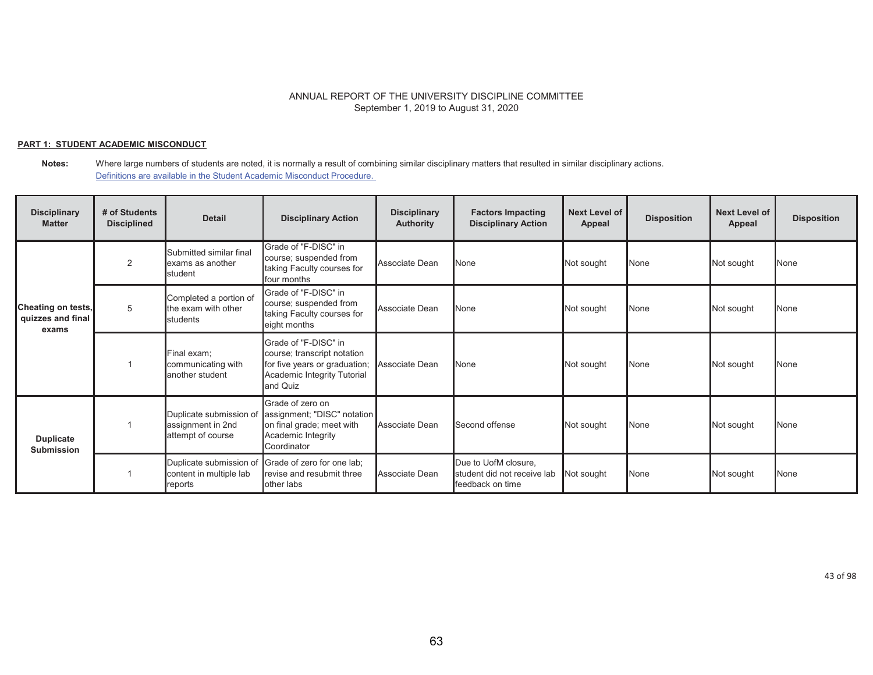## **PART 1: STUDENT ACADEMIC MISCONDUCT**

**Notes:** Where large numbers of students are noted, it is normally a result of combining similar disciplinary matters that resulted in similar disciplinary actions. Definitions are available in the Student Academic Misconduct Procedure.

| <b>Disciplinary</b><br><b>Matter</b>             | # of Students<br><b>Disciplined</b> | <b>Detail</b>                                                     | <b>Disciplinary Action</b>                                                                                                      | <b>Disciplinary</b><br><b>Authority</b> | <b>Factors Impacting</b><br><b>Disciplinary Action</b>                  | <b>Next Level of</b><br>Appeal | <b>Disposition</b> | <b>Next Level of</b><br>Appeal | <b>Disposition</b> |
|--------------------------------------------------|-------------------------------------|-------------------------------------------------------------------|---------------------------------------------------------------------------------------------------------------------------------|-----------------------------------------|-------------------------------------------------------------------------|--------------------------------|--------------------|--------------------------------|--------------------|
|                                                  | 2                                   | Submitted similar final<br>exams as another<br>student            | Grade of "F-DISC" in<br>course; suspended from<br>taking Faculty courses for<br>four months                                     | Associate Dean                          | <b>None</b>                                                             | Not sought                     | None               | Not sought                     | None               |
| Cheating on tests,<br>quizzes and final<br>exams | 5                                   | Completed a portion of<br>the exam with other<br><b>s</b> tudents | Grade of "F-DISC" in<br>course; suspended from<br>taking Faculty courses for<br>eight months                                    | Associate Dean                          | None                                                                    | Not sought                     | None               | Not sought                     | None               |
|                                                  |                                     | Final exam:<br>communicating with<br>another student              | Grade of "F-DISC" in<br>course; transcript notation<br>for five years or graduation;<br>Academic Integrity Tutorial<br>and Quiz | Associate Dean                          | <b>None</b>                                                             | Not sought                     | None               | Not sought                     | <b>None</b>        |
| <b>Duplicate</b><br><b>Submission</b>            |                                     | Duplicate submission of<br>assignment in 2nd<br>attempt of course | Grade of zero on<br>assignment; "DISC" notation<br>on final grade; meet with<br>Academic Integrity<br>Coordinator               | Associate Dean                          | Second offense                                                          | Not sought                     | None               | Not sought                     | <b>None</b>        |
|                                                  |                                     | Duplicate submission of<br>content in multiple lab<br>reports     | Grade of zero for one lab;<br>revise and resubmit three<br>other labs                                                           | Associate Dean                          | Due to UofM closure,<br>student did not receive lab<br>feedback on time | Not sought                     | None               | Not sought                     | None               |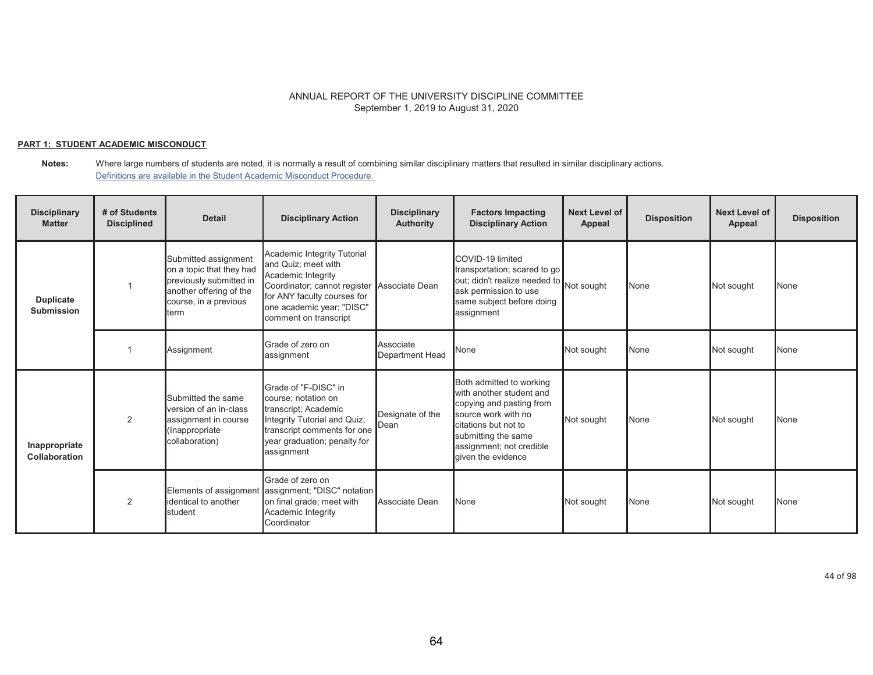## **PART 1: STUDENT ACADEMIC MISCONDUCT**

#### **Notes:** Where large numbers of students are noted, it is normally a result of combining similar disciplinary matters that resulted in similar disciplinary actions. Definitions are available in the Student Academic Misconduct Procedure.

| <b>Disciplinary</b><br><b>Matter</b>  | # of Students<br><b>Disciplined</b> | <b>Detail</b>                                                                                                                           | <b>Disciplinary Action</b>                                                                                                                                                                                   | <b>Disciplinary</b><br><b>Authority</b> | <b>Factors Impacting</b><br><b>Disciplinary Action</b>                                                                                                                                                   | Next Level of<br>Appeal | <b>Disposition</b> | <b>Next Level of</b><br>Appeal | <b>Disposition</b> |
|---------------------------------------|-------------------------------------|-----------------------------------------------------------------------------------------------------------------------------------------|--------------------------------------------------------------------------------------------------------------------------------------------------------------------------------------------------------------|-----------------------------------------|----------------------------------------------------------------------------------------------------------------------------------------------------------------------------------------------------------|-------------------------|--------------------|--------------------------------|--------------------|
| <b>Duplicate</b><br><b>Submission</b> |                                     | Submitted assignment<br>on a topic that they had<br>previously submitted in<br>another offering of the<br>course, in a previous<br>term | Academic Integrity Tutorial<br>and Quiz; meet with<br>Academic Integrity<br>Coordinator; cannot register Associate Dean<br>for ANY faculty courses for<br>one academic year; "DISC"<br>comment on transcript |                                         | COVID-19 limited<br>transportation; scared to go<br>out; didn't realize needed to<br>ask permission to use<br>same subject before doing<br>assignment                                                    | Not sought              | None               | Not sought                     | None               |
|                                       |                                     | Assignment                                                                                                                              | Grade of zero on<br>assignment                                                                                                                                                                               | Associate<br>Department Head            | None                                                                                                                                                                                                     | Not sought              | None               | Not sought                     | None               |
| Inappropriate<br>Collaboration        | 2                                   | Submitted the same<br>version of an in-class<br>assignment in course<br>(Inappropriate<br>collaboration)                                | Grade of "F-DISC" in<br>course; notation on<br>transcript; Academic<br>Integrity Tutorial and Quiz;<br>transcript comments for one<br>year graduation; penalty for<br>assignment                             | Designate of the<br>Dean                | Both admitted to working<br>with another student and<br>copying and pasting from<br>source work with no<br>citations but not to<br>submitting the same<br>assignment; not credible<br>given the evidence | Not sought              | None               | Not sought                     | None               |
|                                       | 2                                   | Elements of assignment<br>identical to another<br>student                                                                               | Grade of zero on<br>assignment; "DISC" notation<br>on final grade; meet with<br>Academic Integrity<br>Coordinator                                                                                            | Associate Dean                          | <b>None</b>                                                                                                                                                                                              | Not sought              | None               | Not sought                     | None               |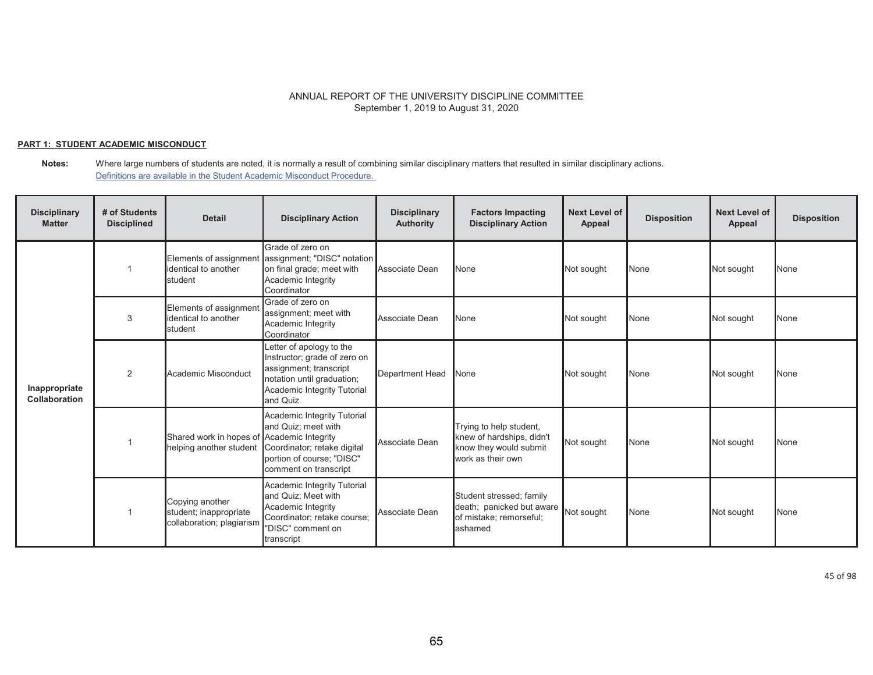## **PART 1: STUDENT ACADEMIC MISCONDUCT**

**Notes:** Where large numbers of students are noted, it is normally a result of combining similar disciplinary matters that resulted in similar disciplinary actions. Definitions are available in the Student Academic Misconduct Procedure.

| <b>Disciplinary</b><br><b>Matter</b>  | # of Students<br><b>Disciplined</b> | <b>Detail</b>                                                          | <b>Disciplinary Action</b>                                                                                                                                  | <b>Disciplinary</b><br><b>Authority</b> | <b>Factors Impacting</b><br><b>Disciplinary Action</b>                                              | <b>Next Level of</b><br>Appeal | <b>Disposition</b> | <b>Next Level of</b><br>Appeal | <b>Disposition</b> |
|---------------------------------------|-------------------------------------|------------------------------------------------------------------------|-------------------------------------------------------------------------------------------------------------------------------------------------------------|-----------------------------------------|-----------------------------------------------------------------------------------------------------|--------------------------------|--------------------|--------------------------------|--------------------|
|                                       |                                     | identical to another<br>student                                        | Grade of zero on<br>Elements of assignment assignment; "DISC" notation<br>on final grade; meet with<br>Academic Integrity<br>Coordinator                    | Associate Dean                          | <b>None</b>                                                                                         | Not sought                     | None               | Not sought                     | <b>None</b>        |
|                                       | 3                                   | Elements of assignment<br>identical to another<br>student              | Grade of zero on<br>assignment; meet with<br>Academic Integrity<br>Coordinator                                                                              | Associate Dean                          | None                                                                                                | Not sought                     | None               | Not sought                     | None               |
| Inappropriate<br><b>Collaboration</b> | 2                                   | Academic Misconduct                                                    | Letter of apology to the<br>Instructor; grade of zero on<br>assignment; transcript<br>notation until graduation;<br>Academic Integrity Tutorial<br>and Quiz | <b>Department Head</b>                  | None                                                                                                | Not sought                     | None               | Not sought                     | None               |
|                                       |                                     | Shared work in hopes of Academic Integrity<br>helping another student  | Academic Integrity Tutorial<br>and Quiz; meet with<br>Coordinator; retake digital<br>portion of course; "DISC"<br>comment on transcript                     | Associate Dean                          | Trying to help student,<br>knew of hardships, didn't<br>know they would submit<br>work as their own | Not sought                     | None               | Not sought                     | None               |
|                                       |                                     | Copying another<br>student; inappropriate<br>collaboration; plagiarism | Academic Integrity Tutorial<br>and Quiz; Meet with<br>Academic Integrity<br>Coordinator; retake course;<br>"DISC" comment on<br>transcript                  | Associate Dean                          | Student stressed; family<br>death; panicked but aware<br>of mistake; remorseful;<br>lashamed        | Not sought                     | None               | Not sought                     | None               |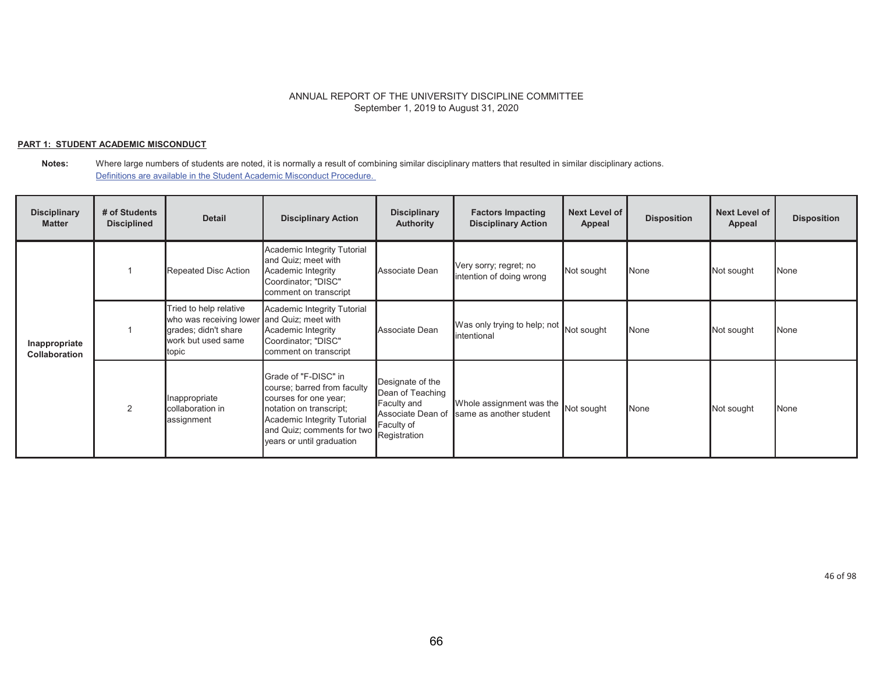## **PART 1: STUDENT ACADEMIC MISCONDUCT**

#### **Notes:** Where large numbers of students are noted, it is normally a result of combining similar disciplinary matters that resulted in similar disciplinary actions. Definitions are available in the Student Academic Misconduct Procedure.

| <b>Disciplinary</b><br><b>Matter</b>  | # of Students<br><b>Disciplined</b> | <b>Detail</b>                                                                                            | <b>Disciplinary Action</b>                                                                                                                                                                        | <b>Disciplinary</b><br><b>Authority</b>                                                                | <b>Factors Impacting</b><br><b>Disciplinary Action</b> | <b>Next Level of</b><br>Appeal | <b>Disposition</b> | <b>Next Level of</b><br>Appeal | <b>Disposition</b> |
|---------------------------------------|-------------------------------------|----------------------------------------------------------------------------------------------------------|---------------------------------------------------------------------------------------------------------------------------------------------------------------------------------------------------|--------------------------------------------------------------------------------------------------------|--------------------------------------------------------|--------------------------------|--------------------|--------------------------------|--------------------|
|                                       |                                     | Repeated Disc Action                                                                                     | Academic Integrity Tutorial<br>and Quiz; meet with<br>Academic Integrity<br>Coordinator; "DISC"<br>comment on transcript                                                                          | Associate Dean                                                                                         | Very sorry; regret; no<br>intention of doing wrong     | Not sought                     | None               | Not sought                     | None               |
| Inappropriate<br><b>Collaboration</b> |                                     | Tried to help relative<br>who was receiving lower<br>grades; didn't share<br>work but used same<br>topic | Academic Integrity Tutorial<br>and Quiz; meet with<br>Academic Integrity<br>Coordinator; "DISC"<br>comment on transcript                                                                          | Associate Dean                                                                                         | Was only trying to help; not<br>lintentional           | Not sought                     | None               | Not sought                     | None               |
|                                       | 2                                   | Inappropriate<br>collaboration in<br>assignment                                                          | Grade of "F-DISC" in<br>course; barred from faculty<br>courses for one year;<br>notation on transcript;<br>Academic Integrity Tutorial<br>and Quiz; comments for two<br>years or until graduation | Designate of the<br>Dean of Teaching<br>Faculty and<br>Associate Dean of<br>Faculty of<br>Registration | Whole assignment was the<br>same as another student    | Not sought                     | None               | Not sought                     | None               |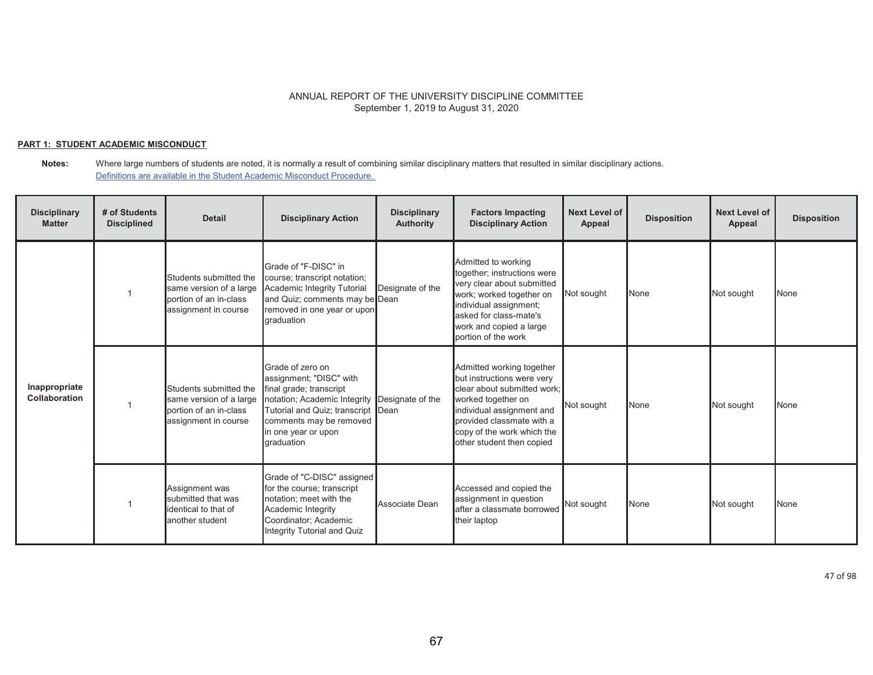## **PART 1: STUDENT ACADEMIC MISCONDUCT**

#### **Notes:** Where large numbers of students are noted, it is normally a result of combining similar disciplinary matters that resulted in similar disciplinary actions. Definitions are available in the Student Academic Misconduct Procedure.

| <b>Disciplinary</b><br><b>Matter</b> | # of Students<br><b>Disciplined</b> | <b>Detail</b>                                                                                       | <b>Disciplinary Action</b>                                                                                                                                                                                                    | <b>Disciplinary</b><br><b>Authority</b> | <b>Factors Impacting</b><br><b>Disciplinary Action</b>                                                                                                                                                                            | Next Level of<br>Appeal | <b>Disposition</b> | <b>Next Level of</b><br>Appeal | <b>Disposition</b> |
|--------------------------------------|-------------------------------------|-----------------------------------------------------------------------------------------------------|-------------------------------------------------------------------------------------------------------------------------------------------------------------------------------------------------------------------------------|-----------------------------------------|-----------------------------------------------------------------------------------------------------------------------------------------------------------------------------------------------------------------------------------|-------------------------|--------------------|--------------------------------|--------------------|
|                                      |                                     | Students submitted the<br>same version of a large<br>portion of an in-class<br>assignment in course | Grade of "F-DISC" in<br>course; transcript notation;<br>Academic Integrity Tutorial<br>and Quiz; comments may be Dean<br>removed in one year or upon<br><b>araduation</b>                                                     | Designate of the                        | Admitted to working<br>together; instructions were<br>very clear about submitted<br>work; worked together on<br>individual assignment;<br>asked for class-mate's<br>work and copied a large<br>portion of the work                | Not sought              | None               | Not sought                     | None               |
| Inappropriate<br>Collaboration       |                                     | Students submitted the<br>same version of a large<br>portion of an in-class<br>assignment in course | Grade of zero on<br>assignment; "DISC" with<br>final grade; transcript<br>notation; Academic Integrity Designate of the<br>Tutorial and Quiz; transcript Dean<br>comments may be removed<br>in one year or upon<br>graduation |                                         | Admitted working together<br>but instructions were very<br>clear about submitted work:<br>worked together on<br>individual assignment and<br>provided classmate with a<br>copy of the work which the<br>other student then copied | Not sought              | None               | Not sought                     | None               |
|                                      |                                     | Assignment was<br>submitted that was<br>identical to that of<br>another student                     | Grade of "C-DISC" assigned<br>for the course; transcript<br>notation; meet with the<br>Academic Integrity<br>Coordinator; Academic<br>Integrity Tutorial and Quiz                                                             | Associate Dean                          | Accessed and copied the<br>assignment in question<br>after a classmate borrowed<br>their laptop                                                                                                                                   | Not sought              | None               | Not sought                     | None               |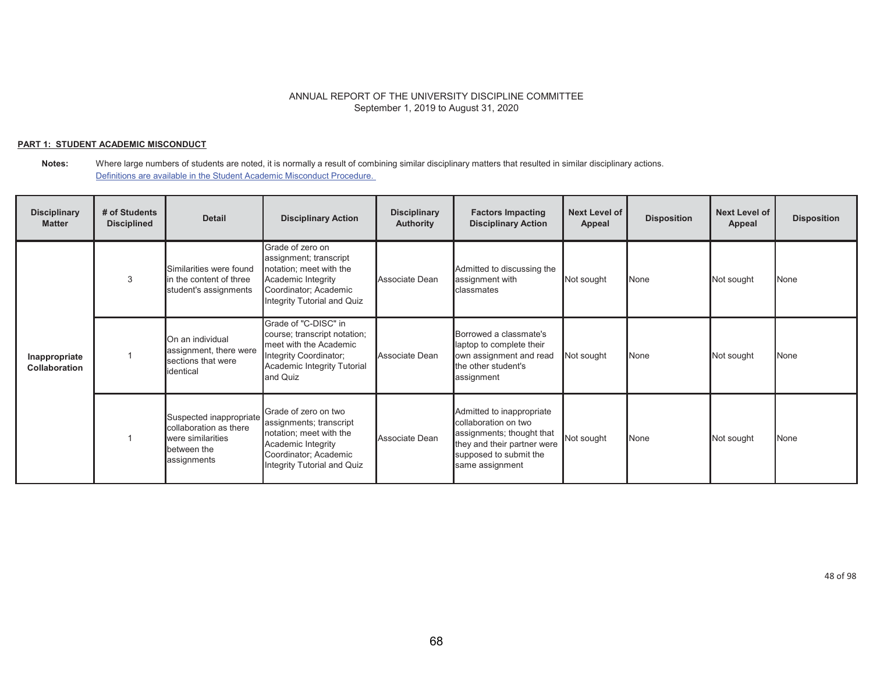## **PART 1: STUDENT ACADEMIC MISCONDUCT**

| <b>Disciplinary</b><br><b>Matter</b> | # of Students<br><b>Disciplined</b> | <b>Detail</b>                                                                                        | <b>Disciplinary Action</b>                                                                                                                               | <b>Disciplinary</b><br><b>Authority</b> | <b>Factors Impacting</b><br><b>Disciplinary Action</b>                                                                                                     | <b>Next Level of</b><br>Appeal | <b>Disposition</b> | <b>Next Level of</b><br>Appeal | <b>Disposition</b> |
|--------------------------------------|-------------------------------------|------------------------------------------------------------------------------------------------------|----------------------------------------------------------------------------------------------------------------------------------------------------------|-----------------------------------------|------------------------------------------------------------------------------------------------------------------------------------------------------------|--------------------------------|--------------------|--------------------------------|--------------------|
|                                      | 3                                   | Similarities were found<br>in the content of three<br>student's assignments                          | Grade of zero on<br>assignment; transcript<br>notation; meet with the<br>Academic Integrity<br>Coordinator; Academic<br>Integrity Tutorial and Quiz      | Associate Dean                          | Admitted to discussing the<br>assignment with<br>classmates                                                                                                | Not sought                     | None               | Not sought                     | <b>N</b> one       |
| Inappropriate<br>Collaboration       |                                     | On an individual<br>assignment, there were<br>sections that were<br>identical                        | Grade of "C-DISC" in<br>course; transcript notation;<br>meet with the Academic<br>Integrity Coordinator;<br>Academic Integrity Tutorial<br>and Quiz      | Associate Dean                          | Borrowed a classmate's<br>laptop to complete their<br>own assignment and read<br>the other student's<br>assignment                                         | Not sought                     | None               | Not sought                     | <b>None</b>        |
|                                      |                                     | Suspected inappropriate<br>collaboration as there<br>were similarities<br>between the<br>assignments | Grade of zero on two<br>assignments; transcript<br>notation; meet with the<br>Academic Integrity<br>Coordinator; Academic<br>Integrity Tutorial and Quiz | Associate Dean                          | Admitted to inappropriate<br>collaboration on two<br>assignments; thought that<br>they and their partner were<br>supposed to submit the<br>same assignment | Not sought                     | None               | Not sought                     | <b>None</b>        |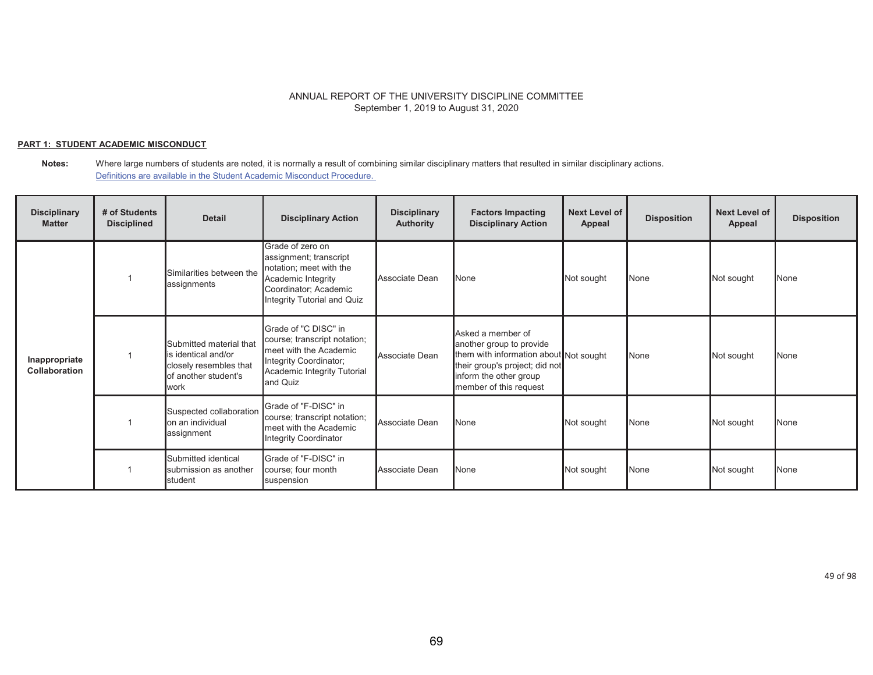## **PART 1: STUDENT ACADEMIC MISCONDUCT**

#### **Notes:** Where large numbers of students are noted, it is normally a result of combining similar disciplinary matters that resulted in similar disciplinary actions. Definitions are available in the Student Academic Misconduct Procedure.

| <b>Disciplinary</b><br><b>Matter</b>  | # of Students<br><b>Disciplined</b> | <b>Detail</b>                                                                                             | <b>Disciplinary Action</b>                                                                                                                          | <b>Disciplinary</b><br>Authority | <b>Factors Impacting</b><br><b>Disciplinary Action</b>                                                                                                                        | <b>Next Level of</b><br>Appeal | <b>Disposition</b> | <b>Next Level of</b><br>Appeal | <b>Disposition</b> |
|---------------------------------------|-------------------------------------|-----------------------------------------------------------------------------------------------------------|-----------------------------------------------------------------------------------------------------------------------------------------------------|----------------------------------|-------------------------------------------------------------------------------------------------------------------------------------------------------------------------------|--------------------------------|--------------------|--------------------------------|--------------------|
|                                       |                                     | Similarities between the<br>assignments                                                                   | Grade of zero on<br>assignment; transcript<br>notation; meet with the<br>Academic Integrity<br>Coordinator; Academic<br>Integrity Tutorial and Quiz | Associate Dean                   | None                                                                                                                                                                          | Not sought                     | <b>None</b>        | Not sought                     | None               |
| Inappropriate<br><b>Collaboration</b> |                                     | Submitted material that<br>is identical and/or<br>closely resembles that<br>of another student's<br>lwork | Grade of "C DISC" in<br>course; transcript notation;<br>meet with the Academic<br>Integrity Coordinator;<br>Academic Integrity Tutorial<br>and Quiz | Associate Dean                   | Asked a member of<br>another group to provide<br>them with information about Not sought<br>their group's project; did not<br>inform the other group<br>member of this request |                                | None               | Not sought                     | None               |
|                                       |                                     | Suspected collaboration<br>on an individual<br>assignment                                                 | Grade of "F-DISC" in<br>course; transcript notation;<br>meet with the Academic<br><b>Integrity Coordinator</b>                                      | Associate Dean                   | None                                                                                                                                                                          | Not sought                     | None               | Not sought                     | None               |
|                                       |                                     | Submitted identical<br>submission as another<br>student                                                   | Grade of "F-DISC" in<br>course; four month<br>suspension                                                                                            | Associate Dean                   | None                                                                                                                                                                          | Not sought                     | <b>None</b>        | Not sought                     | None               |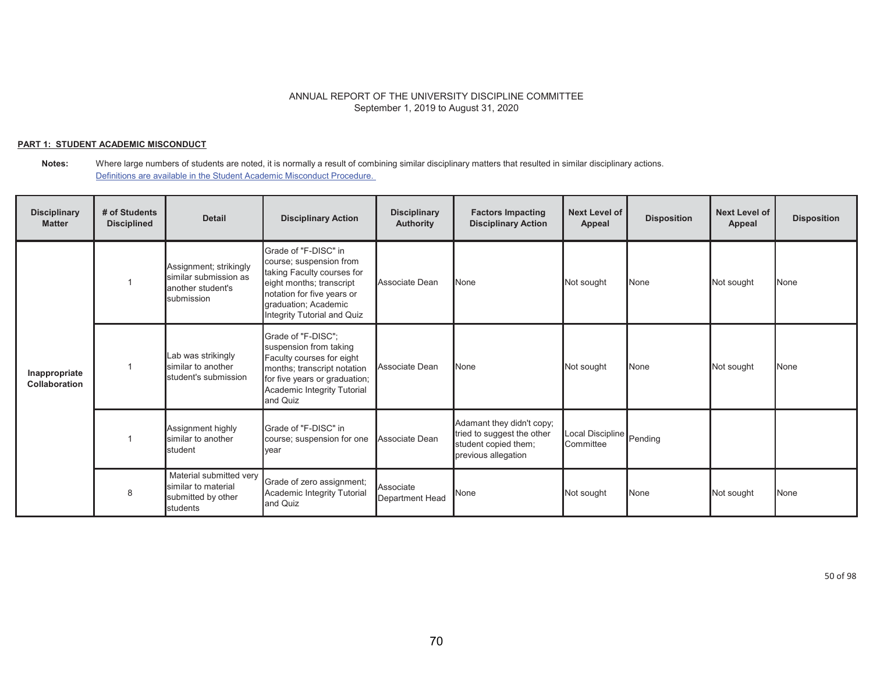## **PART 1: STUDENT ACADEMIC MISCONDUCT**

**Notes:** Where large numbers of students are noted, it is normally a result of combining similar disciplinary matters that resulted in similar disciplinary actions. Definitions are available in the Student Academic Misconduct Procedure.

| <b>Disciplinary</b><br><b>Matter</b> | # of Students<br><b>Disciplined</b> | <b>Detail</b>                                                                      | <b>Disciplinary Action</b>                                                                                                                                                                     | <b>Disciplinary</b><br><b>Authority</b> | <b>Factors Impacting</b><br><b>Disciplinary Action</b>                                                 | <b>Next Level of</b><br><b>Appeal</b> | <b>Disposition</b> | <b>Next Level of</b><br>Appeal | <b>Disposition</b> |
|--------------------------------------|-------------------------------------|------------------------------------------------------------------------------------|------------------------------------------------------------------------------------------------------------------------------------------------------------------------------------------------|-----------------------------------------|--------------------------------------------------------------------------------------------------------|---------------------------------------|--------------------|--------------------------------|--------------------|
|                                      |                                     | Assignment; strikingly<br>similar submission as<br>another student's<br>submission | Grade of "F-DISC" in<br>course; suspension from<br>taking Faculty courses for<br>eight months; transcript<br>notation for five years or<br>graduation; Academic<br>Integrity Tutorial and Quiz | Associate Dean                          | <b>N</b> one                                                                                           | Not sought                            | None               | Not sought                     | None               |
| Inappropriate<br>Collaboration       |                                     | Lab was strikingly<br>similar to another<br>student's submission                   | Grade of "F-DISC":<br>suspension from taking<br>Faculty courses for eight<br>months; transcript notation<br>for five years or graduation;<br>Academic Integrity Tutorial<br>and Quiz           | Associate Dean                          | <b>None</b>                                                                                            | Not sought                            | None               | Not sought                     | None               |
|                                      |                                     | Assignment highly<br>similar to another<br>student                                 | Grade of "F-DISC" in<br>course; suspension for one<br>year                                                                                                                                     | Associate Dean                          | Adamant they didn't copy;<br>tried to suggest the other<br>student copied them;<br>previous allegation | Local Discipline Pending<br>Committee |                    |                                |                    |
|                                      | 8                                   | Material submitted very<br>similar to material<br>submitted by other<br>students   | Grade of zero assignment;<br>Academic Integrity Tutorial<br>and Quiz                                                                                                                           | Associate<br>Department Head            | None                                                                                                   | Not sought                            | None               | Not sought                     | None               |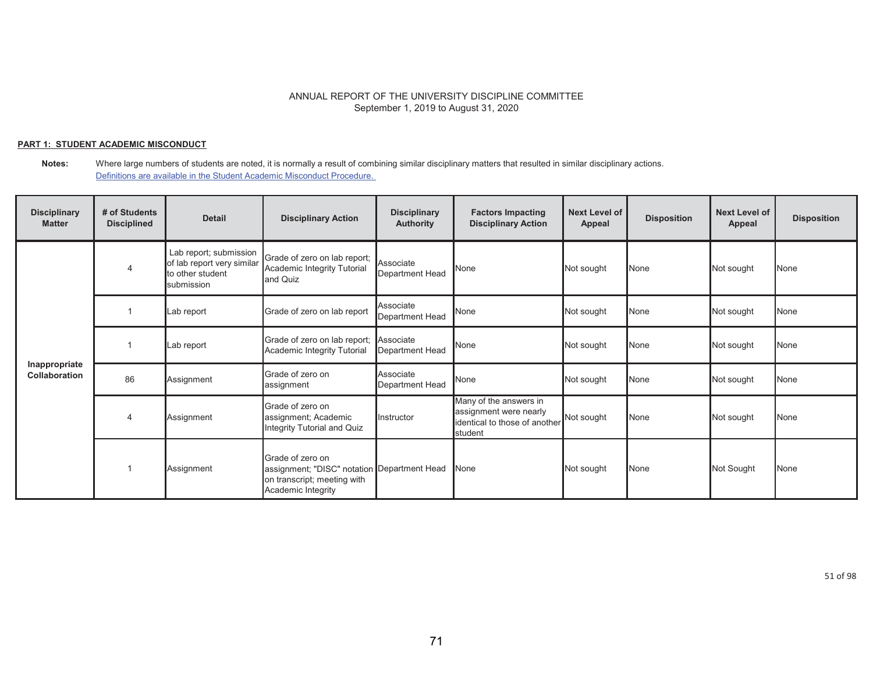## **PART 1: STUDENT ACADEMIC MISCONDUCT**

| <b>Disciplinary</b><br><b>Matter</b> | # of Students<br><b>Disciplined</b> | <b>Detail</b>                                                                          | <b>Disciplinary Action</b>                                                                                           | <b>Disciplinary</b><br><b>Authority</b> | <b>Factors Impacting</b><br><b>Disciplinary Action</b>                                       | <b>Next Level of</b><br><b>Appeal</b> | <b>Disposition</b> | <b>Next Level of</b><br><b>Appeal</b> | <b>Disposition</b> |
|--------------------------------------|-------------------------------------|----------------------------------------------------------------------------------------|----------------------------------------------------------------------------------------------------------------------|-----------------------------------------|----------------------------------------------------------------------------------------------|---------------------------------------|--------------------|---------------------------------------|--------------------|
|                                      | $\overline{4}$                      | Lab report; submission<br>of lab report very similar<br>to other student<br>submission | Grade of zero on lab report;<br>Academic Integrity Tutorial<br>and Quiz                                              | Associate<br>Department Head            | None                                                                                         | Not sought                            | None               | Not sought                            | None               |
|                                      |                                     | Lab report                                                                             | Grade of zero on lab report                                                                                          | Associate<br>Department Head            | None                                                                                         | Not sought                            | None               | Not sought                            | None               |
|                                      |                                     | Lab report                                                                             | Grade of zero on lab report;<br>Academic Integrity Tutorial                                                          | Associate<br>Department Head            | None                                                                                         | Not sought                            | None               | Not sought                            | None               |
| Inappropriate<br>Collaboration       | 86                                  | Assignment                                                                             | Grade of zero on<br>assignment                                                                                       | Associate<br>Department Head            | None                                                                                         | Not sought                            | None               | Not sought                            | None               |
|                                      | 4                                   | Assignment                                                                             | Grade of zero on<br>assignment; Academic<br>Integrity Tutorial and Quiz                                              | Instructor                              | Many of the answers in<br>assignment were nearly<br>identical to those of another<br>student | Not sought                            | None               | Not sought                            | None               |
|                                      |                                     | Assignment                                                                             | Grade of zero on<br>assignment; "DISC" notation Department Head<br>on transcript; meeting with<br>Academic Integrity |                                         | None                                                                                         | Not sought                            | None               | Not Sought                            | None               |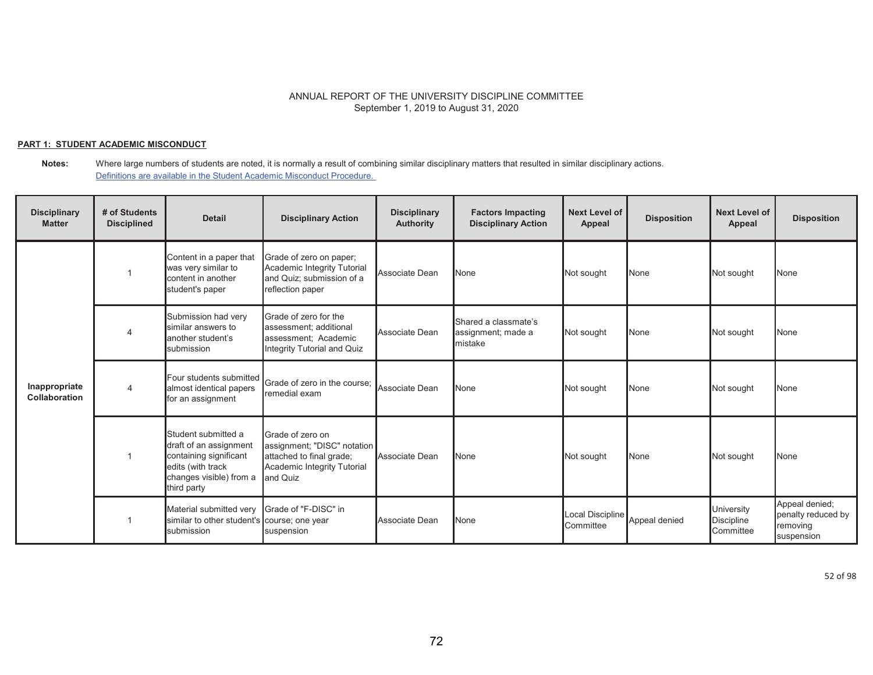## **PART 1: STUDENT ACADEMIC MISCONDUCT**

**Notes:** Where large numbers of students are noted, it is normally a result of combining similar disciplinary matters that resulted in similar disciplinary actions. Definitions are available in the Student Academic Misconduct Procedure.

| <b>Disciplinary</b><br><b>Matter</b> | # of Students<br><b>Disciplined</b> | <b>Detail</b>                                                                                                                          | <b>Disciplinary Action</b>                                                                                             | <b>Disciplinary</b><br><b>Authority</b> | <b>Factors Impacting</b><br><b>Disciplinary Action</b> | <b>Next Level of</b><br>Appeal | <b>Disposition</b> | <b>Next Level of</b><br>Appeal               | <b>Disposition</b>                                             |
|--------------------------------------|-------------------------------------|----------------------------------------------------------------------------------------------------------------------------------------|------------------------------------------------------------------------------------------------------------------------|-----------------------------------------|--------------------------------------------------------|--------------------------------|--------------------|----------------------------------------------|----------------------------------------------------------------|
|                                      |                                     | Content in a paper that<br>was very similar to<br>content in another<br>student's paper                                                | Grade of zero on paper;<br>Academic Integrity Tutorial<br>and Quiz; submission of a<br>reflection paper                | Associate Dean                          | None                                                   | Not sought                     | <b>None</b>        | Not sought                                   | None                                                           |
|                                      |                                     | Submission had very<br>similar answers to<br>another student's<br>submission                                                           | Grade of zero for the<br>assessment; additional<br>assessment; Academic<br>Integrity Tutorial and Quiz                 | Associate Dean                          | Shared a classmate's<br>assignment; made a<br>Imistake | Not sought                     | None               | Not sought                                   | None                                                           |
| Inappropriate<br>Collaboration       | 4                                   | Four students submitted<br>almost identical papers<br>for an assignment                                                                | Grade of zero in the course;<br>remedial exam                                                                          | Associate Dean                          | None                                                   | Not sought                     | None               | Not sought                                   | None                                                           |
|                                      |                                     | Student submitted a<br>draft of an assignment<br>containing significant<br>edits (with track<br>changes visible) from a<br>third party | Grade of zero on<br>assignment; "DISC" notation<br>attached to final grade;<br>Academic Integrity Tutorial<br>and Quiz | Associate Dean                          | None                                                   | Not sought                     | None               | Not sought                                   | None                                                           |
|                                      |                                     | Material submitted very<br>similar to other student's course; one year<br>submission                                                   | Grade of "F-DISC" in<br>suspension                                                                                     | Associate Dean                          | None                                                   | Local Discipline<br>Committee  | Appeal denied      | University<br><b>Discipline</b><br>Committee | Appeal denied;<br>penalty reduced by<br>removing<br>suspension |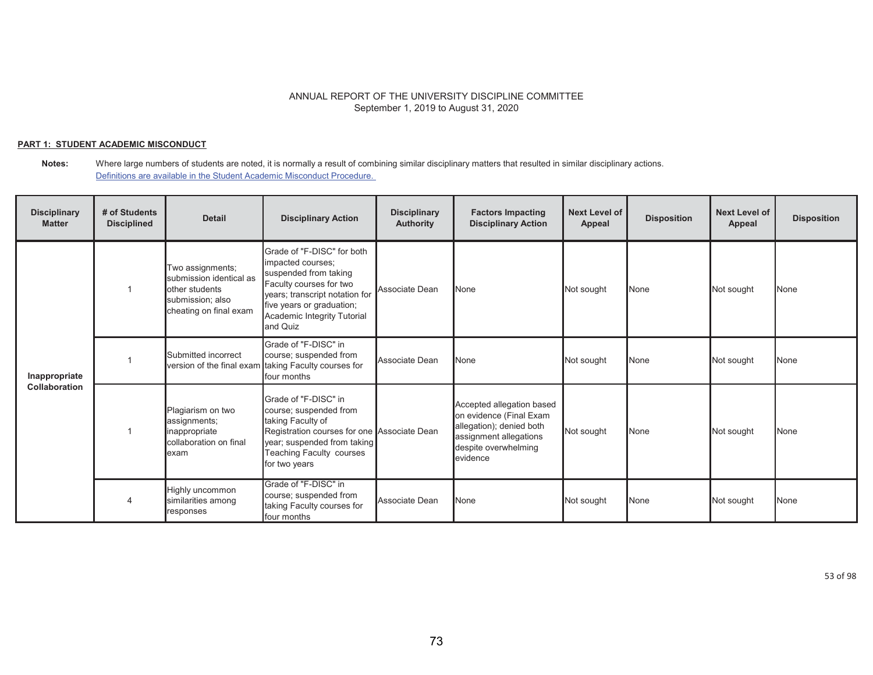## **PART 1: STUDENT ACADEMIC MISCONDUCT**

#### **Notes:** Where large numbers of students are noted, it is normally a result of combining similar disciplinary matters that resulted in similar disciplinary actions. Definitions are available in the Student Academic Misconduct Procedure.

| <b>Disciplinary</b><br><b>Matter</b> | # of Students<br><b>Disciplined</b> | <b>Detail</b>                                                                                               | <b>Disciplinary Action</b>                                                                                                                                                                                    | <b>Disciplinary</b><br><b>Authority</b> | <b>Factors Impacting</b><br><b>Disciplinary Action</b>                                                                                         | <b>Next Level of</b><br>Appeal | <b>Disposition</b> | <b>Next Level of</b><br>Appeal | <b>Disposition</b> |
|--------------------------------------|-------------------------------------|-------------------------------------------------------------------------------------------------------------|---------------------------------------------------------------------------------------------------------------------------------------------------------------------------------------------------------------|-----------------------------------------|------------------------------------------------------------------------------------------------------------------------------------------------|--------------------------------|--------------------|--------------------------------|--------------------|
|                                      |                                     | Two assignments;<br>submission identical as<br>other students<br>submission; also<br>cheating on final exam | Grade of "F-DISC" for both<br>impacted courses;<br>suspended from taking<br>Faculty courses for two<br>years; transcript notation for<br>five years or graduation;<br>Academic Integrity Tutorial<br>and Quiz | Associate Dean                          | None                                                                                                                                           | Not sought                     | None               | Not sought                     | None               |
| Inappropriate                        |                                     | Submitted incorrect                                                                                         | Grade of "F-DISC" in<br>course; suspended from<br>version of the final exam taking Faculty courses for<br>four months                                                                                         | Associate Dean                          | None                                                                                                                                           | Not sought                     | None               | Not sought                     | None               |
| <b>Collaboration</b>                 |                                     | Plagiarism on two<br>assignments;<br>inappropriate<br>collaboration on final<br>lexam                       | Grade of "F-DISC" in<br>course; suspended from<br>taking Faculty of<br>Registration courses for one Associate Dean<br>year; suspended from taking<br>Teaching Faculty courses<br>for two years                |                                         | Accepted allegation based<br>on evidence (Final Exam<br>allegation); denied both<br>assignment allegations<br>despite overwhelming<br>evidence | Not sought                     | <b>None</b>        | Not sought                     | None               |
|                                      |                                     | Highly uncommon<br>similarities among<br>responses                                                          | Grade of "F-DISC" in<br>course; suspended from<br>taking Faculty courses for<br>four months                                                                                                                   | Associate Dean                          | None                                                                                                                                           | Not sought                     | None               | Not sought                     | None               |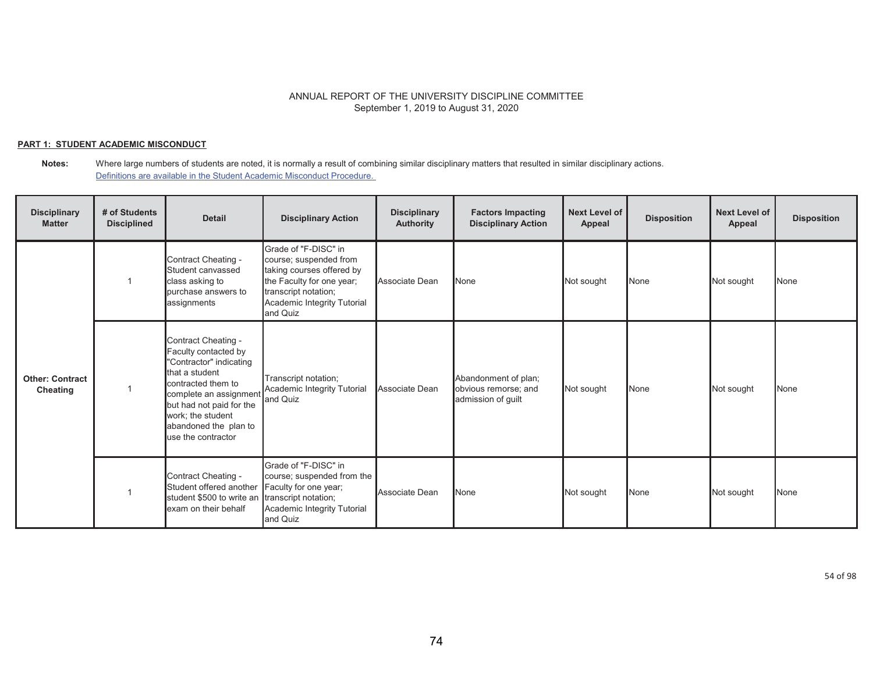## **PART 1: STUDENT ACADEMIC MISCONDUCT**

**Notes:** Where large numbers of students are noted, it is normally a result of combining similar disciplinary matters that resulted in similar disciplinary actions. Definitions are available in the Student Academic Misconduct Procedure.

| <b>Disciplinary</b><br><b>Matter</b> | # of Students<br><b>Disciplined</b> | <b>Detail</b>                                                                                                                                                                                                                           | <b>Disciplinary Action</b>                                                                                                                                                  | <b>Disciplinary</b><br>Authority | <b>Factors Impacting</b><br><b>Disciplinary Action</b>             | <b>Next Level of</b><br>Appeal | <b>Disposition</b> | <b>Next Level of</b><br>Appeal | <b>Disposition</b> |
|--------------------------------------|-------------------------------------|-----------------------------------------------------------------------------------------------------------------------------------------------------------------------------------------------------------------------------------------|-----------------------------------------------------------------------------------------------------------------------------------------------------------------------------|----------------------------------|--------------------------------------------------------------------|--------------------------------|--------------------|--------------------------------|--------------------|
|                                      |                                     | Contract Cheating -<br>Student canvassed<br>class asking to<br>purchase answers to<br>assignments                                                                                                                                       | Grade of "F-DISC" in<br>course; suspended from<br>taking courses offered by<br>the Faculty for one year;<br>transcript notation;<br>Academic Integrity Tutorial<br>and Quiz | Associate Dean                   | None                                                               | Not sought                     | None               | Not sought                     | None               |
| <b>Other: Contract</b><br>Cheating   |                                     | Contract Cheating -<br>Faculty contacted by<br>"Contractor" indicating<br>that a student<br>contracted them to<br>complete an assignmen<br>but had not paid for the<br>work; the student<br>abandoned the plan to<br>use the contractor | Transcript notation;<br>Academic Integrity Tutorial<br>and Quiz                                                                                                             | Associate Dean                   | Abandonment of plan;<br>obvious remorse; and<br>admission of guilt | Not sought                     | None               | Not sought                     | None               |
|                                      |                                     | Contract Cheating -<br>Student offered another<br>student \$500 to write an<br>exam on their behalf                                                                                                                                     | Grade of "F-DISC" in<br>course; suspended from the<br>Faculty for one year;<br>transcript notation;<br>Academic Integrity Tutorial<br>and Quiz                              | Associate Dean                   | None                                                               | Not sought                     | None               | Not sought                     | None               |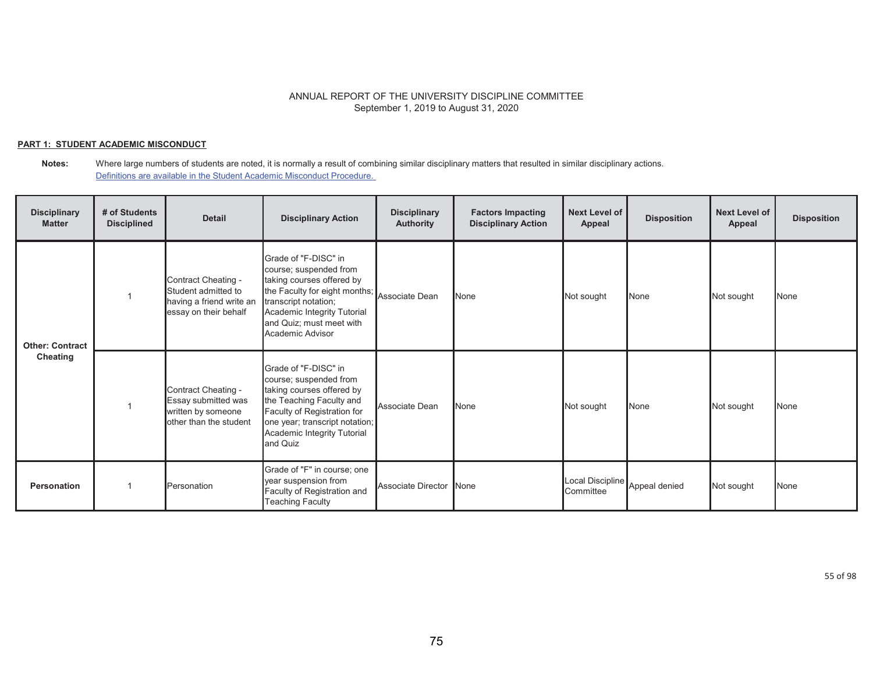## **PART 1: STUDENT ACADEMIC MISCONDUCT**

#### **Notes:** Where large numbers of students are noted, it is normally a result of combining similar disciplinary matters that resulted in similar disciplinary actions. Definitions are available in the Student Academic Misconduct Procedure.

| <b>Disciplinary</b><br><b>Matter</b> | # of Students<br><b>Disciplined</b> | <b>Detail</b>                                                                                   | <b>Disciplinary Action</b>                                                                                                                                                                                                         | <b>Disciplinary</b><br>Authority | <b>Factors Impacting</b><br><b>Disciplinary Action</b> | Next Level of<br>Appeal       | <b>Disposition</b> | <b>Next Level of</b><br>Appeal | <b>Disposition</b> |
|--------------------------------------|-------------------------------------|-------------------------------------------------------------------------------------------------|------------------------------------------------------------------------------------------------------------------------------------------------------------------------------------------------------------------------------------|----------------------------------|--------------------------------------------------------|-------------------------------|--------------------|--------------------------------|--------------------|
| <b>Other: Contract</b><br>Cheating   |                                     | Contract Cheating -<br>Student admitted to<br>having a friend write an<br>essay on their behalf | Grade of "F-DISC" in<br>course; suspended from<br>taking courses offered by<br>the Faculty for eight months; Associate Dean<br>transcript notation;<br>Academic Integrity Tutorial<br>and Quiz; must meet with<br>Academic Advisor |                                  | None                                                   | Not sought                    | None               | Not sought                     | None               |
|                                      |                                     | Contract Cheating -<br>Essay submitted was<br>written by someone<br>other than the student      | Grade of "F-DISC" in<br>course; suspended from<br>taking courses offered by<br>the Teaching Faculty and<br>Faculty of Registration for<br>one year; transcript notation;<br>Academic Integrity Tutorial<br>and Quiz                | Associate Dean                   | None                                                   | Not sought                    | None               | Not sought                     | None               |
| <b>Personation</b>                   |                                     | Personation                                                                                     | Grade of "F" in course; one<br>year suspension from<br>Faculty of Registration and<br><b>Teaching Faculty</b>                                                                                                                      | <b>Associate Director</b>        | None                                                   | Local Discipline<br>Committee | Appeal denied      | Not sought                     | None               |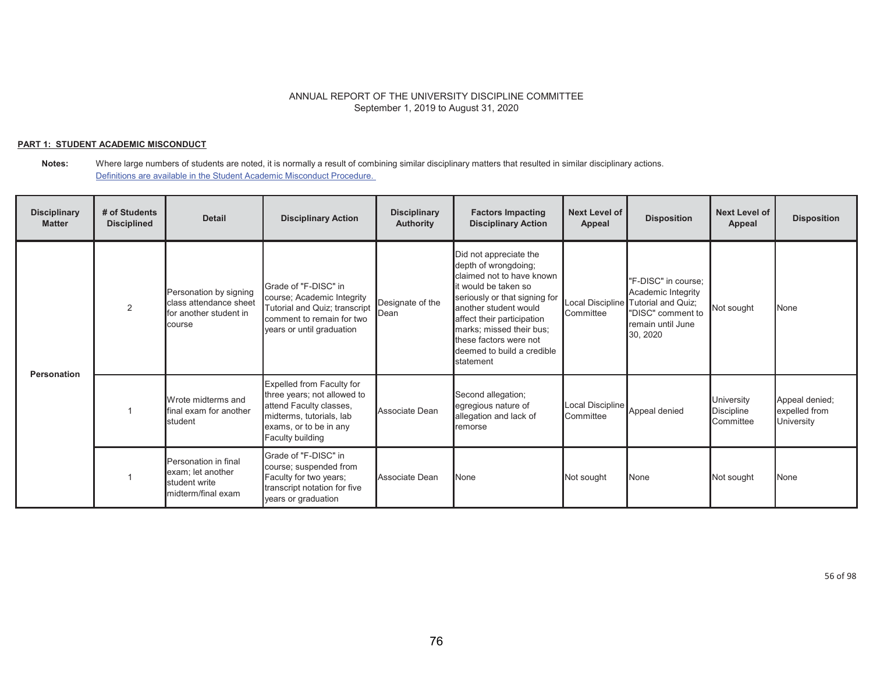## **PART 1: STUDENT ACADEMIC MISCONDUCT**

| <b>Disciplinary</b><br><b>Matter</b> | # of Students<br><b>Disciplined</b> | <b>Detail</b>                                                                        | <b>Disciplinary Action</b>                                                                                                                                    | <b>Disciplinary</b><br><b>Authority</b> | <b>Factors Impacting</b><br><b>Disciplinary Action</b>                                                                                                                                                                                                                                       | <b>Next Level of</b><br>Appeal | <b>Disposition</b>                                                                                                    | <b>Next Level of</b><br><b>Appeal</b>        | <b>Disposition</b>                            |
|--------------------------------------|-------------------------------------|--------------------------------------------------------------------------------------|---------------------------------------------------------------------------------------------------------------------------------------------------------------|-----------------------------------------|----------------------------------------------------------------------------------------------------------------------------------------------------------------------------------------------------------------------------------------------------------------------------------------------|--------------------------------|-----------------------------------------------------------------------------------------------------------------------|----------------------------------------------|-----------------------------------------------|
| <b>Personation</b>                   | 2                                   | Personation by signing<br>class attendance sheet<br>for another student in<br>course | Grade of "F-DISC" in<br>course; Academic Integrity<br>Tutorial and Quiz; transcript<br>comment to remain for two<br>years or until graduation                 | Designate of the<br>Dean                | Did not appreciate the<br>depth of wrongdoing;<br>claimed not to have known<br>it would be taken so<br>seriously or that signing for<br>another student would<br>affect their participation<br>marks; missed their bus;<br>these factors were not<br>deemed to build a credible<br>statement | Local Discipline<br>Committee  | "F-DISC" in course;<br>Academic Integrity<br>Tutorial and Quiz;<br>"DISC" comment to<br>remain until June<br>30, 2020 | Not sought                                   | None                                          |
|                                      |                                     | Wrote midterms and<br>final exam for another<br>student                              | Expelled from Faculty for<br>three years; not allowed to<br>attend Faculty classes,<br>midterms, tutorials, lab<br>exams, or to be in any<br>Faculty building | Associate Dean                          | Second allegation;<br>egregious nature of<br>allegation and lack of<br>remorse                                                                                                                                                                                                               | Local Discipline<br>Committee  | Appeal denied                                                                                                         | University<br><b>Discipline</b><br>Committee | Appeal denied;<br>expelled from<br>University |
|                                      |                                     | Personation in final<br>exam; let another<br>student write<br>midterm/final exam     | Grade of "F-DISC" in<br>course; suspended from<br>Faculty for two years;<br>transcript notation for five<br>years or graduation                               | Associate Dean                          | None                                                                                                                                                                                                                                                                                         | Not sought                     | None                                                                                                                  | Not sought                                   | None                                          |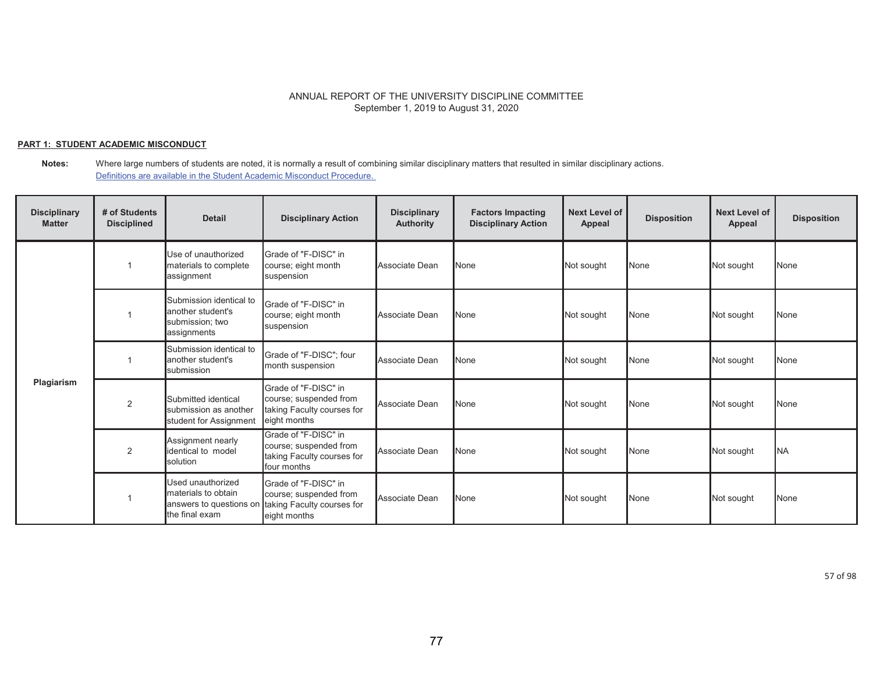## **PART 1: STUDENT ACADEMIC MISCONDUCT**

**Notes:** Where large numbers of students are noted, it is normally a result of combining similar disciplinary matters that resulted in similar disciplinary actions. Definitions are available in the Student Academic Misconduct Procedure.

| <b>Disciplinary</b><br><b>Matter</b> | # of Students<br><b>Disciplined</b> | <b>Detail</b>                                                                         | <b>Disciplinary Action</b>                                                                   | <b>Disciplinary</b><br><b>Authority</b> | <b>Factors Impacting</b><br><b>Disciplinary Action</b> | <b>Next Level of</b><br>Appeal | <b>Disposition</b> | <b>Next Level of</b><br>Appeal | <b>Disposition</b> |
|--------------------------------------|-------------------------------------|---------------------------------------------------------------------------------------|----------------------------------------------------------------------------------------------|-----------------------------------------|--------------------------------------------------------|--------------------------------|--------------------|--------------------------------|--------------------|
|                                      |                                     | Use of unauthorized<br>materials to complete<br>assignment                            | Grade of "F-DISC" in<br>course; eight month<br>suspension                                    | Associate Dean                          | <b>None</b>                                            | Not sought                     | None               | Not sought                     | <b>None</b>        |
|                                      |                                     | Submission identical to<br>another student's<br>submission; two<br>assignments        | Grade of "F-DISC" in<br>course; eight month<br>suspension                                    | Associate Dean                          | None                                                   | Not sought                     | None               | Not sought                     | <b>None</b>        |
|                                      |                                     | Submission identical to<br>another student's<br>submission                            | Grade of "F-DISC"; four<br>month suspension                                                  | Associate Dean                          | None                                                   | Not sought                     | None               | Not sought                     | None               |
| Plagiarism                           | $\overline{2}$                      | Submitted identical<br>submission as another<br>student for Assignment                | Grade of "F-DISC" in<br>course; suspended from<br>taking Faculty courses for<br>eight months | Associate Dean                          | None                                                   | Not sought                     | None               | Not sought                     | <b>None</b>        |
|                                      | 2                                   | Assignment nearly<br>identical to model<br><b>s</b> olution                           | Grade of "F-DISC" in<br>course; suspended from<br>taking Faculty courses for<br>four months  | Associate Dean                          | None                                                   | Not sought                     | None               | Not sought                     | <b>NA</b>          |
|                                      |                                     | Used unauthorized<br>materials to obtain<br>answers to questions on<br>the final exam | Grade of "F-DISC" in<br>course; suspended from<br>taking Faculty courses for<br>eight months | Associate Dean                          | None                                                   | Not sought                     | None               | Not sought                     | <b>None</b>        |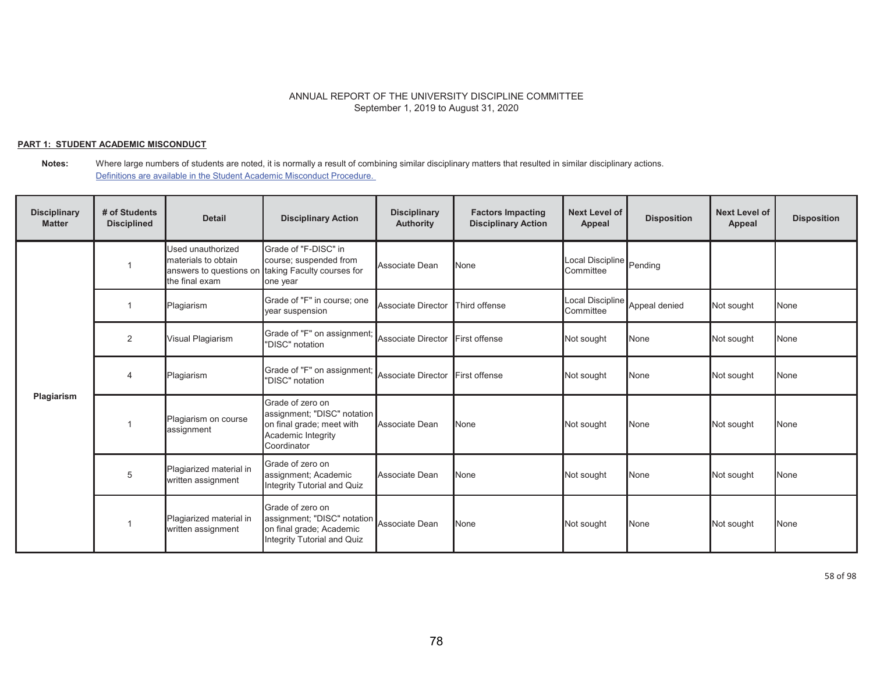## **PART 1: STUDENT ACADEMIC MISCONDUCT**

**Notes:** Where large numbers of students are noted, it is normally a result of combining similar disciplinary matters that resulted in similar disciplinary actions. Definitions are available in the Student Academic Misconduct Procedure.

| <b>Disciplinary</b><br><b>Matter</b> | # of Students<br><b>Disciplined</b> | <b>Detail</b>                                                                         | <b>Disciplinary Action</b>                                                                                        | <b>Disciplinary</b><br><b>Authority</b> | <b>Factors Impacting</b><br><b>Disciplinary Action</b> | Next Level of<br>Appeal       | <b>Disposition</b> | <b>Next Level of</b><br>Appeal | <b>Disposition</b> |
|--------------------------------------|-------------------------------------|---------------------------------------------------------------------------------------|-------------------------------------------------------------------------------------------------------------------|-----------------------------------------|--------------------------------------------------------|-------------------------------|--------------------|--------------------------------|--------------------|
|                                      |                                     | Used unauthorized<br>materials to obtain<br>answers to questions on<br>the final exam | Grade of "F-DISC" in<br>course; suspended from<br>taking Faculty courses for<br>one year                          | Associate Dean                          | None                                                   | Local Discipline<br>Committee | Pending            |                                |                    |
|                                      |                                     | Plagiarism                                                                            | Grade of "F" in course; one<br>year suspension                                                                    | <b>Associate Director</b>               | Third offense                                          | Local Discipline<br>Committee | Appeal denied      | Not sought                     | None               |
|                                      | 2                                   | Visual Plagiarism                                                                     | Grade of "F" on assignment;<br>"DISC" notation                                                                    | Associate Director                      | First offense                                          | Not sought                    | None               | Not sought                     | None               |
|                                      | 4                                   | Plagiarism                                                                            | Grade of "F" on assignment;<br>"DISC" notation                                                                    | Associate Director                      | First offense                                          | Not sought                    | None               | Not sought                     | <b>None</b>        |
| Plagiarism                           |                                     | Plagiarism on course<br>assignment                                                    | Grade of zero on<br>assignment; "DISC" notation<br>on final grade; meet with<br>Academic Integrity<br>Coordinator | Associate Dean                          | None                                                   | Not sought                    | None               | Not sought                     | None               |
|                                      | 5                                   | Plagiarized material in<br>written assignment                                         | Grade of zero on<br>assignment; Academic<br>Integrity Tutorial and Quiz                                           | Associate Dean                          | None                                                   | Not sought                    | None               | Not sought                     | None               |
|                                      |                                     | Plagiarized material in<br>written assignment                                         | Grade of zero on<br>assignment; "DISC" notation<br>on final grade; Academic<br>Integrity Tutorial and Quiz        | Associate Dean                          | None                                                   | Not sought                    | None               | Not sought                     | <b>None</b>        |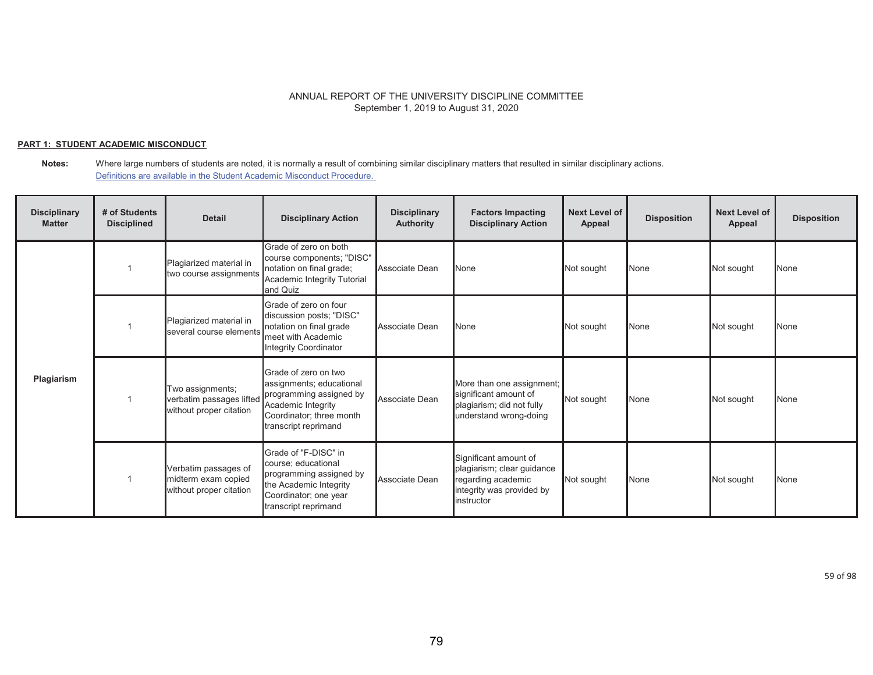## **PART 1: STUDENT ACADEMIC MISCONDUCT**

#### **Notes:** Where large numbers of students are noted, it is normally a result of combining similar disciplinary matters that resulted in similar disciplinary actions. Definitions are available in the Student Academic Misconduct Procedure.

| <b>Disciplinary</b><br><b>Matter</b> | # of Students<br><b>Disciplined</b> | <b>Detail</b>                                                           | <b>Disciplinary Action</b>                                                                                                                            | <b>Disciplinary</b><br><b>Authority</b> | <b>Factors Impacting</b><br><b>Disciplinary Action</b>                                                               | <b>Next Level of</b><br>Appeal | <b>Disposition</b> | <b>Next Level of</b><br>Appeal | <b>Disposition</b> |
|--------------------------------------|-------------------------------------|-------------------------------------------------------------------------|-------------------------------------------------------------------------------------------------------------------------------------------------------|-----------------------------------------|----------------------------------------------------------------------------------------------------------------------|--------------------------------|--------------------|--------------------------------|--------------------|
| Plagiarism                           |                                     | Plagiarized material in<br>two course assignments                       | Grade of zero on both<br>course components; "DISC"<br>notation on final grade;<br>Academic Integrity Tutorial<br>and Quiz                             | Associate Dean                          | None                                                                                                                 | Not sought                     | None               | Not sought                     | None               |
|                                      |                                     | Plagiarized material in<br>several course elements                      | Grade of zero on four<br>discussion posts; "DISC"<br>notation on final grade<br>meet with Academic<br>Integrity Coordinator                           | Associate Dean                          | None                                                                                                                 | Not sought                     | None               | Not sought                     | None               |
|                                      |                                     | Two assignments;<br>verbatim passages lifted<br>without proper citation | Grade of zero on two<br>assignments; educational<br>programming assigned by<br>Academic Integrity<br>Coordinator; three month<br>transcript reprimand | Associate Dean                          | More than one assignment;<br>significant amount of<br>plagiarism; did not fully<br>understand wrong-doing            | Not sought                     | None               | Not sought                     | None               |
|                                      |                                     | Verbatim passages of<br>midterm exam copied<br>without proper citation  | Grade of "F-DISC" in<br>course; educational<br>programming assigned by<br>the Academic Integrity<br>Coordinator; one year<br>transcript reprimand     | Associate Dean                          | Significant amount of<br>plagiarism; clear guidance<br>regarding academic<br>integrity was provided by<br>instructor | Not sought                     | None               | Not sought                     | None               |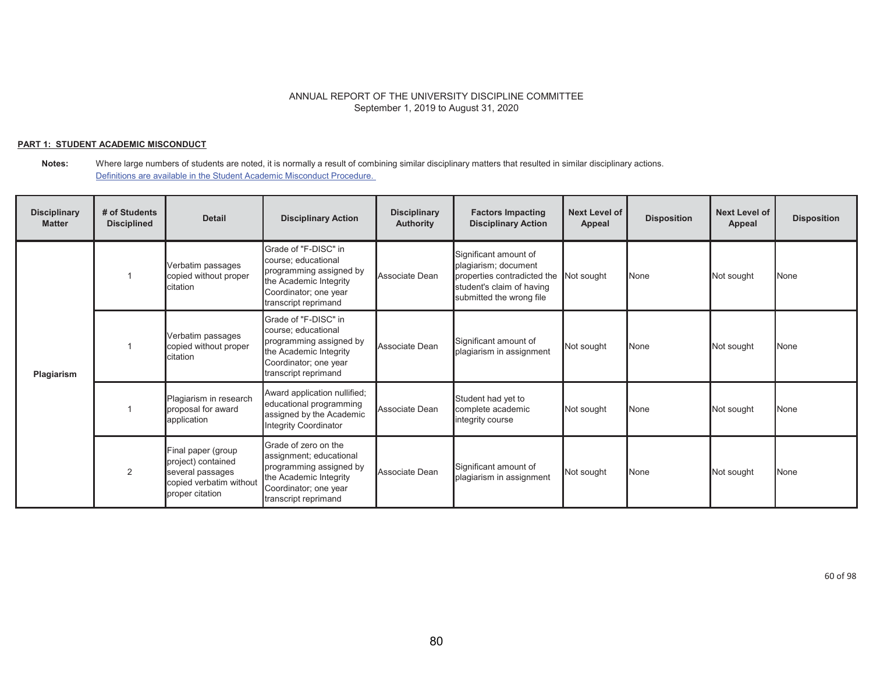## **PART 1: STUDENT ACADEMIC MISCONDUCT**

| <b>Disciplinary</b><br><b>Matter</b> | # of Students<br><b>Disciplined</b> | <b>Detail</b>                                                                                              | <b>Disciplinary Action</b>                                                                                                                            | <b>Disciplinary</b><br><b>Authority</b> | <b>Factors Impacting</b><br><b>Disciplinary Action</b>                                                                                | <b>Next Level of</b><br>Appeal | <b>Disposition</b> | <b>Next Level of</b><br><b>Appeal</b> | <b>Disposition</b> |
|--------------------------------------|-------------------------------------|------------------------------------------------------------------------------------------------------------|-------------------------------------------------------------------------------------------------------------------------------------------------------|-----------------------------------------|---------------------------------------------------------------------------------------------------------------------------------------|--------------------------------|--------------------|---------------------------------------|--------------------|
| Plagiarism                           |                                     | Verbatim passages<br>copied without proper<br>citation                                                     | Grade of "F-DISC" in<br>course; educational<br>programming assigned by<br>the Academic Integrity<br>Coordinator; one year<br>transcript reprimand     | Associate Dean                          | Significant amount of<br>plagiarism; document<br>properties contradicted the<br>student's claim of having<br>submitted the wrong file | Not sought                     | None               | Not sought                            | <b>None</b>        |
|                                      |                                     | Verbatim passages<br>copied without proper<br>citation                                                     | Grade of "F-DISC" in<br>course; educational<br>programming assigned by<br>the Academic Integrity<br>Coordinator; one year<br>transcript reprimand     | Associate Dean                          | Significant amount of<br>plagiarism in assignment                                                                                     | Not sought                     | None               | Not sought                            | None               |
|                                      |                                     | Plagiarism in research<br>proposal for award<br>application                                                | Award application nullified;<br>educational programming<br>assigned by the Academic<br><b>Integrity Coordinator</b>                                   | Associate Dean                          | Student had yet to<br>complete academic<br>integrity course                                                                           | Not sought                     | None               | Not sought                            | None               |
|                                      | 2                                   | Final paper (group<br>project) contained<br>several passages<br>copied verbatim without<br>proper citation | Grade of zero on the<br>assignment; educational<br>programming assigned by<br>the Academic Integrity<br>Coordinator; one year<br>transcript reprimand | Associate Dean                          | Significant amount of<br>plagiarism in assignment                                                                                     | Not sought                     | None               | Not sought                            | None               |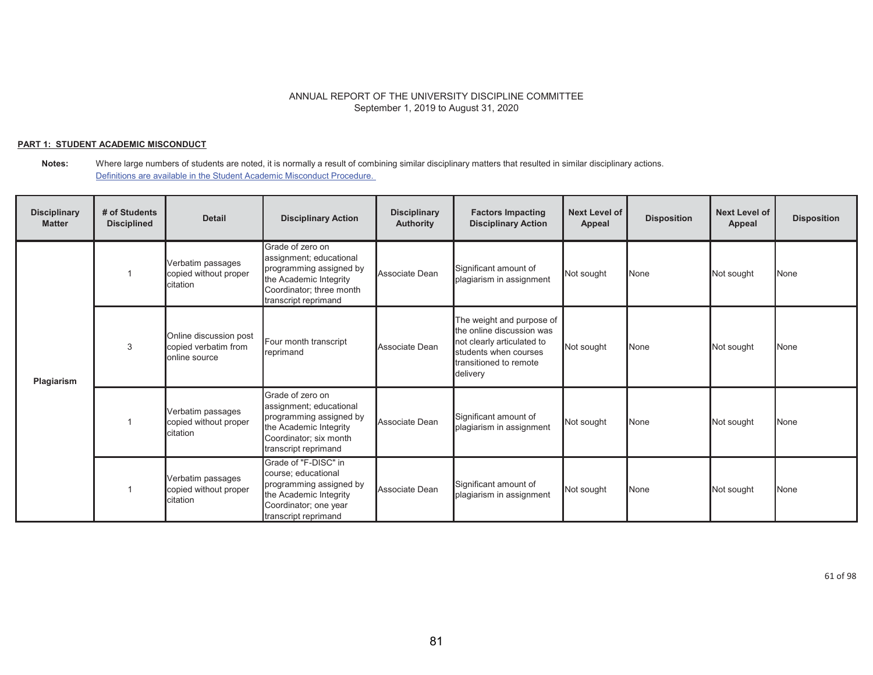## **PART 1: STUDENT ACADEMIC MISCONDUCT**

**Notes:** Where large numbers of students are noted, it is normally a result of combining similar disciplinary matters that resulted in similar disciplinary actions. Definitions are available in the Student Academic Misconduct Procedure.

| <b>Disciplinary</b><br><b>Matter</b> | # of Students<br><b>Disciplined</b> | <b>Detail</b>                                                   | <b>Disciplinary Action</b>                                                                                                                           | <b>Disciplinary</b><br><b>Authority</b> | <b>Factors Impacting</b><br><b>Disciplinary Action</b>                                                                                              | <b>Next Level of</b><br>Appeal | <b>Disposition</b> | <b>Next Level of</b><br>Appeal | <b>Disposition</b> |
|--------------------------------------|-------------------------------------|-----------------------------------------------------------------|------------------------------------------------------------------------------------------------------------------------------------------------------|-----------------------------------------|-----------------------------------------------------------------------------------------------------------------------------------------------------|--------------------------------|--------------------|--------------------------------|--------------------|
| Plagiarism                           |                                     | Verbatim passages<br>copied without proper<br>citation          | Grade of zero on<br>assignment; educational<br>programming assigned by<br>the Academic Integrity<br>Coordinator; three month<br>transcript reprimand | Associate Dean                          | Significant amount of<br>plagiarism in assignment                                                                                                   | Not sought                     | None               | Not sought                     | None               |
|                                      | 3                                   | Online discussion post<br>copied verbatim from<br>online source | Four month transcript<br>reprimand                                                                                                                   | Associate Dean                          | The weight and purpose of<br>the online discussion was<br>not clearly articulated to<br>students when courses<br>transitioned to remote<br>delivery | Not sought                     | None               | Not sought                     | None               |
|                                      |                                     | Verbatim passages<br>copied without proper<br>citation          | Grade of zero on<br>assignment; educational<br>programming assigned by<br>the Academic Integrity<br>Coordinator; six month<br>transcript reprimand   | Associate Dean                          | Significant amount of<br>plagiarism in assignment                                                                                                   | Not sought                     | None               | Not sought                     | None               |
|                                      |                                     | Verbatim passages<br>copied without proper<br>citation          | Grade of "F-DISC" in<br>course; educational<br>programming assigned by<br>the Academic Integrity<br>Coordinator; one year<br>transcript reprimand    | Associate Dean                          | Significant amount of<br>plagiarism in assignment                                                                                                   | Not sought                     | None               | Not sought                     | None               |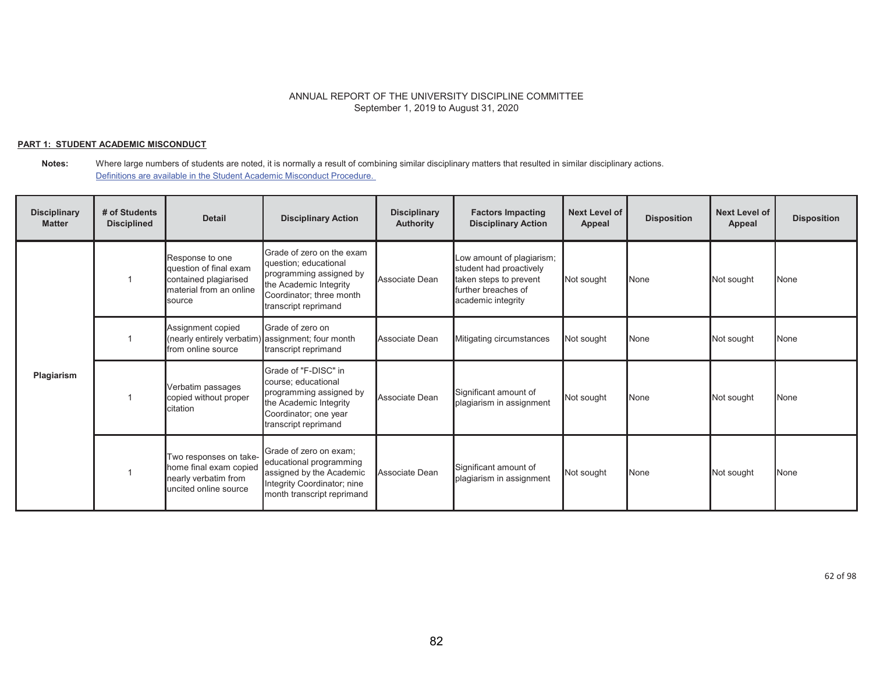## **PART 1: STUDENT ACADEMIC MISCONDUCT**

**Notes:** Where large numbers of students are noted, it is normally a result of combining similar disciplinary matters that resulted in similar disciplinary actions. Definitions are available in the Student Academic Misconduct Procedure.

| <b>Disciplinary</b><br><b>Matter</b> | # of Students<br><b>Disciplined</b> | <b>Detail</b>                                                                                           | <b>Disciplinary Action</b>                                                                                                                                  | <b>Disciplinary</b><br><b>Authority</b> | <b>Factors Impacting</b><br><b>Disciplinary Action</b>                                                                      | <b>Next Level of</b><br>Appeal | <b>Disposition</b> | <b>Next Level of</b><br>Appeal | <b>Disposition</b> |
|--------------------------------------|-------------------------------------|---------------------------------------------------------------------------------------------------------|-------------------------------------------------------------------------------------------------------------------------------------------------------------|-----------------------------------------|-----------------------------------------------------------------------------------------------------------------------------|--------------------------------|--------------------|--------------------------------|--------------------|
|                                      |                                     | Response to one<br>question of final exam<br>contained plagiarised<br>material from an online<br>source | Grade of zero on the exam<br>question; educational<br>programming assigned by<br>the Academic Integrity<br>Coordinator; three month<br>transcript reprimand | Associate Dean                          | Low amount of plagiarism;<br>student had proactively<br>taken steps to prevent<br>further breaches of<br>academic integrity | Not sought                     | None               | Not sought                     | <b>N</b> one       |
|                                      |                                     | Assignment copied<br>(nearly entirely verbatim)<br>from online source                                   | Grade of zero on<br>assignment; four month<br>transcript reprimand                                                                                          | Associate Dean                          | Mitigating circumstances                                                                                                    | Not sought                     | None               | Not sought                     | <b>N</b> one       |
| Plagiarism                           |                                     | Verbatim passages<br>copied without proper<br>citation                                                  | Grade of "F-DISC" in<br>course; educational<br>programming assigned by<br>the Academic Integrity<br>Coordinator; one year<br>transcript reprimand           | Associate Dean                          | Significant amount of<br>plagiarism in assignment                                                                           | Not sought                     | None               | Not sought                     | <b>N</b> one       |
|                                      |                                     | Two responses on take-<br>home final exam copied<br>nearly verbatim from<br>uncited online source       | Grade of zero on exam;<br>educational programming<br>assigned by the Academic<br>Integrity Coordinator; nine<br>month transcript reprimand                  | Associate Dean                          | Significant amount of<br>plagiarism in assignment                                                                           | Not sought                     | None               | Not sought                     | <b>None</b>        |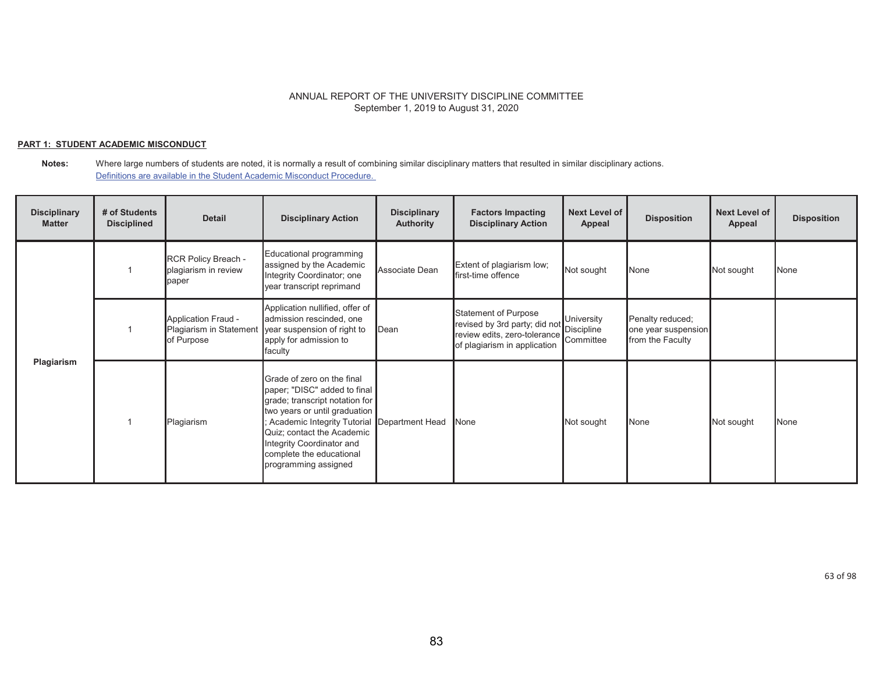## **PART 1: STUDENT ACADEMIC MISCONDUCT**

| <b>Disciplinary</b><br><b>Matter</b> | # of Students<br><b>Disciplined</b> | <b>Detail</b>                                                       | <b>Disciplinary Action</b>                                                                                                                                                                                                                                                                  | <b>Disciplinary</b><br><b>Authority</b> | <b>Factors Impacting</b><br><b>Disciplinary Action</b>                                                                | Next Level of<br>Appeal               | <b>Disposition</b>                                          | <b>Next Level of</b><br><b>Appeal</b> | <b>Disposition</b> |
|--------------------------------------|-------------------------------------|---------------------------------------------------------------------|---------------------------------------------------------------------------------------------------------------------------------------------------------------------------------------------------------------------------------------------------------------------------------------------|-----------------------------------------|-----------------------------------------------------------------------------------------------------------------------|---------------------------------------|-------------------------------------------------------------|---------------------------------------|--------------------|
| Plagiarism                           |                                     | RCR Policy Breach -<br>plagiarism in review<br>paper                | Educational programming<br>assigned by the Academic<br>Integrity Coordinator; one<br>year transcript reprimand                                                                                                                                                                              | Associate Dean                          | Extent of plagiarism low;<br>first-time offence                                                                       | Not sought                            | None                                                        | Not sought                            | None               |
|                                      |                                     | <b>Application Fraud -</b><br>Plagiarism in Statement<br>of Purpose | Application nullified, offer of<br>admission rescinded, one<br>year suspension of right to<br>apply for admission to<br>faculty                                                                                                                                                             | Dean                                    | Statement of Purpose<br>revised by 3rd party; did not<br>review edits, zero-tolerance<br>of plagiarism in application | University<br>Discipline<br>Committee | Penalty reduced;<br>one year suspension<br>from the Faculty |                                       |                    |
|                                      |                                     | Plagiarism                                                          | Grade of zero on the final<br>paper; "DISC" added to final<br>grade; transcript notation for<br>two years or until graduation<br>Academic Integrity Tutorial Department Head<br>Quiz; contact the Academic<br>Integrity Coordinator and<br>complete the educational<br>programming assigned |                                         | None                                                                                                                  | Not sought                            | None                                                        | Not sought                            | None               |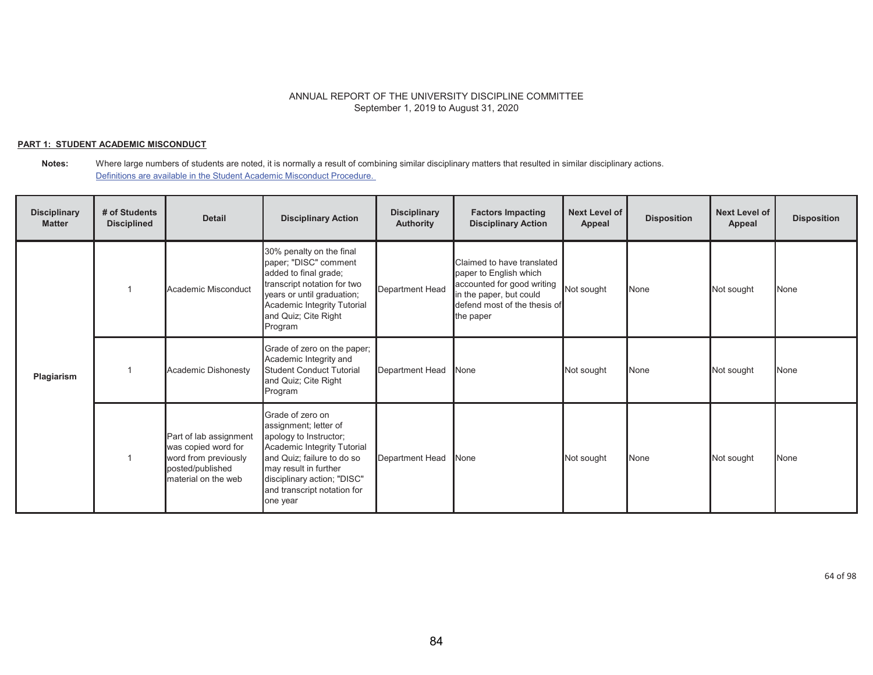## **PART 1: STUDENT ACADEMIC MISCONDUCT**

**Notes:** Where large numbers of students are noted, it is normally a result of combining similar disciplinary matters that resulted in similar disciplinary actions. Definitions are available in the Student Academic Misconduct Procedure.

| <b>Disciplinary</b><br><b>Matter</b> | # of Students<br><b>Disciplined</b> | <b>Detail</b>                                                                                                    | <b>Disciplinary Action</b>                                                                                                                                                                                                          | <b>Disciplinary</b><br><b>Authority</b> | <b>Factors Impacting</b><br><b>Disciplinary Action</b>                                                                                                     | Next Level of<br>Appeal | <b>Disposition</b> | <b>Next Level of</b><br>Appeal | <b>Disposition</b> |
|--------------------------------------|-------------------------------------|------------------------------------------------------------------------------------------------------------------|-------------------------------------------------------------------------------------------------------------------------------------------------------------------------------------------------------------------------------------|-----------------------------------------|------------------------------------------------------------------------------------------------------------------------------------------------------------|-------------------------|--------------------|--------------------------------|--------------------|
| Plagiarism                           |                                     | Academic Misconduct                                                                                              | 30% penalty on the final<br>paper; "DISC" comment<br>added to final grade;<br>transcript notation for two<br>years or until graduation;<br>Academic Integrity Tutorial<br>and Quiz; Cite Right<br>Program                           | <b>Department Head</b>                  | Claimed to have translated<br>paper to English which<br>accounted for good writing<br>in the paper, but could<br>defend most of the thesis of<br>the paper | Not sought              | None               | Not sought                     | None               |
|                                      |                                     | Academic Dishonesty                                                                                              | Grade of zero on the paper;<br>Academic Integrity and<br>Student Conduct Tutorial<br>and Quiz; Cite Right<br>Program                                                                                                                | Department Head                         | None                                                                                                                                                       | Not sought              | None               | Not sought                     | None               |
|                                      |                                     | Part of lab assignment<br>was copied word for<br>word from previously<br>posted/published<br>material on the web | Grade of zero on<br>assignment; letter of<br>apology to Instructor;<br>Academic Integrity Tutorial<br>and Quiz; failure to do so<br>may result in further<br>disciplinary action; "DISC"<br>and transcript notation for<br>one year | Department Head                         | <b>None</b>                                                                                                                                                | Not sought              | None               | Not sought                     | None               |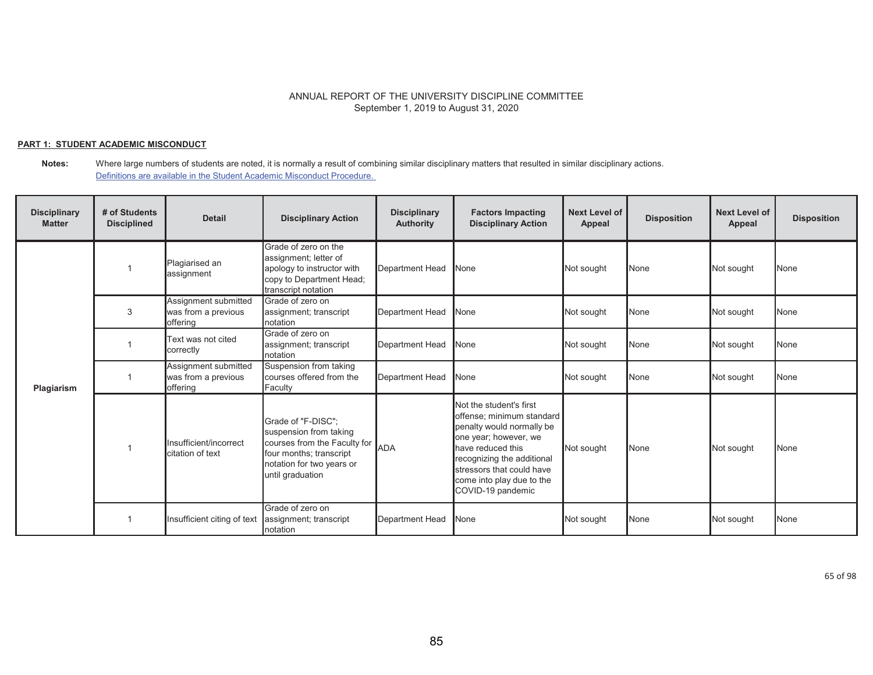## **PART 1: STUDENT ACADEMIC MISCONDUCT**

**Notes:** Where large numbers of students are noted, it is normally a result of combining similar disciplinary matters that resulted in similar disciplinary actions. Definitions are available in the Student Academic Misconduct Procedure.

| <b>Disciplinary</b><br><b>Matter</b> | # of Students<br><b>Disciplined</b> | <b>Detail</b>                                           | <b>Disciplinary Action</b>                                                                                                                               | <b>Disciplinary</b><br><b>Authority</b> | <b>Factors Impacting</b><br><b>Disciplinary Action</b>                                                                                                                                                                                       | <b>Next Level of</b><br>Appeal | <b>Disposition</b> | <b>Next Level of</b><br>Appeal | <b>Disposition</b> |
|--------------------------------------|-------------------------------------|---------------------------------------------------------|----------------------------------------------------------------------------------------------------------------------------------------------------------|-----------------------------------------|----------------------------------------------------------------------------------------------------------------------------------------------------------------------------------------------------------------------------------------------|--------------------------------|--------------------|--------------------------------|--------------------|
|                                      |                                     | Plagiarised an<br>assignment                            | Grade of zero on the<br>assignment; letter of<br>apology to instructor with<br>copy to Department Head;<br>transcript notation                           | <b>Department Head</b>                  | None                                                                                                                                                                                                                                         | Not sought                     | None               | Not sought                     | None               |
|                                      | 3                                   | Assignment submitted<br>was from a previous<br>offering | Grade of zero on<br>assignment; transcript<br>notation                                                                                                   | <b>Department Head</b>                  | None                                                                                                                                                                                                                                         | Not sought                     | None               | Not sought                     | None               |
| Plagiarism                           |                                     | Text was not cited<br>correctly                         | Grade of zero on<br>assignment; transcript<br>notation                                                                                                   | <b>Department Head</b>                  | <b>None</b>                                                                                                                                                                                                                                  | Not sought                     | None               | Not sought                     | None               |
|                                      |                                     | Assignment submitted<br>was from a previous<br>offering | Suspension from taking<br>courses offered from the<br>Faculty                                                                                            | <b>Department Head</b>                  | None                                                                                                                                                                                                                                         | Not sought                     | None               | Not sought                     | None               |
|                                      |                                     | Insufficient/incorrect<br>citation of text              | Grade of "F-DISC";<br>suspension from taking<br>courses from the Faculty for<br>four months; transcript<br>notation for two years or<br>until graduation | <b>ADA</b>                              | Not the student's first<br>offense; minimum standard<br>penalty would normally be<br>one year; however, we<br>have reduced this<br>recognizing the additional<br>stressors that could have<br>come into play due to the<br>COVID-19 pandemic | Not sought                     | None               | Not sought                     | None               |
|                                      |                                     | Insufficient citing of text                             | Grade of zero on<br>assignment; transcript<br>notation                                                                                                   | <b>Department Head</b>                  | None                                                                                                                                                                                                                                         | Not sought                     | None               | Not sought                     | None               |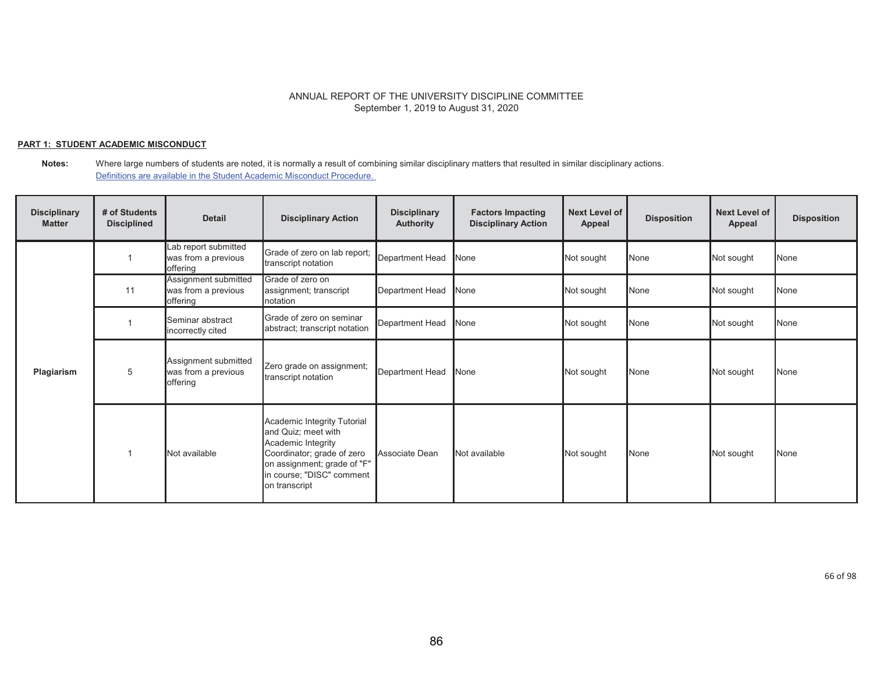## **PART 1: STUDENT ACADEMIC MISCONDUCT**

**Notes:** Where large numbers of students are noted, it is normally a result of combining similar disciplinary matters that resulted in similar disciplinary actions. Definitions are available in the Student Academic Misconduct Procedure.

| <b>Disciplinary</b><br><b>Matter</b> | # of Students<br><b>Disciplined</b> | <b>Detail</b>                                           | <b>Disciplinary Action</b>                                                                                                                                                          | <b>Disciplinary</b><br><b>Authority</b> | <b>Factors Impacting</b><br><b>Disciplinary Action</b> | <b>Next Level of</b><br>Appeal | <b>Disposition</b> | <b>Next Level of</b><br>Appeal | <b>Disposition</b> |
|--------------------------------------|-------------------------------------|---------------------------------------------------------|-------------------------------------------------------------------------------------------------------------------------------------------------------------------------------------|-----------------------------------------|--------------------------------------------------------|--------------------------------|--------------------|--------------------------------|--------------------|
|                                      |                                     | Lab report submitted<br>was from a previous<br>offering | Grade of zero on lab report;<br>transcript notation                                                                                                                                 | Department Head                         | None                                                   | Not sought                     | None               | Not sought                     | None               |
|                                      | 11                                  | Assignment submitted<br>was from a previous<br>offering | Grade of zero on<br>assignment; transcript<br>notation                                                                                                                              | <b>Department Head</b>                  | None                                                   | Not sought                     | None               | Not sought                     | None               |
| Plagiarism                           |                                     | Seminar abstract<br>incorrectly cited                   | Grade of zero on seminar<br>abstract; transcript notation                                                                                                                           | <b>Department Head</b>                  | None                                                   | Not sought                     | None               | Not sought                     | <b>None</b>        |
|                                      | 5                                   | Assignment submitted<br>was from a previous<br>offering | Zero grade on assignment;<br>transcript notation                                                                                                                                    | <b>Department Head</b>                  | None                                                   | Not sought                     | None               | Not sought                     | None               |
|                                      |                                     | Not available                                           | Academic Integrity Tutorial<br>and Quiz; meet with<br>Academic Integrity<br>Coordinator; grade of zero<br>on assignment; grade of "F"<br>in course; "DISC" comment<br>on transcript | Associate Dean                          | Not available                                          | Not sought                     | None               | Not sought                     | <b>None</b>        |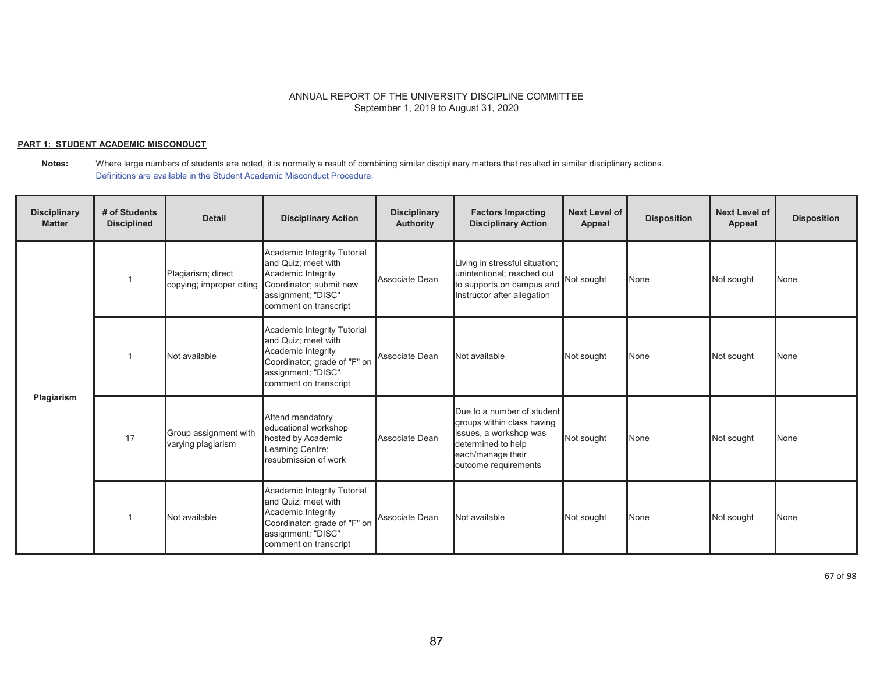### **PART 1: STUDENT ACADEMIC MISCONDUCT**

**Notes:** Where large numbers of students are noted, it is normally a result of combining similar disciplinary matters that resulted in similar disciplinary actions. Definitions are available in the Student Academic Misconduct Procedure.

| <b>Disciplinary</b><br><b>Matter</b> | # of Students<br><b>Disciplined</b> | <b>Detail</b>                                  | <b>Disciplinary Action</b>                                                                                                                              | <b>Disciplinary</b><br><b>Authority</b> | <b>Factors Impacting</b><br><b>Disciplinary Action</b>                                                                                                | <b>Next Level of</b><br>Appeal | <b>Disposition</b> | <b>Next Level of</b><br>Appeal | <b>Disposition</b> |
|--------------------------------------|-------------------------------------|------------------------------------------------|---------------------------------------------------------------------------------------------------------------------------------------------------------|-----------------------------------------|-------------------------------------------------------------------------------------------------------------------------------------------------------|--------------------------------|--------------------|--------------------------------|--------------------|
|                                      |                                     | Plagiarism; direct<br>copying; improper citing | Academic Integrity Tutorial<br>and Quiz; meet with<br>Academic Integrity<br>Coordinator; submit new<br>assignment; "DISC"<br>comment on transcript      | Associate Dean                          | Living in stressful situation;<br>unintentional; reached out<br>to supports on campus and<br>Instructor after allegation                              | Not sought                     | None               | Not sought                     | None               |
| Plagiarism                           |                                     | Not available                                  | Academic Integrity Tutorial<br>and Quiz; meet with<br>Academic Integrity<br>Coordinator; grade of "F" on<br>assignment; "DISC"<br>comment on transcript | Associate Dean                          | Not available                                                                                                                                         | Not sought                     | None               | Not sought                     | None               |
|                                      | 17                                  | Group assignment with<br>varying plagiarism    | Attend mandatory<br>educational workshop<br>hosted by Academic<br>Learning Centre:<br>resubmission of work                                              | Associate Dean                          | Due to a number of student<br>groups within class having<br>issues, a workshop was<br>determined to help<br>each/manage their<br>outcome requirements | Not sought                     | None               | Not sought                     | None               |
|                                      |                                     | Not available                                  | Academic Integrity Tutorial<br>and Quiz; meet with<br>Academic Integrity<br>Coordinator; grade of "F" on<br>assignment; "DISC"<br>comment on transcript | Associate Dean                          | Not available                                                                                                                                         | Not sought                     | None               | Not sought                     | None               |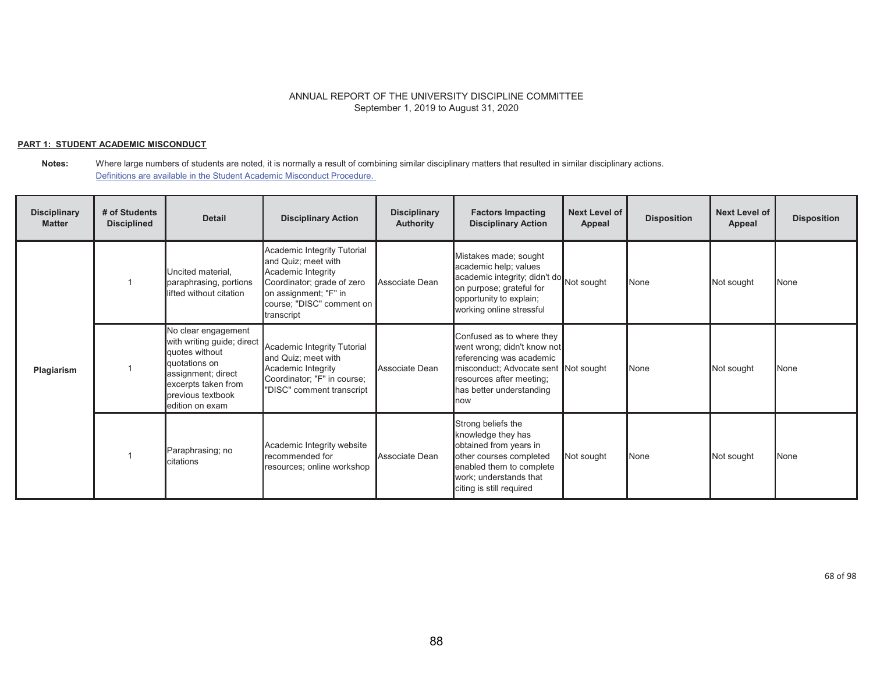#### **PART 1: STUDENT ACADEMIC MISCONDUCT**

| <b>Disciplinary</b><br><b>Matter</b> | # of Students<br><b>Disciplined</b> | <b>Detail</b>                                                                                                                                                             | <b>Disciplinary Action</b>                                                                                                                                                 | <b>Disciplinary</b><br><b>Authority</b> | <b>Factors Impacting</b><br><b>Disciplinary Action</b>                                                                                                                                       | <b>Next Level of</b><br>Appeal | <b>Disposition</b> | <b>Next Level of</b><br>Appeal | <b>Disposition</b> |
|--------------------------------------|-------------------------------------|---------------------------------------------------------------------------------------------------------------------------------------------------------------------------|----------------------------------------------------------------------------------------------------------------------------------------------------------------------------|-----------------------------------------|----------------------------------------------------------------------------------------------------------------------------------------------------------------------------------------------|--------------------------------|--------------------|--------------------------------|--------------------|
| Plagiarism                           |                                     | Uncited material.<br>paraphrasing, portions<br>lifted without citation                                                                                                    | Academic Integrity Tutorial<br>and Quiz; meet with<br>Academic Integrity<br>Coordinator; grade of zero<br>on assignment; "F" in<br>course; "DISC" comment on<br>transcript | Associate Dean                          | Mistakes made; sought<br>academic help; values<br>academic integrity; didn't do Not sought<br>on purpose; grateful for<br>opportunity to explain;<br>working online stressful                |                                | None               | Not sought                     | <b>None</b>        |
|                                      |                                     | No clear engagement<br>with writing guide; direct<br>quotes without<br>quotations on<br>assignment; direct<br>excerpts taken from<br>previous textbook<br>edition on exam | Academic Integrity Tutorial<br>and Quiz; meet with<br>Academic Integrity<br>Coordinator; "F" in course;<br>"DISC" comment transcript                                       | Associate Dean                          | Confused as to where they<br>went wrong; didn't know not<br>referencing was academic<br>misconduct; Advocate sent Not sought<br>resources after meeting;<br>has better understanding<br>Inow |                                | None               | Not sought                     | <b>None</b>        |
|                                      |                                     | Paraphrasing; no<br>citations                                                                                                                                             | Academic Integrity website<br>recommended for<br>resources; online workshop                                                                                                | Associate Dean                          | Strong beliefs the<br>knowledge they has<br>obtained from years in<br>other courses completed<br>enabled them to complete<br>work; understands that<br>citing is still required              | Not sought                     | None               | Not sought                     | <b>None</b>        |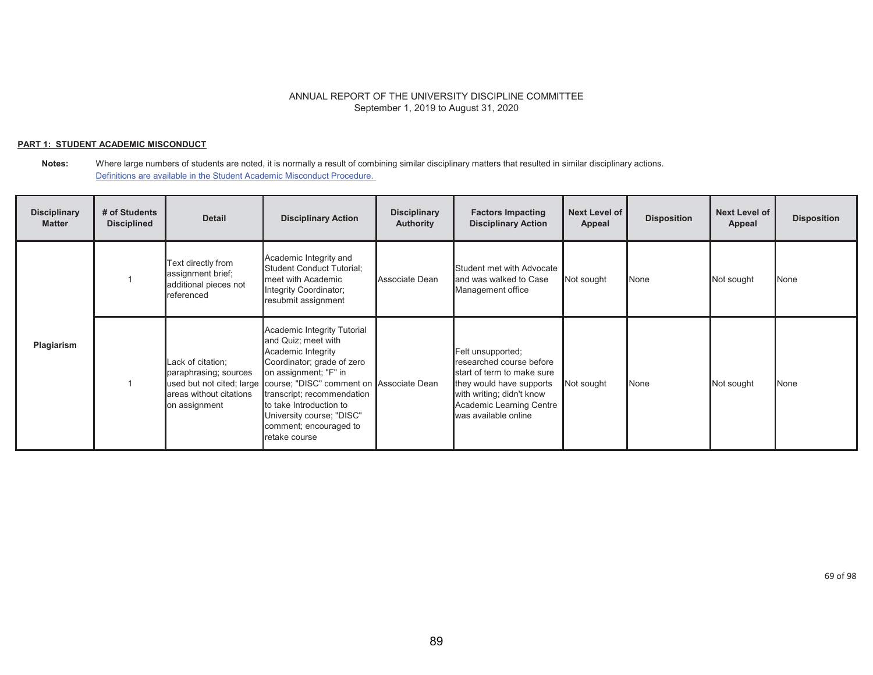### **PART 1: STUDENT ACADEMIC MISCONDUCT**

| <b>Disciplinary</b><br><b>Matter</b> | # of Students<br><b>Disciplined</b> | <b>Detail</b>                                                                          | <b>Disciplinary Action</b>                                                                                                                                                                                                                                                                                                             | <b>Disciplinary</b><br><b>Authority</b> | <b>Factors Impacting</b><br><b>Disciplinary Action</b>                                                                                                                                   | <b>Next Level of</b><br>Appeal | <b>Disposition</b> | <b>Next Level of</b><br><b>Appeal</b> | <b>Disposition</b> |
|--------------------------------------|-------------------------------------|----------------------------------------------------------------------------------------|----------------------------------------------------------------------------------------------------------------------------------------------------------------------------------------------------------------------------------------------------------------------------------------------------------------------------------------|-----------------------------------------|------------------------------------------------------------------------------------------------------------------------------------------------------------------------------------------|--------------------------------|--------------------|---------------------------------------|--------------------|
|                                      |                                     | Text directly from<br>assignment brief;<br>additional pieces not<br>referenced         | Academic Integrity and<br>Student Conduct Tutorial;<br>meet with Academic<br>Integrity Coordinator;<br>resubmit assignment                                                                                                                                                                                                             | Associate Dean                          | Student met with Advocate<br>and was walked to Case<br>Management office                                                                                                                 | Not sought                     | None               | Not sought                            | <b>None</b>        |
| Plagiarism                           |                                     | Lack of citation;<br>paraphrasing; sources<br>areas without citations<br>on assignment | Academic Integrity Tutorial<br>and Quiz; meet with<br>Academic Integrity<br>Coordinator; grade of zero<br>on assignment; "F" in<br>used but not cited; large course; "DISC" comment on Associate Dean<br>transcript; recommendation<br>to take Introduction to<br>University course; "DISC"<br>comment; encouraged to<br>retake course |                                         | Felt unsupported;<br>researched course before<br>start of term to make sure<br>they would have supports<br>with writing; didn't know<br>Academic Learning Centre<br>was available online | Not sought                     | None               | Not sought                            | None               |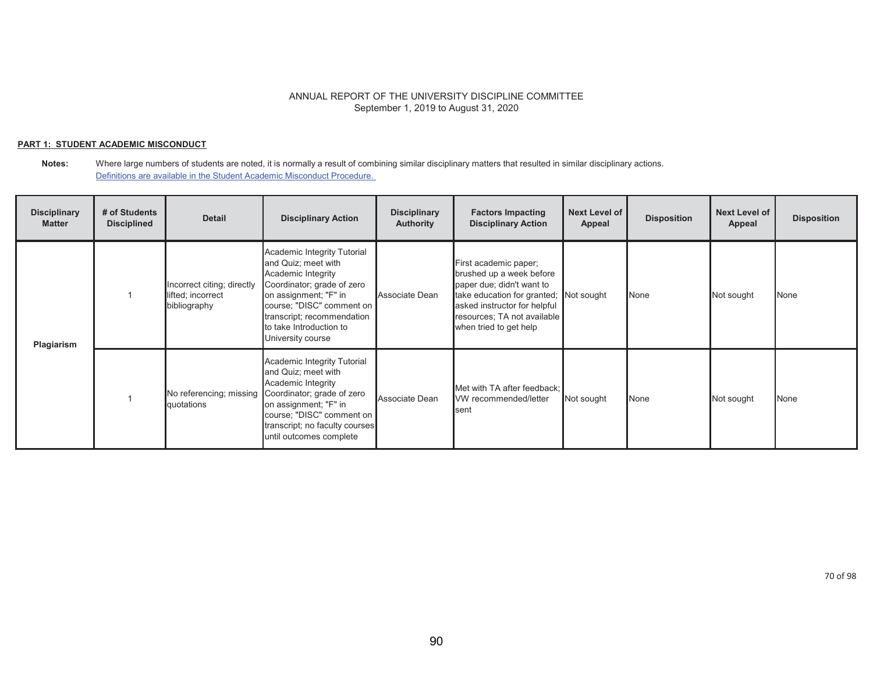#### **PART 1: STUDENT ACADEMIC MISCONDUCT**

| <b>Disciplinary</b><br><b>Matter</b> | # of Students<br><b>Disciplined</b> | <b>Detail</b>                                                   | <b>Disciplinary Action</b>                                                                                                                                                                                                                 | <b>Disciplinary</b><br><b>Authority</b> | <b>Factors Impacting</b><br><b>Disciplinary Action</b>                                                                                                                                                            | <b>Next Level of</b><br>Appeal | <b>Disposition</b> | <b>Next Level of</b><br>Appeal | <b>Disposition</b> |
|--------------------------------------|-------------------------------------|-----------------------------------------------------------------|--------------------------------------------------------------------------------------------------------------------------------------------------------------------------------------------------------------------------------------------|-----------------------------------------|-------------------------------------------------------------------------------------------------------------------------------------------------------------------------------------------------------------------|--------------------------------|--------------------|--------------------------------|--------------------|
| Plagiarism                           |                                     | Incorrect citing; directly<br>lifted; incorrect<br>bibliography | Academic Integrity Tutorial<br>and Quiz; meet with<br>Academic Integrity<br>Coordinator; grade of zero<br>on assignment; "F" in<br>course; "DISC" comment on<br>transcript; recommendation<br>to take Introduction to<br>University course | Associate Dean                          | First academic paper;<br>brushed up a week before<br>paper due; didn't want to<br>take education for granted; Not sought<br>asked instructor for helpful<br>resources; TA not available<br>when tried to get help |                                | None               | Not sought                     | <b>None</b>        |
|                                      |                                     | No referencing; missing<br>quotations                           | Academic Integrity Tutorial<br>and Quiz; meet with<br>Academic Integrity<br>Coordinator; grade of zero<br>on assignment; "F" in<br>course; "DISC" comment on<br>transcript; no faculty courses<br>until outcomes complete                  | Associate Dean                          | Met with TA after feedback;<br>VW recommended/letter<br>sent                                                                                                                                                      | Not sought                     | None               | Not sought                     | None               |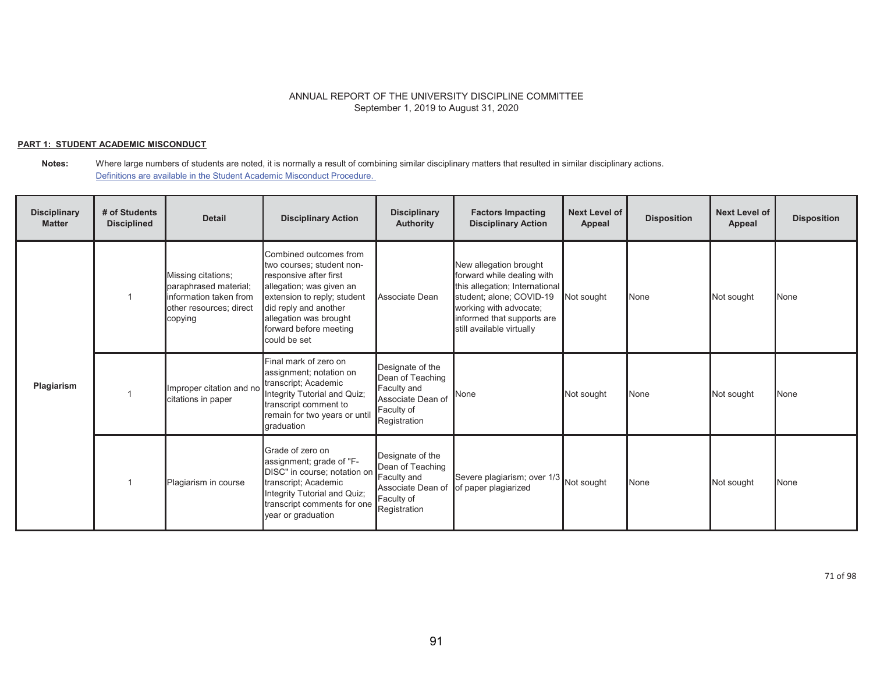## **PART 1: STUDENT ACADEMIC MISCONDUCT**

#### **Notes:** Where large numbers of students are noted, it is normally a result of combining similar disciplinary matters that resulted in similar disciplinary actions. Definitions are available in the Student Academic Misconduct Procedure.

| <b>Disciplinary</b><br><b>Matter</b> | # of Students<br><b>Disciplined</b> | <b>Detail</b>                                                                                               | <b>Disciplinary Action</b>                                                                                                                                                                                                            | <b>Disciplinary</b><br><b>Authority</b>                                                                | <b>Factors Impacting</b><br><b>Disciplinary Action</b>                                                                                                                                                  | <b>Next Level of</b><br>Appeal | <b>Disposition</b> | <b>Next Level of</b><br>Appeal | <b>Disposition</b> |
|--------------------------------------|-------------------------------------|-------------------------------------------------------------------------------------------------------------|---------------------------------------------------------------------------------------------------------------------------------------------------------------------------------------------------------------------------------------|--------------------------------------------------------------------------------------------------------|---------------------------------------------------------------------------------------------------------------------------------------------------------------------------------------------------------|--------------------------------|--------------------|--------------------------------|--------------------|
| Plagiarism                           |                                     | Missing citations;<br>paraphrased material;<br>information taken from<br>other resources; direct<br>copying | Combined outcomes from<br>two courses; student non-<br>responsive after first<br>allegation; was given an<br>extension to reply; student<br>did reply and another<br>allegation was brought<br>forward before meeting<br>could be set | Associate Dean                                                                                         | New allegation brought<br>forward while dealing with<br>this allegation; International<br>student; alone; COVID-19<br>working with advocate;<br>informed that supports are<br>still available virtually | Not sought                     | None               | Not sought                     | None               |
|                                      |                                     | Improper citation and no<br>citations in paper                                                              | Final mark of zero on<br>assignment; notation on<br>transcript; Academic<br>Integrity Tutorial and Quiz;<br>transcript comment to<br>remain for two years or unti<br>graduation                                                       | Designate of the<br>Dean of Teaching<br>Faculty and<br>Associate Dean of<br>Faculty of<br>Registration | None                                                                                                                                                                                                    | Not sought                     | None               | Not sought                     | None               |
|                                      |                                     | Plagiarism in course                                                                                        | Grade of zero on<br>assignment; grade of "F-<br>DISC" in course; notation on<br>transcript; Academic<br>Integrity Tutorial and Quiz;<br>transcript comments for one<br>year or graduation                                             | Designate of the<br>Dean of Teaching<br>Faculty and<br>Associate Dean of<br>Faculty of<br>Registration | Severe plagiarism; over 1/3<br>of paper plagiarized                                                                                                                                                     | Not sought                     | None               | Not sought                     | <b>None</b>        |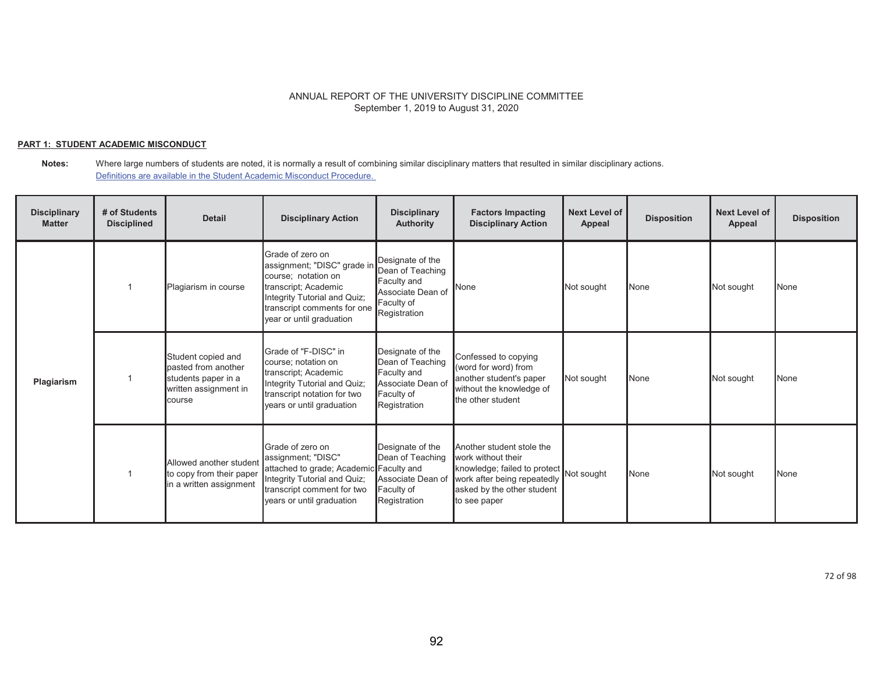### **PART 1: STUDENT ACADEMIC MISCONDUCT**

**Notes:** Where large numbers of students are noted, it is normally a result of combining similar disciplinary matters that resulted in similar disciplinary actions. Definitions are available in the Student Academic Misconduct Procedure.

| <b>Disciplinary</b><br><b>Matter</b> | # of Students<br><b>Disciplined</b> | <b>Detail</b>                                                                                       | <b>Disciplinary Action</b>                                                                                                                                                                | <b>Disciplinary</b><br><b>Authority</b>                                                                | <b>Factors Impacting</b><br><b>Disciplinary Action</b>                                                                                                                     | <b>Next Level of</b><br>Appeal | <b>Disposition</b> | <b>Next Level of</b><br><b>Appeal</b> | <b>Disposition</b> |
|--------------------------------------|-------------------------------------|-----------------------------------------------------------------------------------------------------|-------------------------------------------------------------------------------------------------------------------------------------------------------------------------------------------|--------------------------------------------------------------------------------------------------------|----------------------------------------------------------------------------------------------------------------------------------------------------------------------------|--------------------------------|--------------------|---------------------------------------|--------------------|
| Plagiarism                           |                                     | Plagiarism in course                                                                                | Grade of zero on<br>assignment; "DISC" grade in<br>course; notation on<br>transcript; Academic<br>Integrity Tutorial and Quiz;<br>transcript comments for one<br>year or until graduation | Designate of the<br>Dean of Teaching<br>Faculty and<br>Associate Dean of<br>Faculty of<br>Registration | None                                                                                                                                                                       | Not sought                     | None               | Not sought                            | <b>None</b>        |
|                                      |                                     | Student copied and<br>pasted from another<br>students paper in a<br>written assignment in<br>course | Grade of "F-DISC" in<br>course: notation on<br>transcript; Academic<br>Integrity Tutorial and Quiz;<br>transcript notation for two<br>years or until graduation                           | Designate of the<br>Dean of Teaching<br>Faculty and<br>Associate Dean of<br>Faculty of<br>Registration | Confessed to copying<br>(word for word) from<br>another student's paper<br>without the knowledge of<br>the other student                                                   | Not sought                     | None               | Not sought                            | <b>None</b>        |
|                                      |                                     | Allowed another student<br>to copy from their paper<br>in a written assignment                      | Grade of zero on<br>assignment; "DISC"<br>attached to grade; Academic Faculty and<br>Integrity Tutorial and Quiz;<br>transcript comment for two<br>years or until graduation              | Designate of the<br>Dean of Teaching<br>Associate Dean of<br>Faculty of<br>Registration                | Another student stole the<br>work without their<br>knowledge; failed to protect<br>Not sought<br>work after being repeatedly<br>asked by the other student<br>to see paper |                                | None               | Not sought                            | <b>None</b>        |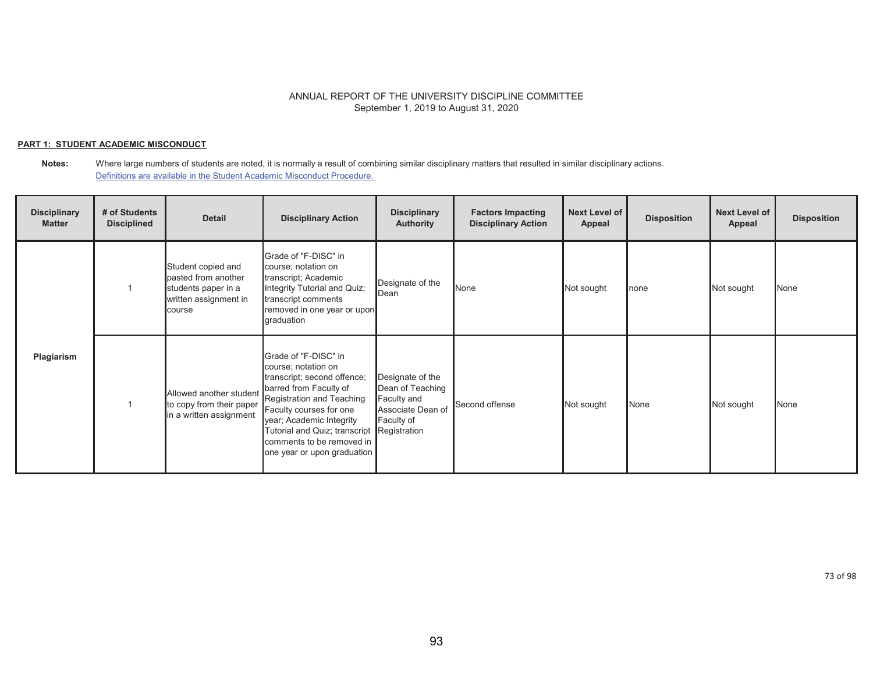### **PART 1: STUDENT ACADEMIC MISCONDUCT**

| <b>Disciplinary</b><br><b>Matter</b> | # of Students<br><b>Disciplined</b> | <b>Detail</b>                                                                                       | <b>Disciplinary Action</b>                                                                                                                                                                                                                                                                         | <b>Disciplinary</b><br><b>Authority</b>                                                | <b>Factors Impacting</b><br><b>Disciplinary Action</b> | <b>Next Level of</b><br>Appeal | <b>Disposition</b> | <b>Next Level of</b><br>Appeal | <b>Disposition</b> |
|--------------------------------------|-------------------------------------|-----------------------------------------------------------------------------------------------------|----------------------------------------------------------------------------------------------------------------------------------------------------------------------------------------------------------------------------------------------------------------------------------------------------|----------------------------------------------------------------------------------------|--------------------------------------------------------|--------------------------------|--------------------|--------------------------------|--------------------|
|                                      |                                     | Student copied and<br>pasted from another<br>students paper in a<br>written assignment in<br>course | Grade of "F-DISC" in<br>course; notation on<br>transcript; Academic<br>Integrity Tutorial and Quiz;<br>transcript comments<br>removed in one year or upon<br>graduation                                                                                                                            | Designate of the<br>Dean                                                               | None                                                   | Not sought                     | none               | Not sought                     | None               |
| Plagiarism                           |                                     | Allowed another student<br>to copy from their paper<br>in a written assignment                      | Grade of "F-DISC" in<br>course; notation on<br>transcript; second offence;<br>barred from Faculty of<br>Registration and Teaching<br>Faculty courses for one<br>year; Academic Integrity<br>Tutorial and Quiz; transcript Registration<br>comments to be removed in<br>one year or upon graduation | Designate of the<br>Dean of Teaching<br>Faculty and<br>Associate Dean of<br>Faculty of | Second offense                                         | Not sought                     | None               | Not sought                     | None               |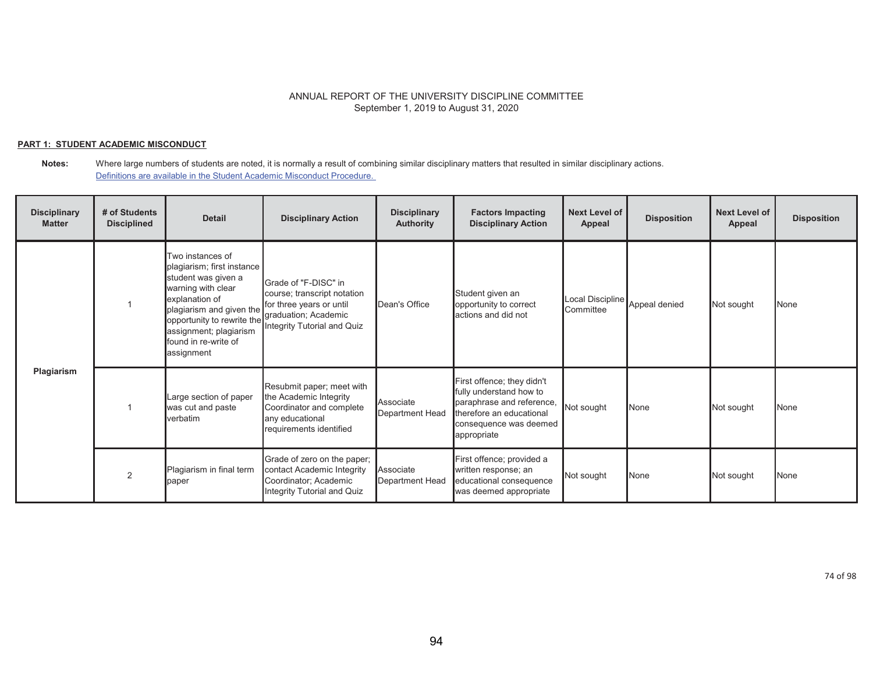### **PART 1: STUDENT ACADEMIC MISCONDUCT**

**Notes:** Where large numbers of students are noted, it is normally a result of combining similar disciplinary matters that resulted in similar disciplinary actions. Definitions are available in the Student Academic Misconduct Procedure.

| <b>Disciplinary</b><br><b>Matter</b> | # of Students<br><b>Disciplined</b> | <b>Detail</b>                                                                                                                                                                                                                                                | <b>Disciplinary Action</b>                                                                                                    | <b>Disciplinary</b><br><b>Authority</b> | <b>Factors Impacting</b><br><b>Disciplinary Action</b>                                                                                                  | <b>Next Level of</b><br>Appeal | <b>Disposition</b> | <b>Next Level of</b><br>Appeal | <b>Disposition</b> |
|--------------------------------------|-------------------------------------|--------------------------------------------------------------------------------------------------------------------------------------------------------------------------------------------------------------------------------------------------------------|-------------------------------------------------------------------------------------------------------------------------------|-----------------------------------------|---------------------------------------------------------------------------------------------------------------------------------------------------------|--------------------------------|--------------------|--------------------------------|--------------------|
| Plagiarism                           |                                     | Two instances of<br>plagiarism; first instance<br>student was given a<br>warning with clear<br>explanation of<br>plagiarism and given the<br>opportunity to rewrite the graduation; Academic<br>assignment; plagiarism<br>found in re-write of<br>assignment | Grade of "F-DISC" in<br>course; transcript notation<br>for three years or until<br>Integrity Tutorial and Quiz                | Dean's Office                           | Student given an<br>opportunity to correct<br>actions and did not                                                                                       | Local Discipline<br>Committee  | Appeal denied      | Not sought                     | None               |
|                                      |                                     | Large section of paper<br>was cut and paste<br>verbatim                                                                                                                                                                                                      | Resubmit paper; meet with<br>the Academic Integrity<br>Coordinator and complete<br>any educational<br>requirements identified | Associate<br><b>Department Head</b>     | First offence; they didn't<br>fully understand how to<br>paraphrase and reference,<br>therefore an educational<br>consequence was deemed<br>appropriate | Not sought                     | None               | Not sought                     | None               |
|                                      | 2                                   | Plagiarism in final term<br>paper                                                                                                                                                                                                                            | Grade of zero on the paper;<br>contact Academic Integrity<br>Coordinator; Academic<br>Integrity Tutorial and Quiz             | Associate<br>Department Head            | First offence; provided a<br>written response; an<br>educational consequence<br>was deemed appropriate                                                  | Not sought                     | None               | Not sought                     | None               |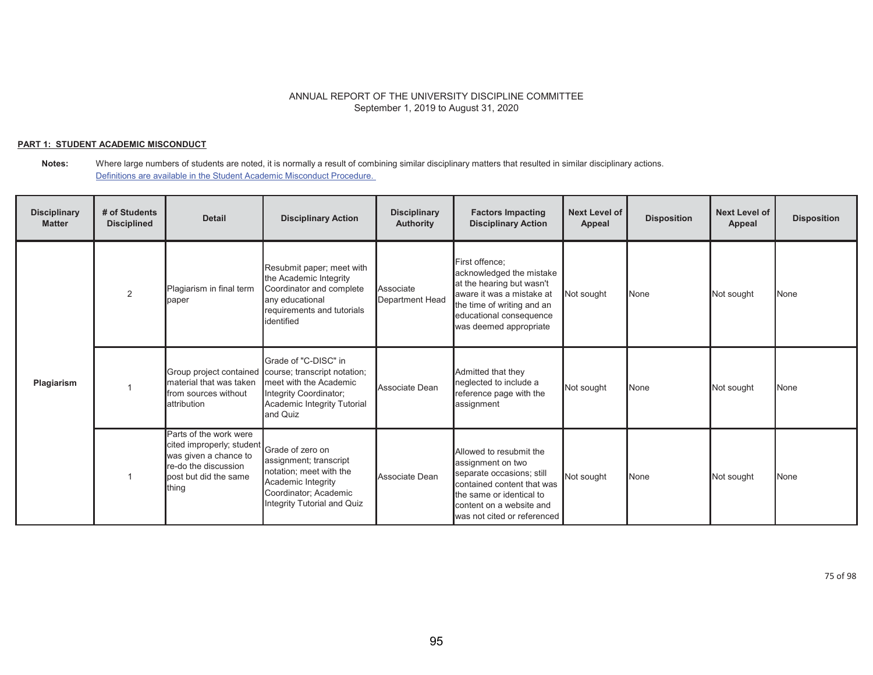## **PART 1: STUDENT ACADEMIC MISCONDUCT**

**Notes:** Where large numbers of students are noted, it is normally a result of combining similar disciplinary matters that resulted in similar disciplinary actions. Definitions are available in the Student Academic Misconduct Procedure.

| <b>Disciplinary</b><br><b>Matter</b> | # of Students<br><b>Disciplined</b> | <b>Detail</b>                                                                                                                          | <b>Disciplinary Action</b>                                                                                                                          | <b>Disciplinary</b><br><b>Authority</b> | <b>Factors Impacting</b><br><b>Disciplinary Action</b>                                                                                                                                         | <b>Next Level of</b><br>Appeal | <b>Disposition</b> | <b>Next Level of</b><br>Appeal | <b>Disposition</b> |
|--------------------------------------|-------------------------------------|----------------------------------------------------------------------------------------------------------------------------------------|-----------------------------------------------------------------------------------------------------------------------------------------------------|-----------------------------------------|------------------------------------------------------------------------------------------------------------------------------------------------------------------------------------------------|--------------------------------|--------------------|--------------------------------|--------------------|
| Plagiarism                           | 2                                   | Plagiarism in final term<br>paper                                                                                                      | Resubmit paper; meet with<br>the Academic Integrity<br>Coordinator and complete<br>any educational<br>requirements and tutorials<br>lidentified     | Associate<br><b>Department Head</b>     | First offence:<br>acknowledged the mistake<br>at the hearing but wasn't<br>aware it was a mistake at<br>the time of writing and an<br>educational consequence<br>was deemed appropriate        | Not sought                     | None               | Not sought                     | None               |
|                                      |                                     | Group project contained<br>material that was taken<br>from sources without<br><b>attribution</b>                                       | Grade of "C-DISC" in<br>course; transcript notation;<br>meet with the Academic<br>Integrity Coordinator;<br>Academic Integrity Tutorial<br>and Quiz | Associate Dean                          | Admitted that they<br>neglected to include a<br>reference page with the<br>assignment                                                                                                          | Not sought                     | None               | Not sought                     | None               |
|                                      |                                     | Parts of the work were<br>cited improperly; student<br>was given a chance to<br>re-do the discussion<br>post but did the same<br>thing | Grade of zero on<br>assignment; transcript<br>notation; meet with the<br>Academic Integrity<br>Coordinator; Academic<br>Integrity Tutorial and Quiz | Associate Dean                          | Allowed to resubmit the<br>assignment on two<br>separate occasions; still<br>contained content that was<br>the same or identical to<br>content on a website and<br>was not cited or referenced | Not sought                     | None               | Not sought                     | <b>None</b>        |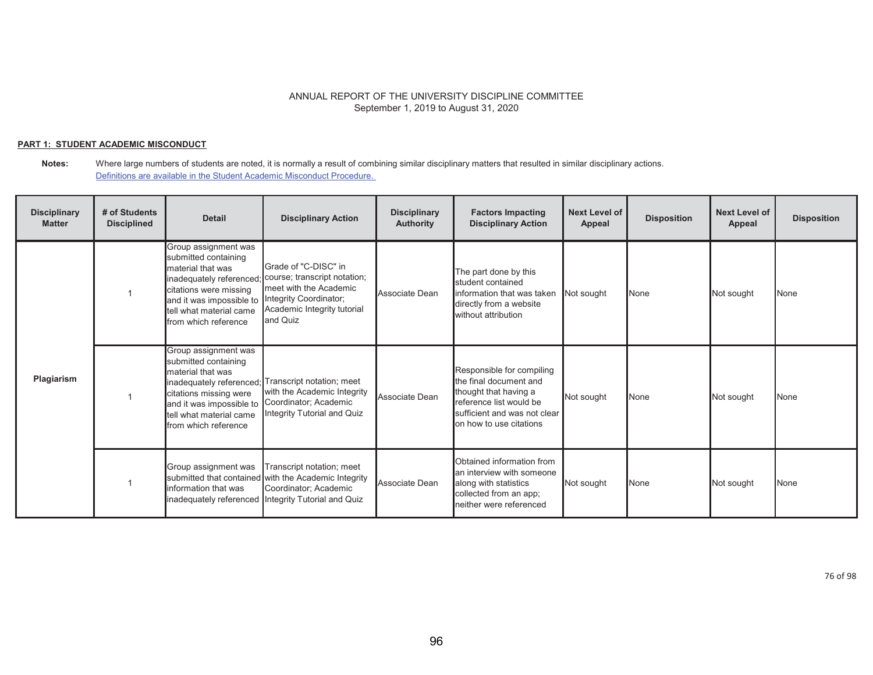## **PART 1: STUDENT ACADEMIC MISCONDUCT**

**Notes:** Where large numbers of students are noted, it is normally a result of combining similar disciplinary matters that resulted in similar disciplinary actions. Definitions are available in the Student Academic Misconduct Procedure.

| <b>Disciplinary</b><br><b>Matter</b> | # of Students<br><b>Disciplined</b> | <b>Detail</b>                                                                                                                                                              | <b>Disciplinary Action</b>                                                                                                                                                   | <b>Disciplinary</b><br><b>Authority</b> | <b>Factors Impacting</b><br><b>Disciplinary Action</b>                                                                                                             | Next Level of<br>Appeal | <b>Disposition</b> | <b>Next Level of</b><br><b>Appeal</b> | <b>Disposition</b> |
|--------------------------------------|-------------------------------------|----------------------------------------------------------------------------------------------------------------------------------------------------------------------------|------------------------------------------------------------------------------------------------------------------------------------------------------------------------------|-----------------------------------------|--------------------------------------------------------------------------------------------------------------------------------------------------------------------|-------------------------|--------------------|---------------------------------------|--------------------|
| Plagiarism                           |                                     | Group assignment was<br>submitted containing<br>material that was<br>citations were missing<br>and it was impossible to<br>tell what material came<br>from which reference | Grade of "C-DISC" in<br>inadequately referenced; course; transcript notation;<br>meet with the Academic<br>Integrity Coordinator;<br>Academic Integrity tutorial<br>and Quiz | Associate Dean                          | The part done by this<br>student contained<br>linformation that was taken<br>directly from a website<br>without attribution                                        | Not sought              | None               | Not sought                            | None               |
|                                      |                                     | Group assignment was<br>submitted containing<br>material that was<br>citations missing were<br>and it was impossible to<br>tell what material came<br>from which reference | inadequately referenced; Transcript notation; meet<br>with the Academic Integrity<br>Coordinator; Academic<br>Integrity Tutorial and Quiz                                    | Associate Dean                          | Responsible for compiling<br>the final document and<br>thought that having a<br>reference list would be<br>sufficient and was not clear<br>on how to use citations | Not sought              | None               | Not sought                            | None               |
|                                      |                                     | Group assignment was<br>information that was<br>inadequately referenced                                                                                                    | Transcript notation; meet<br>submitted that contained with the Academic Integrity<br>Coordinator; Academic<br>Integrity Tutorial and Quiz                                    | Associate Dean                          | Obtained information from<br>an interview with someone<br>along with statistics<br>collected from an app;<br>neither were referenced                               | Not sought              | None               | Not sought                            | None               |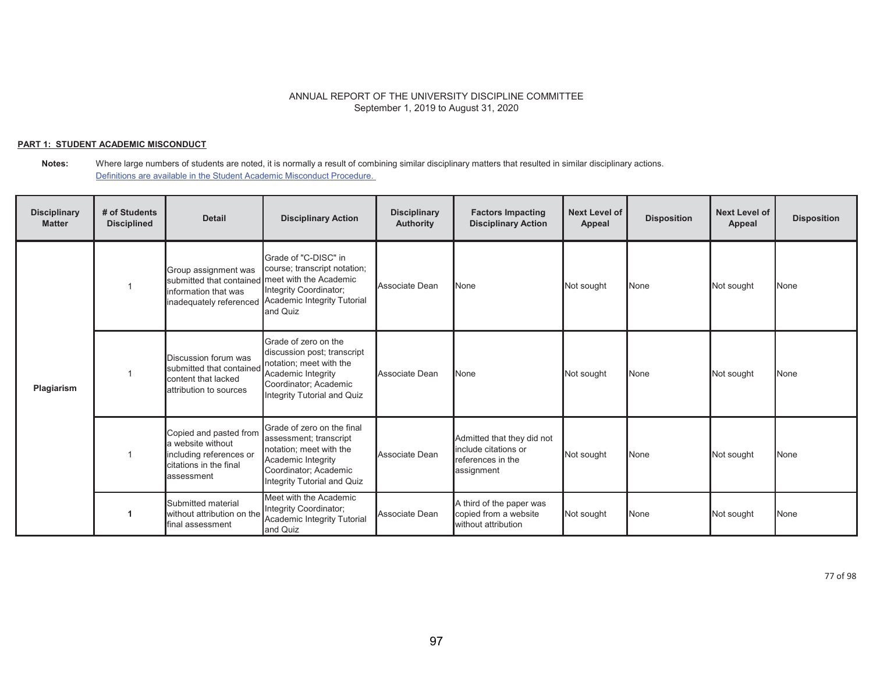#### **PART 1: STUDENT ACADEMIC MISCONDUCT**

**Notes:** Where large numbers of students are noted, it is normally a result of combining similar disciplinary matters that resulted in similar disciplinary actions. Definitions are available in the Student Academic Misconduct Procedure.

| <b>Disciplinary</b><br><b>Matter</b> | # of Students<br><b>Disciplined</b> | <b>Detail</b>                                                                                                              | <b>Disciplinary Action</b>                                                                                                                                    | <b>Disciplinary</b><br><b>Authority</b> | <b>Factors Impacting</b><br><b>Disciplinary Action</b>                                | <b>Next Level of</b><br>Appeal | <b>Disposition</b> | <b>Next Level of</b><br>Appeal | <b>Disposition</b> |
|--------------------------------------|-------------------------------------|----------------------------------------------------------------------------------------------------------------------------|---------------------------------------------------------------------------------------------------------------------------------------------------------------|-----------------------------------------|---------------------------------------------------------------------------------------|--------------------------------|--------------------|--------------------------------|--------------------|
|                                      |                                     | Group assignment was<br>submitted that contained meet with the Academic<br>information that was<br>inadequately referenced | Grade of "C-DISC" in<br>course; transcript notation;<br>Integrity Coordinator;<br>Academic Integrity Tutorial<br>and Quiz                                     | Associate Dean                          | None                                                                                  | Not sought                     | None               | Not sought                     | None               |
| Plagiarism                           |                                     | Discussion forum was<br>submitted that contained<br>content that lacked<br>lattribution to sources                         | Grade of zero on the<br>discussion post; transcript<br>notation; meet with the<br>Academic Integrity<br>Coordinator; Academic<br>Integrity Tutorial and Quiz  | Associate Dean                          | None                                                                                  | Not sought                     | None               | Not sought                     | None               |
|                                      |                                     | Copied and pasted from<br>a website without<br>including references or<br>citations in the final<br>assessment             | Grade of zero on the final<br>assessment; transcript<br>notation; meet with the<br>Academic Integrity<br>Coordinator; Academic<br>Integrity Tutorial and Quiz | Associate Dean                          | Admitted that they did not<br>include citations or<br>references in the<br>assignment | Not sought                     | None               | Not sought                     | None               |
|                                      |                                     | Submitted material<br>without attribution on the<br>final assessment                                                       | Meet with the Academic<br>Integrity Coordinator;<br>Academic Integrity Tutorial<br>and Quiz                                                                   | Associate Dean                          | A third of the paper was<br>copied from a website<br>without attribution              | Not sought                     | None               | Not sought                     | None               |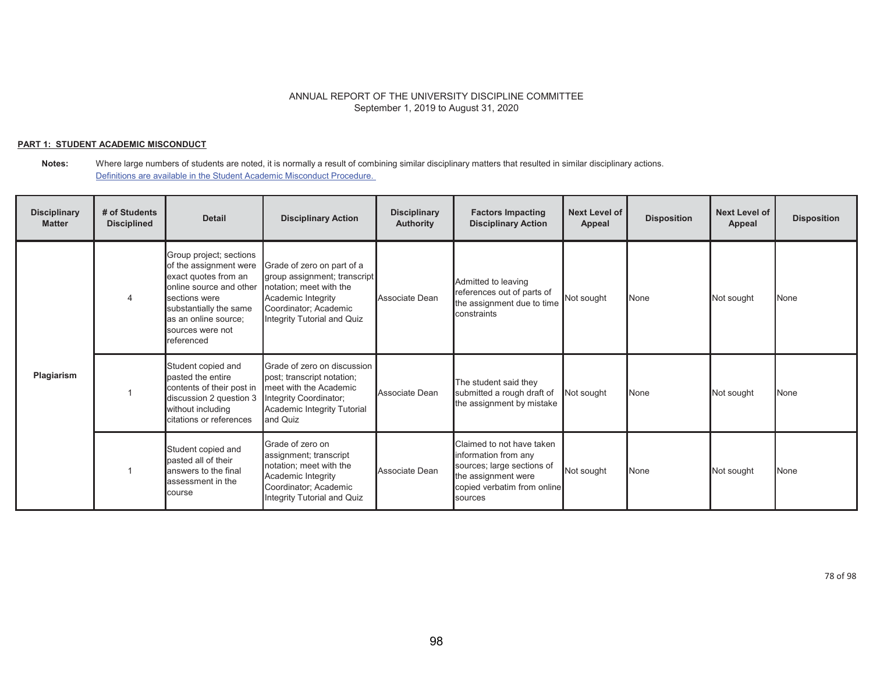### **PART 1: STUDENT ACADEMIC MISCONDUCT**

**Notes:** Where large numbers of students are noted, it is normally a result of combining similar disciplinary matters that resulted in similar disciplinary actions. Definitions are available in the Student Academic Misconduct Procedure.

| <b>Disciplinary</b><br><b>Matter</b> | # of Students<br><b>Disciplined</b> | <b>Detail</b>                                                                                                                                                                                             | <b>Disciplinary Action</b>                                                                                                                                          | <b>Disciplinary</b><br>Authority | <b>Factors Impacting</b><br><b>Disciplinary Action</b>                                                                                           | <b>Next Level of</b><br>Appeal | <b>Disposition</b> | <b>Next Level of</b><br>Appeal | <b>Disposition</b> |
|--------------------------------------|-------------------------------------|-----------------------------------------------------------------------------------------------------------------------------------------------------------------------------------------------------------|---------------------------------------------------------------------------------------------------------------------------------------------------------------------|----------------------------------|--------------------------------------------------------------------------------------------------------------------------------------------------|--------------------------------|--------------------|--------------------------------|--------------------|
| Plagiarism                           |                                     | Group project; sections<br>of the assignment were<br>exact quotes from an<br>online source and other<br>sections were<br>substantially the same<br>as an online source:<br>sources were not<br>referenced | Grade of zero on part of a<br>group assignment; transcript<br>notation; meet with the<br>Academic Integrity<br>Coordinator; Academic<br>Integrity Tutorial and Quiz | Associate Dean                   | Admitted to leaving<br>references out of parts of<br>the assignment due to time<br>constraints                                                   | Not sought                     | None               | Not sought                     | None               |
|                                      |                                     | Student copied and<br>pasted the entire<br>contents of their post in<br>discussion 2 question 3<br>without including<br>citations or references                                                           | Grade of zero on discussion<br>post; transcript notation;<br>meet with the Academic<br>Integrity Coordinator;<br>Academic Integrity Tutorial<br>and Quiz            | Associate Dean                   | The student said they<br>submitted a rough draft of<br>the assignment by mistake                                                                 | Not sought                     | None               | Not sought                     | None               |
|                                      |                                     | Student copied and<br>pasted all of their<br>answers to the final<br>assessment in the<br>course                                                                                                          | Grade of zero on<br>assignment; transcript<br>notation; meet with the<br>Academic Integrity<br>Coordinator; Academic<br>Integrity Tutorial and Quiz                 | Associate Dean                   | Claimed to not have taken<br>information from any<br>sources; large sections of<br>the assignment were<br>copied verbatim from online<br>sources | Not sought                     | None               | Not sought                     | None               |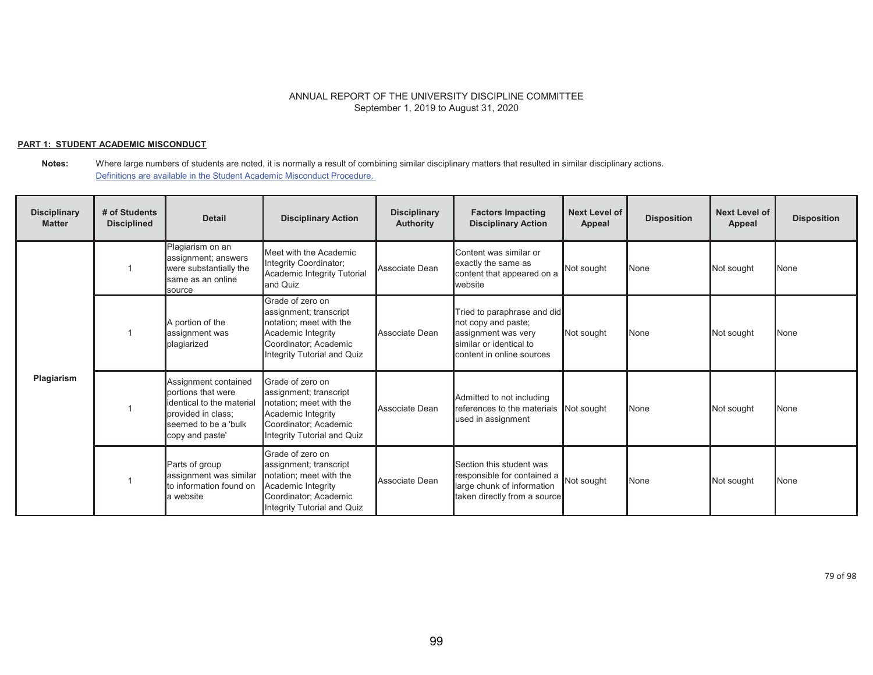#### **PART 1: STUDENT ACADEMIC MISCONDUCT**

| <b>Disciplinary</b><br><b>Matter</b> | # of Students<br><b>Disciplined</b> | <b>Detail</b>                                                                                                                            | <b>Disciplinary Action</b>                                                                                                                          | <b>Disciplinary</b><br>Authority | <b>Factors Impacting</b><br><b>Disciplinary Action</b>                                                                            | <b>Next Level of</b><br>Appeal | <b>Disposition</b> | <b>Next Level of</b><br>Appeal | <b>Disposition</b> |
|--------------------------------------|-------------------------------------|------------------------------------------------------------------------------------------------------------------------------------------|-----------------------------------------------------------------------------------------------------------------------------------------------------|----------------------------------|-----------------------------------------------------------------------------------------------------------------------------------|--------------------------------|--------------------|--------------------------------|--------------------|
|                                      |                                     | Plagiarism on an<br>assignment; answers<br>were substantially the<br>same as an online<br>source                                         | Meet with the Academic<br>Integrity Coordinator;<br>Academic Integrity Tutorial<br>and Quiz                                                         | Associate Dean                   | Content was similar or<br>exactly the same as<br>content that appeared on a<br>website                                            | Not sought                     | None               | Not sought                     | <b>None</b>        |
| Plagiarism                           |                                     | A portion of the<br>assignment was<br>plagiarized                                                                                        | Grade of zero on<br>assignment; transcript<br>notation; meet with the<br>Academic Integrity<br>Coordinator; Academic<br>Integrity Tutorial and Quiz | Associate Dean                   | Tried to paraphrase and did<br>not copy and paste;<br>assignment was very<br>similar or identical to<br>content in online sources | Not sought                     | None               | Not sought                     | <b>N</b> one       |
|                                      |                                     | Assignment contained<br>portions that were<br>identical to the material<br>provided in class:<br>seemed to be a 'bulk<br>copy and paste' | Grade of zero on<br>assignment; transcript<br>notation; meet with the<br>Academic Integrity<br>Coordinator; Academic<br>Integrity Tutorial and Quiz | Associate Dean                   | Admitted to not including<br>references to the materials<br>used in assignment                                                    | Not sought                     | None               | Not sought                     | <b>None</b>        |
|                                      |                                     | Parts of group<br>assignment was similar<br>to information found on<br>la website                                                        | Grade of zero on<br>assignment; transcript<br>notation; meet with the<br>Academic Integrity<br>Coordinator: Academic<br>Integrity Tutorial and Quiz | Associate Dean                   | Section this student was<br>responsible for contained a Not sought<br>large chunk of information<br>taken directly from a source  |                                | None               | Not sought                     | <b>None</b>        |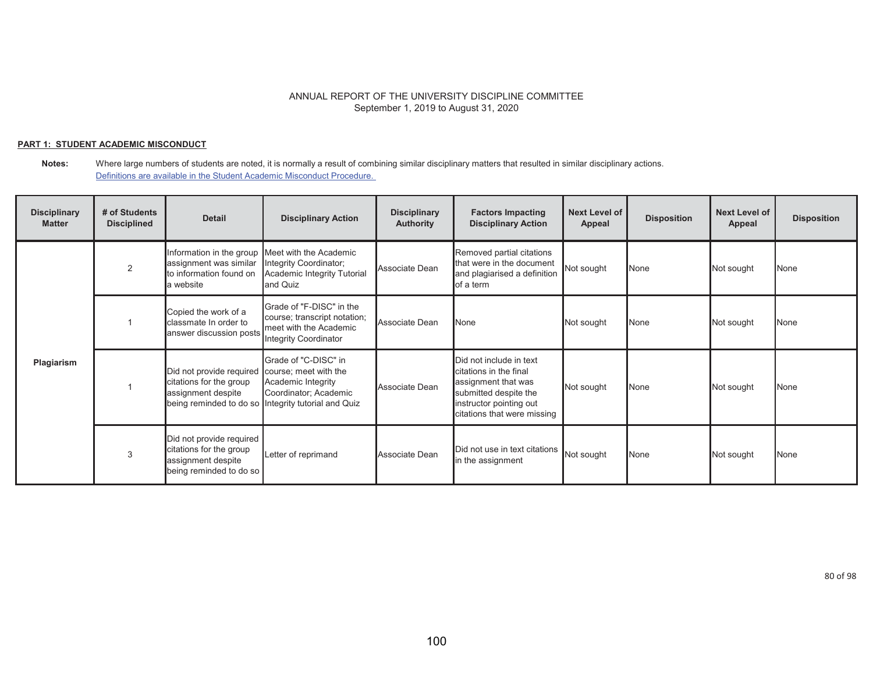### **PART 1: STUDENT ACADEMIC MISCONDUCT**

| <b>Disciplinary</b><br><b>Matter</b> | # of Students<br><b>Disciplined</b> | <b>Detail</b>                                                                                        | <b>Disciplinary Action</b>                                                                                                 | <b>Disciplinary</b><br><b>Authority</b> | <b>Factors Impacting</b><br><b>Disciplinary Action</b>                                                                                                      | <b>Next Level of</b><br>Appeal | <b>Disposition</b> | <b>Next Level of</b><br><b>Appeal</b> | <b>Disposition</b> |
|--------------------------------------|-------------------------------------|------------------------------------------------------------------------------------------------------|----------------------------------------------------------------------------------------------------------------------------|-----------------------------------------|-------------------------------------------------------------------------------------------------------------------------------------------------------------|--------------------------------|--------------------|---------------------------------------|--------------------|
|                                      | 2                                   | assignment was similar<br>to information found on<br>la website                                      | nformation in the group Meet with the Academic<br>Integrity Coordinator;<br>Academic Integrity Tutorial<br>and Quiz        | Associate Dean                          | Removed partial citations<br>that were in the document<br>and plagiarised a definition<br>of a term                                                         | Not sought                     | None               | Not sought                            | None               |
| Plagiarism                           |                                     | Copied the work of a<br>classmate In order to<br>answer discussion posts                             | Grade of "F-DISC" in the<br>course; transcript notation;<br>meet with the Academic<br>Integrity Coordinator                | Associate Dean                          | None                                                                                                                                                        | Not sought                     | None               | Not sought                            | <b>None</b>        |
|                                      |                                     | Did not provide required course; meet with the<br>citations for the group<br>assignment despite      | Grade of "C-DISC" in<br>Academic Integrity<br>Coordinator; Academic<br>being reminded to do so Integrity tutorial and Quiz | Associate Dean                          | Did not include in text<br>citations in the final<br>assignment that was<br>submitted despite the<br>instructor pointing out<br>citations that were missing | Not sought                     | None               | Not sought                            | <b>None</b>        |
|                                      | 3                                   | Did not provide required<br>citations for the group<br>assignment despite<br>being reminded to do so | Letter of reprimand                                                                                                        | Associate Dean                          | Did not use in text citations<br>in the assignment                                                                                                          | Not sought                     | None               | Not sought                            | <b>None</b>        |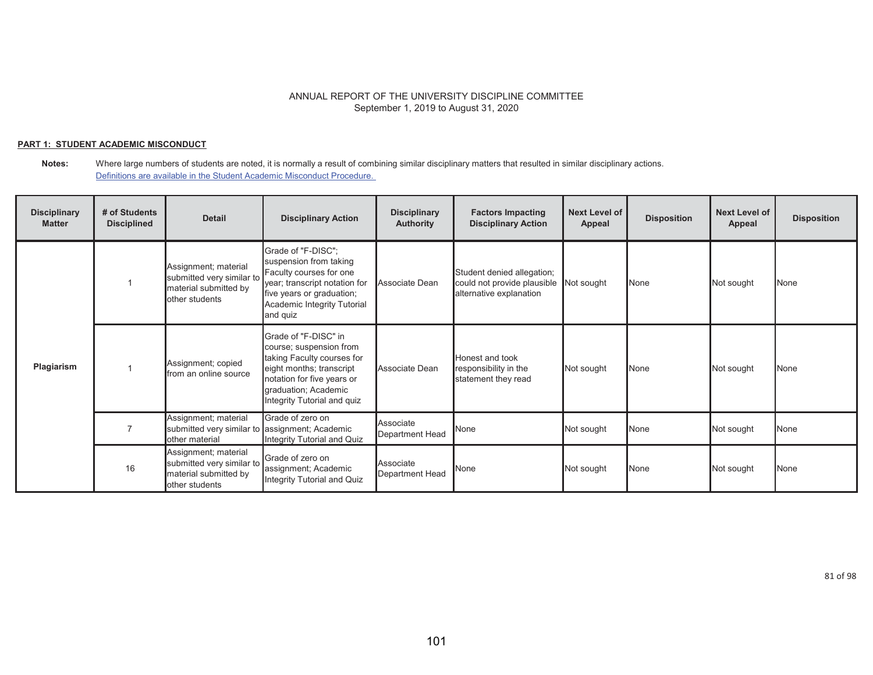### **PART 1: STUDENT ACADEMIC MISCONDUCT**

#### **Notes:** Where large numbers of students are noted, it is normally a result of combining similar disciplinary matters that resulted in similar disciplinary actions. Definitions are available in the Student Academic Misconduct Procedure.

| <b>Disciplinary</b><br><b>Matter</b> | # of Students<br><b>Disciplined</b> | <b>Detail</b>                                                                                | <b>Disciplinary Action</b>                                                                                                                                                                     | <b>Disciplinary</b><br><b>Authority</b> | <b>Factors Impacting</b><br><b>Disciplinary Action</b>                               | Next Level of<br>Appeal | <b>Disposition</b> | <b>Next Level of</b><br>Appeal | <b>Disposition</b> |
|--------------------------------------|-------------------------------------|----------------------------------------------------------------------------------------------|------------------------------------------------------------------------------------------------------------------------------------------------------------------------------------------------|-----------------------------------------|--------------------------------------------------------------------------------------|-------------------------|--------------------|--------------------------------|--------------------|
|                                      |                                     | Assignment; material<br>submitted very similar to<br>material submitted by<br>other students | Grade of "F-DISC";<br>suspension from taking<br>Faculty courses for one<br>year; transcript notation for<br>five years or graduation;<br>Academic Integrity Tutorial<br>and quiz               | Associate Dean                          | Student denied allegation;<br>could not provide plausible<br>alternative explanation | Not sought              | None               | Not sought                     | <b>N</b> one       |
| Plagiarism                           |                                     | Assignment; copied<br>from an online source                                                  | Grade of "F-DISC" in<br>course; suspension from<br>taking Faculty courses for<br>eight months; transcript<br>notation for five years or<br>graduation; Academic<br>Integrity Tutorial and quiz | Associate Dean                          | Honest and took<br>responsibility in the<br>statement they read                      | Not sought              | None               | Not sought                     | <b>None</b>        |
|                                      |                                     | Assignment; material<br>submitted very similar to assignment; Academic<br>other material     | Grade of zero on<br>Integrity Tutorial and Quiz                                                                                                                                                | Associate<br>Department Head            | <b>None</b>                                                                          | Not sought              | None               | Not sought                     | <b>None</b>        |
|                                      | 16                                  | Assignment; material<br>submitted very similar to<br>material submitted by<br>other students | Grade of zero on<br>assignment; Academic<br>Integrity Tutorial and Quiz                                                                                                                        | Associate<br>Department Head            | None                                                                                 | Not sought              | None               | Not sought                     | None               |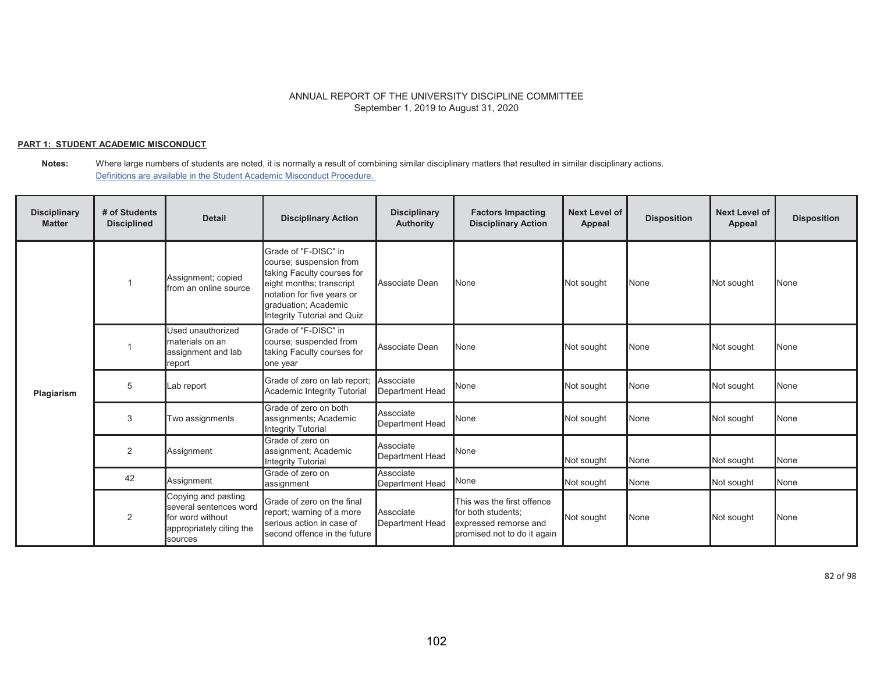### **PART 1: STUDENT ACADEMIC MISCONDUCT**

#### **Notes:** Where large numbers of students are noted, it is normally a result of combining similar disciplinary matters that resulted in similar disciplinary actions. Definitions are available in the Student Academic Misconduct Procedure.

| <b>Disciplinary</b><br><b>Matter</b> | # of Students<br><b>Disciplined</b> | <b>Detail</b>                                                                                            | <b>Disciplinary Action</b>                                                                                                                                                                     | <b>Disciplinary</b><br><b>Authority</b> | <b>Factors Impacting</b><br><b>Disciplinary Action</b>                                                   | <b>Next Level of</b><br>Appeal | <b>Disposition</b> | <b>Next Level of</b><br><b>Appeal</b> | <b>Disposition</b> |
|--------------------------------------|-------------------------------------|----------------------------------------------------------------------------------------------------------|------------------------------------------------------------------------------------------------------------------------------------------------------------------------------------------------|-----------------------------------------|----------------------------------------------------------------------------------------------------------|--------------------------------|--------------------|---------------------------------------|--------------------|
|                                      |                                     | Assignment; copied<br>from an online source                                                              | Grade of "F-DISC" in<br>course; suspension from<br>taking Faculty courses for<br>eight months; transcript<br>notation for five years or<br>graduation; Academic<br>Integrity Tutorial and Quiz | Associate Dean                          | None                                                                                                     | Not sought                     | None               | Not sought                            | None               |
| Plagiarism                           |                                     | Used unauthorized<br>materials on an<br>assignment and lab<br>report                                     | Grade of "F-DISC" in<br>course; suspended from<br>taking Faculty courses for<br>one year                                                                                                       | Associate Dean                          | None                                                                                                     | Not sought                     | None               | Not sought                            | None               |
|                                      | 5                                   | Lab report                                                                                               | Grade of zero on lab report;<br>Academic Integrity Tutorial                                                                                                                                    | Associate<br><b>Department Head</b>     | None                                                                                                     | Not sought                     | None               | Not sought                            | None               |
|                                      | 3                                   | Two assignments                                                                                          | Grade of zero on both<br>assignments; Academic<br>Integrity Tutorial                                                                                                                           | Associate<br><b>Department Head</b>     | None                                                                                                     | Not sought                     | None               | Not sought                            | None               |
|                                      | $\overline{2}$                      | Assignment                                                                                               | Grade of zero on<br>assignment; Academic<br><b>Integrity Tutorial</b>                                                                                                                          | Associate<br>Department Head            | None                                                                                                     | Not sought                     | None               | Not sought                            | None               |
|                                      | 42                                  | Assignment                                                                                               | Grade of zero on<br>assignment                                                                                                                                                                 | Associate<br><b>Department Head</b>     | None                                                                                                     | Not sought                     | None               | Not sought                            | None               |
|                                      | $\overline{2}$                      | Copying and pasting<br>several sentences word<br>for word without<br>appropriately citing the<br>sources | Grade of zero on the final<br>report; warning of a more<br>serious action in case of<br>second offence in the future                                                                           | Associate<br><b>Department Head</b>     | This was the first offence<br>for both students:<br>expressed remorse and<br>promised not to do it again | Not sought                     | None               | Not sought                            | None               |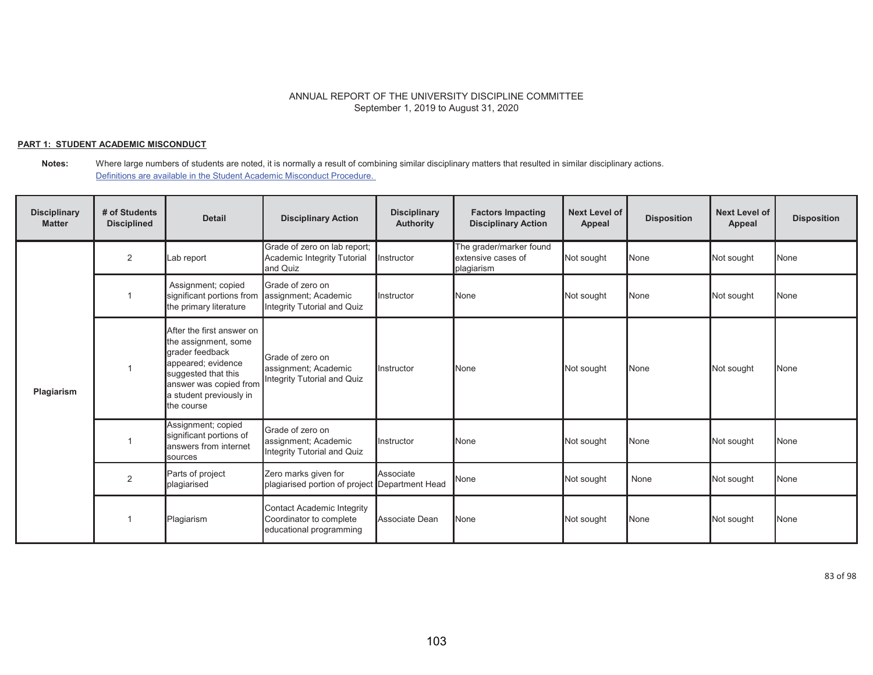## **PART 1: STUDENT ACADEMIC MISCONDUCT**

**Notes:** Where large numbers of students are noted, it is normally a result of combining similar disciplinary matters that resulted in similar disciplinary actions. Definitions are available in the Student Academic Misconduct Procedure.

| <b>Disciplinary</b><br><b>Matter</b> | # of Students<br><b>Disciplined</b> | <b>Detail</b>                                                                                                                                                                        | <b>Disciplinary Action</b>                                                       | <b>Disciplinary</b><br><b>Authority</b> | <b>Factors Impacting</b><br><b>Disciplinary Action</b>      | <b>Next Level of</b><br>Appeal | <b>Disposition</b> | <b>Next Level of</b><br>Appeal | <b>Disposition</b> |
|--------------------------------------|-------------------------------------|--------------------------------------------------------------------------------------------------------------------------------------------------------------------------------------|----------------------------------------------------------------------------------|-----------------------------------------|-------------------------------------------------------------|--------------------------------|--------------------|--------------------------------|--------------------|
|                                      | 2                                   | _ab report                                                                                                                                                                           | Grade of zero on lab report;<br>Academic Integrity Tutorial<br>and Quiz          | Instructor                              | The grader/marker found<br>extensive cases of<br>plagiarism | Not sought                     | None               | Not sought                     | None               |
| Plagiarism                           |                                     | Assignment; copied<br>significant portions from<br>the primary literature                                                                                                            | Grade of zero on<br>assignment; Academic<br>Integrity Tutorial and Quiz          | Instructor                              | None                                                        | Not sought                     | None               | Not sought                     | None               |
|                                      |                                     | After the first answer on<br>the assignment, some<br>grader feedback<br>appeared; evidence<br>suggested that this<br>answer was copied from<br>a student previously in<br>the course | Grade of zero on<br>assignment; Academic<br>Integrity Tutorial and Quiz          | Instructor                              | None                                                        | Not sought                     | None               | Not sought                     | None               |
|                                      |                                     | Assignment; copied<br>significant portions of<br>answers from internet<br>sources                                                                                                    | Grade of zero on<br>assignment; Academic<br>Integrity Tutorial and Quiz          | Instructor                              | None                                                        | Not sought                     | None               | Not sought                     | None               |
|                                      | $\overline{2}$                      | Parts of project<br>plagiarised                                                                                                                                                      | Zero marks given for<br>plagiarised portion of project Department Head           | Associate                               | None                                                        | Not sought                     | None               | Not sought                     | None               |
|                                      |                                     | Plagiarism                                                                                                                                                                           | Contact Academic Integrity<br>Coordinator to complete<br>educational programming | Associate Dean                          | None                                                        | Not sought                     | None               | Not sought                     | None               |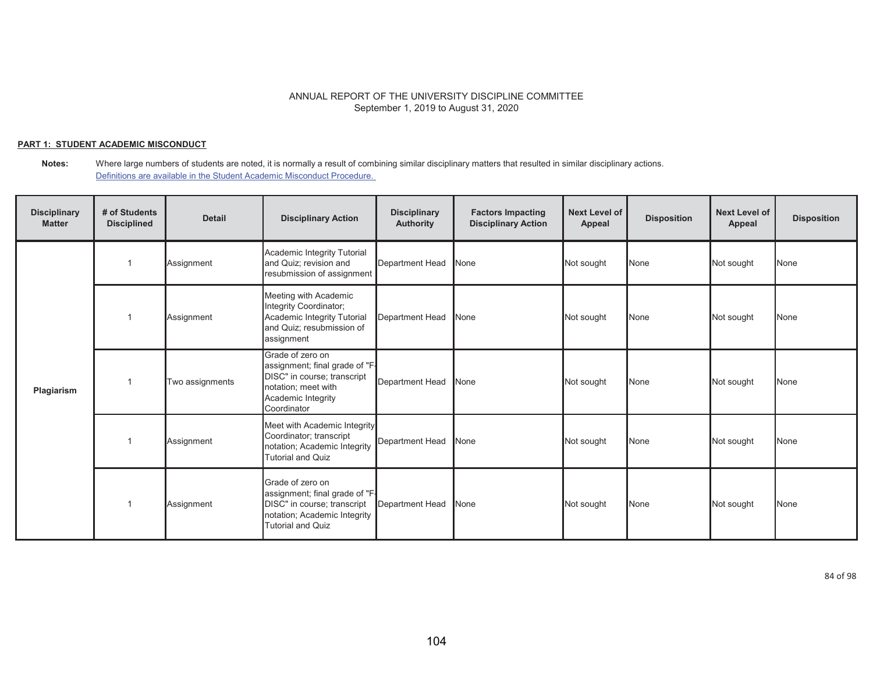## **PART 1: STUDENT ACADEMIC MISCONDUCT**

**Notes:** Where large numbers of students are noted, it is normally a result of combining similar disciplinary matters that resulted in similar disciplinary actions. Definitions are available in the Student Academic Misconduct Procedure.

| <b>Disciplinary</b><br><b>Matter</b> | # of Students<br><b>Disciplined</b> | <b>Detail</b>   | <b>Disciplinary Action</b>                                                                                                                    | <b>Disciplinary</b><br><b>Authority</b> | <b>Factors Impacting</b><br><b>Disciplinary Action</b> | <b>Next Level of</b><br>Appeal | <b>Disposition</b> | <b>Next Level of</b><br>Appeal | <b>Disposition</b> |
|--------------------------------------|-------------------------------------|-----------------|-----------------------------------------------------------------------------------------------------------------------------------------------|-----------------------------------------|--------------------------------------------------------|--------------------------------|--------------------|--------------------------------|--------------------|
|                                      | $\overline{1}$                      | Assignment      | Academic Integrity Tutorial<br>and Quiz; revision and<br>resubmission of assignment                                                           | Department Head                         | None                                                   | Not sought                     | None               | Not sought                     | None               |
| Plagiarism                           |                                     | Assignment      | Meeting with Academic<br>Integrity Coordinator;<br>Academic Integrity Tutorial<br>and Quiz; resubmission of<br>assignment                     | <b>Department Head</b>                  | <b>None</b>                                            | Not sought                     | None               | Not sought                     | None               |
|                                      |                                     | Two assignments | Grade of zero on<br>assignment; final grade of "F-<br>DISC" in course; transcript<br>notation; meet with<br>Academic Integrity<br>Coordinator | <b>Department Head</b>                  | <b>None</b>                                            | Not sought                     | None               | Not sought                     | None               |
|                                      |                                     | Assignment      | Meet with Academic Integrity<br>Coordinator; transcript<br>notation; Academic Integrity<br><b>Tutorial and Quiz</b>                           | <b>Department Head</b>                  | None                                                   | Not sought                     | None               | Not sought                     | None               |
|                                      |                                     | Assignment      | Grade of zero on<br>assignment; final grade of "F-<br>DISC" in course; transcript<br>notation; Academic Integrity<br><b>Tutorial and Quiz</b> | Department Head                         | None                                                   | Not sought                     | None               | Not sought                     | None               |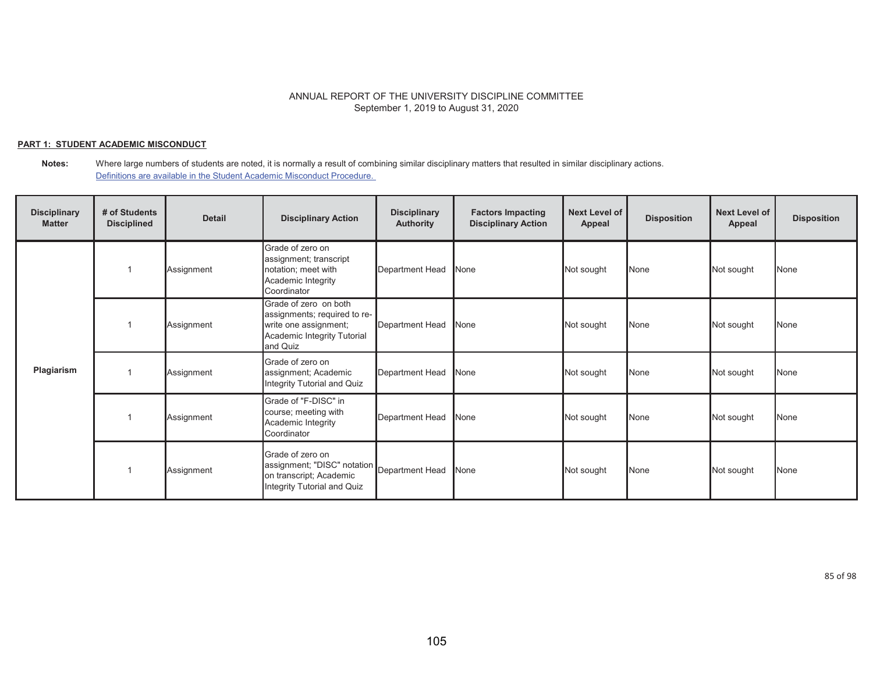## **PART 1: STUDENT ACADEMIC MISCONDUCT**

**Notes:** Where large numbers of students are noted, it is normally a result of combining similar disciplinary matters that resulted in similar disciplinary actions. Definitions are available in the Student Academic Misconduct Procedure.

| <b>Disciplinary</b><br><b>Matter</b> | # of Students<br><b>Disciplined</b> | <b>Detail</b> | <b>Disciplinary Action</b>                                                                                                | <b>Disciplinary</b><br><b>Authority</b> | <b>Factors Impacting</b><br><b>Disciplinary Action</b> | <b>Next Level of</b><br>Appeal | <b>Disposition</b> | <b>Next Level of</b><br>Appeal | <b>Disposition</b> |
|--------------------------------------|-------------------------------------|---------------|---------------------------------------------------------------------------------------------------------------------------|-----------------------------------------|--------------------------------------------------------|--------------------------------|--------------------|--------------------------------|--------------------|
|                                      |                                     | Assignment    | Grade of zero on<br>assignment; transcript<br>notation; meet with<br>Academic Integrity<br>Coordinator                    | Department Head                         | None                                                   | Not sought                     | None               | Not sought                     | None               |
| Plagiarism                           |                                     | Assignment    | Grade of zero on both<br>assignments; required to re-<br>write one assignment;<br>Academic Integrity Tutorial<br>and Quiz | Department Head                         | None                                                   | Not sought                     | None               | Not sought                     | <b>None</b>        |
|                                      |                                     | Assignment    | Grade of zero on<br>assignment; Academic<br>Integrity Tutorial and Quiz                                                   | Department Head                         | None                                                   | Not sought                     | None               | Not sought                     | None               |
|                                      |                                     | Assignment    | Grade of "F-DISC" in<br>course; meeting with<br>Academic Integrity<br>Coordinator                                         | Department Head                         | None                                                   | Not sought                     | None               | Not sought                     | None               |
|                                      |                                     | Assignment    | Grade of zero on<br>assignment; "DISC" notation Department Head<br>on transcript; Academic<br>Integrity Tutorial and Quiz |                                         | None                                                   | Not sought                     | None               | Not sought                     | None               |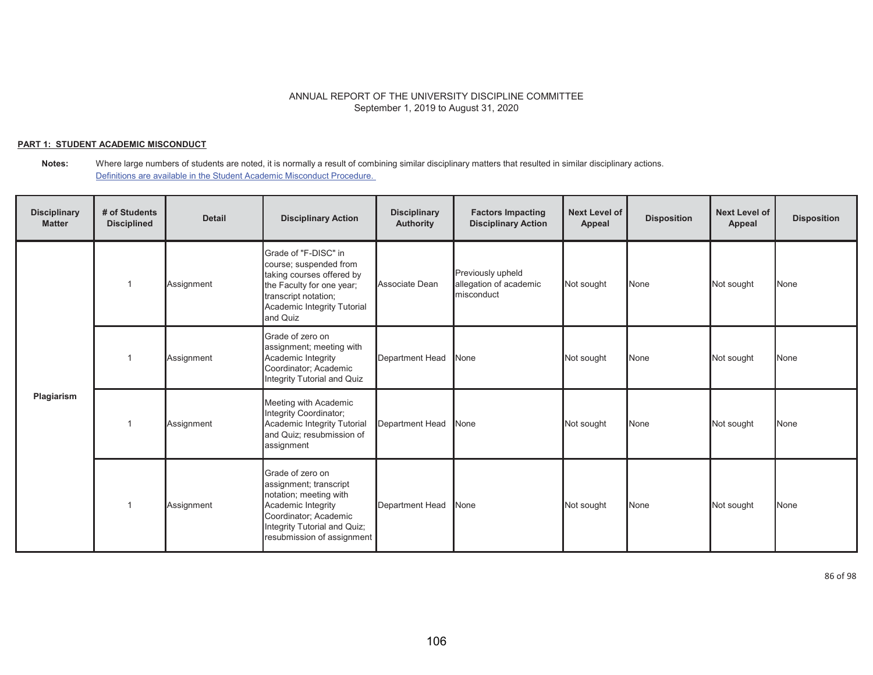## **PART 1: STUDENT ACADEMIC MISCONDUCT**

**Notes:** Where large numbers of students are noted, it is normally a result of combining similar disciplinary matters that resulted in similar disciplinary actions. Definitions are available in the Student Academic Misconduct Procedure.

| <b>Disciplinary</b><br><b>Matter</b> | # of Students<br><b>Disciplined</b> | <b>Detail</b> | <b>Disciplinary Action</b>                                                                                                                                                        | <b>Disciplinary</b><br><b>Authority</b> | <b>Factors Impacting</b><br><b>Disciplinary Action</b>    | <b>Next Level of</b><br>Appeal | <b>Disposition</b> | <b>Next Level of</b><br>Appeal | <b>Disposition</b> |
|--------------------------------------|-------------------------------------|---------------|-----------------------------------------------------------------------------------------------------------------------------------------------------------------------------------|-----------------------------------------|-----------------------------------------------------------|--------------------------------|--------------------|--------------------------------|--------------------|
| Plagiarism                           |                                     | Assignment    | Grade of "F-DISC" in<br>course; suspended from<br>taking courses offered by<br>the Faculty for one year;<br>transcript notation;<br>Academic Integrity Tutorial<br>and Quiz       | Associate Dean                          | Previously upheld<br>allegation of academic<br>misconduct | Not sought                     | None               | Not sought                     | <b>None</b>        |
|                                      |                                     | Assignment    | Grade of zero on<br>assignment; meeting with<br>Academic Integrity<br>Coordinator; Academic<br>Integrity Tutorial and Quiz                                                        | <b>Department Head</b>                  | None                                                      | Not sought                     | None               | Not sought                     | None               |
|                                      |                                     | Assignment    | Meeting with Academic<br>Integrity Coordinator;<br>Academic Integrity Tutorial<br>and Quiz; resubmission of<br>assignment                                                         | <b>Department Head</b>                  | None                                                      | Not sought                     | None               | Not sought                     | <b>None</b>        |
|                                      |                                     | Assignment    | Grade of zero on<br>assignment; transcript<br>notation; meeting with<br>Academic Integrity<br>Coordinator; Academic<br>Integrity Tutorial and Quiz;<br>resubmission of assignment | <b>Department Head</b>                  | None                                                      | Not sought                     | None               | Not sought                     | <b>None</b>        |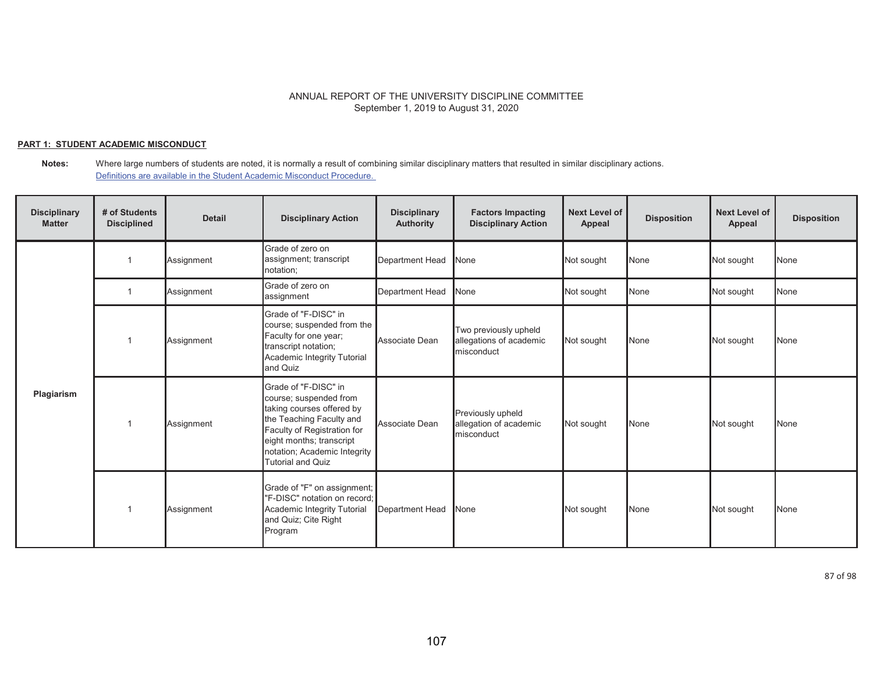## **PART 1: STUDENT ACADEMIC MISCONDUCT**

**Notes:** Where large numbers of students are noted, it is normally a result of combining similar disciplinary matters that resulted in similar disciplinary actions. Definitions are available in the Student Academic Misconduct Procedure.

| <b>Disciplinary</b><br><b>Matter</b> | # of Students<br><b>Disciplined</b> | <b>Detail</b> | <b>Disciplinary Action</b>                                                                                                                                                                                                     | <b>Disciplinary</b><br><b>Authority</b> | <b>Factors Impacting</b><br><b>Disciplinary Action</b>         | Next Level of<br>Appeal | <b>Disposition</b> | <b>Next Level of</b><br>Appeal | <b>Disposition</b> |
|--------------------------------------|-------------------------------------|---------------|--------------------------------------------------------------------------------------------------------------------------------------------------------------------------------------------------------------------------------|-----------------------------------------|----------------------------------------------------------------|-------------------------|--------------------|--------------------------------|--------------------|
|                                      |                                     | Assignment    | Grade of zero on<br>assignment; transcript<br>notation;                                                                                                                                                                        | Department Head                         | None                                                           | Not sought              | None               | Not sought                     | None               |
|                                      |                                     | Assignment    | Grade of zero on<br>assignment                                                                                                                                                                                                 | <b>Department Head</b>                  | None                                                           | Not sought              | None               | Not sought                     | None               |
| Plagiarism                           |                                     | Assignment    | Grade of "F-DISC" in<br>course; suspended from the<br>Faculty for one year;<br>transcript notation;<br>Academic Integrity Tutorial<br>and Quiz                                                                                 | Associate Dean                          | Two previously upheld<br>allegations of academic<br>misconduct | Not sought              | None               | Not sought                     | None               |
|                                      |                                     | Assignment    | Grade of "F-DISC" in<br>course; suspended from<br>taking courses offered by<br>the Teaching Faculty and<br>Faculty of Registration for<br>eight months; transcript<br>notation; Academic Integrity<br><b>Tutorial and Quiz</b> | Associate Dean                          | Previously upheld<br>allegation of academic<br>misconduct      | Not sought              | None               | Not sought                     | None               |
|                                      |                                     | Assignment    | Grade of "F" on assignment;<br>"F-DISC" notation on record;<br>Academic Integrity Tutorial<br>and Quiz; Cite Right<br>Program                                                                                                  | Department Head                         | None                                                           | Not sought              | None               | Not sought                     | None               |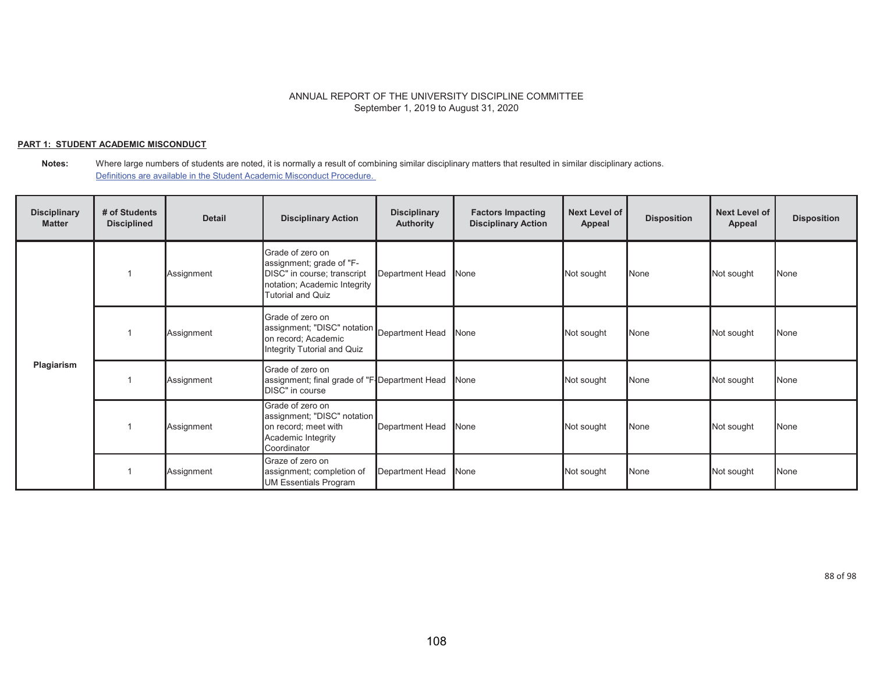### **PART 1: STUDENT ACADEMIC MISCONDUCT**

**Notes:** Where large numbers of students are noted, it is normally a result of combining similar disciplinary matters that resulted in similar disciplinary actions. Definitions are available in the Student Academic Misconduct Procedure.

| <b>Disciplinary</b><br><b>Matter</b> | # of Students<br><b>Disciplined</b> | <b>Detail</b> | <b>Disciplinary Action</b>                                                                                                              | <b>Disciplinary</b><br><b>Authority</b> | <b>Factors Impacting</b><br><b>Disciplinary Action</b> | <b>Next Level of</b><br>Appeal | <b>Disposition</b> | <b>Next Level of</b><br>Appeal | <b>Disposition</b> |
|--------------------------------------|-------------------------------------|---------------|-----------------------------------------------------------------------------------------------------------------------------------------|-----------------------------------------|--------------------------------------------------------|--------------------------------|--------------------|--------------------------------|--------------------|
|                                      |                                     | Assignment    | Grade of zero on<br>assignment; grade of "F-<br>DISC" in course; transcript<br>notation; Academic Integrity<br><b>Tutorial and Quiz</b> | Department Head                         | None                                                   | Not sought                     | None               | Not sought                     | None               |
| Plagiarism                           |                                     | Assignment    | Grade of zero on<br>assignment; "DISC" notation Department Head<br>on record; Academic<br>Integrity Tutorial and Quiz                   |                                         | None                                                   | Not sought                     | None               | Not sought                     | None               |
|                                      |                                     | Assignment    | Grade of zero on<br>assignment; final grade of "F-Department Head<br>DISC" in course                                                    |                                         | None                                                   | Not sought                     | None               | Not sought                     | None               |
|                                      |                                     | Assignment    | Grade of zero on<br>assignment; "DISC" notation<br>on record; meet with<br>Academic Integrity<br>Coordinator                            | Department Head                         | None                                                   | Not sought                     | None               | Not sought                     | None               |
|                                      |                                     | Assignment    | Graze of zero on<br>assignment; completion of<br>UM Essentials Program                                                                  | Department Head                         | None                                                   | Not sought                     | None               | Not sought                     | None               |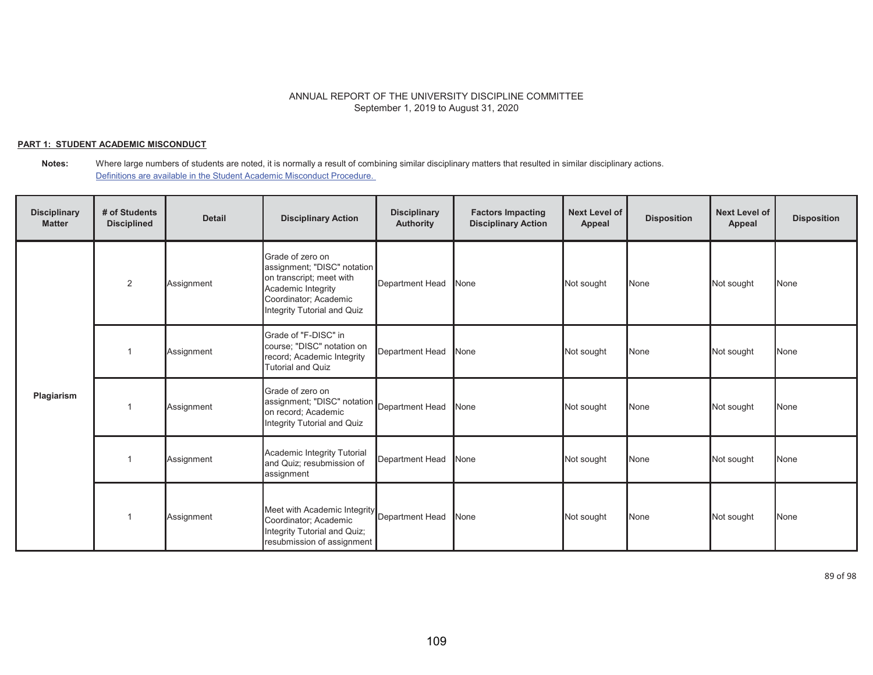## **PART 1: STUDENT ACADEMIC MISCONDUCT**

**Notes:** Where large numbers of students are noted, it is normally a result of combining similar disciplinary matters that resulted in similar disciplinary actions. Definitions are available in the Student Academic Misconduct Procedure.

| <b>Disciplinary</b><br><b>Matter</b> | # of Students<br><b>Disciplined</b> | <b>Detail</b> | <b>Disciplinary Action</b>                                                                                                                                | <b>Disciplinary</b><br><b>Authority</b> | <b>Factors Impacting</b><br><b>Disciplinary Action</b> | <b>Next Level of</b><br>Appeal | <b>Disposition</b> | <b>Next Level of</b><br>Appeal | <b>Disposition</b> |
|--------------------------------------|-------------------------------------|---------------|-----------------------------------------------------------------------------------------------------------------------------------------------------------|-----------------------------------------|--------------------------------------------------------|--------------------------------|--------------------|--------------------------------|--------------------|
|                                      | 2                                   | Assignment    | Grade of zero on<br>assignment; "DISC" notation<br>on transcript; meet with<br>Academic Integrity<br>Coordinator; Academic<br>Integrity Tutorial and Quiz | Department Head                         | None                                                   | Not sought                     | None               | Not sought                     | None               |
|                                      |                                     | Assignment    | Grade of "F-DISC" in<br>course; "DISC" notation on<br>record; Academic Integrity<br><b>Tutorial and Quiz</b>                                              | Department Head                         | None                                                   | Not sought                     | None               | Not sought                     | None               |
| Plagiarism                           |                                     | Assignment    | Grade of zero on<br>assignment; "DISC" notation Department Head<br>on record; Academic<br>Integrity Tutorial and Quiz                                     |                                         | None                                                   | Not sought                     | None               | Not sought                     | None               |
|                                      |                                     | Assignment    | Academic Integrity Tutorial<br>and Quiz; resubmission of<br>assignment                                                                                    | Department Head                         | None                                                   | Not sought                     | None               | Not sought                     | None               |
|                                      |                                     | Assignment    | Meet with Academic Integrity Department Head<br>Coordinator; Academic<br>Integrity Tutorial and Quiz;<br>resubmission of assignment                       |                                         | None                                                   | Not sought                     | None               | Not sought                     | None               |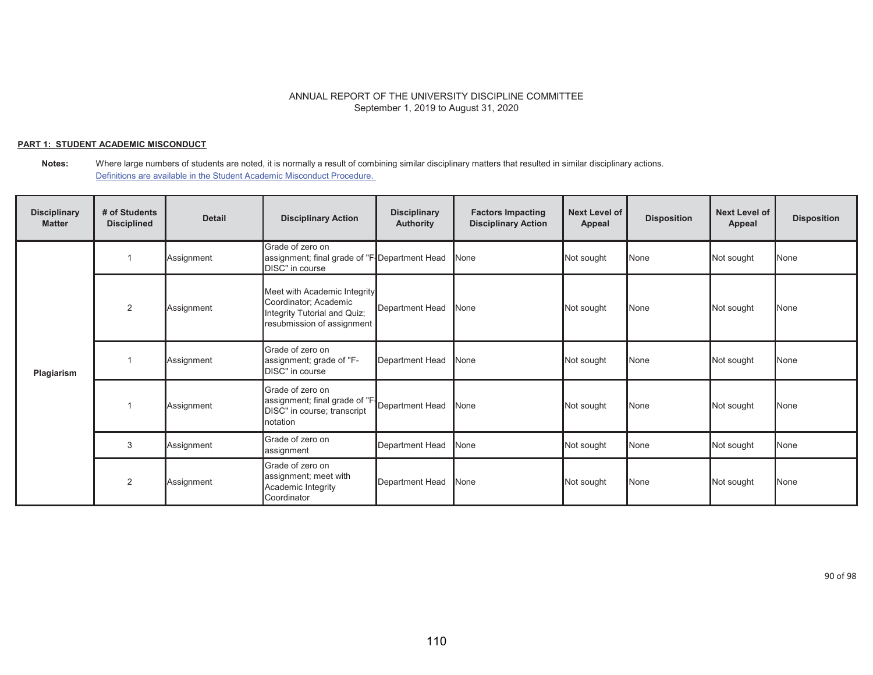## **PART 1: STUDENT ACADEMIC MISCONDUCT**

**Notes:** Where large numbers of students are noted, it is normally a result of combining similar disciplinary matters that resulted in similar disciplinary actions. Definitions are available in the Student Academic Misconduct Procedure.

| <b>Disciplinary</b><br><b>Matter</b> | # of Students<br><b>Disciplined</b> | <b>Detail</b> | <b>Disciplinary Action</b>                                                                                          | <b>Disciplinary</b><br><b>Authority</b> | <b>Factors Impacting</b><br><b>Disciplinary Action</b> | <b>Next Level of</b><br>Appeal | <b>Disposition</b> | <b>Next Level of</b><br>Appeal | <b>Disposition</b> |
|--------------------------------------|-------------------------------------|---------------|---------------------------------------------------------------------------------------------------------------------|-----------------------------------------|--------------------------------------------------------|--------------------------------|--------------------|--------------------------------|--------------------|
|                                      |                                     | Assignment    | Grade of zero on<br>assignment; final grade of "F-Department Head<br>DISC" in course                                |                                         | None                                                   | Not sought                     | None               | Not sought                     | None               |
|                                      | 2                                   | Assignment    | Meet with Academic Integrity<br>Coordinator; Academic<br>Integrity Tutorial and Quiz;<br>resubmission of assignment | Department Head                         | None                                                   | Not sought                     | None               | Not sought                     | None               |
| Plagiarism                           |                                     | Assignment    | Grade of zero on<br>assignment; grade of "F-<br>DISC" in course                                                     | Department Head                         | <b>N</b> one                                           | Not sought                     | None               | Not sought                     | None               |
|                                      |                                     | Assignment    | Grade of zero on<br>assignment; final grade of "F-<br>DISC" in course; transcript<br>notation                       | Department Head                         | None                                                   | Not sought                     | None               | Not sought                     | None               |
|                                      | 3                                   | Assignment    | Grade of zero on<br>assignment                                                                                      | Department Head                         | None                                                   | Not sought                     | None               | Not sought                     | None               |
|                                      | 2                                   | Assignment    | Grade of zero on<br>assignment; meet with<br>Academic Integrity<br>Coordinator                                      | Department Head                         | None                                                   | Not sought                     | None               | Not sought                     | None               |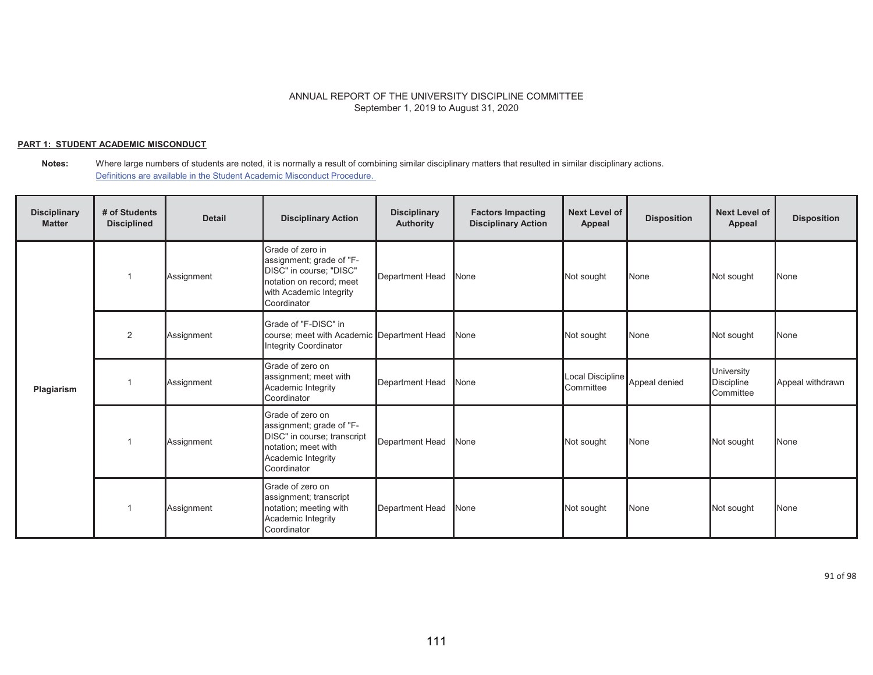### **PART 1: STUDENT ACADEMIC MISCONDUCT**

**Notes:** Where large numbers of students are noted, it is normally a result of combining similar disciplinary matters that resulted in similar disciplinary actions. Definitions are available in the Student Academic Misconduct Procedure.

| <b>Disciplinary</b><br><b>Matter</b> | # of Students<br><b>Disciplined</b> | <b>Detail</b> | <b>Disciplinary Action</b>                                                                                                                    | <b>Disciplinary</b><br><b>Authority</b> | <b>Factors Impacting</b><br><b>Disciplinary Action</b> | <b>Next Level of</b><br>Appeal | <b>Disposition</b> | <b>Next Level of</b><br>Appeal               | <b>Disposition</b> |
|--------------------------------------|-------------------------------------|---------------|-----------------------------------------------------------------------------------------------------------------------------------------------|-----------------------------------------|--------------------------------------------------------|--------------------------------|--------------------|----------------------------------------------|--------------------|
|                                      |                                     | Assignment    | Grade of zero in<br>assignment; grade of "F-<br>DISC" in course; "DISC"<br>notation on record; meet<br>with Academic Integrity<br>Coordinator | <b>Department Head</b>                  | None                                                   | Not sought                     | None               | Not sought                                   | None               |
| Plagiarism                           | 2                                   | Assignment    | Grade of "F-DISC" in<br>course; meet with Academic Department Head<br><b>Integrity Coordinator</b>                                            |                                         | None                                                   | Not sought                     | None               | Not sought                                   | None               |
|                                      |                                     | Assignment    | Grade of zero on<br>assignment; meet with<br>Academic Integrity<br>Coordinator                                                                | <b>Department Head</b>                  | None                                                   | Local Discipline<br>Committee  | Appeal denied      | University<br><b>Discipline</b><br>Committee | Appeal withdrawn   |
|                                      |                                     | Assignment    | Grade of zero on<br>assignment; grade of "F-<br>DISC" in course; transcript<br>notation; meet with<br>Academic Integrity<br>Coordinator       | Department Head                         | None                                                   | Not sought                     | None               | Not sought                                   | None               |
|                                      |                                     | Assignment    | Grade of zero on<br>assignment; transcript<br>notation; meeting with<br>Academic Integrity<br>Coordinator                                     | Department Head                         | <b>None</b>                                            | Not sought                     | None               | Not sought                                   | None               |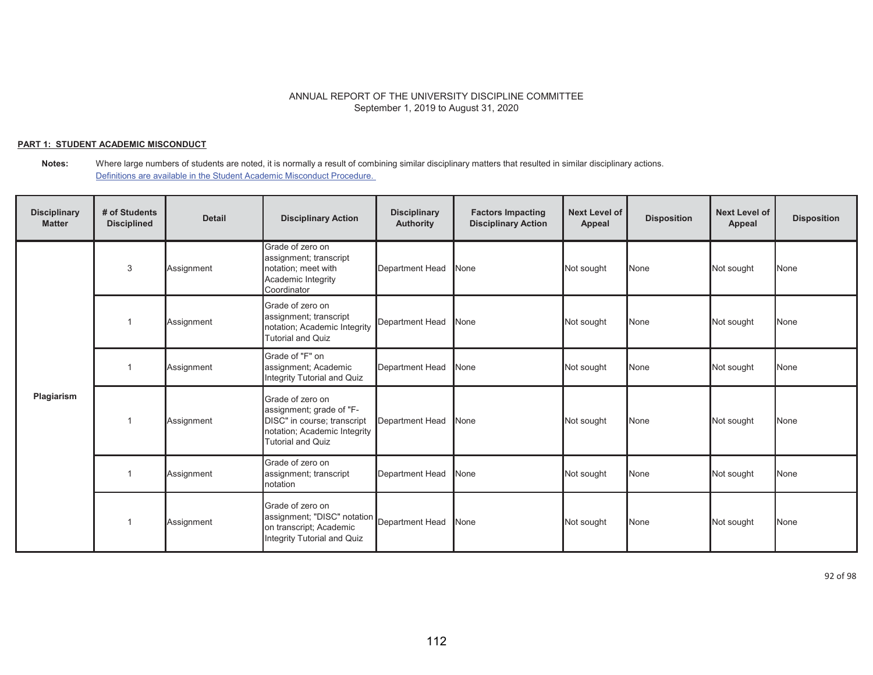### **PART 1: STUDENT ACADEMIC MISCONDUCT**

**Notes:** Where large numbers of students are noted, it is normally a result of combining similar disciplinary matters that resulted in similar disciplinary actions. Definitions are available in the Student Academic Misconduct Procedure.

| <b>Disciplinary</b><br><b>Matter</b> | # of Students<br><b>Disciplined</b> | <b>Detail</b> | <b>Disciplinary Action</b>                                                                                                              | <b>Disciplinary</b><br><b>Authority</b> | <b>Factors Impacting</b><br><b>Disciplinary Action</b> | <b>Next Level of</b><br>Appeal | <b>Disposition</b> | <b>Next Level of</b><br>Appeal | <b>Disposition</b> |
|--------------------------------------|-------------------------------------|---------------|-----------------------------------------------------------------------------------------------------------------------------------------|-----------------------------------------|--------------------------------------------------------|--------------------------------|--------------------|--------------------------------|--------------------|
|                                      | 3                                   | Assignment    | Grade of zero on<br>assignment; transcript<br>notation; meet with<br>Academic Integrity<br>Coordinator                                  | <b>Department Head</b>                  | None                                                   | Not sought                     | None               | Not sought                     | None               |
| Plagiarism                           |                                     | Assignment    | Grade of zero on<br>assignment; transcript<br>notation; Academic Integrity<br><b>Tutorial and Quiz</b>                                  | <b>Department Head</b>                  | None                                                   | Not sought                     | None               | Not sought                     | None               |
|                                      |                                     | Assignment    | Grade of "F" on<br>assignment; Academic<br>Integrity Tutorial and Quiz                                                                  | <b>Department Head</b>                  | None                                                   | Not sought                     | None               | Not sought                     | None               |
|                                      |                                     | Assignment    | Grade of zero on<br>assignment; grade of "F-<br>DISC" in course; transcript<br>notation; Academic Integrity<br><b>Tutorial and Quiz</b> | <b>Department Head</b>                  | None                                                   | Not sought                     | None               | Not sought                     | None               |
|                                      |                                     | Assignment    | Grade of zero on<br>assignment; transcript<br>notation                                                                                  | <b>Department Head</b>                  | None                                                   | Not sought                     | None               | Not sought                     | None               |
|                                      |                                     | Assignment    | Grade of zero on<br>assignment; "DISC" notation Department Head<br>on transcript; Academic<br>Integrity Tutorial and Quiz               |                                         | None                                                   | Not sought                     | None               | Not sought                     | None               |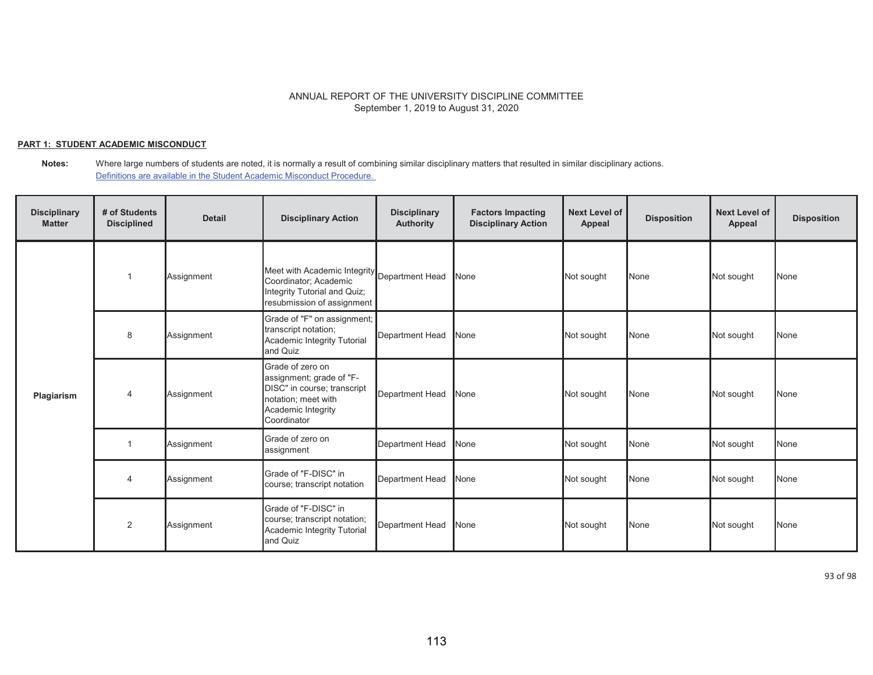### **PART 1: STUDENT ACADEMIC MISCONDUCT**

**Notes:** Where large numbers of students are noted, it is normally a result of combining similar disciplinary matters that resulted in similar disciplinary actions. Definitions are available in the Student Academic Misconduct Procedure.

| <b>Disciplinary</b><br><b>Matter</b> | # of Students<br><b>Disciplined</b> | <b>Detail</b> | <b>Disciplinary Action</b>                                                                                                              | <b>Disciplinary</b><br><b>Authority</b> | <b>Factors Impacting</b><br><b>Disciplinary Action</b> | <b>Next Level of</b><br>Appeal | <b>Disposition</b> | <b>Next Level of</b><br>Appeal | <b>Disposition</b> |
|--------------------------------------|-------------------------------------|---------------|-----------------------------------------------------------------------------------------------------------------------------------------|-----------------------------------------|--------------------------------------------------------|--------------------------------|--------------------|--------------------------------|--------------------|
|                                      |                                     | Assignment    | Meet with Academic Integrity Department Head<br>Coordinator; Academic<br>Integrity Tutorial and Quiz;<br>resubmission of assignment     |                                         | None                                                   | Not sought                     | None               | Not sought                     | <b>None</b>        |
|                                      | 8                                   | Assignment    | Grade of "F" on assignment;<br>transcript notation;<br>Academic Integrity Tutorial<br>and Quiz                                          | Department Head                         | None                                                   | Not sought                     | None               | Not sought                     | None               |
| Plagiarism                           | 4                                   | Assignment    | Grade of zero on<br>assignment; grade of "F-<br>DISC" in course; transcript<br>notation; meet with<br>Academic Integrity<br>Coordinator | <b>Department Head</b>                  | None                                                   | Not sought                     | None               | Not sought                     | None               |
|                                      |                                     | Assignment    | Grade of zero on<br>assignment                                                                                                          | Department Head                         | None                                                   | Not sought                     | None               | Not sought                     | None               |
|                                      | $\overline{4}$                      | Assignment    | Grade of "F-DISC" in<br>course; transcript notation                                                                                     | <b>Department Head</b>                  | <b>None</b>                                            | Not sought                     | None               | Not sought                     | None               |
|                                      | 2                                   | Assignment    | Grade of "F-DISC" in<br>course; transcript notation;<br>Academic Integrity Tutorial<br>and Quiz                                         | <b>Department Head</b>                  | None                                                   | Not sought                     | None               | Not sought                     | <b>None</b>        |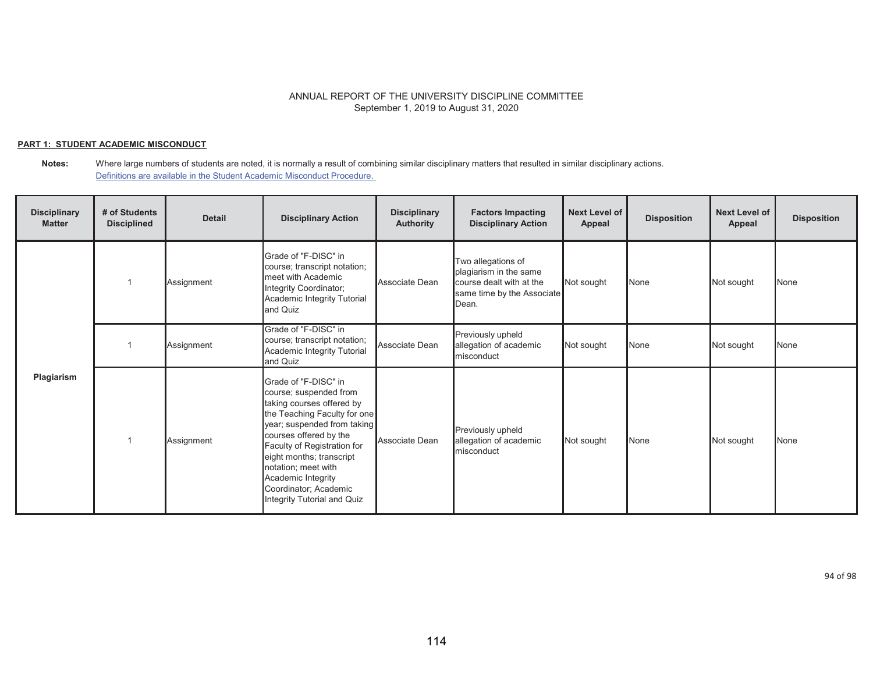### **PART 1: STUDENT ACADEMIC MISCONDUCT**

**Notes:** Where large numbers of students are noted, it is normally a result of combining similar disciplinary matters that resulted in similar disciplinary actions. Definitions are available in the Student Academic Misconduct Procedure.

| <b>Disciplinary</b><br><b>Matter</b> | # of Students<br><b>Disciplined</b> | <b>Detail</b> | <b>Disciplinary Action</b>                                                                                                                                                                                                                                                                                                           | <b>Disciplinary</b><br>Authority | <b>Factors Impacting</b><br><b>Disciplinary Action</b>                                                          | <b>Next Level of</b><br><b>Appeal</b> | <b>Disposition</b> | <b>Next Level of</b><br>Appeal | <b>Disposition</b> |
|--------------------------------------|-------------------------------------|---------------|--------------------------------------------------------------------------------------------------------------------------------------------------------------------------------------------------------------------------------------------------------------------------------------------------------------------------------------|----------------------------------|-----------------------------------------------------------------------------------------------------------------|---------------------------------------|--------------------|--------------------------------|--------------------|
| Plagiarism                           |                                     | Assignment    | Grade of "F-DISC" in<br>course; transcript notation;<br>meet with Academic<br>Integrity Coordinator;<br>Academic Integrity Tutorial<br>and Quiz                                                                                                                                                                                      | Associate Dean                   | Two allegations of<br>plagiarism in the same<br>course dealt with at the<br>same time by the Associate<br>Dean. | Not sought                            | None               | Not sought                     | None               |
|                                      |                                     | Assignment    | Grade of "F-DISC" in<br>course; transcript notation;<br>Academic Integrity Tutorial<br>and Quiz                                                                                                                                                                                                                                      | Associate Dean                   | Previously upheld<br>allegation of academic<br>misconduct                                                       | Not sought                            | None               | Not sought                     | None               |
|                                      |                                     | Assignment    | Grade of "F-DISC" in<br>course; suspended from<br>taking courses offered by<br>the Teaching Faculty for one<br>year; suspended from taking<br>courses offered by the<br>Faculty of Registration for<br>eight months; transcript<br>notation; meet with<br>Academic Integrity<br>Coordinator; Academic<br>Integrity Tutorial and Quiz | Associate Dean                   | Previously upheld<br>allegation of academic<br>misconduct                                                       | Not sought                            | None               | Not sought                     | None               |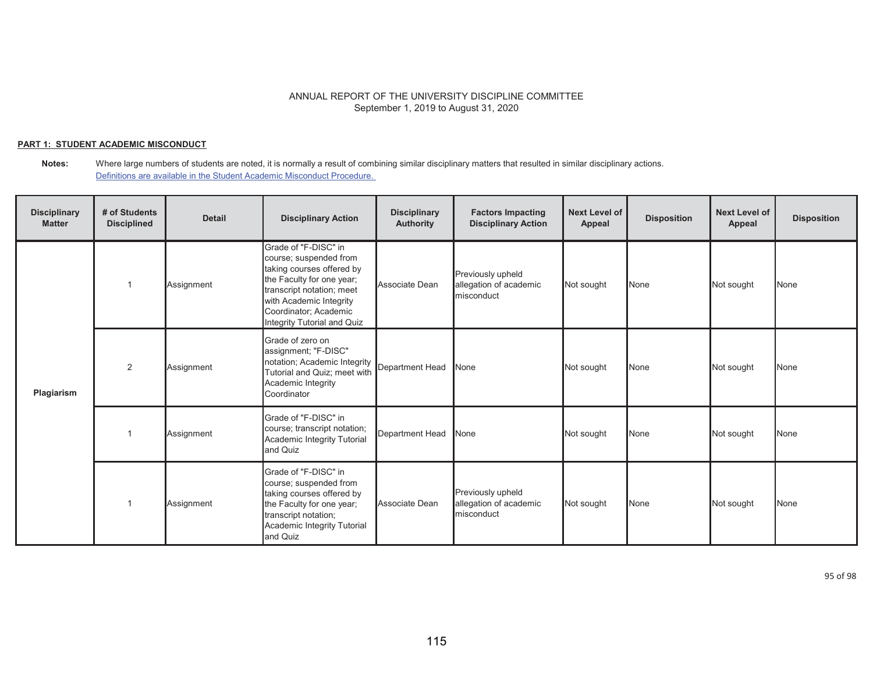## **PART 1: STUDENT ACADEMIC MISCONDUCT**

**Notes:** Where large numbers of students are noted, it is normally a result of combining similar disciplinary matters that resulted in similar disciplinary actions. Definitions are available in the Student Academic Misconduct Procedure.

| <b>Disciplinary</b><br><b>Matter</b> | # of Students<br><b>Disciplined</b> | <b>Detail</b> | <b>Disciplinary Action</b>                                                                                                                                                                                               | <b>Disciplinary</b><br><b>Authority</b> | <b>Factors Impacting</b><br><b>Disciplinary Action</b>    | <b>Next Level of</b><br>Appeal | <b>Disposition</b> | <b>Next Level of</b><br>Appeal | <b>Disposition</b> |
|--------------------------------------|-------------------------------------|---------------|--------------------------------------------------------------------------------------------------------------------------------------------------------------------------------------------------------------------------|-----------------------------------------|-----------------------------------------------------------|--------------------------------|--------------------|--------------------------------|--------------------|
| Plagiarism                           |                                     | Assignment    | Grade of "F-DISC" in<br>course; suspended from<br>taking courses offered by<br>the Faculty for one year;<br>transcript notation; meet<br>with Academic Integrity<br>Coordinator; Academic<br>Integrity Tutorial and Quiz | Associate Dean                          | Previously upheld<br>allegation of academic<br>misconduct | Not sought                     | None               | Not sought                     | <b>None</b>        |
|                                      | $\overline{2}$                      | Assignment    | Grade of zero on<br>assignment; "F-DISC"<br>notation; Academic Integrity<br>Tutorial and Quiz; meet with<br>Academic Integrity<br>Coordinator                                                                            | Department Head                         | None                                                      | Not sought                     | None               | Not sought                     | None               |
|                                      |                                     | Assignment    | Grade of "F-DISC" in<br>course; transcript notation;<br>Academic Integrity Tutorial<br>and Quiz                                                                                                                          | Department Head                         | None                                                      | Not sought                     | None               | Not sought                     | None               |
|                                      |                                     | Assignment    | Grade of "F-DISC" in<br>course; suspended from<br>taking courses offered by<br>the Faculty for one year;<br>transcript notation;<br>Academic Integrity Tutorial<br>and Quiz                                              | Associate Dean                          | Previously upheld<br>allegation of academic<br>misconduct | Not sought                     | None               | Not sought                     | <b>None</b>        |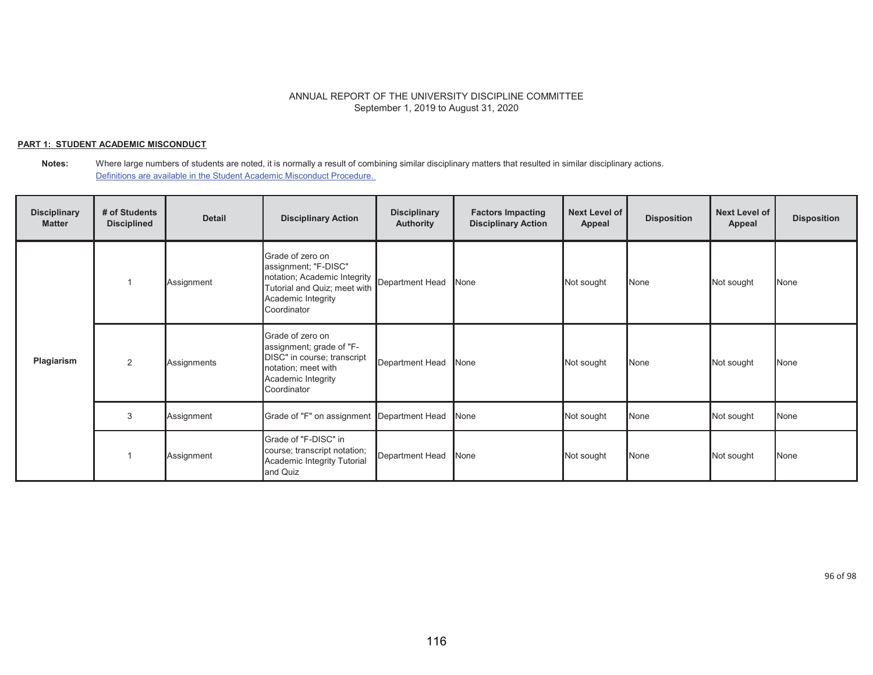## **PART 1: STUDENT ACADEMIC MISCONDUCT**

**Notes:** Where large numbers of students are noted, it is normally a result of combining similar disciplinary matters that resulted in similar disciplinary actions. Definitions are available in the Student Academic Misconduct Procedure.

| <b>Disciplinary</b><br><b>Matter</b> | # of Students<br><b>Disciplined</b> | <b>Detail</b> | <b>Disciplinary Action</b>                                                                                                                    | <b>Disciplinary</b><br><b>Authority</b> | <b>Factors Impacting</b><br><b>Disciplinary Action</b> | <b>Next Level of</b><br>Appeal | <b>Disposition</b> | <b>Next Level of</b><br>Appeal | <b>Disposition</b> |
|--------------------------------------|-------------------------------------|---------------|-----------------------------------------------------------------------------------------------------------------------------------------------|-----------------------------------------|--------------------------------------------------------|--------------------------------|--------------------|--------------------------------|--------------------|
| Plagiarism                           |                                     | Assignment    | Grade of zero on<br>assignment; "F-DISC"<br>notation; Academic Integrity<br>Tutorial and Quiz; meet with<br>Academic Integrity<br>Coordinator | Department Head                         | None                                                   | Not sought                     | None               | Not sought                     | None               |
|                                      | 2                                   | Assignments   | Grade of zero on<br>assignment; grade of "F-<br>DISC" in course; transcript<br>notation; meet with<br>Academic Integrity<br>Coordinator       | Department Head                         | None                                                   | Not sought                     | None               | Not sought                     | None               |
|                                      | 3                                   | Assignment    | Grade of "F" on assignment Department Head                                                                                                    |                                         | None                                                   | Not sought                     | None               | Not sought                     | None               |
|                                      |                                     | Assignment    | Grade of "F-DISC" in<br>course; transcript notation;<br>Academic Integrity Tutorial<br>and Quiz                                               | Department Head                         | None                                                   | Not sought                     | None               | Not sought                     | None               |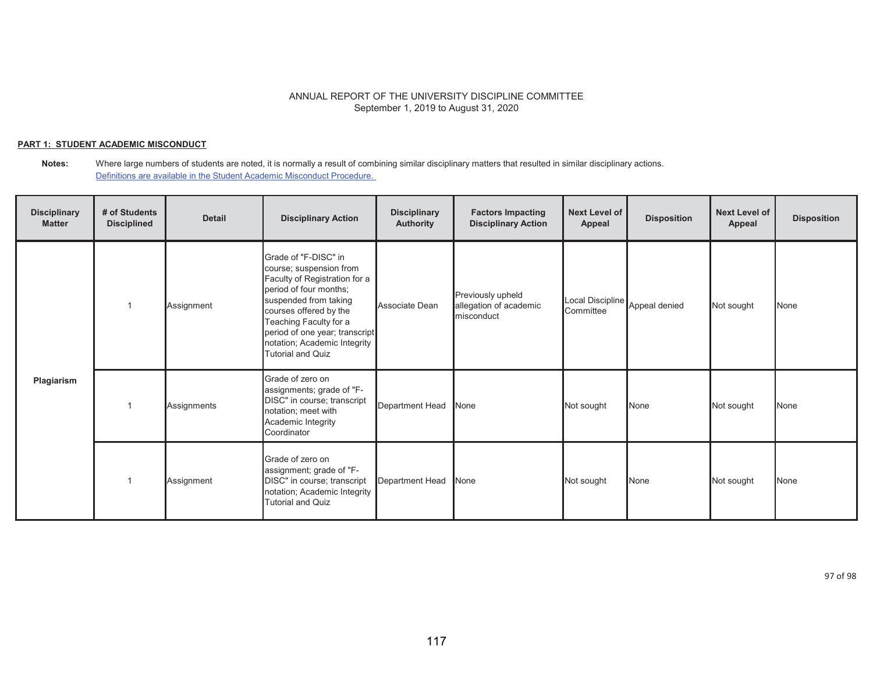## **PART 1: STUDENT ACADEMIC MISCONDUCT**

**Notes:** Where large numbers of students are noted, it is normally a result of combining similar disciplinary matters that resulted in similar disciplinary actions. Definitions are available in the Student Academic Misconduct Procedure.

| <b>Disciplinary</b><br><b>Matter</b> | # of Students<br><b>Disciplined</b> | <b>Detail</b> | <b>Disciplinary Action</b>                                                                                                                                                                                                                                                            | <b>Disciplinary</b><br><b>Authority</b> | <b>Factors Impacting</b><br><b>Disciplinary Action</b>    | <b>Next Level of</b><br>Appeal | <b>Disposition</b> | <b>Next Level of</b><br>Appeal | <b>Disposition</b> |
|--------------------------------------|-------------------------------------|---------------|---------------------------------------------------------------------------------------------------------------------------------------------------------------------------------------------------------------------------------------------------------------------------------------|-----------------------------------------|-----------------------------------------------------------|--------------------------------|--------------------|--------------------------------|--------------------|
| Plagiarism                           |                                     | Assignment    | Grade of "F-DISC" in<br>course; suspension from<br>Faculty of Registration for a<br>period of four months;<br>suspended from taking<br>courses offered by the<br>Teaching Faculty for a<br>period of one year; transcript<br>notation; Academic Integrity<br><b>Tutorial and Quiz</b> | Associate Dean                          | Previously upheld<br>allegation of academic<br>misconduct | Local Discipline<br>Committee  | Appeal denied      | Not sought                     | None               |
|                                      |                                     | Assignments   | Grade of zero on<br>assignments; grade of "F-<br>DISC" in course; transcript<br>notation; meet with<br>Academic Integrity<br>Coordinator                                                                                                                                              | Department Head                         | None                                                      | Not sought                     | None               | Not sought                     | None               |
|                                      |                                     | Assignment    | Grade of zero on<br>assignment; grade of "F-<br>DISC" in course; transcript<br>notation; Academic Integrity<br><b>Tutorial and Quiz</b>                                                                                                                                               | Department Head                         | None                                                      | Not sought                     | None               | Not sought                     | None               |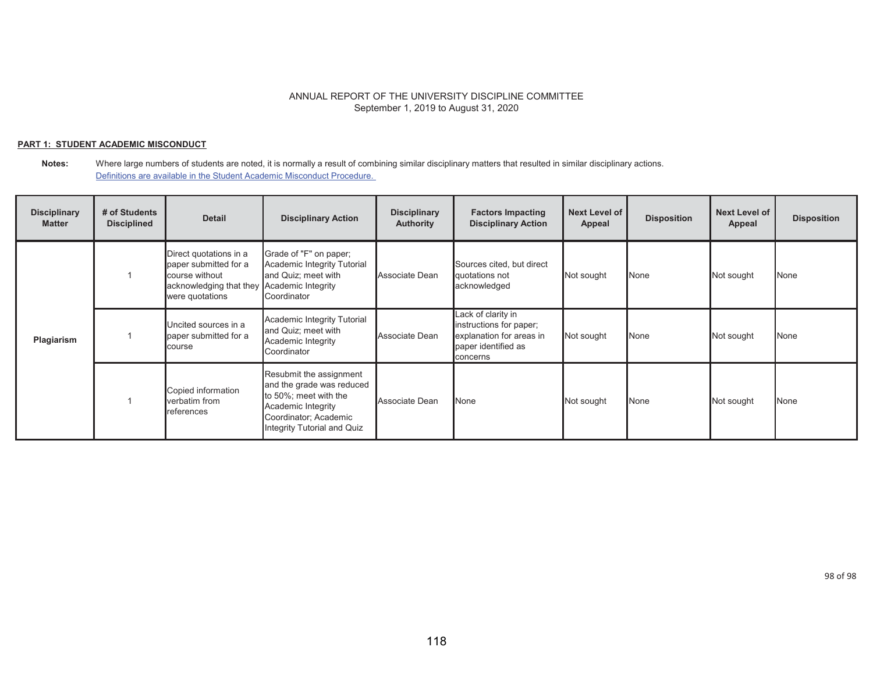### **PART 1: STUDENT ACADEMIC MISCONDUCT**

#### **Notes:** Where large numbers of students are noted, it is normally a result of combining similar disciplinary matters that resulted in similar disciplinary actions. Definitions are available in the Student Academic Misconduct Procedure.

| <b>Disciplinary</b><br><b>Matter</b> | # of Students<br><b>Disciplined</b> | <b>Detail</b>                                                                                                                      | <b>Disciplinary Action</b>                                                                                                                                  | <b>Disciplinary</b><br><b>Authority</b> | <b>Factors Impacting</b><br><b>Disciplinary Action</b>                                                       | <b>Next Level of</b><br>Appeal | <b>Disposition</b> | <b>Next Level of</b><br>Appeal | <b>Disposition</b> |
|--------------------------------------|-------------------------------------|------------------------------------------------------------------------------------------------------------------------------------|-------------------------------------------------------------------------------------------------------------------------------------------------------------|-----------------------------------------|--------------------------------------------------------------------------------------------------------------|--------------------------------|--------------------|--------------------------------|--------------------|
| Plagiarism                           |                                     | Direct quotations in a<br>paper submitted for a<br>course without<br>acknowledging that they Academic Integrity<br>were quotations | Grade of "F" on paper;<br>Academic Integrity Tutorial<br>and Quiz; meet with<br>Coordinator                                                                 | Associate Dean                          | Sources cited, but direct<br>quotations not<br>acknowledged                                                  | Not sought                     | None               | Not sought                     | None               |
|                                      |                                     | Uncited sources in a<br>paper submitted for a<br>course                                                                            | Academic Integrity Tutorial<br>and Quiz; meet with<br>Academic Integrity<br>Coordinator                                                                     | Associate Dean                          | Lack of clarity in<br>instructions for paper;<br>explanation for areas in<br>paper identified as<br>concerns | Not sought                     | None               | Not sought                     | None               |
|                                      |                                     | Copied information<br>verbatim from<br>references                                                                                  | Resubmit the assignment<br>and the grade was reduced<br>to 50%; meet with the<br>Academic Integrity<br>Coordinator; Academic<br>Integrity Tutorial and Quiz | Associate Dean                          | None                                                                                                         | Not sought                     | None               | Not sought                     | None               |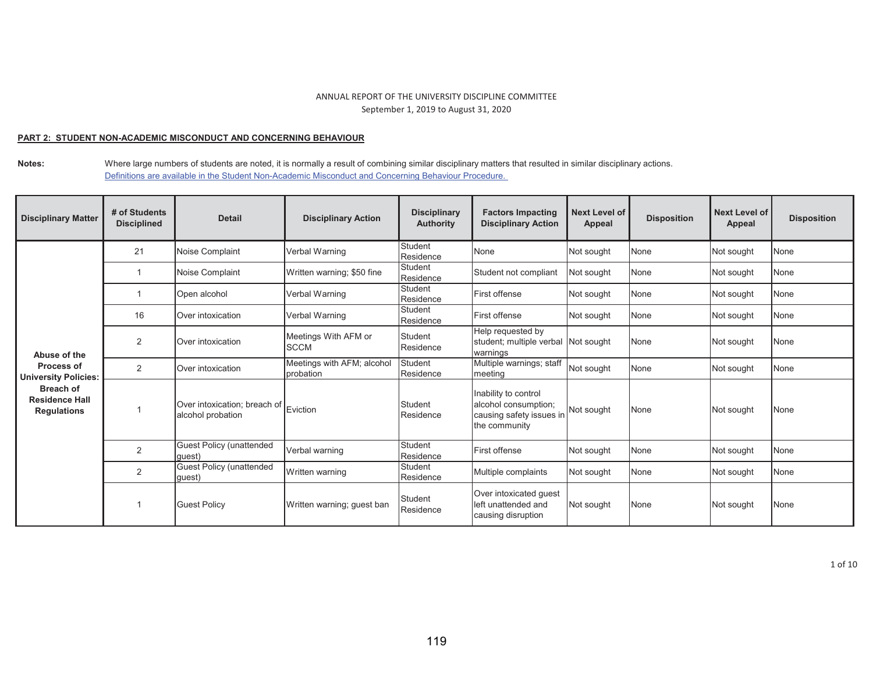### **PART 2: STUDENT NON-ACADEMIC MISCONDUCT AND CONCERNING BEHAVIOUR**

**Notes:** Where large numbers of students are noted, it is normally a result of combining similar disciplinary matters that resulted in similar disciplinary actions. Definitions are available in the Student Non-Academic Misconduct and Concerning Behaviour Procedure.

| <b>Disciplinary Matter</b>                                      | # of Students<br><b>Disciplined</b> | <b>Detail</b>                                              | <b>Disciplinary Action</b>              | <b>Disciplinary</b><br><b>Authority</b> | <b>Factors Impacting</b><br><b>Disciplinary Action</b>                                    | <b>Next Level of</b><br>Appeal | <b>Disposition</b> | Next Level of<br><b>Appeal</b> | <b>Disposition</b> |
|-----------------------------------------------------------------|-------------------------------------|------------------------------------------------------------|-----------------------------------------|-----------------------------------------|-------------------------------------------------------------------------------------------|--------------------------------|--------------------|--------------------------------|--------------------|
|                                                                 | 21                                  | Noise Complaint                                            | Verbal Warning                          | Student<br>Residence                    | None                                                                                      | Not sought                     | <b>None</b>        | Not sought                     | None               |
|                                                                 |                                     | Noise Complaint                                            | Written warning; \$50 fine              | <b>Student</b><br>Residence             | Student not compliant                                                                     | Not sought                     | <b>None</b>        | Not sought                     | <b>None</b>        |
|                                                                 |                                     | Open alcohol                                               | Verbal Warning                          | <b>Student</b><br>Residence             | <b>First offense</b>                                                                      | Not sought                     | None               | Not sought                     | <b>None</b>        |
|                                                                 | 16                                  | Over intoxication                                          | Verbal Warning                          | Student<br>Residence                    | First offense                                                                             | Not sought                     | None               | Not sought                     | None               |
| Abuse of the                                                    | 2                                   | Over intoxication                                          | Meetings With AFM or<br><b>SCCM</b>     | Student<br>Residence                    | Help requested by<br>student; multiple verbal Not sought<br>warnings                      |                                | None               | Not sought                     | <b>None</b>        |
| <b>Process of</b><br><b>University Policies:</b>                | 2                                   | Over intoxication                                          | Meetings with AFM; alcohol<br>probation | Student<br>Residence                    | Multiple warnings; staff<br>meeting                                                       | Not sought                     | None               | Not sought                     | None               |
| <b>Breach of</b><br><b>Residence Hall</b><br><b>Regulations</b> |                                     | Over intoxication; breach of Eviction<br>alcohol probation |                                         | Student<br>Residence                    | Inability to control<br>alcohol consumption;<br>causing safety issues in<br>the community | Not sought                     | None               | Not sought                     | <b>None</b>        |
|                                                                 | 2                                   | <b>Guest Policy (unattended</b><br>auest)                  | Verbal warning                          | Student<br>Residence                    | First offense                                                                             | Not sought                     | None               | Not sought                     | None               |
|                                                                 | $\overline{2}$                      | <b>Guest Policy (unattended</b><br>auest)                  | Written warning                         | Student<br>Residence                    | Multiple complaints                                                                       | Not sought                     | None               | Not sought                     | None               |
|                                                                 |                                     | <b>Guest Policy</b>                                        | Written warning; guest ban              | Student<br>Residence                    | Over intoxicated quest<br>left unattended and<br>causing disruption                       | Not sought                     | None               | Not sought                     | <b>None</b>        |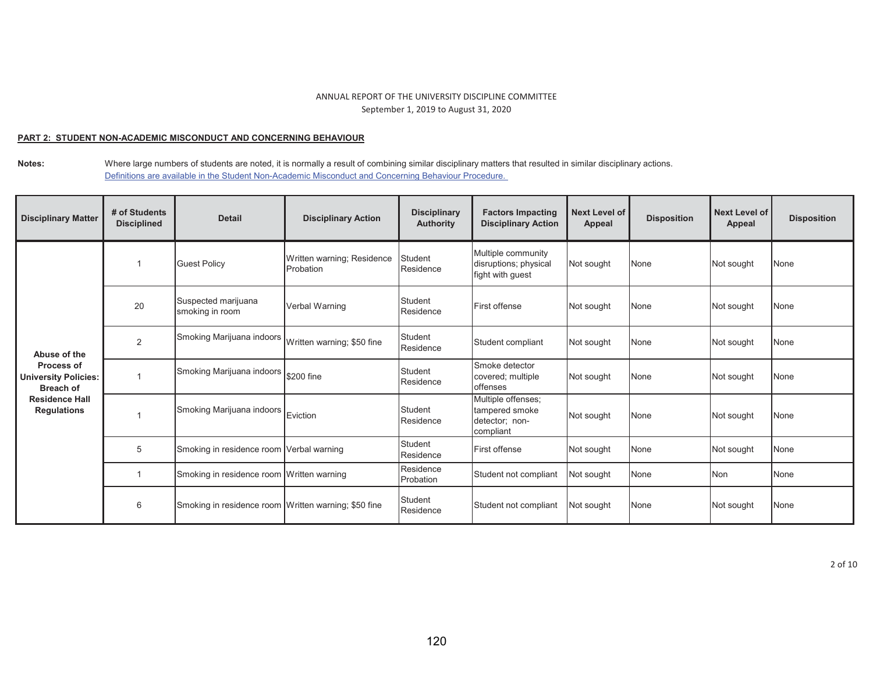### **PART 2: STUDENT NON-ACADEMIC MISCONDUCT AND CONCERNING BEHAVIOUR**

**Notes:** Where large numbers of students are noted, it is normally a result of combining similar disciplinary matters that resulted in similar disciplinary actions. Definitions are available in the Student Non-Academic Misconduct and Concerning Behaviour Procedure.

| <b>Disciplinary Matter</b>                                    | # of Students<br><b>Disciplined</b> | <b>Detail</b>                                        | <b>Disciplinary Action</b>              | <b>Disciplinary</b><br><b>Authority</b> | <b>Factors Impacting</b><br><b>Disciplinary Action</b>              | <b>Next Level of</b><br>Appeal | <b>Disposition</b> | Next Level of<br><b>Appeal</b> | <b>Disposition</b> |
|---------------------------------------------------------------|-------------------------------------|------------------------------------------------------|-----------------------------------------|-----------------------------------------|---------------------------------------------------------------------|--------------------------------|--------------------|--------------------------------|--------------------|
|                                                               |                                     | <b>Guest Policy</b>                                  | Written warning; Residence<br>Probation | <b>Student</b><br>Residence             | Multiple community<br>disruptions; physical<br>fight with guest     | Not sought                     | None               | Not sought                     | None               |
|                                                               | 20                                  | Suspected marijuana<br>smoking in room               | Verbal Warning                          | <b>Student</b><br>Residence             | First offense                                                       | Not sought                     | None               | Not sought                     | None               |
| Abuse of the                                                  | $\overline{2}$                      | Smoking Marijuana indoors Written warning; \$50 fine |                                         | Student<br>Residence                    | Student compliant                                                   | Not sought                     | None               | Not sought                     | None               |
| Process of<br><b>University Policies:</b><br><b>Breach of</b> |                                     | Smoking Marijuana indoors \$200 fine                 |                                         | Student<br>Residence                    | Smoke detector<br>covered; multiple<br>offenses                     | Not sought                     | None               | Not sought                     | None               |
| <b>Residence Hall</b><br><b>Regulations</b>                   |                                     | Smoking Marijuana indoors Eviction                   |                                         | Student<br>Residence                    | Multiple offenses;<br>tampered smoke<br>detector; non-<br>compliant | Not sought                     | None               | Not sought                     | None               |
|                                                               | 5                                   | Smoking in residence room Verbal warning             |                                         | Student<br>Residence                    | <b>First offense</b>                                                | Not sought                     | None               | Not sought                     | None               |
|                                                               |                                     | Smoking in residence room Written warning            |                                         | Residence<br>Probation                  | Student not compliant                                               | Not sought                     | None               | <b>Non</b>                     | None               |
|                                                               | 6                                   | Smoking in residence room Written warning; \$50 fine |                                         | Student<br>Residence                    | Student not compliant                                               | Not sought                     | None               | Not sought                     | None               |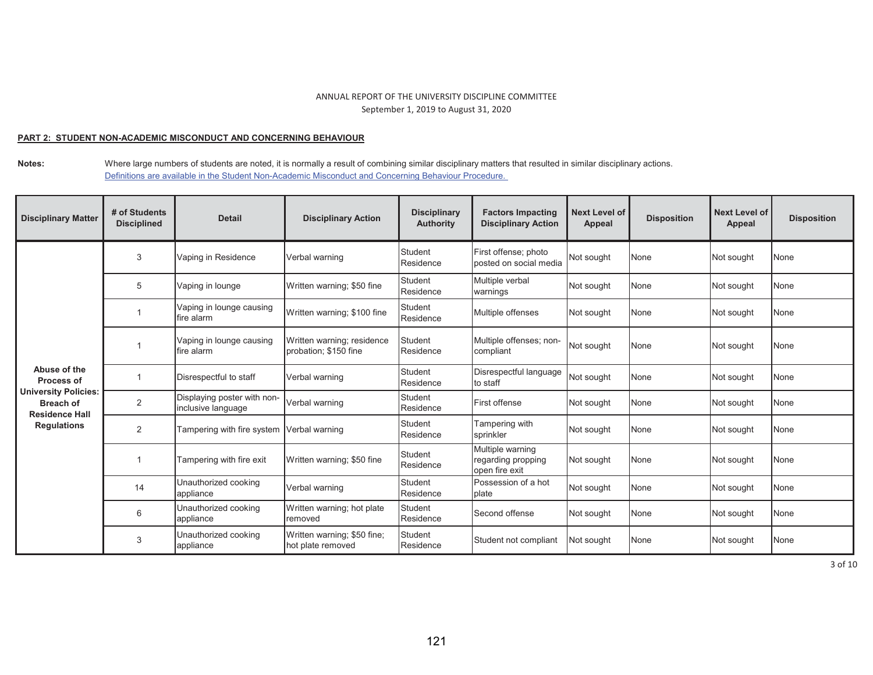#### **PART 2: STUDENT NON-ACADEMIC MISCONDUCT AND CONCERNING BEHAVIOUR**

**Notes:** Where large numbers of students are noted, it is normally a result of combining similar disciplinary matters that resulted in similar disciplinary actions. Definitions are available in the Student Non-Academic Misconduct and Concerning Behaviour Procedure.

| <b>Disciplinary Matter</b>                                               | # of Students<br><b>Disciplined</b> | <b>Detail</b>                                     | <b>Disciplinary Action</b>                          | <b>Disciplinary</b><br><b>Authority</b> | <b>Factors Impacting</b><br><b>Disciplinary Action</b>   | <b>Next Level of</b><br>Appeal | <b>Disposition</b> | <b>Next Level of</b><br><b>Appeal</b> | <b>Disposition</b> |
|--------------------------------------------------------------------------|-------------------------------------|---------------------------------------------------|-----------------------------------------------------|-----------------------------------------|----------------------------------------------------------|--------------------------------|--------------------|---------------------------------------|--------------------|
|                                                                          | 3                                   | Vaping in Residence                               | Verbal warning                                      | <b>Student</b><br>Residence             | First offense; photo<br>posted on social media           | Not sought                     | None               | Not sought                            | None               |
|                                                                          | 5                                   | Vaping in lounge                                  | Written warning; \$50 fine                          | <b>Student</b><br>Residence             | Multiple verbal<br>warnings                              | Not sought                     | None               | Not sought                            | None               |
|                                                                          |                                     | Vaping in lounge causing<br>fire alarm            | Written warning; \$100 fine                         | Student<br>Residence                    | Multiple offenses                                        | Not sought                     | None               | Not sought                            | None               |
|                                                                          |                                     | Vaping in lounge causing<br>fire alarm            | Written warning; residence<br>probation; \$150 fine | <b>Student</b><br>Residence             | Multiple offenses; non-<br>compliant                     | Not sought                     | None               | Not sought                            | None               |
| Abuse of the<br>Process of                                               |                                     | Disrespectful to staff                            | Verbal warning                                      | <b>Student</b><br>Residence             | Disrespectful language<br>to staff                       | Not sought                     | None               | Not sought                            | None               |
| <b>University Policies:</b><br><b>Breach of</b><br><b>Residence Hall</b> | $\overline{2}$                      | Displaying poster with non-<br>inclusive language | Verbal warning                                      | Student<br>Residence                    | First offense                                            | Not sought                     | None               | Not sought                            | None               |
| <b>Regulations</b>                                                       | 2                                   | Tampering with fire system Verbal warning         |                                                     | <b>Student</b><br>Residence             | Tampering with<br>sprinkler                              | Not sought                     | None               | Not sought                            | None               |
|                                                                          |                                     | Tampering with fire exit                          | Written warning; \$50 fine                          | <b>Student</b><br>Residence             | Multiple warning<br>regarding propping<br>open fire exit | Not sought                     | None               | Not sought                            | None               |
|                                                                          | 14                                  | Unauthorized cooking<br>appliance                 | Verbal warning                                      | Student<br>Residence                    | Possession of a hot<br>plate                             | Not sought                     | None               | Not sought                            | None               |
|                                                                          | 6                                   | Unauthorized cooking<br>appliance                 | Written warning; hot plate<br>removed               | <b>Student</b><br>Residence             | Second offense                                           | Not sought                     | None               | Not sought                            | None               |
|                                                                          | 3                                   | Unauthorized cooking<br>appliance                 | Written warning; \$50 fine;<br>hot plate removed    | <b>Student</b><br>Residence             | Student not compliant                                    | Not sought                     | None               | Not sought                            | None               |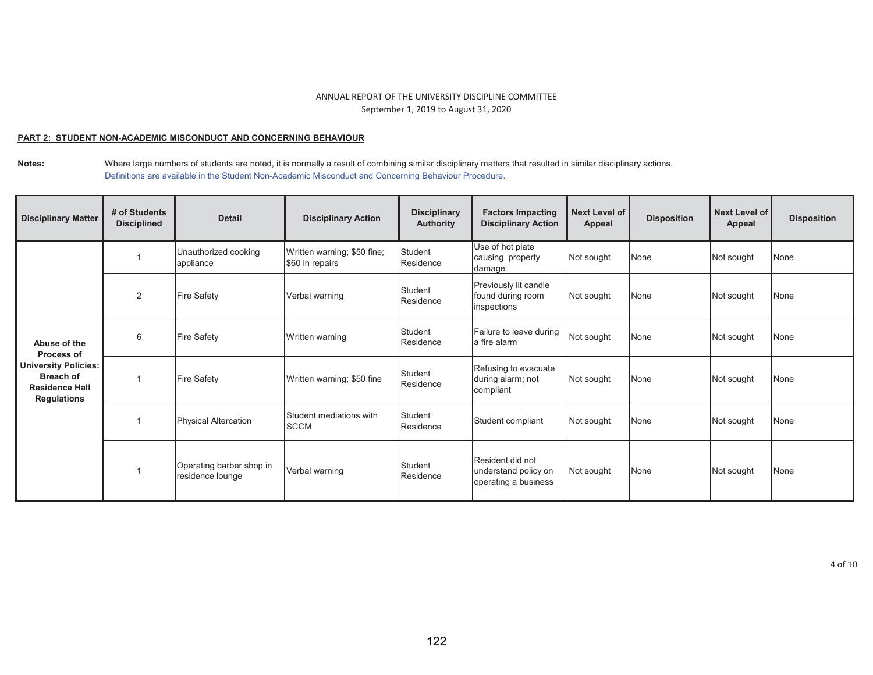## **PART 2: STUDENT NON-ACADEMIC MISCONDUCT AND CONCERNING BEHAVIOUR**

**Notes:** Where large numbers of students are noted, it is normally a result of combining similar disciplinary matters that resulted in similar disciplinary actions. Definitions are available in the Student Non-Academic Misconduct and Concerning Behaviour Procedure.

| <b>Disciplinary Matter</b>                                                              | # of Students<br><b>Disciplined</b> | <b>Detail</b>                                | <b>Disciplinary Action</b>                     | <b>Disciplinary</b><br><b>Authority</b> | <b>Factors Impacting</b><br><b>Disciplinary Action</b>           | Next Level of<br>Appeal | <b>Disposition</b> | Next Level of<br>Appeal | <b>Disposition</b> |
|-----------------------------------------------------------------------------------------|-------------------------------------|----------------------------------------------|------------------------------------------------|-----------------------------------------|------------------------------------------------------------------|-------------------------|--------------------|-------------------------|--------------------|
|                                                                                         |                                     | Unauthorized cooking<br>appliance            | Written warning; \$50 fine;<br>\$60 in repairs | <b>Student</b><br>Residence             | Use of hot plate<br>causing property<br>damage                   | Not sought              | None               | Not sought              | None               |
|                                                                                         | 2                                   | <b>Fire Safety</b>                           | Verbal warning                                 | Student<br>Residence                    | Previously lit candle<br>found during room<br>inspections        | Not sought              | None               | Not sought              | None               |
| Abuse of the<br><b>Process of</b>                                                       | 6                                   | <b>Fire Safety</b>                           | Written warning                                | Student<br>Residence                    | Failure to leave during<br>a fire alarm                          | Not sought              | None               | Not sought              | None               |
| University Policies:<br><b>Breach of</b><br><b>Residence Hall</b><br><b>Regulations</b> |                                     | Fire Safety                                  | Written warning; \$50 fine                     | Student<br>Residence                    | Refusing to evacuate<br>during alarm; not<br>compliant           | Not sought              | None               | Not sought              | None               |
|                                                                                         |                                     | <b>Physical Altercation</b>                  | Student mediations with<br><b>SCCM</b>         | Student<br>Residence                    | Student compliant                                                | Not sought              | None               | Not sought              | None               |
|                                                                                         |                                     | Operating barber shop in<br>residence lounge | Verbal warning                                 | Student<br>Residence                    | Resident did not<br>understand policy on<br>operating a business | Not sought              | None               | Not sought              | None               |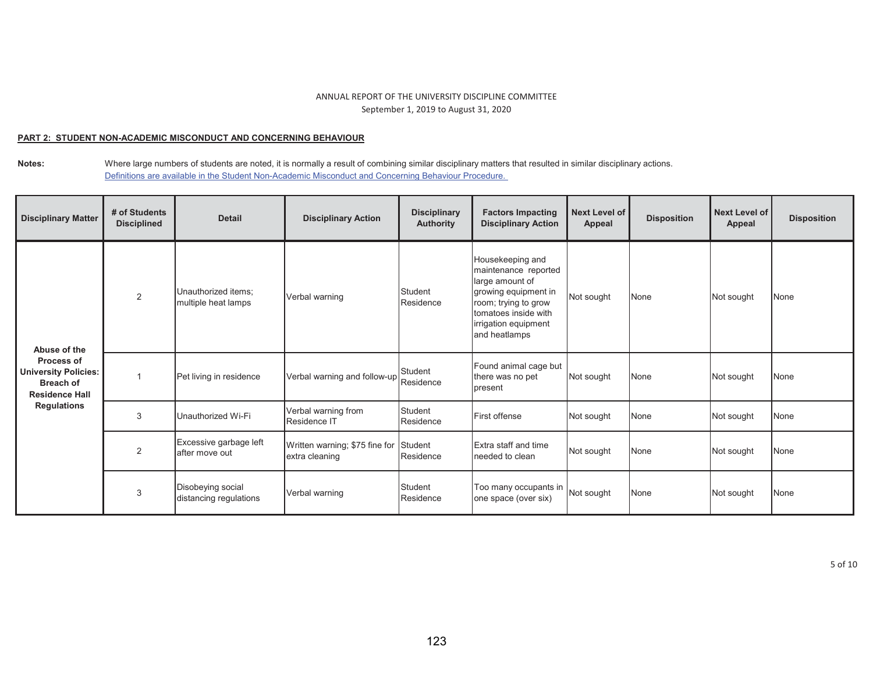## **PART 2: STUDENT NON-ACADEMIC MISCONDUCT AND CONCERNING BEHAVIOUR**

**Notes:** Where large numbers of students are noted, it is normally a result of combining similar disciplinary matters that resulted in similar disciplinary actions. Definitions are available in the Student Non-Academic Misconduct and Concerning Behaviour Procedure.

| <b>Disciplinary Matter</b>                                                                                                   | # of Students<br><b>Disciplined</b> | <b>Detail</b>                               | <b>Disciplinary Action</b>                       | <b>Disciplinary</b><br><b>Authority</b> | <b>Factors Impacting</b><br><b>Disciplinary Action</b>                                                                                                                       | Next Level of<br>Appeal | <b>Disposition</b> | Next Level of<br><b>Appeal</b> | <b>Disposition</b> |
|------------------------------------------------------------------------------------------------------------------------------|-------------------------------------|---------------------------------------------|--------------------------------------------------|-----------------------------------------|------------------------------------------------------------------------------------------------------------------------------------------------------------------------------|-------------------------|--------------------|--------------------------------|--------------------|
| Abuse of the<br>Process of<br><b>University Policies:</b><br><b>Breach of</b><br><b>Residence Hall</b><br><b>Regulations</b> | 2                                   | Unauthorized items:<br>multiple heat lamps  | Verbal warning                                   | Student<br>Residence                    | Housekeeping and<br>maintenance reported<br>large amount of<br>growing equipment in<br>room; trying to grow<br>tomatoes inside with<br>irrigation equipment<br>and heatlamps | Not sought              | None               | Not sought                     | None               |
|                                                                                                                              |                                     | Pet living in residence                     | Verbal warning and follow-up                     | Student<br>Residence                    | Found animal cage but<br>there was no pet<br>present                                                                                                                         | Not sought              | None               | Not sought                     | None               |
|                                                                                                                              | 3                                   | Unauthorized Wi-Fi                          | Verbal warning from<br>Residence IT              | Student<br>Residence                    | <b>First offense</b>                                                                                                                                                         | Not sought              | None               | Not sought                     | None               |
|                                                                                                                              | $\overline{2}$                      | Excessive garbage left<br>after move out    | Written warning; \$75 fine for<br>extra cleaning | Student<br>Residence                    | Extra staff and time<br>needed to clean                                                                                                                                      | Not sought              | None               | Not sought                     | None               |
|                                                                                                                              | 3                                   | Disobeying social<br>distancing regulations | Verbal warning                                   | Student<br>Residence                    | Too many occupants in<br>one space (over six)                                                                                                                                | Not sought              | None               | Not sought                     | None               |

5 of 10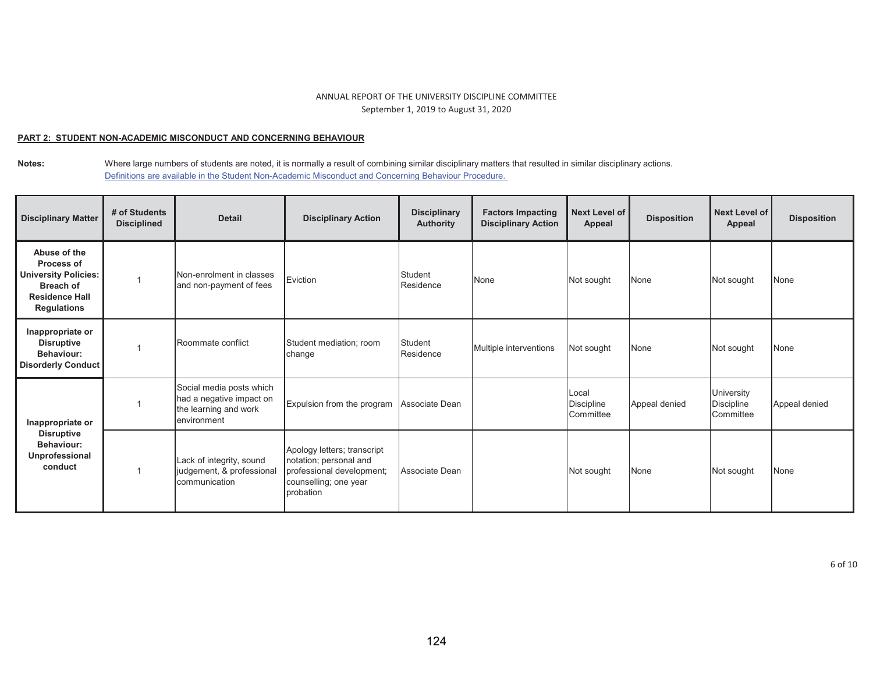## **PART 2: STUDENT NON-ACADEMIC MISCONDUCT AND CONCERNING BEHAVIOUR**

| <b>Disciplinary Matter</b>                                                                                                   | # of Students<br><b>Disciplined</b> | <b>Detail</b>                                                                                | <b>Disciplinary Action</b>                                                                                                      | <b>Disciplinary</b><br><b>Authority</b> | <b>Factors Impacting</b><br><b>Disciplinary Action</b> | <b>Next Level of</b><br>Appeal          | <b>Disposition</b> | Next Level of<br>Appeal                      | <b>Disposition</b> |
|------------------------------------------------------------------------------------------------------------------------------|-------------------------------------|----------------------------------------------------------------------------------------------|---------------------------------------------------------------------------------------------------------------------------------|-----------------------------------------|--------------------------------------------------------|-----------------------------------------|--------------------|----------------------------------------------|--------------------|
| Abuse of the<br>Process of<br><b>University Policies:</b><br><b>Breach of</b><br><b>Residence Hall</b><br><b>Regulations</b> |                                     | Non-enrolment in classes<br>and non-payment of fees                                          | Eviction                                                                                                                        | Student<br>Residence                    | None                                                   | Not sought                              | None               | Not sought                                   | None               |
| Inappropriate or<br><b>Disruptive</b><br>Behaviour:<br><b>Disorderly Conduct</b>                                             |                                     | Roommate conflict                                                                            | Student mediation; room<br>change                                                                                               | Student<br>Residence                    | Multiple interventions                                 | Not sought                              | None               | Not sought                                   | None               |
| Inappropriate or<br><b>Disruptive</b><br>Behaviour:<br>Unprofessional<br>conduct                                             |                                     | Social media posts which<br>had a negative impact on<br>the learning and work<br>environment | Expulsion from the program                                                                                                      | Associate Dean                          |                                                        | Local<br><b>Discipline</b><br>Committee | Appeal denied      | University<br><b>Discipline</b><br>Committee | Appeal denied      |
|                                                                                                                              |                                     | Lack of integrity, sound<br>judgement, & professional<br>communication                       | Apology letters; transcript<br>notation; personal and<br>professional development;<br>counselling; one year<br><b>probation</b> | Associate Dean                          |                                                        | Not sought                              | None               | Not sought                                   | None               |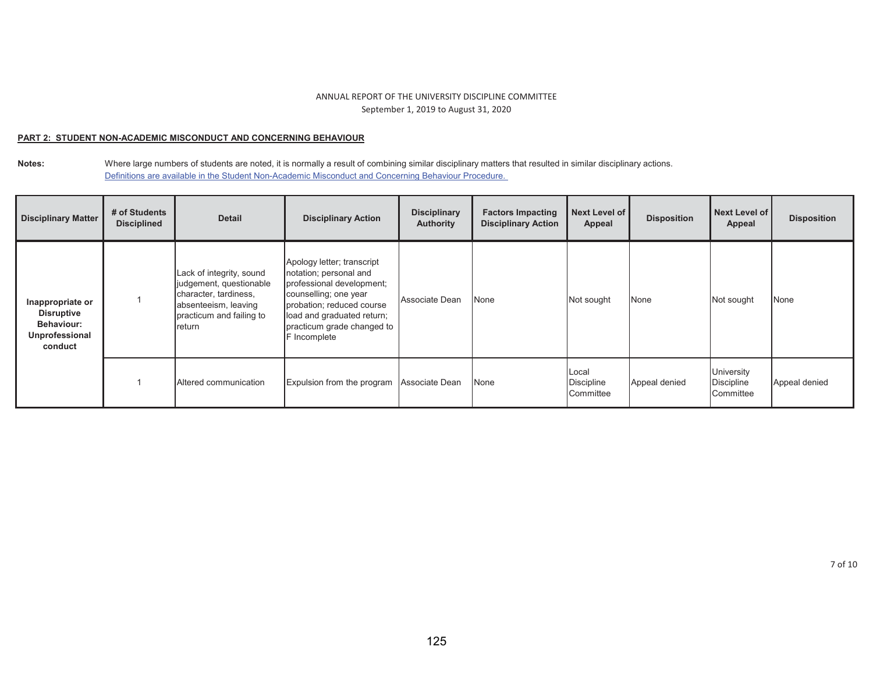## **PART 2: STUDENT NON-ACADEMIC MISCONDUCT AND CONCERNING BEHAVIOUR**

| <b>Disciplinary Matter</b>                                                              | # of Students<br><b>Disciplined</b> | <b>Detail</b>                                                                                                                              | <b>Disciplinary Action</b>                                                                                                                                                                                          | <b>Disciplinary</b><br><b>Authority</b> | <b>Factors Impacting</b><br><b>Disciplinary Action</b> | Next Level of<br>Appeal                 | <b>Disposition</b> | Next Level of<br>Appeal               | <b>Disposition</b> |
|-----------------------------------------------------------------------------------------|-------------------------------------|--------------------------------------------------------------------------------------------------------------------------------------------|---------------------------------------------------------------------------------------------------------------------------------------------------------------------------------------------------------------------|-----------------------------------------|--------------------------------------------------------|-----------------------------------------|--------------------|---------------------------------------|--------------------|
| Inappropriate or<br><b>Disruptive</b><br><b>Behaviour:</b><br>Unprofessional<br>conduct |                                     | Lack of integrity, sound<br>judgement, questionable<br>character, tardiness,<br>absenteeism, leaving<br>practicum and failing to<br>return | Apology letter; transcript<br>notation; personal and<br>professional development;<br>counselling; one year<br>probation; reduced course<br>load and graduated return;<br>practicum grade changed to<br>F Incomplete | Associate Dean                          | None                                                   | Not sought                              | None               | Not sought                            | None               |
|                                                                                         |                                     | Altered communication                                                                                                                      | Expulsion from the program                                                                                                                                                                                          | Associate Dean                          | None                                                   | Local<br><b>Discipline</b><br>Committee | Appeal denied      | University<br>Discipline<br>Committee | Appeal denied      |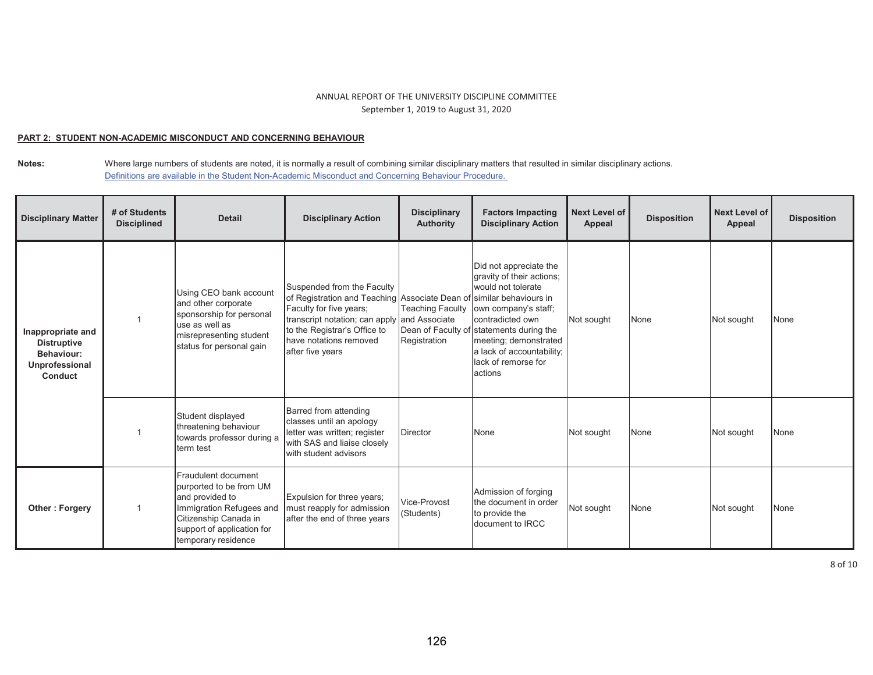## **PART 2: STUDENT NON-ACADEMIC MISCONDUCT AND CONCERNING BEHAVIOUR**

| <b>Disciplinary Matter</b>                                                                       | # of Students<br><b>Disciplined</b> | <b>Detail</b>                                                                                                                                                               | <b>Disciplinary Action</b>                                                                                                                                                                                              | <b>Disciplinary</b><br><b>Authority</b>                  | <b>Factors Impacting</b><br><b>Disciplinary Action</b>                                                                                                                                                                                                                              | <b>Next Level of</b><br>Appeal | <b>Disposition</b> | Next Level of<br>Appeal | <b>Disposition</b> |
|--------------------------------------------------------------------------------------------------|-------------------------------------|-----------------------------------------------------------------------------------------------------------------------------------------------------------------------------|-------------------------------------------------------------------------------------------------------------------------------------------------------------------------------------------------------------------------|----------------------------------------------------------|-------------------------------------------------------------------------------------------------------------------------------------------------------------------------------------------------------------------------------------------------------------------------------------|--------------------------------|--------------------|-------------------------|--------------------|
| Inappropriate and<br><b>Distruptive</b><br><b>Behaviour:</b><br>Unprofessional<br><b>Conduct</b> |                                     | Using CEO bank account<br>and other corporate<br>sponsorship for personal<br>use as well as<br>misrepresenting student<br>status for personal gain                          | Suspended from the Faculty<br>of Registration and Teaching Associate Dean of<br>Faculty for five years;<br>transcript notation; can apply<br>to the Registrar's Office to<br>have notations removed<br>after five years | <b>Teaching Faculty</b><br>and Associate<br>Registration | Did not appreciate the<br>gravity of their actions;<br>would not tolerate<br>fsimilar behaviours in<br>own company's staff;<br>contradicted own<br>Dean of Faculty of statements during the<br>meeting; demonstrated<br>a lack of accountability;<br>lack of remorse for<br>actions | Not sought                     | None               | Not sought              | None               |
|                                                                                                  |                                     | Student displayed<br>threatening behaviour<br>towards professor during a<br>term test                                                                                       | Barred from attending<br>classes until an apology<br>letter was written; register<br>with SAS and liaise closely<br>with student advisors                                                                               | <b>Director</b>                                          | None                                                                                                                                                                                                                                                                                | Not sought                     | None               | Not sought              | None               |
| Other: Forgery                                                                                   |                                     | Fraudulent document<br>purported to be from UM<br>and provided to<br>Immigration Refugees and<br>Citizenship Canada in<br>support of application for<br>temporary residence | Expulsion for three years;<br>must reapply for admission<br>after the end of three years                                                                                                                                | Vice-Provost<br>(Students)                               | Admission of forging<br>the document in order<br>to provide the<br>document to IRCC                                                                                                                                                                                                 | Not sought                     | None               | Not sought              | None               |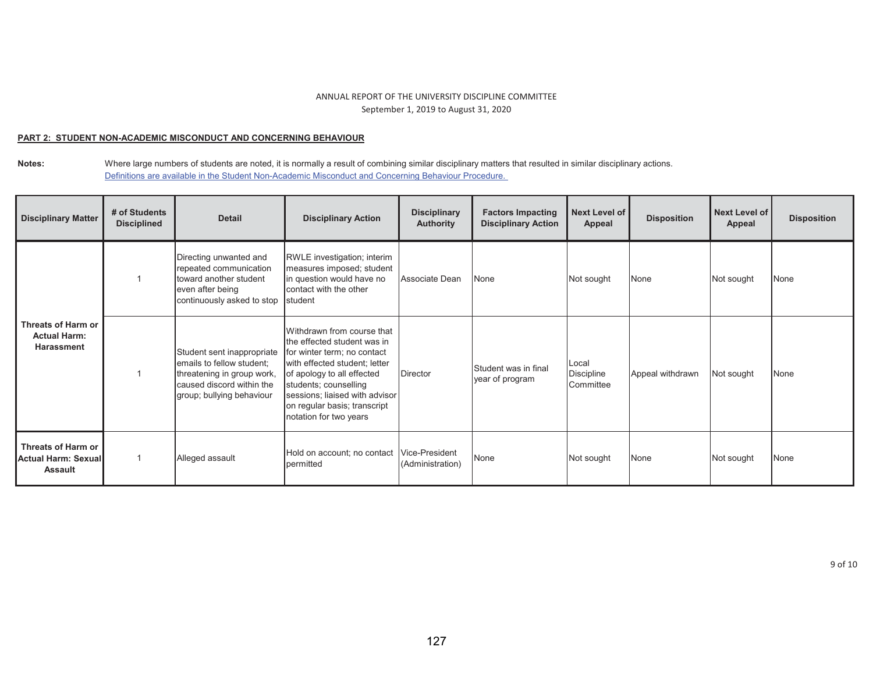## **PART 2: STUDENT NON-ACADEMIC MISCONDUCT AND CONCERNING BEHAVIOUR**

| <b>Disciplinary Matter</b>                                     | # of Students<br><b>Disciplined</b> | <b>Detail</b>                                                                                                                                   | <b>Disciplinary Action</b>                                                                                                                                                                                                                                                   | <b>Disciplinary</b><br><b>Authority</b> | <b>Factors Impacting</b><br><b>Disciplinary Action</b> | Next Level of<br>Appeal          | <b>Disposition</b> | Next Level of<br>Appeal | <b>Disposition</b> |
|----------------------------------------------------------------|-------------------------------------|-------------------------------------------------------------------------------------------------------------------------------------------------|------------------------------------------------------------------------------------------------------------------------------------------------------------------------------------------------------------------------------------------------------------------------------|-----------------------------------------|--------------------------------------------------------|----------------------------------|--------------------|-------------------------|--------------------|
| Threats of Harm or<br><b>Actual Harm:</b><br><b>Harassment</b> |                                     | Directing unwanted and<br>repeated communication<br>toward another student<br>even after being<br>continuously asked to stop                    | RWLE investigation; interim<br>measures imposed; student<br>in question would have no<br>contact with the other<br>student                                                                                                                                                   | Associate Dean                          | None                                                   | Not sought                       | None               | Not sought              | None               |
|                                                                |                                     | Student sent inappropriate<br>emails to fellow student:<br>threatening in group work,<br>caused discord within the<br>group; bullying behaviour | Withdrawn from course that<br>the effected student was in<br>for winter term; no contact<br>with effected student; letter<br>of apology to all effected<br>students; counselling<br>sessions; liaised with advisor<br>on regular basis; transcript<br>notation for two years | <b>Director</b>                         | Student was in final<br>year of program                | Local<br>Discipline<br>Committee | Appeal withdrawn   | Not sought              | <b>None</b>        |
| Threats of Harm or<br>Actual Harm: Sexual<br><b>Assault</b>    |                                     | Alleged assault                                                                                                                                 | Hold on account; no contact<br>permitted                                                                                                                                                                                                                                     | Vice-President<br>(Administration)      | None                                                   | Not sought                       | None               | Not sought              | None               |